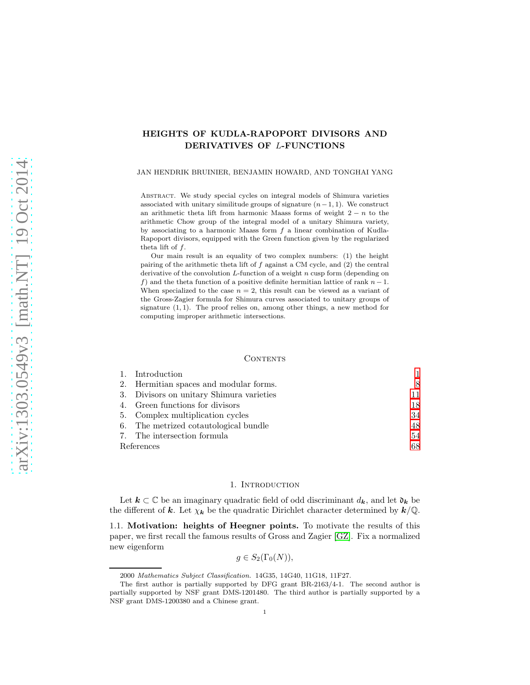# HEIGHTS OF KUDLA-RAPOPORT DIVISORS AND DERIVATIVES OF L-FUNCTIONS

### JAN HENDRIK BRUINIER, BENJAMIN HOWARD, AND TONGHAI YANG

Abstract. We study special cycles on integral models of Shimura varieties associated with unitary similitude groups of signature  $(n-1, 1)$ . We construct an arithmetic theta lift from harmonic Maass forms of weight  $2 - n$  to the arithmetic Chow group of the integral model of a unitary Shimura variety, by associating to a harmonic Maass form  $f$  a linear combination of Kudla-Rapoport divisors, equipped with the Green function given by the regularized theta lift of  $f$ .

Our main result is an equality of two complex numbers: (1) the height pairing of the arithmetic theta lift of  $f$  against a CM cycle, and  $(2)$  the central derivative of the convolution  $L$ -function of a weight n cusp form (depending on f) and the theta function of a positive definite hermitian lattice of rank  $n-1$ . When specialized to the case  $n = 2$ , this result can be viewed as a variant of the Gross-Zagier formula for Shimura curves associated to unitary groups of signature  $(1, 1)$ . The proof relies on, among other things, a new method for computing improper arithmetic intersections.

#### **CONTENTS**

|            | 1. Introduction                          |     |
|------------|------------------------------------------|-----|
|            | 2. Hermitian spaces and modular forms.   | 8   |
|            | 3. Divisors on unitary Shimura varieties | 11. |
|            | 4. Green functions for divisors          | 18  |
|            | 5. Complex multiplication cycles         | 34  |
|            | 6. The metrized cotautological bundle    | 48  |
|            | 7. The intersection formula              | 54  |
| References |                                          | 68  |

### 1. INTRODUCTION

<span id="page-0-0"></span>Let  $k \subset \mathbb{C}$  be an imaginary quadratic field of odd discriminant  $d_k$ , and let  $\mathfrak{d}_k$  be the different of k. Let  $\chi_k$  be the quadratic Dirichlet character determined by  $k/\mathbb{Q}$ .

1.1. Motivation: heights of Heegner points. To motivate the results of this paper, we first recall the famous results of Gross and Zagier [\[GZ\]](#page-68-0). Fix a normalized new eigenform

$$
g \in S_2(\Gamma_0(N)),
$$

<sup>2000</sup> Mathematics Subject Classification. 14G35, 14G40, 11G18, 11F27.

The first author is partially supported by DFG grant BR-2163/4-1. The second author is partially supported by NSF grant DMS-1201480. The third author is partially supported by a NSF grant DMS-1200380 and a Chinese grant.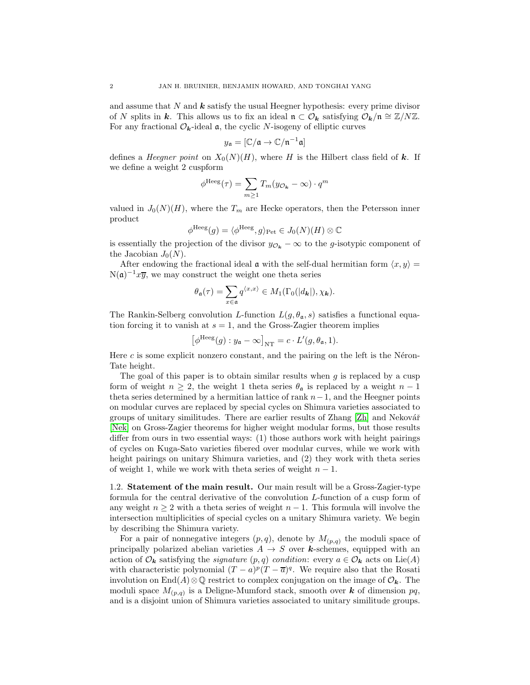and assume that  $N$  and  $k$  satisfy the usual Heegner hypothesis: every prime divisor of N splits in k. This allows us to fix an ideal  $\mathfrak{n} \subset \mathcal{O}_k$  satisfying  $\mathcal{O}_k/\mathfrak{n} \cong \mathbb{Z}/N\mathbb{Z}$ . For any fractional  $\mathcal{O}_{k}$ -ideal **a**, the cyclic N-isogeny of elliptic curves

$$
y_{\mathfrak{a}} = [\mathbb{C}/\mathfrak{a} \to \mathbb{C}/\mathfrak{n}^{-1}\mathfrak{a}]
$$

defines a *Heegner point* on  $X_0(N)(H)$ , where H is the Hilbert class field of k. If we define a weight 2 cuspform

$$
\phi^{\text{Heeg}}(\tau) = \sum_{m \ge 1} T_m(y_{\mathcal{O}_k} - \infty) \cdot q^m
$$

valued in  $J_0(N)(H)$ , where the  $T_m$  are Hecke operators, then the Petersson inner product

$$
\phi^{\text{Heeg}}(g) = \langle \phi^{\text{Heeg}}, g \rangle_{\text{Pet}} \in J_0(N)(H) \otimes \mathbb{C}
$$

is essentially the projection of the divisor  $y_{\mathcal{O}_k} - \infty$  to the g-isotypic component of the Jacobian  $J_0(N)$ .

After endowing the fractional ideal  $\alpha$  with the self-dual hermitian form  $\langle x, y \rangle =$  $N(\mathfrak{a})^{-1}x\overline{y}$ , we may construct the weight one theta series

$$
\theta_{\mathfrak{a}}(\tau) = \sum_{x \in \mathfrak{a}} q^{\langle x, x \rangle} \in M_1(\Gamma_0(|d_{\mathbf{k}}|), \chi_{\mathbf{k}}).
$$

The Rankin-Selberg convolution L-function  $L(g, \theta_{\mathfrak{a}}, s)$  satisfies a functional equation forcing it to vanish at  $s = 1$ , and the Gross-Zagier theorem implies

$$
\left[\phi^{\text{Heeg}}(g) : y_{\mathfrak{a}} - \infty\right]_{\text{NT}} = c \cdot L'(g, \theta_{\mathfrak{a}}, 1).
$$

Here  $c$  is some explicit nonzero constant, and the pairing on the left is the Néron-Tate height.

The goal of this paper is to obtain similar results when  $g$  is replaced by a cusp form of weight  $n \geq 2$ , the weight 1 theta series  $\theta_a$  is replaced by a weight  $n-1$ theta series determined by a hermitian lattice of rank  $n-1$ , and the Heegner points on modular curves are replaced by special cycles on Shimura varieties associated to groups of unitary similitudes. There are earlier results of Zhang [\[Zh\]](#page-68-1) and Nekovář [\[Nek\]](#page-68-2) on Gross-Zagier theorems for higher weight modular forms, but those results differ from ours in two essential ways: (1) those authors work with height pairings of cycles on Kuga-Sato varieties fibered over modular curves, while we work with height pairings on unitary Shimura varieties, and (2) they work with theta series of weight 1, while we work with theta series of weight  $n - 1$ .

1.2. Statement of the main result. Our main result will be a Gross-Zagier-type formula for the central derivative of the convolution L-function of a cusp form of any weight  $n \geq 2$  with a theta series of weight  $n-1$ . This formula will involve the intersection multiplicities of special cycles on a unitary Shimura variety. We begin by describing the Shimura variety.

For a pair of nonnegative integers  $(p, q)$ , denote by  $M_{(p,q)}$  the moduli space of principally polarized abelian varieties  $A \rightarrow S$  over **k**-schemes, equipped with an action of  $\mathcal{O}_k$  satisfying the *signature*  $(p, q)$  condition: every  $a \in \mathcal{O}_k$  acts on Lie(A) with characteristic polynomial  $(T - a)^p (T - \overline{a})^q$ . We require also that the Rosati involution on End(A)⊗Q restrict to complex conjugation on the image of  $\mathcal{O}_{k}$ . The moduli space  $M_{(p,q)}$  is a Deligne-Mumford stack, smooth over **k** of dimension pq, and is a disjoint union of Shimura varieties associated to unitary similitude groups.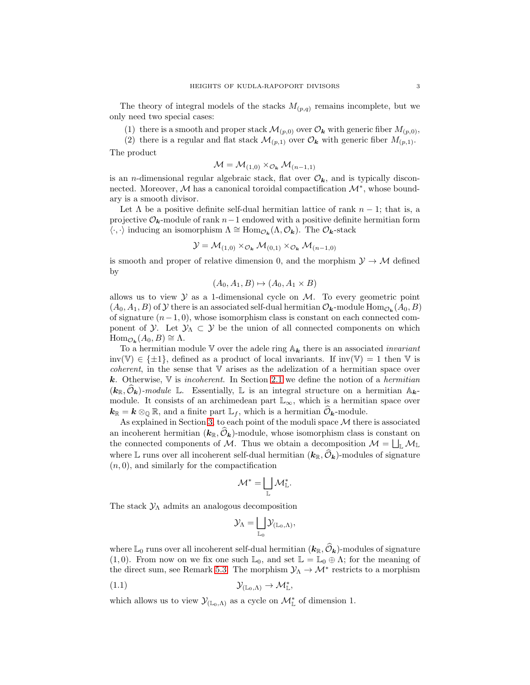The theory of integral models of the stacks  $M_{(p,q)}$  remains incomplete, but we only need two special cases:

(1) there is a smooth and proper stack  $\mathcal{M}_{(p,0)}$  over  $\mathcal{O}_{\mathbf{k}}$  with generic fiber  $M_{(p,0)}$ ,

(2) there is a regular and flat stack  $\mathcal{M}_{(p,1)}$  over  $\mathcal{O}_k$  with generic fiber  $M_{(p,1)}$ .

The product

$$
\mathcal{M} = \mathcal{M}_{(1,0)} \times_{\mathcal{O}_{\mathbf{k}}} \mathcal{M}_{(n-1,1)}
$$

is an *n*-dimensional regular algebraic stack, flat over  $\mathcal{O}_{k}$ , and is typically disconnected. Moreover,  $M$  has a canonical toroidal compactification  $\mathcal{M}^*$ , whose boundary is a smooth divisor.

Let  $\Lambda$  be a positive definite self-dual hermitian lattice of rank  $n-1$ ; that is, a projective  $\mathcal{O}_k$ -module of rank  $n-1$  endowed with a positive definite hermitian form  $\langle \cdot, \cdot \rangle$  inducing an isomorphism  $\Lambda \cong \text{Hom}_{\mathcal{O}_{\mathbf{k}}}(\Lambda, \mathcal{O}_{\mathbf{k}})$ . The  $\mathcal{O}_{\mathbf{k}}$ -stack

$$
\mathcal{Y} = \mathcal{M}_{(1,0)} \times_{\mathcal{O}_{\mathbf{k}}} \mathcal{M}_{(0,1)} \times_{\mathcal{O}_{\mathbf{k}}} \mathcal{M}_{(n-1,0)}
$$

is smooth and proper of relative dimension 0, and the morphism  $\mathcal{Y} \to \mathcal{M}$  defined by

$$
(A_0, A_1, B) \mapsto (A_0, A_1 \times B)
$$

allows us to view  $\mathcal Y$  as a 1-dimensional cycle on  $\mathcal M$ . To every geometric point  $(A_0, A_1, B)$  of  $\mathcal Y$  there is an associated self-dual hermitian  $\mathcal O_{\mathbf k}$ -module  $\text{Hom}_{\mathcal O_{\mathbf k}}(A_0, B)$ of signature  $(n-1, 0)$ , whose isomorphism class is constant on each connected component of  $\mathcal{Y}$ . Let  $\mathcal{Y}_\Lambda \subset \mathcal{Y}$  be the union of all connected components on which  $\text{Hom}_{\mathcal{O}_{\mathbf{k}}}(A_0, B) \cong \Lambda.$ 

To a hermitian module V over the adele ring  $A_k$  there is an associated *invariant* inv(V)  $\in \{\pm 1\}$ , defined as a product of local invariants. If inv(V) = 1 then V is *coherent*, in the sense that  $V$  arises as the adelization of a hermitian space over k. Otherwise,  $\nabla$  is *incoherent*. In Section [2.1](#page-7-1) we define the notion of a *hermitian*  $(k_{\mathbb{R}}, \mathcal{O}_k)$ -module L. Essentially, L is an integral structure on a hermitian  $\mathbb{A}_k$ module. It consists of an archimedean part  $\mathbb{L}_{\infty}$ , which is a hermitian space over  $k_{\mathbb{R}} = k \otimes_{\mathbb{Q}} \mathbb{R}$ , and a finite part  $\mathbb{L}_f$ , which is a hermitian  $\mathcal{O}_{\mathbf{k}}$ -module.

As explained in Section [3,](#page-10-0) to each point of the moduli space  $M$  there is associated an incoherent hermitian  $(k_{\mathbb{R}}, \hat{\mathcal{O}}_k)$ -module, whose isomorphism class is constant on the connected components of M. Thus we obtain a decomposition  $\mathcal{M} = \bigsqcup_{\mathbb{L}} \mathcal{M}_{\mathbb{L}}$ where L runs over all incoherent self-dual hermitian  $(k_{\mathbb{R}}, \hat{\mathcal{O}}_k)$ -modules of signature  $(n, 0)$ , and similarly for the compactification

$$
\mathcal{M}^* = \bigsqcup_{\mathbb{L}} \mathcal{M}^*_{\mathbb{L}}.
$$

The stack  $\mathcal{Y}_\Lambda$  admits an analogous decomposition

<span id="page-2-0"></span>
$$
\mathcal{Y}_\Lambda=\bigsqcup_{\mathbb{L}_0}\mathcal{Y}_{(\mathbb{L}_0,\Lambda)},
$$

where  $\mathbb{L}_0$  runs over all incoherent self-dual hermitian  $(k_{\mathbb{R}}, \mathcal{O}_k)$ -modules of signature (1,0). From now on we fix one such  $\mathbb{L}_0$ , and set  $\mathbb{L} = \mathbb{L}_0 \oplus \Lambda$ ; for the meaning of the direct sum, see Remark [5.3.](#page-35-0) The morphism  $\mathcal{Y}_{\Lambda} \to \mathcal{M}^*$  restricts to a morphism

(1.1) Y(L0,Λ) → M<sup>∗</sup> L ,

which allows us to view  $\mathcal{Y}_{(\mathbb{L}_0,\Lambda)}$  as a cycle on  $\mathcal{M}^*_{\mathbb{L}}$  of dimension 1.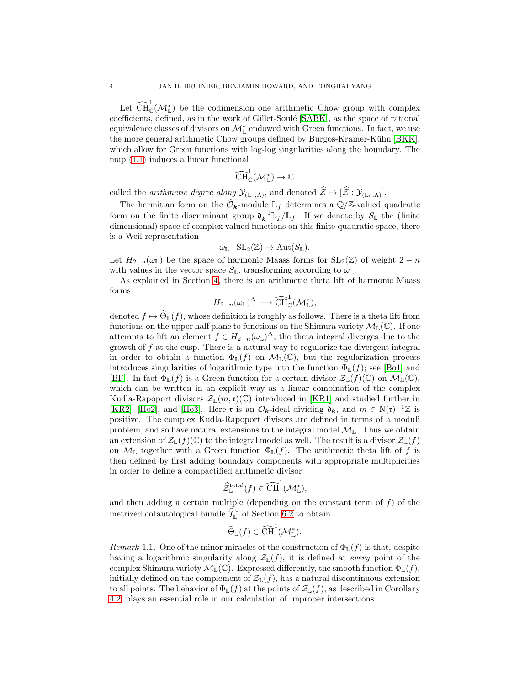Let  $\widehat{\text{CH}}_{\mathbb{C}}^1(\mathcal{M}_{\mathbb{L}}^*)$  be the codimension one arithmetic Chow group with complex coefficients, defined, as in the work of Gillet-Soulé [\[SABK\]](#page-68-3), as the space of rational equivalence classes of divisors on  $\mathcal{M}_{\mathbb{L}}^*$  endowed with Green functions. In fact, we use the more general arithmetic Chow groups defined by Burgos-Kramer-Kühn [\[BKK\]](#page-67-1), which allow for Green functions with log-log singularities along the boundary. The map [\(1.1\)](#page-2-0) induces a linear functional

$$
\widehat{\operatorname{CH}}^1_{\mathbb{C}}(\mathcal{M}^*_{\mathbb{L}}) \to \mathbb{C}
$$

called the *arithmetic degree along*  $\mathcal{Y}_{(\mathbb{L}_0,\Lambda)}$ , and denoted  $\hat{\mathcal{Z}} \mapsto [\hat{\mathcal{Z}} : \mathcal{Y}_{(\mathbb{L}_0,\Lambda)}].$ 

The hermitian form on the  $\widehat{\mathcal{O}}_{\mathbf{k}}$ -module  $\mathbb{L}_f$  determines a  $\mathbb{Q}/\mathbb{Z}$ -valued quadratic form on the finite discriminant group  $\mathfrak{d}_{\mathbf{k}}^{-1} \mathbb{L}_f / \mathbb{L}_f$ . If we denote by  $S_{\mathbb{L}}$  the (finite dimensional) space of complex valued functions on this finite quadratic space, there is a Weil representation

$$
\omega_{\mathbb{L}}:\mathrm{SL}_2(\mathbb{Z})\to \mathrm{Aut}(S_{\mathbb{L}}).
$$

Let  $H_{2-n}(\omega_{\mathbb{L}})$  be the space of harmonic Maass forms for  $SL_2(\mathbb{Z})$  of weight  $2-n$ with values in the vector space  $S_{\mathbb{L}}$ , transforming according to  $\omega_{\mathbb{L}}$ .

As explained in Section [4,](#page-17-0) there is an arithmetic theta lift of harmonic Maass forms

$$
H_{2-n}(\omega_{\mathbb{L}})^{\Delta} \longrightarrow \widehat{\text{CH}}_{\mathbb{C}}^1(\mathcal{M}_{\mathbb{L}}^*),
$$

denoted  $f \mapsto \widehat{\Theta}_{\mathbb{L}}(f)$ , whose definition is roughly as follows. There is a theta lift from functions on the upper half plane to functions on the Shimura variety  $\mathcal{M}_{\mathbb{L}}(\mathbb{C})$ . If one attempts to lift an element  $f \in H_{2-n}(\omega_{\mathbb{L}})^{\Delta}$ , the theta integral diverges due to the growth of  $f$  at the cusp. There is a natural way to regularize the divergent integral in order to obtain a function  $\Phi_{\mathbb{L}}(f)$  on  $\mathcal{M}_{\mathbb{L}}(\mathbb{C})$ , but the regularization process introduces singularities of logarithmic type into the function  $\Phi_{\mathbb{L}}(f)$ ; see [\[Bo1\]](#page-67-2) and [\[BF\]](#page-67-3). In fact  $\Phi_{\mathbb{L}}(f)$  is a Green function for a certain divisor  $\mathcal{Z}_{\mathbb{L}}(f)(\mathbb{C})$  on  $\mathcal{M}_{\mathbb{L}}(\mathbb{C}),$ which can be written in an explicit way as a linear combination of the complex Kudla-Rapoport divisors  $\mathcal{Z}_{\mathbb{L}}(m,\mathfrak{r})(\mathbb{C})$  introduced in [\[KR1\]](#page-68-4) and studied further in [\[KR2\]](#page-68-5), [\[Ho2\]](#page-68-6), and [\[Ho3\]](#page-68-7). Here **r** is an  $\mathcal{O}_{\mathbf{k}}$ -ideal dividing  $\mathfrak{d}_{\mathbf{k}}$ , and  $m \in N(\mathfrak{r})^{-1}\mathbb{Z}$  is positive. The complex Kudla-Rapoport divisors are defined in terms of a moduli problem, and so have natural extensions to the integral model  $\mathcal{M}_{\mathbb{L}}$ . Thus we obtain an extension of  $\mathcal{Z}_{\mathbb{L}}(f)(\mathbb{C})$  to the integral model as well. The result is a divisor  $\mathcal{Z}_{\mathbb{L}}(f)$ on  $\mathcal{M}_\mathbb{L}$  together with a Green function  $\Phi_\mathbb{L}(f)$ . The arithmetic theta lift of f is then defined by first adding boundary components with appropriate multiplicities in order to define a compactified arithmetic divisor

$$
\widehat{\mathcal{Z}}^{\text{total}}_{\mathbb{L}}(f) \in \widehat{\text{CH}}^1(\mathcal{M}^*_{\mathbb{L}}),
$$

and then adding a certain multiple (depending on the constant term of  $f$ ) of the metrized cotautological bundle  $\mathcal{T}^*_{\mathbb{L}}$  of Section [6.2](#page-49-0) to obtain

$$
\widehat{\Theta}_{\mathbb{L}}(f) \in \widehat{\text{CH}}^1(\mathcal{M}^*_{\mathbb{L}}).
$$

Remark 1.1. One of the minor miracles of the construction of  $\Phi_{\mathbb{L}}(f)$  is that, despite having a logarithmic singularity along  $\mathcal{Z}_{\mathbb{L}}(f)$ , it is defined at *every* point of the complex Shimura variety  $\mathcal{M}_{\mathbb{L}}(\mathbb{C})$ . Expressed differently, the smooth function  $\Phi_{\mathbb{L}}(f)$ , initially defined on the complement of  $\mathcal{Z}_{\mathbb{L}}(f)$ , has a natural discontinuous extension to all points. The behavior of  $\Phi_L(f)$  at the points of  $\mathcal{Z}_L(f)$ , as described in Corollary [4.2,](#page-20-0) plays an essential role in our calculation of improper intersections.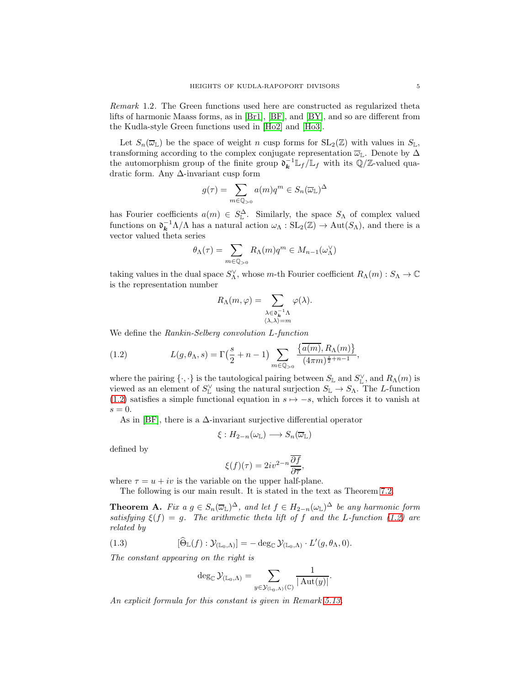Remark 1.2. The Green functions used here are constructed as regularized theta lifts of harmonic Maass forms, as in [\[Br1\]](#page-67-4), [\[BF\]](#page-67-3), and [\[BY\]](#page-67-5), and so are different from the Kudla-style Green functions used in [\[Ho2\]](#page-68-6) and [\[Ho3\]](#page-68-7).

Let  $S_n(\overline{\omega}_\mathbb{L})$  be the space of weight n cusp forms for  $SL_2(\mathbb{Z})$  with values in  $S_{\mathbb{L}},$ transforming according to the complex conjugate representation  $\overline{\omega}_L$ . Denote by  $\Delta$ the automorphism group of the finite group  $\mathfrak{d}_{\mathbf{k}}^{-1} \mathbb{L}_f / \mathbb{L}_f$  with its  $\mathbb{Q}/\mathbb{Z}$ -valued quadratic form. Any ∆-invariant cusp form

$$
g(\tau) = \sum_{m \in \mathbb{Q}_{>0}} a(m) q^m \in S_n(\overline{\omega}_\mathbb{L})^{\Delta}
$$

has Fourier coefficients  $a(m) \in S^{\Delta}_{\mathbb{L}}$ . Similarly, the space  $S_{\Lambda}$  of complex valued functions on  $\mathfrak{d}_{\mathbf{k}}^{-1} \Lambda/\Lambda$  has a natural action  $\omega_{\Lambda} : SL_2(\mathbb{Z}) \to Aut(S_{\Lambda})$ , and there is a vector valued theta series

$$
\theta_{\Lambda}(\tau) = \sum_{m \in \mathbb{Q}_{>0}} R_{\Lambda}(m) q^m \in M_{n-1}(\omega_{\Lambda}^{\vee})
$$

taking values in the dual space  $S_{\Lambda}^{\vee}$ , whose m-th Fourier coefficient  $R_{\Lambda}(m) : S_{\Lambda} \to \mathbb{C}$ is the representation number

$$
R_{\Lambda}(m,\varphi) = \sum_{\substack{\lambda \in \mathfrak{d}_{k}^{-1}\Lambda \\ \langle \lambda, \lambda \rangle = m}} \varphi(\lambda).
$$

We define the Rankin-Selberg convolution L-function

<span id="page-4-0"></span>(1.2) 
$$
L(g, \theta_{\Lambda}, s) = \Gamma\left(\frac{s}{2} + n - 1\right) \sum_{m \in \mathbb{Q}_{>0}} \frac{\left\{\overline{a(m)}, R_{\Lambda}(m)\right\}}{(4\pi m)^{\frac{s}{2} + n - 1}},
$$

where the pairing  $\{\cdot,\cdot\}$  is the tautological pairing between  $S_{\mathbb{L}}$  and  $S_{\mathbb{L}}^{\vee}$ , and  $R_{\Lambda}(m)$  is viewed as an element of  $S_{\mathbb{L}}^{\vee}$  using the natural surjection  $S_{\mathbb{L}} \to S_{\Lambda}$ . The L-function [\(1.2\)](#page-4-0) satisfies a simple functional equation in  $s \mapsto -s$ , which forces it to vanish at  $s = 0$ .

As in [\[BF\]](#page-67-3), there is a  $\Delta$ -invariant surjective differential operator

$$
\xi: H_{2-n}(\omega_{\mathbb{L}}) \longrightarrow S_n(\overline{\omega}_{\mathbb{L}})
$$

defined by

$$
\xi(f)(\tau) = 2iv^{2-n}\frac{\overline{\partial f}}{\partial \overline{\tau}},
$$

where  $\tau = u + iv$  is the variable on the upper half-plane.

The following is our main result. It is stated in the text as Theorem [7.2.](#page-54-0)

<span id="page-4-1"></span>**Theorem A.** Fix  $a \, g \in S_n(\overline{\omega}_{\mathbb{L}})^{\Delta}$ , and let  $f \in H_{2-n}(\omega_{\mathbb{L}})^{\Delta}$  be any harmonic form satisfying  $\xi(f) = g$ . The arithmetic theta lift of f and the L-function [\(1.2\)](#page-4-0) are related by

(1.3) 
$$
[\widehat{\Theta}_{\mathbb{L}}(f) : \mathcal{Y}_{(\mathbb{L}_0,\Lambda)}] = - \deg_{\mathbb{C}} \mathcal{Y}_{(\mathbb{L}_0,\Lambda)} \cdot L'(g,\theta_\Lambda,0).
$$

The constant appearing on the right is

<span id="page-4-2"></span>
$$
\deg_{\mathbb{C}} \mathcal{Y}_{(\mathbb{L}_0,\Lambda)} = \sum_{y \in \mathcal{Y}_{(\mathbb{L}_0,\Lambda)}(\mathbb{C})} \frac{1}{|\operatorname{Aut}(y)|}.
$$

An explicit formula for this constant is given in Remark [5.13.](#page-43-0)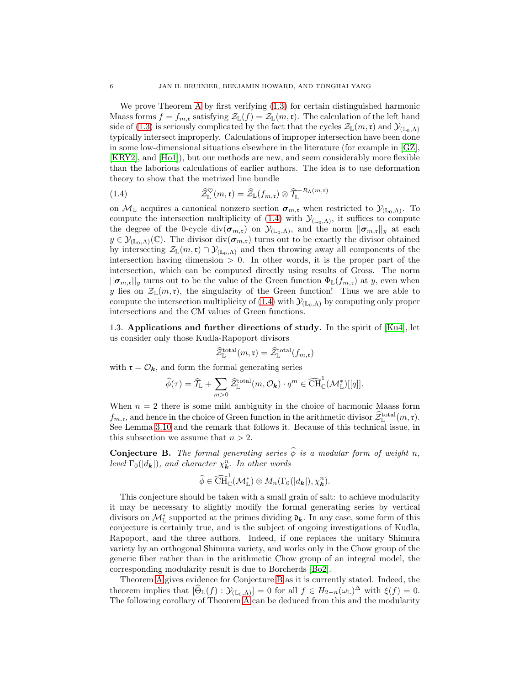We prove Theorem [A](#page-4-1) by first verifying [\(1.3\)](#page-4-2) for certain distinguished harmonic Maass forms  $f = f_{m,\mathfrak{r}}$  satisfying  $\mathcal{Z}_{\mathbb{L}}(f) = \mathcal{Z}_{\mathbb{L}}(m,\mathfrak{r})$ . The calculation of the left hand side of [\(1.3\)](#page-4-2) is seriously complicated by the fact that the cycles  $\mathcal{Z}_{\mathbb{L}}(m,\mathfrak{r})$  and  $\mathcal{Y}_{(\mathbb{L}_0,\Lambda)}$ typically intersect improperly. Calculations of improper intersection have been done in some low-dimensional situations elsewhere in the literature (for example in [\[GZ\]](#page-68-0), [\[KRY2\]](#page-68-8), and [\[Ho1\]](#page-68-9)), but our methods are new, and seem considerably more flexible than the laborious calculations of earlier authors. The idea is to use deformation theory to show that the metrized line bundle

<span id="page-5-0"></span>(1.4) 
$$
\widehat{\mathcal{Z}}_{\mathbb{L}}^{\heartsuit}(m,\mathfrak{r}) = \widehat{\mathcal{Z}}_{\mathbb{L}}(f_{m,\mathfrak{r}}) \otimes \widehat{\mathcal{T}}_{\mathbb{L}}^{-R_{\Lambda}(m,\mathfrak{r})}
$$

on  $M_{\mathbb{L}}$  acquires a canonical nonzero section  $\sigma_{m,\mathfrak{r}}$  when restricted to  $\mathcal{Y}_{(\mathbb{L}_0,\Lambda)}$ . To compute the intersection multiplicity of [\(1.4\)](#page-5-0) with  $\mathcal{Y}_{(\mathbb{L}_0,\Lambda)}$ , it suffices to compute the degree of the 0-cycle div $(\sigma_{m,\mathfrak{r}})$  on  $\mathcal{Y}_{(\mathbb{L}_0,\Lambda)}$ , and the norm  $||\sigma_{m,\mathfrak{r}}||_y$  at each  $y \in \mathcal{Y}_{(\mathbb{L}_0,\Lambda)}(\mathbb{C})$ . The divisor div $(\sigma_{m,\mathfrak{r}})$  turns out to be exactly the divisor obtained by intersecting  $\mathcal{Z}_\mathbb{L}(m,\mathfrak{r})\cap\mathcal{Y}_{(\mathbb{L}_0,\Lambda)}$  and then throwing away all components of the intersection having dimension  $> 0$ . In other words, it is the proper part of the intersection, which can be computed directly using results of Gross. The norm  $||\boldsymbol{\sigma}_{m,\mathfrak{r}}||_y$  turns out to be the value of the Green function  $\Phi_{\mathbb{L}}(f_{m,\mathfrak{r}})$  at y, even when y lies on  $\mathcal{Z}_{\mathbb{L}}(m,\mathfrak{r})$ , the singularity of the Green function! Thus we are able to compute the intersection multiplicity of [\(1.4\)](#page-5-0) with  $\mathcal{Y}_{(\mathbb{L}_0,\Lambda)}$  by computing only proper intersections and the CM values of Green functions.

1.3. Applications and further directions of study. In the spirit of [\[Ku4\]](#page-68-10), let us consider only those Kudla-Rapoport divisors

$$
\widehat{\mathcal{Z}}^{\text{total}}_{\mathbb{L}}(m,\mathfrak{r})=\widehat{\mathcal{Z}}^{\text{total}}_{\mathbb{L}}(f_{m,\mathfrak{r}})
$$

with  $\mathfrak{r} = \mathcal{O}_k$ , and form the formal generating series

$$
\widehat{\phi}(\tau) = \widehat{\mathcal{T}}_{\mathbb{L}} + \sum_{m>0} \widehat{\mathcal{Z}}_{\mathbb{L}}^{\text{total}}(m, \mathcal{O}_{\mathbf{k}}) \cdot q^m \in \widehat{\text{CH}}_{\mathbb{C}}^1(\mathcal{M}_{\mathbb{L}}^*)[[q]].
$$

When  $n = 2$  there is some mild ambiguity in the choice of harmonic Maass form  $f_{m,\mathfrak{r}}$ , and hence in the choice of Green function in the arithmetic divisor  $\mathcal{Z}^{\text{total}}_{\mathbb{L}}(m,\mathfrak{r})$ . See Lemma [3.10](#page-15-0) and the remark that follows it. Because of this technical issue, in this subsection we assume that  $n > 2$ .

<span id="page-5-1"></span>**Conjecture B.** The formal generating series  $\hat{\phi}$  is a modular form of weight n, level  $\Gamma_0(|d_{\mathbf{k}}|)$ , and character  $\chi_{\mathbf{k}}^n$ . In other words

$$
\widehat{\phi} \in \widehat{\operatorname{CH}}_{\mathbb{C}}^1(\mathcal{M}^*_{\mathbb{L}}) \otimes M_n(\Gamma_0(|d_{\boldsymbol{k}}|), \chi_{\boldsymbol{k}}^n).
$$

This conjecture should be taken with a small grain of salt: to achieve modularity it may be necessary to slightly modify the formal generating series by vertical divisors on  $\mathcal{M}_{\mathbb{L}}^*$  supported at the primes dividing  $\mathfrak{d}_k$ . In any case, some form of this conjecture is certainly true, and is the subject of ongoing investigations of Kudla, Rapoport, and the three authors. Indeed, if one replaces the unitary Shimura variety by an orthogonal Shimura variety, and works only in the Chow group of the generic fiber rather than in the arithmetic Chow group of an integral model, the corresponding modularity result is due to Borcherds [\[Bo2\]](#page-67-6).

Theorem [A](#page-4-1) gives evidence for Conjecture [B](#page-5-1) as it is currently stated. Indeed, the theorem implies that  $[\Theta_{\mathbb{L}}(f) : \mathcal{Y}_{(\mathbb{L}_0,\Lambda)}] = 0$  for all  $f \in H_{2-n}(\omega_{\mathbb{L}})^{\Delta}$  with  $\xi(f) = 0$ . The following corollary of Theorem [A](#page-4-1) can be deduced from this and the modularity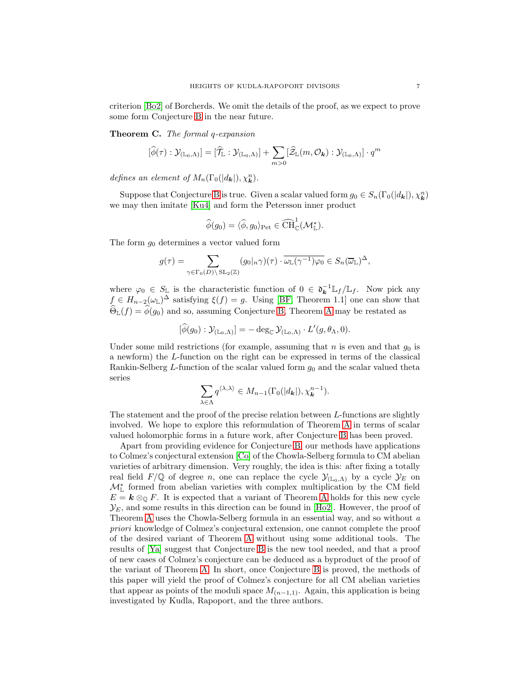criterion [\[Bo2\]](#page-67-6) of Borcherds. We omit the details of the proof, as we expect to prove some form Conjecture [B](#page-5-1) in the near future.

Theorem C. The formal q-expansion

$$
[\widehat{\phi}(\tau):\mathcal{Y}_{(\mathbb{L}_0,\Lambda)}] = [\widehat{\mathcal{T}}_{\mathbb{L}}:\mathcal{Y}_{(\mathbb{L}_0,\Lambda)}] + \sum_{m>0} [\widehat{\mathcal{Z}}_{\mathbb{L}}(m,\mathcal{O}_{\bm{k}}):\mathcal{Y}_{(\mathbb{L}_0,\Lambda)}] \cdot q^m
$$

defines an element of  $M_n(\Gamma_0(|d_{\mathbf{k}}|), \chi_{\mathbf{k}}^n)$ .

Suppose that Conjecture [B](#page-5-1) is true. Given a scalar valued form  $g_0 \in S_n(\Gamma_0(|d_{\mathbf{k}}|), \chi_{\mathbf{k}}^n)$ we may then imitate [\[Ku4\]](#page-68-10) and form the Petersson inner product

$$
\widehat{\phi}(g_0) = \langle \widehat{\phi}, g_0 \rangle_{\text{Pet}} \in \widehat{\text{CH}}_{\mathbb{C}}^1(\mathcal{M}_{\mathbb{L}}^*).
$$

The form  $g_0$  determines a vector valued form

$$
g(\tau) = \sum_{\gamma \in \Gamma_0(D) \backslash \operatorname{SL}_2(\mathbb{Z})} (g_0|_n \gamma)(\tau) \cdot \overline{\omega_{\mathbb{L}}(\gamma^{-1})\varphi_0} \in S_n(\overline{\omega}_{\mathbb{L}})^{\Delta},
$$

where  $\varphi_0 \in S_{\mathbb{L}}$  is the characteristic function of  $0 \in \mathfrak{d}_{\mathbf{k}}^{-1} \mathbb{L}_f / \mathbb{L}_f$ . Now pick any  $f \in H_{n-2}(\omega_{\mathbb{L}})^{\Delta}$  satisfying  $\xi(f) = g$ . Using [\[BF,](#page-67-3) Theorem 1.1] one can show that  $\widehat{\Theta}_{\mathbb{L}}(f) = \widehat{\phi}(g_0)$  and so, assuming Conjecture [B,](#page-5-1) Theorem [A](#page-4-1) may be restated as

$$
[\widehat{\phi}(g_0):\mathcal{Y}_{(\mathbb{L}_0,\Lambda)}] = -\deg_{\mathbb{C}} \mathcal{Y}_{(\mathbb{L}_0,\Lambda)} \cdot L'(g,\theta_\Lambda,0).
$$

Under some mild restrictions (for example, assuming that n is even and that  $g_0$  is a newform) the L-function on the right can be expressed in terms of the classical Rankin-Selberg  $L$ -function of the scalar valued form  $g_0$  and the scalar valued theta series

$$
\sum_{\lambda \in \Lambda} q^{\langle \lambda, \lambda \rangle} \in M_{n-1}(\Gamma_0(|d_{\mathbf{k}}|), \chi_{\mathbf{k}}^{n-1}).
$$

The statement and the proof of the precise relation between  $L$ -functions are slightly involved. We hope to explore this reformulation of Theorem [A](#page-4-1) in terms of scalar valued holomorphic forms in a future work, after Conjecture [B](#page-5-1) has been proved.

Apart from providing evidence for Conjecture [B,](#page-5-1) our methods have applications to Colmez's conjectural extension [\[Co\]](#page-67-7) of the Chowla-Selberg formula to CM abelian varieties of arbitrary dimension. Very roughly, the idea is this: after fixing a totally real field  $F/\mathbb{Q}$  of degree n, one can replace the cycle  $\mathcal{Y}_{(\mathbb{L}_0,\Lambda)}$  by a cycle  $\mathcal{Y}_E$  on  $\mathcal{M}_{\mathbb{L}}^*$  formed from abelian varieties with complex multiplication by the CM field  $E = \mathbf{k} \otimes_{\mathbb{Q}} F$ . It is expected that a variant of Theorem [A](#page-4-1) holds for this new cycle  $\mathcal{Y}_E$ , and some results in this direction can be found in [\[Ho2\]](#page-68-6). However, the proof of Theorem [A](#page-4-1) uses the Chowla-Selberg formula in an essential way, and so without a priori knowledge of Colmez's conjectural extension, one cannot complete the proof of the desired variant of Theorem [A](#page-4-1) without using some additional tools. The results of [\[Ya\]](#page-68-11) suggest that Conjecture [B](#page-5-1) is the new tool needed, and that a proof of new cases of Colmez's conjecture can be deduced as a byproduct of the proof of the variant of Theorem [A.](#page-4-1) In short, once Conjecture [B](#page-5-1) is proved, the methods of this paper will yield the proof of Colmez's conjecture for all CM abelian varieties that appear as points of the moduli space  $M_{(n-1,1)}$ . Again, this application is being investigated by Kudla, Rapoport, and the three authors.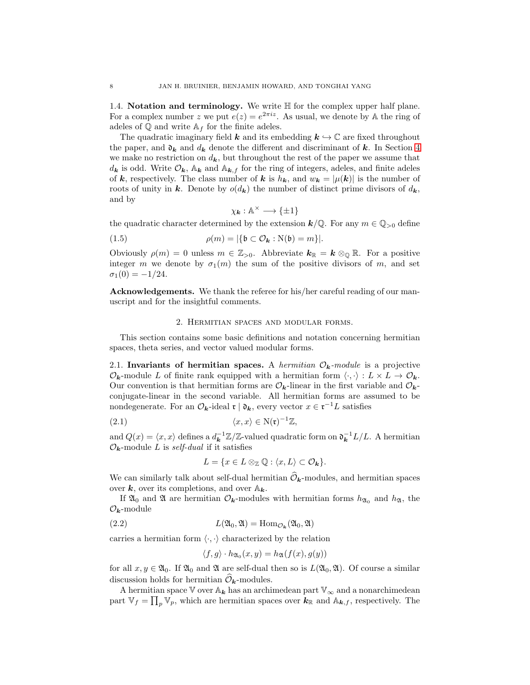1.4. Notation and terminology. We write  $H$  for the complex upper half plane. For a complex number z we put  $e(z) = e^{2\pi i z}$ . As usual, we denote by A the ring of adeles of  $\mathbb Q$  and write  $\mathbb A_f$  for the finite adeles.

The quadratic imaginary field k and its embedding  $k \hookrightarrow \mathbb{C}$  are fixed throughout the paper, and  $\mathfrak{d}_k$  and  $d_k$  denote the different and discriminant of k. In Section [4](#page-17-0) we make no restriction on  $d_k$ , but throughout the rest of the paper we assume that  $d_k$  is odd. Write  $\mathcal{O}_k$ ,  $\mathbb{A}_k$  and  $\mathbb{A}_{k,f}$  for the ring of integers, adeles, and finite adeles of k, respectively. The class number of k is  $h_k$ , and  $w_k = |\mu(k)|$  is the number of roots of unity in k. Denote by  $o(d_k)$  the number of distinct prime divisors of  $d_k$ , and by

<span id="page-7-4"></span>
$$
\chi_{\mathbf{k}}:\mathbb{A}^{\times}\longrightarrow\{\pm1\}
$$

the quadratic character determined by the extension  $k/\mathbb{Q}$ . For any  $m \in \mathbb{Q}_{>0}$  define

(1.5) 
$$
\rho(m) = |\{\mathfrak{b} \subset \mathcal{O}_{\mathbf{k}} : \mathcal{N}(\mathfrak{b}) = m\}|.
$$

Obviously  $\rho(m) = 0$  unless  $m \in \mathbb{Z}_{>0}$ . Abbreviate  $k_{\mathbb{R}} = k \otimes_{\mathbb{Q}} \mathbb{R}$ . For a positive integer m we denote by  $\sigma_1(m)$  the sum of the positive divisors of m, and set  $\sigma_1(0) = -1/24.$ 

<span id="page-7-0"></span>Acknowledgements. We thank the referee for his/her careful reading of our manuscript and for the insightful comments.

#### 2. Hermitian spaces and modular forms.

This section contains some basic definitions and notation concerning hermitian spaces, theta series, and vector valued modular forms.

<span id="page-7-1"></span>2.1. Invariants of hermitian spaces. A hermitian  $\mathcal{O}_k$ -module is a projective  $\mathcal{O}_{\mathbf{k}}$ -module L of finite rank equipped with a hermitian form  $\langle \cdot, \cdot \rangle : L \times L \to \mathcal{O}_{\mathbf{k}}$ . Our convention is that hermitian forms are  $\mathcal{O}_{k}$ -linear in the first variable and  $\mathcal{O}_{k}$ conjugate-linear in the second variable. All hermitian forms are assumed to be nondegenerate. For an  $\mathcal{O}_{k}$ -ideal  $\mathfrak{r} \mid \mathfrak{d}_{k}$ , every vector  $x \in \mathfrak{r}^{-1}L$  satisfies

(2.1) 
$$
\langle x, x \rangle \in N(\mathfrak{r})^{-1}\mathbb{Z},
$$

and  $Q(x) = \langle x, x \rangle$  defines a  $d_{\mathbf{k}}^{-1} \mathbb{Z}/\mathbb{Z}$ -valued quadratic form on  $\mathfrak{d}_{\mathbf{k}}^{-1} L/L$ . A hermitian  $\mathcal{O}_k$ -module L is self-dual if it satisfies

<span id="page-7-3"></span>
$$
L = \{x \in L \otimes \mathbb{Z} \mathbb{Q} : \langle x, L \rangle \subset \mathcal{O}_{\mathbf{k}}\}.
$$

We can similarly talk about self-dual hermitian  $\mathcal{O}_k$ -modules, and hermitian spaces over  $k$ , over its completions, and over  $\mathbb{A}_k$ .

If  $\mathfrak{A}_0$  and  $\mathfrak{A}$  are hermitian  $\mathcal{O}_k$ -modules with hermitian forms  $h_{\mathfrak{A}_0}$  and  $h_{\mathfrak{A}}$ , the  $\mathcal{O}_k$ -module

(2.2) 
$$
L(\mathfrak{A}_0, \mathfrak{A}) = \text{Hom}_{\mathcal{O}_{\mathbf{k}}}(\mathfrak{A}_0, \mathfrak{A})
$$

carries a hermitian form  $\langle \cdot, \cdot \rangle$  characterized by the relation

<span id="page-7-2"></span>
$$
\langle f, g \rangle \cdot h_{\mathfrak{A}_0}(x, y) = h_{\mathfrak{A}}(f(x), g(y))
$$

for all  $x, y \in \mathfrak{A}_0$ . If  $\mathfrak{A}_0$  and  $\mathfrak{A}$  are self-dual then so is  $L(\mathfrak{A}_0, \mathfrak{A})$ . Of course a similar discussion holds for hermitian  $\widehat{\mathcal{O}}_{\mathbf{k}}$ -modules.

A hermitian space V over  $A_k$  has an archimedean part  $\mathbb{V}_{\infty}$  and a nonarchimedean part  $\mathbb{V}_f = \prod_p \mathbb{V}_p$ , which are hermitian spaces over  $k_{\mathbb{R}}$  and  $\mathbb{A}_{k,f}$ , respectively. The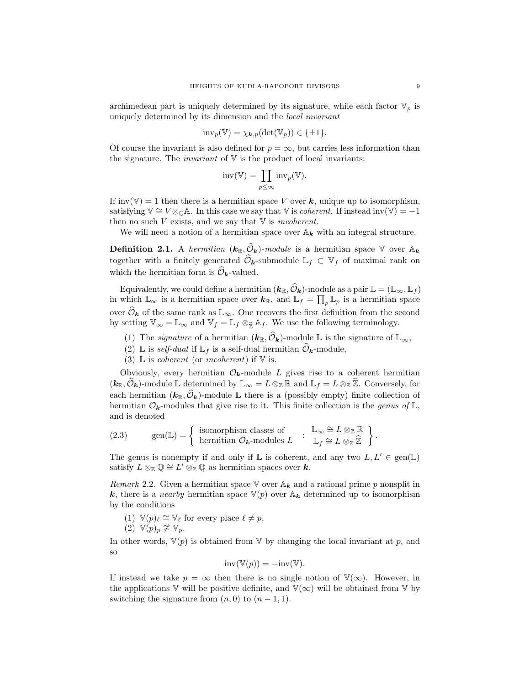archimedean part is uniquely determined by its signature, while each factor  $\mathbb{V}_p$  is uniquely determined by its dimension and the local invariant

$$
\mathrm{inv}_p(\mathbb{V}) = \chi_{\mathbf{k},p}(\det(\mathbb{V}_p)) \in \{\pm 1\}.
$$

Of course the invariant is also defined for  $p = \infty$ , but carries less information than the signature. The *invariant* of  $V$  is the product of local invariants:

$$
inv(\mathbb{V}) = \prod_{p \leq \infty} inv_p(\mathbb{V}).
$$

If inv(V) = 1 then there is a hermitian space V over k, unique up to isomorphism, satisfying  $\mathbb{V} \cong V \otimes_{\mathbb{Q}} \mathbb{A}$ . In this case we say that  $\mathbb{V}$  is *coherent*. If instead inv( $\mathbb{V}$ ) = -1 then no such  $V$  exists, and we say that  $V$  is *incoherent*.

We will need a notion of a hermitian space over  $A_k$  with an integral structure.

**Definition 2.1.** A hermitian  $(k_{\mathbb{R}}, \widehat{\mathcal{O}}_k)$ -module is a hermitian space V over  $\mathbb{A}_k$ together with a finitely generated  $\mathcal{O}_k$ -submodule  $\mathbb{L}_f \subset \mathbb{V}_f$  of maximal rank on which the hermitian form is  $\widehat{\mathcal{O}}_{\mathbf{k}}$ -valued.

Equivalently, we could define a hermitian  $(k_{\mathbb{R}}, \hat{\mathcal{O}}_k)$ -module as a pair  $\mathbb{L} = (\mathbb{L}_{\infty}, \mathbb{L}_f)$ in which  $\mathbb{L}_{\infty}$  is a hermitian space over  $k_{\mathbb{R}}$ , and  $\mathbb{L}_f = \prod_p \mathbb{L}_p$  is a hermitian space over  $\hat{\mathcal{O}}_k$  of the same rank as  $\mathbb{L}_{\infty}$ . One recovers the first definition from the second by setting  $\mathbb{V}_{\infty} = \mathbb{L}_{\infty}$  and  $\mathbb{V}_{f} = \mathbb{L}_{f} \otimes_{\widehat{\mathbb{Z}}} \mathbb{A}_{f}$ . We use the following terminology.

- (1) The *signature* of a hermitian  $(k_{\mathbb{R}}, \widehat{O}_k)$ -module L is the signature of  $\mathbb{L}_{\infty}$ ,
- (2) L is self-dual if  $\mathbb{L}_f$  is a self-dual hermitian  $\mathcal{O}_k$ -module,
- (3)  $\mathbb{L}$  is *coherent* (or *incoherent*) if  $\mathbb{V}$  is.

Obviously, every hermitian  $\mathcal{O}_{k}$ -module L gives rise to a coherent hermitian  $(k_{\mathbb{R}}, \hat{\mathcal{O}}_k)$ -module L determined by  $\mathbb{L}_{\infty} = L \otimes_{\mathbb{Z}} \mathbb{R}$  and  $\mathbb{L}_f = L \otimes_{\mathbb{Z}} \mathbb{Z}$ . Conversely, for each hermitian  $(k_{\mathbb{R}}, \widehat{\mathcal{O}}_k)$ -module L there is a (possibly empty) finite collection of hermitian  $\mathcal{O}_{k}$ -modules that give rise to it. This finite collection is the *genus of*  $\mathbb{L}$ , and is denoted

<span id="page-8-0"></span>(2.3) gen(
$$
\mathbb{L}
$$
) =  $\begin{cases} \text{ isomorphism classes of} \\ \text{hermitian } \mathcal{O}_{\mathbf{k}} \text{-modules } L \end{cases}$ :  $\mathbb{L}_{\infty} \cong L \otimes_{\mathbb{Z}} \mathbb{R} \\ \mathbb{L}_{f} \cong L \otimes_{\mathbb{Z}} \widehat{\mathbb{Z}} \end{cases}$ .

The genus is nonempty if and only if  $\mathbb L$  is coherent, and any two  $L, L' \in \text{gen}(\mathbb L)$ satisfy  $L \otimes_{\mathbb{Z}} \mathbb{Q} \cong L' \otimes_{\mathbb{Z}} \mathbb{Q}$  as hermitian spaces over  $k$ .

<span id="page-8-1"></span>Remark 2.2. Given a hermitian space  $\mathbb V$  over  $\mathbb A_k$  and a rational prime p nonsplit in k, there is a *nearby* hermitian space  $V(p)$  over  $A_k$  determined up to isomorphism by the conditions

- $(1) \ \mathbb{V}(p)_\ell \cong \mathbb{V}_\ell$  for every place  $\ell \neq p$ ,
- $(2) \ \mathbb{V}(p)_p \not\cong \mathbb{V}_p.$

In other words,  $V(p)$  is obtained from V by changing the local invariant at p, and **SC** 

$$
inv(\mathbb{V}(p)) = -inv(\mathbb{V}).
$$

If instead we take  $p = \infty$  then there is no single notion of  $\mathbb{V}(\infty)$ . However, in the applications  $\mathbb V$  will be positive definite, and  $\mathbb V(\infty)$  will be obtained from  $\mathbb V$  by switching the signature from  $(n, 0)$  to  $(n - 1, 1)$ .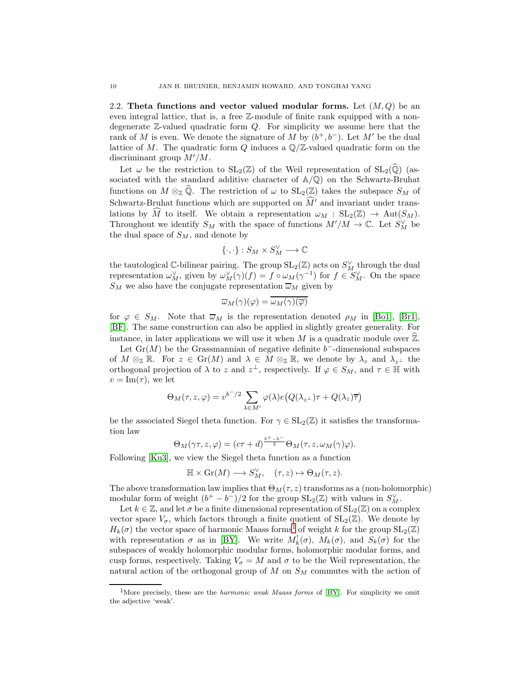2.2. Theta functions and vector valued modular forms. Let  $(M, Q)$  be an even integral lattice, that is, a free Z-module of finite rank equipped with a nondegenerate Z-valued quadratic form Q. For simplicity we assume here that the rank of M is even. We denote the signature of M by  $(b^+, b^-)$ . Let M' be the dual lattice of M. The quadratic form Q induces a  $\mathbb{Q}/\mathbb{Z}$ -valued quadratic form on the discriminant group  $M'/M$ .

Let  $\omega$  be the restriction to  $SL_2(\mathbb{Z})$  of the Weil representation of  $SL_2(\widehat{\mathbb{Q}})$  (associated with the standard additive character of  $A/Q$ ) on the Schwartz-Bruhat functions on  $M \otimes_{\mathbb{Z}} \hat{\mathbb{Q}}$ . The restriction of  $\omega$  to  $SL_2(\mathbb{Z})$  takes the subspace  $S_M$  of Schwartz-Bruhat functions which are supported on  $\widehat{M}'$  and invariant under translations by  $\widehat{M}$  to itself. We obtain a representation  $\omega_M$  :  $SL_2(\mathbb{Z}) \to Aut(S_M)$ . Throughout we identify  $S_M$  with the space of functions  $M'/M \to \mathbb{C}$ . Let  $S_M^{\vee}$  be the dual space of  $S_M$ , and denote by

$$
\{\cdot,\cdot\}:S_M\times S_M^\vee\longrightarrow\mathbb{C}
$$

the tautological C-bilinear pairing. The group  $SL_2(\mathbb{Z})$  acts on  $S_M^{\vee}$  through the dual representation  $\omega_M^{\vee}$ , given by  $\omega_M^{\vee}(\gamma)(f) = f \circ \omega_M(\gamma^{-1})$  for  $f \in S_M^{\vee}$ . On the space  $S_M$  we also have the conjugate representation  $\overline{\omega}_M$  given by

$$
\overline{\omega}_M(\gamma)(\varphi)=\overline{\omega_M(\gamma)(\overline{\varphi})}
$$

for  $\varphi \in S_M$ . Note that  $\overline{\omega}_M$  is the representation denoted  $\rho_M$  in [\[Bo1\]](#page-67-2), [\[Br1\]](#page-67-4), [\[BF\]](#page-67-3). The same construction can also be applied in slightly greater generality. For instance, in later applications we will use it when  $M$  is a quadratic module over  $\mathbb{Z}$ .

Let  $\mathrm{Gr}(M)$  be the Grassmannian of negative definite  $b^-$ -dimensional subspaces of  $M \otimes_{\mathbb{Z}} \mathbb{R}$ . For  $z \in Gr(M)$  and  $\lambda \in M \otimes_{\mathbb{Z}} \mathbb{R}$ , we denote by  $\lambda_z$  and  $\lambda_{z^{\perp}}$  the orthogonal projection of  $\lambda$  to z and  $z^{\perp}$ , respectively. If  $\varphi \in S_M$ , and  $\tau \in \mathbb{H}$  with  $v = \text{Im}(\tau)$ , we let

$$
\Theta_M(\tau, z, \varphi) = v^{b^-/2} \sum_{\lambda \in M'} \varphi(\lambda) e(Q(\lambda_{z^{\perp}}) \tau + Q(\lambda_z) \overline{\tau})
$$

be the associated Siegel theta function. For  $\gamma \in SL_2(\mathbb{Z})$  it satisfies the transformation law

$$
\Theta_M(\gamma \tau, z, \varphi) = (c\tau + d)^{\frac{b^+ - b^-}{2}} \Theta_M(\tau, z, \omega_M(\gamma)\varphi).
$$

Following [\[Ku3\]](#page-68-12), we view the Siegel theta function as a function

$$
\mathbb{H} \times \mathrm{Gr}(M) \longrightarrow S_M^{\vee}, \quad (\tau, z) \mapsto \Theta_M(\tau, z).
$$

The above transformation law implies that  $\Theta_M(\tau, z)$  transforms as a (non-holomorphic) modular form of weight  $(b^+ - b^-)/2$  for the group  $SL_2(\mathbb{Z})$  with values in  $S_M^{\vee}$ .

Let  $k \in \mathbb{Z}$ , and let  $\sigma$  be a finite dimensional representation of  $SL_2(\mathbb{Z})$  on a complex vector space  $V_{\sigma}$ , which factors through a finite quotient of  $SL_2(\mathbb{Z})$ . We denote by  $H_k(\sigma)$  the vector space of harmonic Maass forms<sup>[1](#page-9-0)</sup> of weight k for the group  $SL_2(\mathbb{Z})$ with representation  $\sigma$  as in [\[BY\]](#page-67-5). We write  $M_k^!(\sigma)$ ,  $M_k(\sigma)$ , and  $S_k(\sigma)$  for the subspaces of weakly holomorphic modular forms, holomorphic modular forms, and cusp forms, respectively. Taking  $V_{\sigma} = M$  and  $\sigma$  to be the Weil representation, the natural action of the orthogonal group of  $M$  on  $S_M$  commutes with the action of

<span id="page-9-0"></span><sup>&</sup>lt;sup>1</sup>More precisely, these are the *harmonic weak Maass forms* of [\[BY\]](#page-67-5). For simplicity we omit the adjective 'weak'.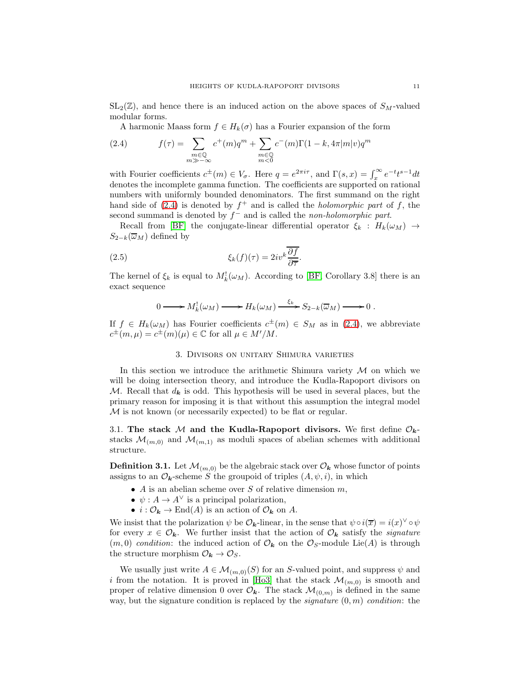$SL_2(\mathbb{Z})$ , and hence there is an induced action on the above spaces of  $S_M$ -valued modular forms.

A harmonic Maass form  $f \in H_k(\sigma)$  has a Fourier expansion of the form

<span id="page-10-1"></span>(2.4) 
$$
f(\tau) = \sum_{\substack{m \in \mathbb{Q} \\ m \gg -\infty}} c^+(m)q^m + \sum_{\substack{m \in \mathbb{Q} \\ m < 0}} c^-(m)\Gamma(1-k, 4\pi|m|v)q^m
$$

with Fourier coefficients  $c^{\pm}(m) \in V_{\sigma}$ . Here  $q = e^{2\pi i \tau}$ , and  $\Gamma(s, x) = \int_x^{\infty} e^{-t} t^{s-1} dt$ denotes the incomplete gamma function. The coefficients are supported on rational numbers with uniformly bounded denominators. The first summand on the right hand side of  $(2.4)$  is denoted by  $f^+$  and is called the *holomorphic part* of f, the second summand is denoted by  $f^-$  and is called the *non-holomorphic part*.

Recall from [\[BF\]](#page-67-3) the conjugate-linear differential operator  $\xi_k$  :  $H_k(\omega_M) \rightarrow$  $S_{2-k}(\overline{\omega}_M)$  defined by

<span id="page-10-3"></span>(2.5) 
$$
\xi_k(f)(\tau) = 2iv^k \frac{\overline{\partial f}}{\overline{\partial \tau}}.
$$

The kernel of  $\xi_k$  is equal to  $M_k^!(\omega_M)$ . According to [\[BF,](#page-67-3) Corollary 3.8] there is an exact sequence

$$
0 \longrightarrow M_k^!(\omega_M) \longrightarrow H_k(\omega_M) \xrightarrow{\xi_k} S_{2-k}(\overline{\omega}_M) \longrightarrow 0.
$$

<span id="page-10-0"></span>If  $f \in H_k(\omega_M)$  has Fourier coefficients  $c^{\pm}(m) \in S_M$  as in [\(2.4\)](#page-10-1), we abbreviate  $c^{\pm}(m,\mu) = c^{\pm}(m)(\mu) \in \mathbb{C}$  for all  $\mu \in M'/M$ .

### 3. Divisors on unitary Shimura varieties

In this section we introduce the arithmetic Shimura variety  $M$  on which we will be doing intersection theory, and introduce the Kudla-Rapoport divisors on M. Recall that  $d_k$  is odd. This hypothesis will be used in several places, but the primary reason for imposing it is that without this assumption the integral model M is not known (or necessarily expected) to be flat or regular.

<span id="page-10-2"></span>3.1. The stack M and the Kudla-Rapoport divisors. We first define  $\mathcal{O}_{k}$ stacks  $\mathcal{M}_{(m,0)}$  and  $\mathcal{M}_{(m,1)}$  as moduli spaces of abelian schemes with additional structure.

**Definition 3.1.** Let  $\mathcal{M}_{(m,0)}$  be the algebraic stack over  $\mathcal{O}_k$  whose functor of points assigns to an  $\mathcal{O}_k$ -scheme S the groupoid of triples  $(A, \psi, i)$ , in which

- A is an abelian scheme over S of relative dimension  $m$ ,
- $\psi: A \to A^{\vee}$  is a principal polarization,
- $i: \mathcal{O}_{\mathbf{k}} \to \text{End}(A)$  is an action of  $\mathcal{O}_{\mathbf{k}}$  on A.

We insist that the polarization  $\psi$  be  $\mathcal{O}_{k}$ -linear, in the sense that  $\psi \circ i(\overline{x}) = i(x)^{\vee} \circ \psi$ for every  $x \in \mathcal{O}_k$ . We further insist that the action of  $\mathcal{O}_k$  satisfy the *signature*  $(m, 0)$  condition: the induced action of  $\mathcal{O}_k$  on the  $\mathcal{O}_S$ -module Lie(A) is through the structure morphism  $\mathcal{O}_{\mathbf{k}} \to \mathcal{O}_{S}$ .

We usually just write  $A \in \mathcal{M}_{(m,0)}(S)$  for an S-valued point, and suppress  $\psi$  and i from the notation. It is proved in [\[Ho3\]](#page-68-7) that the stack  $\mathcal{M}_{(m,0)}$  is smooth and proper of relative dimension 0 over  $\mathcal{O}_{k}$ . The stack  $\mathcal{M}_{(0,m)}$  is defined in the same way, but the signature condition is replaced by the *signature*  $(0, m)$  *condition*: the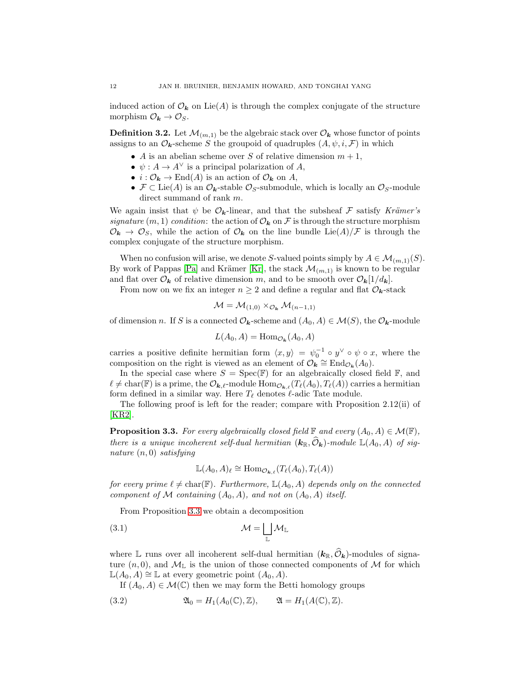induced action of  $\mathcal{O}_k$  on Lie(A) is through the complex conjugate of the structure morphism  $\mathcal{O}_{\mathbf{k}} \to \mathcal{O}_S$ .

**Definition 3.2.** Let  $\mathcal{M}_{(m,1)}$  be the algebraic stack over  $\mathcal{O}_k$  whose functor of points assigns to an  $\mathcal{O}_k$ -scheme S the groupoid of quadruples  $(A, \psi, i, \mathcal{F})$  in which

- A is an abelian scheme over S of relative dimension  $m + 1$ ,
- $\psi: A \to A^{\vee}$  is a principal polarization of A,
- $i: \mathcal{O}_k \to \text{End}(A)$  is an action of  $\mathcal{O}_k$  on A,
- $\mathcal{F} \subset \text{Lie}(A)$  is an  $\mathcal{O}_k$ -stable  $\mathcal{O}_S$ -submodule, which is locally an  $\mathcal{O}_S$ -module direct summand of rank  $m$ .

We again insist that  $\psi$  be  $\mathcal{O}_k$ -linear, and that the subsheaf  $\mathcal F$  satisfy Krämer's signature  $(m, 1)$  condition: the action of  $\mathcal{O}_k$  on F is through the structure morphism  $\mathcal{O}_{\mathbf{k}} \to \mathcal{O}_S$ , while the action of  $\mathcal{O}_{\mathbf{k}}$  on the line bundle Lie(A)/F is through the complex conjugate of the structure morphism.

When no confusion will arise, we denote S-valued points simply by  $A \in \mathcal{M}_{(m,1)}(S)$ . By work of Pappas [\[Pa\]](#page-68-13) and Krämer [\[Kr\]](#page-68-14), the stack  $\mathcal{M}_{(m,1)}$  is known to be regular and flat over  $\mathcal{O}_{\mathbf{k}}$  of relative dimension m, and to be smooth over  $\mathcal{O}_{\mathbf{k}}[1/d_{\mathbf{k}}]$ .

From now on we fix an integer  $n \geq 2$  and define a regular and flat  $\mathcal{O}_{\mathbf{k}}$ -stack

$$
\mathcal{M} = \mathcal{M}_{(1,0)} \times_{\mathcal{O}_{\mathbf{k}}} \mathcal{M}_{(n-1,1)}
$$

of dimension n. If S is a connected  $\mathcal{O}_k$ -scheme and  $(A_0, A) \in \mathcal{M}(S)$ , the  $\mathcal{O}_k$ -module

 $L(A_0, A) = \text{Hom}_{\mathcal{O}_{\mathbf{k}}}(A_0, A)$ 

carries a positive definite hermitian form  $\langle x, y \rangle = \psi_0^{-1} \circ y^{\vee} \circ \psi \circ x$ , where the composition on the right is viewed as an element of  $\mathcal{O}_{\mathbf{k}} \cong \text{End}_{\mathcal{O}_{\mathbf{k}}}(A_0)$ .

In the special case where  $S = \text{Spec}(\mathbb{F})$  for an algebraically closed field  $\mathbb{F}$ , and  $\ell \neq \text{char}(\mathbb{F})$  is a prime, the  $\mathcal{O}_{\mathbf{k},\ell}$ -module  $\text{Hom}_{\mathcal{O}_{\mathbf{k},\ell}}(T_{\ell}(A_0), T_{\ell}(A))$  carries a hermitian form defined in a similar way. Here  $T_{\ell}$  denotes  $\ell$ -adic Tate module.

The following proof is left for the reader; compare with Proposition 2.12(ii) of [\[KR2\]](#page-68-5).

<span id="page-11-0"></span>**Proposition 3.3.** For every algebraically closed field  $\mathbb{F}$  and every  $(A_0, A) \in \mathcal{M}(\mathbb{F})$ , there is a unique incoherent self-dual hermitian  $(k_{\mathbb{R}}, \widehat{O}_k)$ -module  $\mathbb{L}(A_0, A)$  of signature  $(n, 0)$  satisfying

<span id="page-11-1"></span>
$$
\mathbb{L}(A_0, A)_{\ell} \cong \text{Hom}_{\mathcal{O}_{\mathbf{k}, \ell}}(T_{\ell}(A_0), T_{\ell}(A))
$$

for every prime  $\ell \neq \text{char}(\mathbb{F})$ . Furthermore,  $\mathbb{L}(A_0, A)$  depends only on the connected component of M containing  $(A_0, A)$ , and not on  $(A_0, A)$  itself.

From Proposition [3.3](#page-11-0) we obtain a decomposition

$$
\mathcal{M} = \bigsqcup_{\mathbb{L}} \mathcal{M}_{\mathbb{L}}
$$

where L runs over all incoherent self-dual hermitian  $(k_{\mathbb{R}}, \widehat{O}_k)$ -modules of signature  $(n, 0)$ , and  $M_{\mathbb{L}}$  is the union of those connected components of M for which  $\mathbb{L}(A_0, A) \cong \mathbb{L}$  at every geometric point  $(A_0, A)$ .

<span id="page-11-2"></span>If  $(A_0, A) \in \mathcal{M}(\mathbb{C})$  then we may form the Betti homology groups

(3.2) 
$$
\mathfrak{A}_0 = H_1(A_0(\mathbb{C}), \mathbb{Z}), \qquad \mathfrak{A} = H_1(A(\mathbb{C}), \mathbb{Z}).
$$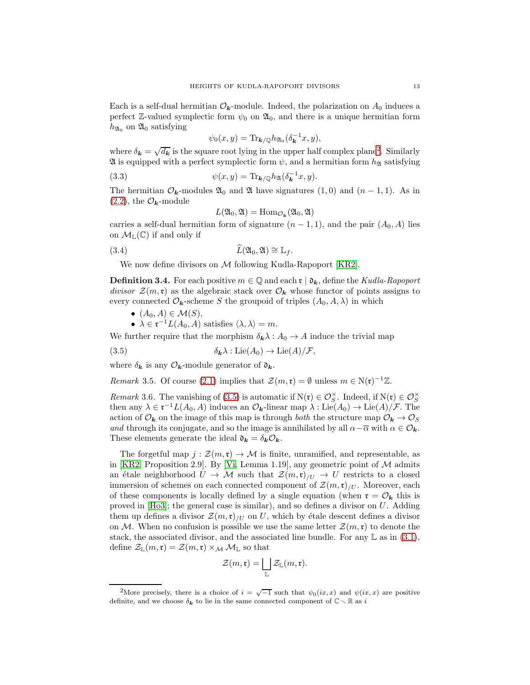Each is a self-dual hermitian  $\mathcal{O}_k$ -module. Indeed, the polarization on  $A_0$  induces a perfect Z-valued symplectic form  $\psi_0$  on  $\mathfrak{A}_0$ , and there is a unique hermitian form  $h_{\mathfrak{A}_0}$  on  $\mathfrak{A}_0$  satisfying

$$
\psi_0(x,y) = \text{Tr}_{\mathbf{k}/\mathbb{Q}} h_{\mathfrak{A}_0}(\delta_{\mathbf{k}}^{-1}x, y),
$$

where  $\delta_{\mathbf{k}} = \sqrt{d_{\mathbf{k}}}$  is the square root lying in the upper half complex plane<sup>[2](#page-12-0)</sup>. Similarly  $\mathfrak A$  is equipped with a perfect symplectic form  $\psi$ , and a hermitian form  $h_{\mathfrak A}$  satisfying

(3.3) 
$$
\psi(x,y) = \text{Tr}_{\mathbf{k}/\mathbb{Q}} h_{\mathfrak{A}}(\delta_{\mathbf{k}}^{-1}x,y).
$$

The hermitian  $\mathcal{O}_k$ -modules  $\mathfrak{A}_0$  and  $\mathfrak{A}$  have signatures  $(1,0)$  and  $(n-1,1)$ . As in  $(2.2)$ , the  $\mathcal{O}_k$ -module

<span id="page-12-3"></span><span id="page-12-2"></span>
$$
L(\mathfrak{A}_0, \mathfrak{A}) = \mathrm{Hom}_{\mathcal{O}_{\mathbf{k}}}(\mathfrak{A}_0, \mathfrak{A})
$$

carries a self-dual hermitian form of signature  $(n-1,1)$ , and the pair  $(A_0, A)$  lies on  $\mathcal{M}_{\mathbb{L}}(\mathbb{C})$  if and only if

(3.4) 
$$
\widehat{L}(\mathfrak{A}_0,\mathfrak{A})\cong \mathbb{L}_f.
$$

We now define divisors on  $\mathcal M$  following Kudla-Rapoport [\[KR2\]](#page-68-5).

<span id="page-12-4"></span>**Definition 3.4.** For each positive  $m \in \mathbb{Q}$  and each  $\mathfrak{r} \mid \mathfrak{d}_k$ , define the Kudla-Rapoport divisor  $\mathcal{Z}(m,\mathfrak{r})$  as the algebraic stack over  $\mathcal{O}_k$  whose functor of points assigns to every connected  $\mathcal{O}_k$ -scheme S the groupoid of triples  $(A_0, A, \lambda)$  in which

$$
\bullet \ \ (A_0, A) \in \mathcal{M}(S),
$$

<span id="page-12-1"></span>•  $\lambda \in \mathfrak{r}^{-1}L(A_0, A)$  satisfies  $\langle \lambda, \lambda \rangle = m$ .

We further require that the morphism  $\delta_{\mathbf{k}} \lambda : A_0 \to A$  induce the trivial map

(3.5) 
$$
\delta_{\mathbf{k}}\lambda : \mathrm{Lie}(A_0) \to \mathrm{Lie}(A)/\mathcal{F},
$$

where  $\delta_{\mathbf{k}}$  is any  $\mathcal{O}_{\mathbf{k}}$ -module generator of  $\mathfrak{d}_{\mathbf{k}}$ .

<span id="page-12-5"></span>Remark 3.5. Of course [\(2.1\)](#page-7-3) implies that  $\mathcal{Z}(m,\mathfrak{r}) = \emptyset$  unless  $m \in N(\mathfrak{r})^{-1}\mathbb{Z}$ .

<span id="page-12-6"></span>Remark 3.6. The vanishing of [\(3.5\)](#page-12-1) is automatic if  $N(\mathfrak{r}) \in \mathcal{O}_S^{\times}$ . Indeed, if  $N(\mathfrak{r}) \in \mathcal{O}_S^{\times}$ then any  $\lambda \in \mathfrak{r}^{-1}L(A_0, A)$  induces an  $\mathcal{O}_k$ -linear map  $\lambda : \text{Lie}(A_0) \to \text{Lie}(A)/\mathcal{F}$ . The action of  $\mathcal{O}_k$  on the image of this map is through both the structure map  $\mathcal{O}_k \to \mathcal{O}_S$ and through its conjugate, and so the image is annihilated by all  $\alpha - \overline{\alpha}$  with  $\alpha \in \mathcal{O}_k$ . These elements generate the ideal  $\mathfrak{d}_{\mathbf{k}} = \delta_{\mathbf{k}} \mathcal{O}_{\mathbf{k}}$ .

The forgetful map  $j : \mathcal{Z}(m, \mathfrak{r}) \to \mathcal{M}$  is finite, unramified, and representable, as in [\[KR2,](#page-68-5) Proposition 2.9]. By [\[Vi,](#page-68-15) Lemma 1.19], any geometric point of  $M$  admits an étale neighborhood  $U \to \mathcal{M}$  such that  $\mathcal{Z}(m,\mathfrak{r})/U \to U$  restricts to a closed immersion of schemes on each connected component of  $\mathcal{Z}(m,\mathfrak{r})_{/U}$ . Moreover, each of these components is locally defined by a single equation (when  $\mathfrak{r} = \mathcal{O}_{\mathbf{k}}$  this is proved in  $[H<sub>0</sub>3]$ ; the general case is similar), and so defines a divisor on U. Adding them up defines a divisor  $\mathcal{Z}(m,\mathfrak{r})_{/U}$  on U, which by étale descent defines a divisor on M. When no confusion is possible we use the same letter  $\mathcal{Z}(m,\mathfrak{r})$  to denote the stack, the associated divisor, and the associated line bundle. For any  $\mathbb L$  as in [\(3.1\)](#page-11-1), define  $\mathcal{Z}_{\mathbb{L}}(m,\mathfrak{r})=\mathcal{Z}(m,\mathfrak{r})\times_{\mathcal{M}}\mathcal{M}_{\mathbb{L}}$  so that

$$
\mathcal{Z}(m,\mathfrak{r})=\bigsqcup_{\mathbb{L}}\mathcal{Z}_{\mathbb{L}}(m,\mathfrak{r}).
$$

<span id="page-12-0"></span><sup>&</sup>lt;sup>2</sup>More precisely, there is a choice of  $i = \sqrt{-1}$  such that  $\psi_0(ix, x)$  and  $\psi(ix, x)$  are positive definite, and we choose  $\delta_{\mathbf{k}}$  to lie in the same connected component of  $\mathbb{C} \setminus \mathbb{R}$  as i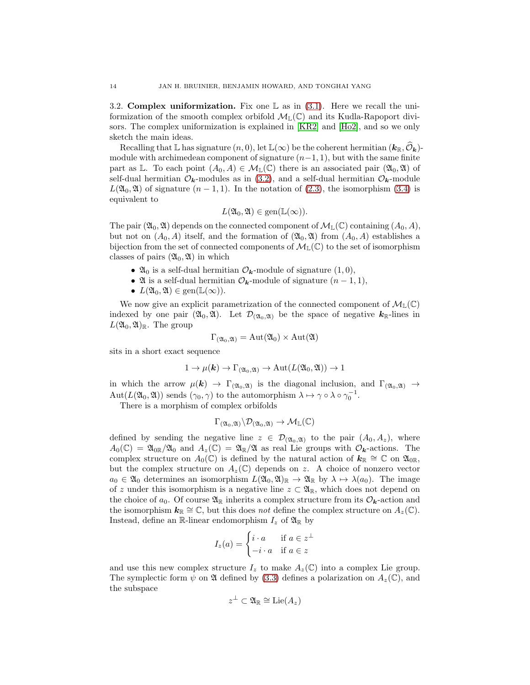<span id="page-13-0"></span>3.2. **Complex uniformization.** Fix one  $\mathbb{L}$  as in [\(3.1\)](#page-11-1). Here we recall the uniformization of the smooth complex orbifold  $\mathcal{M}_{\mathbb{L}}(\mathbb{C})$  and its Kudla-Rapoport divi-sors. The complex uniformization is explained in [\[KR2\]](#page-68-5) and [\[Ho2\]](#page-68-6), and so we only sketch the main ideas.

Recalling that  $\mathbb L$  has signature  $(n, 0)$ , let  $\mathbb L(\infty)$  be the coherent hermitian  $(k_{\mathbb R}, \mathcal{O}_k)$ module with archimedean component of signature  $(n-1, 1)$ , but with the same finite part as L. To each point  $(A_0, A) \in \mathcal{M}_{\mathbb{L}}(\mathbb{C})$  there is an associated pair  $(\mathfrak{A}_0, \mathfrak{A})$  of self-dual hermitian  $\mathcal{O}_k$ -modules as in [\(3.2\)](#page-11-2), and a self-dual hermitian  $\mathcal{O}_k$ -module  $L(\mathfrak{A}_0, \mathfrak{A})$  of signature  $(n-1, 1)$ . In the notation of [\(2.3\)](#page-8-0), the isomorphism [\(3.4\)](#page-12-2) is equivalent to

$$
L(\mathfrak{A}_0,\mathfrak{A})\in \text{gen}(\mathbb{L}(\infty)).
$$

The pair  $(\mathfrak{A}_0, \mathfrak{A})$  depends on the connected component of  $\mathcal{M}_\mathbb{L}(\mathbb{C})$  containing  $(A_0, A)$ , but not on  $(A_0, A)$  itself, and the formation of  $(\mathfrak{A}_0, \mathfrak{A})$  from  $(A_0, A)$  establishes a bijection from the set of connected components of  $\mathcal{M}_{\mathbb{L}}(\mathbb{C})$  to the set of isomorphism classes of pairs  $(\mathfrak{A}_0, \mathfrak{A})$  in which

- $\mathfrak{A}_0$  is a self-dual hermitian  $\mathcal{O}_{\mathbf{k}}$ -module of signature  $(1,0)$ ,
- $\mathfrak A$  is a self-dual hermitian  $\mathcal O_k$ -module of signature  $(n-1,1)$ ,
- $L(\mathfrak{A}_0, \mathfrak{A}) \in \text{gen}(\mathbb{L}(\infty)).$

We now give an explicit parametrization of the connected component of  $\mathcal{M}_{\mathbb{L}}(\mathbb{C})$ indexed by one pair  $(\mathfrak{A}_0, \mathfrak{A})$ . Let  $\mathcal{D}_{(\mathfrak{A}_0, \mathfrak{A})}$  be the space of negative  $k_{\mathbb{R}}$ -lines in  $L(\mathfrak{A}_0,\mathfrak{A})_{\mathbb{R}}$ . The group

$$
\Gamma_{(\mathfrak{A}_0, \mathfrak{A})} = \mathrm{Aut}(\mathfrak{A}_0) \times \mathrm{Aut}(\mathfrak{A})
$$

sits in a short exact sequence

$$
1 \to \mu(\mathbf{k}) \to \Gamma_{(\mathfrak{A}_0, \mathfrak{A})} \to \mathrm{Aut}(L(\mathfrak{A}_0, \mathfrak{A})) \to 1
$$

in which the arrow  $\mu(\mathbf{k}) \to \Gamma_{(\mathfrak{A}_0,\mathfrak{A})}$  is the diagonal inclusion, and  $\Gamma_{(\mathfrak{A}_0,\mathfrak{A})} \to$  $Aut(L(\mathfrak{A}_0, \mathfrak{A}))$  sends  $(\gamma_0, \gamma)$  to the automorphism  $\lambda \mapsto \gamma \circ \lambda \circ \gamma_0^{-1}$ .

There is a morphism of complex orbifolds

$$
\Gamma_{({\mathfrak{A}}_0,{\mathfrak{A}})}\backslash\mathcal{D}_{({\mathfrak{A}}_0,{\mathfrak{A}})}\to\mathcal{M}_{{\mathbb{L}}}({\mathbb{C}})
$$

defined by sending the negative line  $z \in \mathcal{D}_{(\mathfrak{A}_0, \mathfrak{A})}$  to the pair  $(A_0, A_z)$ , where  $A_0(\mathbb{C}) = \mathfrak{A}_{0\mathbb{R}}/\mathfrak{A}_0$  and  $A_z(\mathbb{C}) = \mathfrak{A}_{\mathbb{R}}/\mathfrak{A}$  as real Lie groups with  $\mathcal{O}_{k}$ -actions. The complex structure on  $A_0(\mathbb{C})$  is defined by the natural action of  $k_{\mathbb{R}} \cong \mathbb{C}$  on  $\mathfrak{A}_{0\mathbb{R}},$ but the complex structure on  $A_z(\mathbb{C})$  depends on z. A choice of nonzero vector  $a_0 \in \mathfrak{A}_0$  determines an isomorphism  $L(\mathfrak{A}_0, \mathfrak{A})_{\mathbb{R}} \to \mathfrak{A}_{\mathbb{R}}$  by  $\lambda \mapsto \lambda(a_0)$ . The image of z under this isomorphism is a negative line  $z \subset \mathfrak{A}_{\mathbb{R}}$ , which does not depend on the choice of  $a_0$ . Of course  $\mathfrak{A}_{\mathbb{R}}$  inherits a complex structure from its  $\mathcal{O}_{\mathbf{k}}$ -action and the isomorphism  $k_{\mathbb{R}} \cong \mathbb{C}$ , but this does not define the complex structure on  $A_z(\mathbb{C})$ . Instead, define an R-linear endomorphism  $I_z$  of  $\mathfrak{A}_\mathbb{R}$  by

$$
I_z(a) = \begin{cases} i \cdot a & \text{if } a \in z^\perp \\ -i \cdot a & \text{if } a \in z \end{cases}
$$

and use this new complex structure  $I_z$  to make  $A_z(\mathbb{C})$  into a complex Lie group. The symplectic form  $\psi$  on  $\mathfrak A$  defined by [\(3.3\)](#page-12-3) defines a polarization on  $A_z(\mathbb C)$ , and the subspace

$$
z^{\perp} \subset \mathfrak{A}_{\mathbb{R}} \cong \text{Lie}(A_z)
$$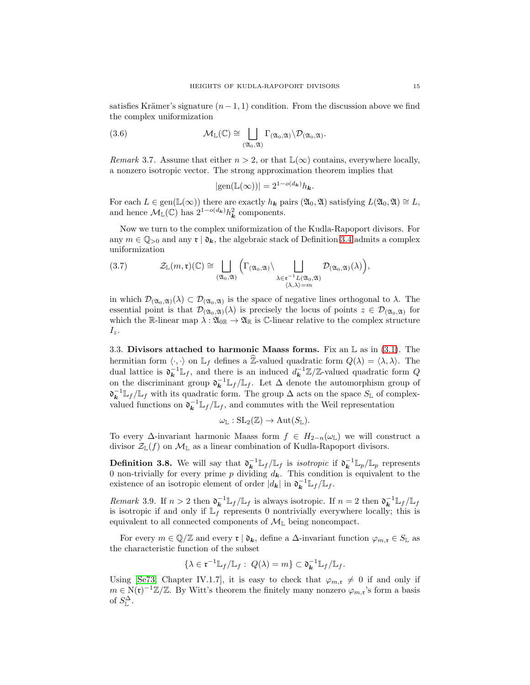satisfies Krämer's signature  $(n-1, 1)$  condition. From the discussion above we find the complex uniformization

(3.6) 
$$
\mathcal{M}_{\mathbb{L}}(\mathbb{C}) \cong \bigsqcup_{(\mathfrak{A}_0,\mathfrak{A})} \Gamma_{(\mathfrak{A}_0,\mathfrak{A})} \backslash \mathcal{D}_{(\mathfrak{A}_0,\mathfrak{A})}.
$$

<span id="page-14-2"></span>Remark 3.7. Assume that either  $n > 2$ , or that  $\mathbb{L}(\infty)$  contains, everywhere locally, a nonzero isotropic vector. The strong approximation theorem implies that

<span id="page-14-0"></span>
$$
|\text{gen}(\mathbb{L}(\infty))|=2^{1-o(d_{\mathbf{k}})}h_{\mathbf{k}}.
$$

For each  $L \in \text{gen}(\mathbb{L}(\infty))$  there are exactly  $h_k$  pairs  $(\mathfrak{A}_0, \mathfrak{A})$  satisfying  $L(\mathfrak{A}_0, \mathfrak{A}) \cong L$ , and hence  $\mathcal{M}_{\mathbb{L}}(\mathbb{C})$  has  $2^{1-o(d_{\mathbf{k}})}h_{\mathbf{k}}^2$  components.

Now we turn to the complex uniformization of the Kudla-Rapoport divisors. For any  $m \in \mathbb{Q}_{>0}$  and any  $\mathfrak{r} \mid \mathfrak{d}_{k}$ , the algebraic stack of Definition [3.4](#page-12-4) admits a complex uniformization

<span id="page-14-3"></span>(3.7) 
$$
\mathcal{Z}_{\mathbb{L}}(m,\mathfrak{r})(\mathbb{C}) \cong \bigsqcup_{(\mathfrak{A}_0,\mathfrak{A})} \left( \Gamma_{(\mathfrak{A}_0,\mathfrak{A})} \setminus \bigsqcup_{\substack{\lambda \in \mathfrak{r}^{-1}L(\mathfrak{A}_0,\mathfrak{A}) \\ \langle \lambda, \lambda \rangle = m}} \mathcal{D}_{(\mathfrak{A}_0,\mathfrak{A})}(\lambda) \right),
$$

in which  $\mathcal{D}_{(\mathfrak{A}_0,\mathfrak{A})}(\lambda) \subset \mathcal{D}_{(\mathfrak{A}_0,\mathfrak{A})}$  is the space of negative lines orthogonal to  $\lambda$ . The essential point is that  $\mathcal{D}_{(\mathfrak{A}_0,\mathfrak{A})}(\lambda)$  is precisely the locus of points  $z \in \mathcal{D}_{(\mathfrak{A}_0,\mathfrak{A})}$  for which the R-linear map  $\lambda : \mathfrak{A}_{0\mathbb{R}} \to \mathfrak{A}_{\mathbb{R}}$  is C-linear relative to the complex structure  $I_z$ .

<span id="page-14-1"></span>3.3. Divisors attached to harmonic Maass forms. Fix an  $\mathbb L$  as in [\(3.1\)](#page-11-1). The hermitian form  $\langle \cdot, \cdot \rangle$  on  $\mathbb{L}_f$  defines a  $\hat{\mathbb{Z}}$ -valued quadratic form  $Q(\lambda) = \langle \lambda, \lambda \rangle$ . The dual lattice is  $\mathfrak{d}_{\mathbf{k}}^{-1} \mathbb{L}_f$ , and there is an induced  $d_{\mathbf{k}}^{-1} \mathbb{Z}/\mathbb{Z}$ -valued quadratic form Q on the discriminant group  $\mathfrak{d}_{\mathbf{k}}^{-1} \mathbb{L}_f / \mathbb{L}_f$ . Let  $\Delta$  denote the automorphism group of  $\mathfrak{d}_{\mathbf{k}}^{-1} \mathbb{L}_f / \mathbb{L}_f$  with its quadratic form. The group  $\Delta$  acts on the space  $S_{\mathbb{L}}$  of complexvalued functions on  $\mathfrak{d}_{\mathbf{k}}^{-1} \mathbb{L}_f / \mathbb{L}_f$ , and commutes with the Weil representation

$$
\omega_{\mathbb{L}}:\mathrm{SL}_2(\mathbb{Z})\to \mathrm{Aut}(S_{\mathbb{L}}).
$$

To every  $\Delta$ -invariant harmonic Maass form  $f \in H_{2-n}(\omega_{\mathbb{L}})$  we will construct a divisor  $\mathcal{Z}_{\mathbb{L}}(f)$  on  $\mathcal{M}_{\mathbb{L}}$  as a linear combination of Kudla-Rapoport divisors.

**Definition 3.8.** We will say that  $\mathfrak{d}_{\mathbf{k}}^{-1} \mathbb{L}_f / \mathbb{L}_f$  is *isotropic* if  $\mathfrak{d}_{\mathbf{k}}^{-1} \mathbb{L}_p / \mathbb{L}_p$  represents 0 non-trivially for every prime p dividing  $d_k$ . This condition is equivalent to the existence of an isotropic element of order  $|d_{\mathbf{k}}|$  in  $\mathfrak{d}_{\mathbf{k}}^{-1} \mathbb{L}_f / \mathbb{L}_f$ .

Remark 3.9. If  $n > 2$  then  $\mathfrak{d}_{\mathbf{k}}^{-1} \mathbb{L}_f / \mathbb{L}_f$  is always isotropic. If  $n = 2$  then  $\mathfrak{d}_{\mathbf{k}}^{-1} \mathbb{L}_f / \mathbb{L}_f$ is isotropic if and only if  $\mathbb{L}_f$  represents 0 nontrivially everywhere locally; this is equivalent to all connected components of  $\mathcal{M}_{\mathbb{L}}$  being noncompact.

For every  $m \in \mathbb{Q}/\mathbb{Z}$  and every  $\mathfrak{r} \mid \mathfrak{d}_k$ , define a  $\Delta$ -invariant function  $\varphi_{m,\mathfrak{r}} \in S_{\mathbb{L}}$  as the characteristic function of the subset

$$
\{\lambda \in \mathfrak{r}^{-1} \mathbb{L}_f/\mathbb{L}_f: \ Q(\lambda) = m\} \subset \mathfrak{d}_{\mathbf{k}}^{-1} \mathbb{L}_f/\mathbb{L}_f.
$$

Using [\[Se73,](#page-68-16) Chapter IV.1.7], it is easy to check that  $\varphi_{m,\mathfrak{r}}\neq 0$  if and only if  $m \in N(\mathfrak{r})^{-1}\mathbb{Z}/\mathbb{Z}$ . By Witt's theorem the finitely many nonzero  $\varphi_{m,\mathfrak{r}}$ 's form a basis of  $S^{\Delta}_{\mathbb{L}}$ .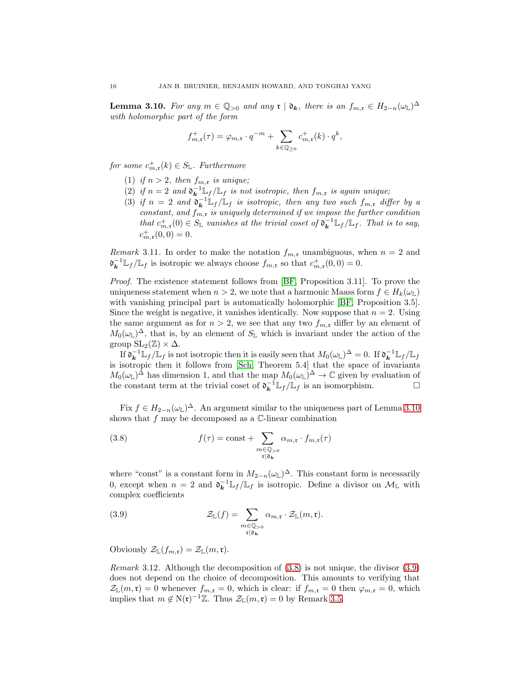<span id="page-15-0"></span>**Lemma 3.10.** For any  $m \in \mathbb{Q}_{>0}$  and any  $\mathfrak{r} \mid \mathfrak{d}_{k}$ , there is an  $f_{m,\mathfrak{r}} \in H_{2-n}(\omega_{\mathbb{L}})^{\Delta}$ with holomorphic part of the form

$$
f_{m,\mathfrak{r}}^+(\tau) = \varphi_{m,\mathfrak{r}} \cdot q^{-m} + \sum_{k \in \mathbb{Q}_{\geq 0}} c_{m,\mathfrak{r}}^+(k) \cdot q^k,
$$

for some  $c_{m,\mathfrak{r}}^+(k) \in S_{\mathbb{L}}$ . Furthermore

- (1) if  $n > 2$ , then  $f_{m,r}$  is unique;
- (2) if  $n=2$  and  $\mathfrak{d}_{\mathbf{k}}^{-1} \mathbb{L}_f / \mathbb{L}_f$  is not isotropic, then  $f_{m,\mathfrak{r}}$  is again unique;
- (3) if  $n = 2$  and  $\mathfrak{d}_{\mathbf{k}}^{-1} \mathbb{L}_f / \mathbb{L}_f$  is isotropic, then any two such  $f_{m,\mathfrak{r}}$  differ by a constant, and  $f_{m,\mathfrak{r}}$  is uniquely determined if we impose the further condition that  $c_{m,\mathfrak{r}}^+(0) \in S_{\mathbb{L}}$  vanishes at the trivial coset of  $\mathfrak{d}_{\mathbf{k}}^{-1} \mathbb{L}_f / \mathbb{L}_f$ . That is to say,  $c_{m,\mathfrak{r}}^+(0,0)=0.$

Remark 3.11. In order to make the notation  $f_{m,r}$  unambiguous, when  $n = 2$  and  $\mathfrak{d}_{\mathbf{k}}^{-1} \mathbb{L}_f / \mathbb{L}_f$  is isotropic we always choose  $f_{m,\mathfrak{r}}$  so that  $c_{m,\mathfrak{r}}^+(0,0) = 0$ .

Proof. The existence statement follows from [\[BF,](#page-67-3) Proposition 3.11]. To prove the uniqueness statement when  $n > 2$ , we note that a harmonic Maass form  $f \in H_k(\omega_{\mathbb{L}})$ with vanishing principal part is automatically holomorphic [\[BF,](#page-67-3) Proposition 3.5]. Since the weight is negative, it vanishes identically. Now suppose that  $n = 2$ . Using the same argument as for  $n > 2$ , we see that any two  $f_{m,r}$  differ by an element of  $M_0(\omega_{\mathbb{L}})^{\Delta}$ , that is, by an element of  $S_{\mathbb{L}}$  which is invariant under the action of the group  $SL_2(\mathbb{Z}) \times \Delta$ .

If  $\mathfrak{d}_{\mathbf{k}}^{-1} \mathbb{L}_f/\mathbb{L}_f$  is not isotropic then it is easily seen that  $M_0(\omega_{\mathbb{L}})^{\Delta} = 0$ . If  $\mathfrak{d}_{\mathbf{k}}^{-1} \mathbb{L}_f/\mathbb{L}_f$ is isotropic then it follows from [\[Sch,](#page-68-17) Theorem 5.4] that the space of invariants  $M_0(\omega_L)^{\Delta}$  has dimension 1, and that the map  $M_0(\omega_L)^{\Delta} \to \mathbb{C}$  given by evaluation of the constant term at the trivial coset of  $\mathfrak{d}_{\mathbf{k}}^{-1} \mathbb{L}_f / \mathbb{L}_f$  is an isomorphism.

Fix  $f \in H_{2-n}(\omega_{\mathbb{L}})^{\Delta}$ . An argument similar to the uniqueness part of Lemma [3.10](#page-15-0) shows that  $f$  may be decomposed as a  $\mathbb{C}$ -linear combination

<span id="page-15-1"></span>(3.8) 
$$
f(\tau) = \text{const} + \sum_{\substack{m \in \mathbb{Q}_{>0} \\ \mathfrak{r} \mid \mathfrak{d}_{\mathbf{k}}}} \alpha_{m,\mathfrak{r}} \cdot f_{m,\mathfrak{r}}(\tau)
$$

where "const" is a constant form in  $M_{2-n}(\omega_L)^{\Delta}$ . This constant form is necessarily 0, except when  $n = 2$  and  $\mathfrak{d}_{\mathbf{k}}^{-1} \mathbb{L}_f / \mathbb{L}_f$  is isotropic. Define a divisor on  $\mathcal{M}_{\mathbb{L}}$  with complex coefficients

<span id="page-15-2"></span>(3.9) 
$$
\mathcal{Z}_{\mathbb{L}}(f) = \sum_{\substack{m \in \mathbb{Q}_{>0} \\ \mathfrak{r} \mid \mathfrak{d}_{\mathbf{k}}}} \alpha_{m,\mathfrak{r}} \cdot \mathcal{Z}_{\mathbb{L}}(m,\mathfrak{r}).
$$

Obviously  $\mathcal{Z}_{\mathbb{L}}(f_{m,\mathfrak{r}})=\mathcal{Z}_{\mathbb{L}}(m,\mathfrak{r}).$ 

*Remark* 3.12. Although the decomposition of  $(3.8)$  is not unique, the divisor  $(3.9)$ does not depend on the choice of decomposition. This amounts to verifying that  $\mathcal{Z}_{\mathbb{L}}(m,\mathfrak{r}) = 0$  whenever  $f_{m,\mathfrak{r}} = 0$ , which is clear: if  $f_{m,\mathfrak{r}} = 0$  then  $\varphi_{m,\mathfrak{r}} = 0$ , which implies that  $m \notin N(\mathfrak{r})^{-1}\mathbb{Z}$ . Thus  $\mathcal{Z}_{\mathbb{L}}(m,\mathfrak{r})=0$  by Remark [3.5.](#page-12-5)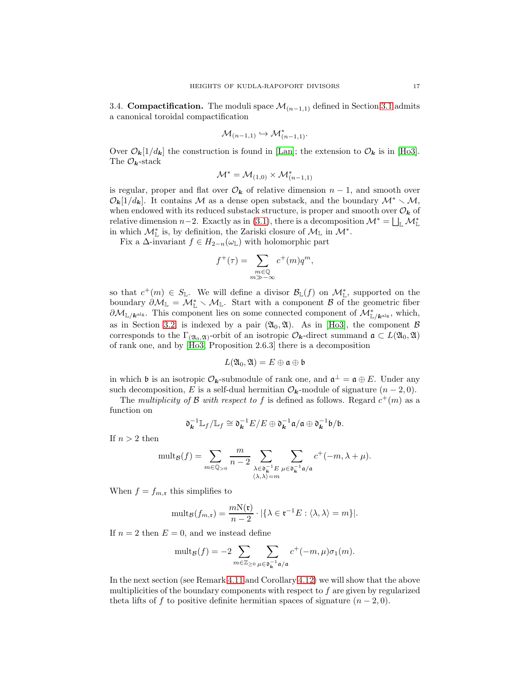<span id="page-16-0"></span>3.4. Compactification. The moduli space  $\mathcal{M}_{(n-1,1)}$  defined in Section [3.1](#page-10-2) admits a canonical toroidal compactification

$$
\mathcal{M}_{(n-1,1)} \hookrightarrow \mathcal{M}_{(n-1,1)}^*.
$$

Over  $\mathcal{O}_{\mathbf{k}}[1/d_{\mathbf{k}}]$  the construction is found in [\[Lan\]](#page-68-18); the extension to  $\mathcal{O}_{\mathbf{k}}$  is in [\[Ho3\]](#page-68-7). The  $\mathcal{O}_k$ -stack

$$
\mathcal{M}^* = \mathcal{M}_{(1,0)} \times \mathcal{M}_{(n-1,1)}^*
$$

is regular, proper and flat over  $\mathcal{O}_{k}$  of relative dimension  $n-1$ , and smooth over  $\mathcal{O}_{\mathbf{k}}[1/d_{\mathbf{k}}]$ . It contains M as a dense open substack, and the boundary  $\mathcal{M}^* \setminus \mathcal{M}$ , when endowed with its reduced substack structure, is proper and smooth over  $\mathcal{O}_k$  of relative dimension  $n-2$ . Exactly as in [\(3.1\)](#page-11-1), there is a decomposition  $\mathcal{M}^* = \bigsqcup_{\mathbb{L}} \mathcal{M}^*_{\mathbb{L}}$ in which  $\mathcal{M}^*_{\mathbb{L}}$  is, by definition, the Zariski closure of  $\mathcal{M}_{\mathbb{L}}$  in  $\mathcal{M}^*$ .

Fix a  $\Delta$ -invariant  $f \in H_{2-n}(\omega_{\mathbb{L}})$  with holomorphic part

$$
f^+(\tau) = \sum_{\substack{m \in \mathbb{Q} \\ m \gg -\infty}} c^+(m) q^m,
$$

so that  $c^+(m) \in S_{\mathbb{L}}$ . We will define a divisor  $\mathcal{B}_{\mathbb{L}}(f)$  on  $\mathcal{M}_{\mathbb{L}}^*$ , supported on the boundary  $\partial \mathcal{M}_{\mathbb{L}} = \mathcal{M}_{\mathbb{L}}^* \setminus \mathcal{M}_{\mathbb{L}}$ . Start with a component  $\mathcal{B}$  of the geometric fiber  $\partial \mathcal{M}_{\mathbb{L}/\mathbf{k}^{\text{alg}}}$ . This component lies on some connected component of  $\mathcal{M}_{\mathbb{L}/\mathbf{k}^{\text{alg}}}^*$ , which, as in Section [3.2,](#page-13-0) is indexed by a pair  $(\mathfrak{A}_0, \mathfrak{A})$ . As in [\[Ho3\]](#page-68-7), the component  $\beta$ corresponds to the  $\Gamma_{(20_0, 21)}$ -orbit of an isotropic  $\mathcal{O}_{\mathbf{k}}$ -direct summand  $\mathfrak{a} \subset L(20_0, 21)$ of rank one, and by [\[Ho3,](#page-68-7) Proposition 2.6.3] there is a decomposition

$$
L(\mathfrak{A}_0,\mathfrak{A})=E\oplus\mathfrak{a}\oplus\mathfrak{b}
$$

in which **b** is an isotropic  $\mathcal{O}_k$ -submodule of rank one, and  $\mathfrak{a}^{\perp} = \mathfrak{a} \oplus E$ . Under any such decomposition, E is a self-dual hermitian  $\mathcal{O}_{\mathbf{k}}$ -module of signature  $(n-2,0)$ .

The multiplicity of  $\mathcal B$  with respect to f is defined as follows. Regard  $c^+(m)$  as a function on

$$
\mathfrak{d}_{\mathbf{k}}^{-1} \mathbb{L}_f / \mathbb{L}_f \cong \mathfrak{d}_{\mathbf{k}}^{-1} E / E \oplus \mathfrak{d}_{\mathbf{k}}^{-1} \mathfrak{a} / \mathfrak{a} \oplus \mathfrak{d}_{\mathbf{k}}^{-1} \mathfrak{b} / \mathfrak{b}.
$$

If  $n > 2$  then

$$
\mathrm{mult}_{\mathcal{B}}(f)=\sum_{m\in \mathbb{Q}_{>0}}\frac{m}{n-2}\sum_{\substack{\lambda \in \mathfrak{d}_k^{-1}E \\ \langle \lambda, \lambda\rangle =m}} \sum_{\mu \in \mathfrak{d}_k^{-1}\mathfrak{a}/\mathfrak{a}} c^+(-m, \lambda+\mu).
$$

When  $f = f_{m,\mathfrak{r}}$  this simplifies to

$$
\text{mult}_{\mathcal{B}}(f_{m,\mathfrak{r}})=\frac{mN(\mathfrak{r})}{n-2}\cdot |\{\lambda \in \mathfrak{r}^{-1}E:\langle \lambda, \lambda \rangle=m\}|.
$$

If  $n = 2$  then  $E = 0$ , and we instead define

$$
\mathrm{mult}_{\mathcal{B}}(f) = -2 \sum_{m \in \mathbb{Z}_{\geq 0}} \sum_{\mu \in \mathfrak{d}_{\mathbf{k}}^{-1} \mathfrak{a}/\mathfrak{a}} c^+(-m, \mu) \sigma_1(m).
$$

In the next section (see Remark [4.11](#page-25-0) and Corollary [4.12\)](#page-26-0) we will show that the above multiplicities of the boundary components with respect to  $f$  are given by regularized theta lifts of f to positive definite hermitian spaces of signature  $(n-2,0)$ .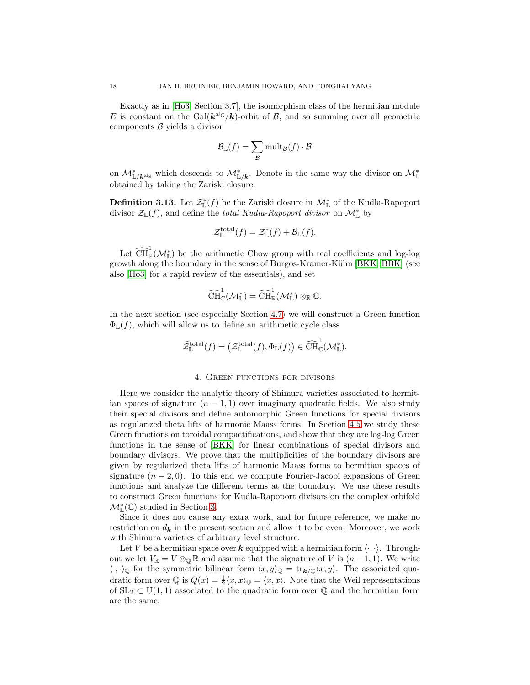Exactly as in [\[Ho3,](#page-68-7) Section 3.7], the isomorphism class of the hermitian module E is constant on the Gal( $\mathbf{k}^{\text{alg}}/\mathbf{k}$ )-orbit of B, and so summing over all geometric components  $\beta$  yields a divisor

$$
\mathcal{B}_{\mathbb{L}}(f) = \sum_{\mathcal{B}} \mathrm{mult}_{\mathcal{B}}(f) \cdot \mathcal{B}
$$

on  $\mathcal{M}_{\mathbb{L}/\mathbf{k}^{\text{alg}}}^*$  which descends to  $\mathcal{M}_{\mathbb{L}/\mathbf{k}}^*$ . Denote in the same way the divisor on  $\mathcal{M}_{\mathbb{L}}^*$ obtained by taking the Zariski closure.

<span id="page-17-1"></span>**Definition 3.13.** Let  $\mathcal{Z}_{\mathbb{L}}^*(f)$  be the Zariski closure in  $\mathcal{M}_{\mathbb{L}}^*$  of the Kudla-Rapoport divisor  $\mathcal{Z}_{\mathbb{L}}(f)$ , and define the *total Kudla-Rapoport divisor* on  $\mathcal{M}_{\mathbb{L}}^*$  by

$$
\mathcal{Z}^{\text{total}}_{\mathbb{L}}(f) = \mathcal{Z}^*_{\mathbb{L}}(f) + \mathcal{B}_{\mathbb{L}}(f).
$$

Let  $\widehat{\text{CH}}_{\mathbb{R}}^1(\mathcal{M}_{\mathbb{L}}^*)$  be the arithmetic Chow group with real coefficients and log-log growth along the boundary in the sense of Burgos-Kramer-Kühn [\[BKK,](#page-67-1) [BBK\]](#page-67-8) (see also [\[Ho3\]](#page-68-7) for a rapid review of the essentials), and set

$$
\widehat{\operatorname{CH}}^1_{\mathbb{C}}(\mathcal{M}^*_{\mathbb{L}})=\widehat{\operatorname{CH}}^1_{\mathbb{R}}(\mathcal{M}^*_{\mathbb{L}})\otimes_{\mathbb{R}}\mathbb{C}.
$$

In the next section (see especially Section [4.7\)](#page-33-1) we will construct a Green function  $\Phi_{\mathbb{L}}(f)$ , which will allow us to define an arithmetic cycle class

$$
\widehat{\mathcal{Z}}^{\text{total}}_{\mathbb{L}}(f) = \left( \mathcal{Z}^{\text{total}}_{\mathbb{L}}(f), \Phi_{\mathbb{L}}(f) \right) \in \widehat{\text{CH}}^1_{\mathbb{C}}(\mathcal{M}_{\mathbb{L}}^*).
$$

#### 4. Green functions for divisors

<span id="page-17-0"></span>Here we consider the analytic theory of Shimura varieties associated to hermitian spaces of signature  $(n - 1, 1)$  over imaginary quadratic fields. We also study their special divisors and define automorphic Green functions for special divisors as regularized theta lifts of harmonic Maass forms. In Section [4.5](#page-24-0) we study these Green functions on toroidal compactifications, and show that they are log-log Green functions in the sense of [\[BKK\]](#page-67-1) for linear combinations of special divisors and boundary divisors. We prove that the multiplicities of the boundary divisors are given by regularized theta lifts of harmonic Maass forms to hermitian spaces of signature  $(n-2,0)$ . To this end we compute Fourier-Jacobi expansions of Green functions and analyze the different terms at the boundary. We use these results to construct Green functions for Kudla-Rapoport divisors on the complex orbifold  $\mathcal{M}_{\mathbb{L}}^{\ast}(\mathbb{C})$  studied in Section [3.](#page-10-0)

Since it does not cause any extra work, and for future reference, we make no restriction on  $d_{\mathbf{k}}$  in the present section and allow it to be even. Moreover, we work with Shimura varieties of arbitrary level structure.

Let V be a hermitian space over k equipped with a hermitian form  $\langle \cdot, \cdot \rangle$ . Throughout we let  $V_{\mathbb{R}} = V \otimes_{\mathbb{Q}} \mathbb{R}$  and assume that the signature of V is  $(n-1,1)$ . We write  $\langle \cdot, \cdot \rangle_{\mathbb{Q}}$  for the symmetric bilinear form  $\langle x, y \rangle_{\mathbb{Q}} = \text{tr}_{k/\mathbb{Q}}\langle x, y \rangle$ . The associated quadratic form over  $\mathbb{Q}$  is  $Q(x) = \frac{1}{2} \langle x, x \rangle_{\mathbb{Q}} = \langle x, x \rangle$ . Note that the Weil representations of  $SL_2 \subset U(1,1)$  associated to the quadratic form over Q and the hermitian form are the same.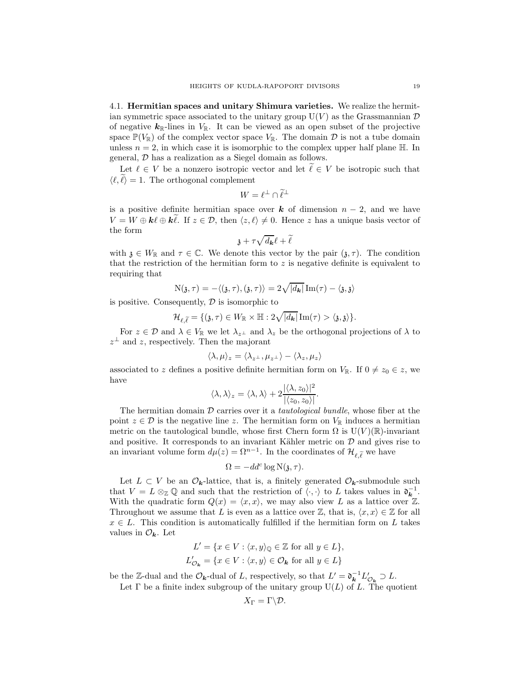4.1. Hermitian spaces and unitary Shimura varieties. We realize the hermitian symmetric space associated to the unitary group  $U(V)$  as the Grassmannian  $D$ of negative  $k_{\mathbb{R}}$ -lines in  $V_{\mathbb{R}}$ . It can be viewed as an open subset of the projective space  $\mathbb{P}(V_{\mathbb{R}})$  of the complex vector space  $V_{\mathbb{R}}$ . The domain  $\mathcal D$  is not a tube domain unless  $n = 2$ , in which case it is isomorphic to the complex upper half plane  $H$ . In general, D has a realization as a Siegel domain as follows.

Let  $\ell \in V$  be a nonzero isotropic vector and let  $\ell \in V$  be isotropic such that  $\langle \ell, \ell \rangle = 1$ . The orthogonal complement

$$
W = \ell^{\perp} \cap \widetilde{\ell}^{\perp}
$$

is a positive definite hermitian space over k of dimension  $n-2$ , and we have  $V = W \oplus k\ell \oplus k\ell$ . If  $z \in \mathcal{D}$ , then  $\langle z, \ell \rangle \neq 0$ . Hence z has a unique basis vector of the form

$$
\mathfrak{z} + \tau \sqrt{d_{\mathbf{k}}} \ell + \widetilde{\ell}
$$

with  $\mathfrak{z} \in W_{\mathbb{R}}$  and  $\tau \in \mathbb{C}$ . We denote this vector by the pair  $(\mathfrak{z}, \tau)$ . The condition that the restriction of the hermitian form to  $z$  is negative definite is equivalent to requiring that

$$
\mathrm{N}(\mathfrak{z},\tau)=-\langle(\mathfrak{z},\tau),(\mathfrak{z},\tau)\rangle=2\sqrt{|d_{\pmb{k}}|}\,\mathrm{Im}(\tau)-\langle\mathfrak{z},\mathfrak{z}\rangle
$$

is positive. Consequently,  $\mathcal D$  is isomorphic to

$$
\mathcal{H}_{\ell,\widetilde{\ell}}=\{(\mathfrak{z},\tau)\in W_\mathbb{R}\times \mathbb{H}: 2\sqrt{|d_{\pmb{k}}|}\,\mathrm{Im}(\tau)>\langle \mathfrak{z},\mathfrak{z}\rangle\}.
$$

For  $z \in \mathcal{D}$  and  $\lambda \in V_{\mathbb{R}}$  we let  $\lambda_{z^{\perp}}$  and  $\lambda_{z}$  be the orthogonal projections of  $\lambda$  to  $z^{\perp}$  and z, respectively. Then the majorant

$$
\langle \lambda, \mu \rangle_z = \langle \lambda_{z^{\perp}}, \mu_{z^{\perp}} \rangle - \langle \lambda_z, \mu_z \rangle
$$

associated to z defines a positive definite hermitian form on  $V_{\mathbb{R}}$ . If  $0 \neq z_0 \in z$ , we have

$$
\langle \lambda, \lambda \rangle_z = \langle \lambda, \lambda \rangle + 2 \frac{|\langle \lambda, z_0 \rangle|^2}{|\langle z_0, z_0 \rangle|}.
$$

The hermitian domain  $\mathcal D$  carries over it a *tautological bundle*, whose fiber at the point  $z \in \mathcal{D}$  is the negative line z. The hermitian form on  $V_{\mathbb{R}}$  induces a hermitian metric on the tautological bundle, whose first Chern form  $\Omega$  is  $U(V)(\mathbb{R})$ -invariant and positive. It corresponds to an invariant Kähler metric on  $D$  and gives rise to an invariant volume form  $d\mu(z) = \Omega^{n-1}$ . In the coordinates of  $\mathcal{H}_{\ell,\widetilde{\ell}}$  we have

$$
\Omega = -dd^c \log \mathcal{N}(\mathfrak{z}, \tau).
$$

Let  $L \subset V$  be an  $\mathcal{O}_{k}$ -lattice, that is, a finitely generated  $\mathcal{O}_{k}$ -submodule such that  $V = L \otimes_{\mathbb{Z}} \mathbb{Q}$  and such that the restriction of  $\langle \cdot, \cdot \rangle$  to L takes values in  $\mathfrak{d}_{\mathbf{k}}^{-1}$ . With the quadratic form  $Q(x) = \langle x, x \rangle$ , we may also view L as a lattice over Z. Throughout we assume that L is even as a lattice over Z, that is,  $\langle x, x \rangle \in \mathbb{Z}$  for all  $x \in L$ . This condition is automatically fulfilled if the hermitian form on L takes values in  $\mathcal{O}_k$ . Let

$$
L' = \{x \in V : \langle x, y \rangle_{\mathbb{Q}} \in \mathbb{Z} \text{ for all } y \in L\},
$$
  

$$
L'_{\mathcal{O}_k} = \{x \in V : \langle x, y \rangle \in \mathcal{O}_k \text{ for all } y \in L\}
$$

be the Z-dual and the  $\mathcal{O}_k$ -dual of L, respectively, so that  $L' = \mathfrak{d}_k^{-1} L'_{\mathcal{O}_k} \supset L$ .

Let  $\Gamma$  be a finite index subgroup of the unitary group  $U(L)$  of L. The quotient

$$
X_{\Gamma}=\Gamma\backslash\mathcal{D}.
$$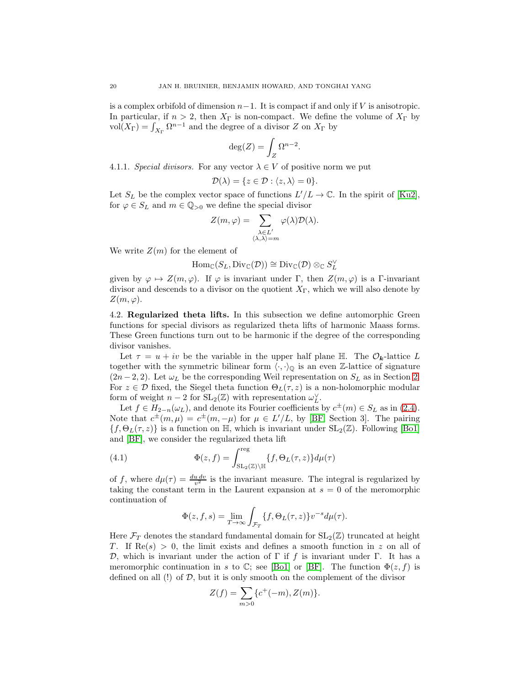is a complex orbifold of dimension  $n-1$ . It is compact if and only if V is anisotropic. In particular, if  $n > 2$ , then  $X_{\Gamma}$  is non-compact. We define the volume of  $X_{\Gamma}$  by  $\text{vol}(X_{\Gamma}) = \int_{X_{\Gamma}} \Omega^{n-1}$  and the degree of a divisor Z on  $X_{\Gamma}$  by

$$
\deg(Z) = \int_Z \Omega^{n-2}.
$$

4.1.1. Special divisors. For any vector  $\lambda \in V$  of positive norm we put

$$
\mathcal{D}(\lambda) = \{ z \in \mathcal{D} : \langle z, \lambda \rangle = 0 \}.
$$

Let  $S_L$  be the complex vector space of functions  $L'/L \to \mathbb{C}$ . In the spirit of [\[Ku2\]](#page-68-19), for  $\varphi \in S_L$  and  $m \in \mathbb{Q}_{>0}$  we define the special divisor

$$
Z(m,\varphi) = \sum_{\substack{\lambda \in L' \\ \langle \lambda, \lambda \rangle = m}} \varphi(\lambda) \mathcal{D}(\lambda).
$$

We write  $Z(m)$  for the element of

$$
\mathrm{Hom}_{\mathbb{C}}(S_L, \mathrm{Div}_{\mathbb{C}}(\mathcal{D})) \cong \mathrm{Div}_{\mathbb{C}}(\mathcal{D}) \otimes_{\mathbb{C}} S_L^{\vee}
$$

given by  $\varphi \mapsto Z(m, \varphi)$ . If  $\varphi$  is invariant under  $\Gamma$ , then  $Z(m, \varphi)$  is a Γ-invariant divisor and descends to a divisor on the quotient  $X_{\Gamma}$ , which we will also denote by  $Z(m, \varphi)$ .

4.2. Regularized theta lifts. In this subsection we define automorphic Green functions for special divisors as regularized theta lifts of harmonic Maass forms. These Green functions turn out to be harmonic if the degree of the corresponding divisor vanishes.

Let  $\tau = u + iv$  be the variable in the upper half plane  $\mathbb{H}$ . The  $\mathcal{O}_{k}$ -lattice L together with the symmetric bilinear form  $\langle \cdot, \cdot \rangle$  is an even Z-lattice of signature  $(2n-2, 2)$ . Let  $\omega_L$  be the corresponding Weil representation on  $S_L$  as in Section [2.](#page-7-0) For  $z \in \mathcal{D}$  fixed, the Siegel theta function  $\Theta_L(\tau, z)$  is a non-holomorphic modular form of weight  $n-2$  for  $SL_2(\mathbb{Z})$  with representation  $\omega_L^{\vee}$ .

Let  $f \in H_{2-n}(\omega_L)$ , and denote its Fourier coefficients by  $c^{\pm}(m) \in S_L$  as in [\(2.4\)](#page-10-1). Note that  $c^{\pm}(m,\mu) = c^{\pm}(m,-\mu)$  for  $\mu \in L'/L$ , by [\[BF,](#page-67-3) Section 3]. The pairing  ${f, \Theta_L(\tau, z)}$  is a function on H, which is invariant under  $SL_2(\mathbb{Z})$ . Following [\[Bo1\]](#page-67-2) and [\[BF\]](#page-67-3), we consider the regularized theta lift

<span id="page-19-0"></span>(4.1) 
$$
\Phi(z,f) = \int_{\mathrm{SL}_2(\mathbb{Z}) \backslash \mathbb{H}}^{\mathrm{reg}} \{f, \Theta_L(\tau, z)\} d\mu(\tau)
$$

of f, where  $d\mu(\tau) = \frac{du dv}{v^2}$  is the invariant measure. The integral is regularized by taking the constant term in the Laurent expansion at  $s = 0$  of the meromorphic continuation of

$$
\Phi(z, f, s) = \lim_{T \to \infty} \int_{\mathcal{F}_T} \{f, \Theta_L(\tau, z)\} v^{-s} d\mu(\tau).
$$

Here  $\mathcal{F}_T$  denotes the standard fundamental domain for  $SL_2(\mathbb{Z})$  truncated at height T. If  $\text{Re}(s) > 0$ , the limit exists and defines a smooth function in z on all of D, which is invariant under the action of Γ if f is invariant under Γ. It has a meromorphic continuation in s to  $\mathbb{C}$ ; see [\[Bo1\]](#page-67-2) or [\[BF\]](#page-67-3). The function  $\Phi(z, f)$  is defined on all  $(!)$  of  $D$ , but it is only smooth on the complement of the divisor

$$
Z(f) = \sum_{m>0} \{c^+(-m), Z(m)\}.
$$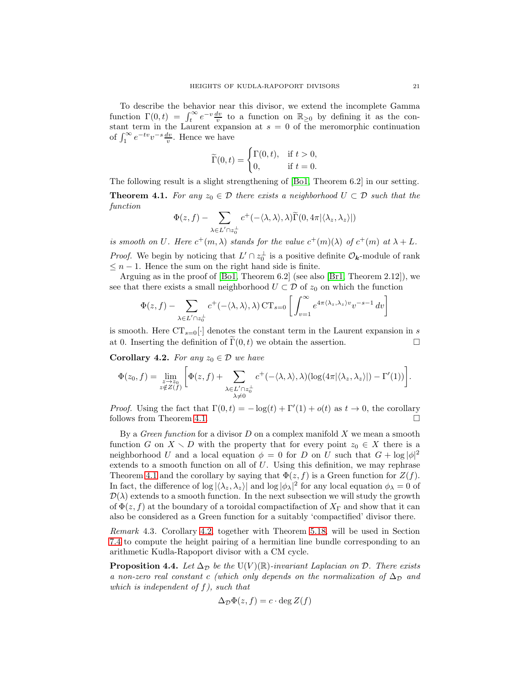To describe the behavior near this divisor, we extend the incomplete Gamma function  $\Gamma(0,t) = \int_t^{\infty} e^{-v} \frac{dv}{v}$  to a function on  $\mathbb{R}_{\geq 0}$  by defining it as the constant term in the Laurent expansion at  $s = 0$  of the meromorphic continuation of  $\int_1^\infty e^{-tv}v^{-s}\frac{dv}{v}$ . Hence we have

$$
\widetilde{\Gamma}(0,t) = \begin{cases} \Gamma(0,t), & \text{if } t > 0, \\ 0, & \text{if } t = 0. \end{cases}
$$

The following result is a slight strengthening of [\[Bo1,](#page-67-2) Theorem 6.2] in our setting.

<span id="page-20-1"></span>**Theorem 4.1.** For any  $z_0 \in \mathcal{D}$  there exists a neighborhood  $U \subset \mathcal{D}$  such that the function

$$
\Phi(z,f) - \sum_{\lambda \in L' \cap z_0^{\perp}} c^+(-\langle \lambda, \lambda \rangle, \lambda) \widetilde{\Gamma}(0, 4\pi \langle \lambda_z, \lambda_z \rangle |)
$$

is smooth on U. Here  $c^+(m,\lambda)$  stands for the value  $c^+(m)(\lambda)$  of  $c^+(m)$  at  $\lambda + L$ . *Proof.* We begin by noticing that  $L' \cap z_0^{\perp}$  is a positive definite  $\mathcal{O}_k$ -module of rank  $\leq n-1$ . Hence the sum on the right hand side is finite.

Arguing as in the proof of [\[Bo1,](#page-67-2) Theorem 6.2] (see also [\[Br1,](#page-67-4) Theorem 2.12]), we see that there exists a small neighborhood  $U \subset \mathcal{D}$  of  $z_0$  on which the function

$$
\Phi(z,f) - \sum_{\lambda \in L' \cap z_0^{\perp}} c^+(-\langle \lambda, \lambda \rangle, \lambda) \operatorname{CT}_{s=0} \left[ \int_{v=1}^{\infty} e^{4\pi \langle \lambda_z, \lambda_z \rangle v} v^{-s-1} dv \right]
$$

is smooth. Here  $CT_{s=0}[\cdot]$  denotes the constant term in the Laurent expansion in s at 0. Inserting the definition of  $\tilde{\Gamma}(0, t)$  we obtain the assertion. at 0. Inserting the definition of  $\Gamma(0, t)$  we obtain the assertion.

<span id="page-20-0"></span>Corollary 4.2. For any  $z_0 \in \mathcal{D}$  we have

$$
\Phi(z_0, f) = \lim_{\substack{z \to z_0 \\ z \notin Z(f)}} \left[ \Phi(z, f) + \sum_{\substack{\lambda \in L' \cap z_0^{\perp} \\ \lambda \neq 0}} c^+(-\langle \lambda, \lambda \rangle, \lambda) (\log(4\pi |\langle \lambda_z, \lambda_z \rangle|) - \Gamma'(1)) \right].
$$

*Proof.* Using the fact that  $\Gamma(0,t) = -\log(t) + \Gamma'(1) + o(t)$  as  $t \to 0$ , the corollary follows from Theorem [4.1.](#page-20-1)  $\Box$ 

By a *Green function* for a divisor  $D$  on a complex manifold  $X$  we mean a smooth function G on  $X \setminus D$  with the property that for every point  $z_0 \in X$  there is a neighborhood U and a local equation  $\phi = 0$  for D on U such that  $G + \log |\phi|^2$ extends to a smooth function on all of  $U$ . Using this definition, we may rephrase Theorem [4.1](#page-20-1) and the corollary by saying that  $\Phi(z, f)$  is a Green function for  $Z(f)$ . In fact, the difference of  $\log |\langle \lambda_z, \lambda_z \rangle|$  and  $\log |\phi_\lambda|^2$  for any local equation  $\phi_\lambda = 0$  of  $\mathcal{D}(\lambda)$  extends to a smooth function. In the next subsection we will study the growth of  $\Phi(z, f)$  at the boundary of a toroidal compactifaction of  $X_{\Gamma}$  and show that it can also be considered as a Green function for a suitably 'compactified' divisor there.

Remark 4.3. Corollary [4.2,](#page-20-0) together with Theorem [5.18,](#page-46-0) will be used in Section [7.4](#page-63-0) to compute the height pairing of a hermitian line bundle corresponding to an arithmetic Kudla-Rapoport divisor with a CM cycle.

**Proposition 4.4.** Let  $\Delta_{\mathcal{D}}$  be the U(V)(R)-invariant Laplacian on D. There exists a non-zero real constant c (which only depends on the normalization of  $\Delta_{\mathcal{D}}$  and which is independent of f), such that

$$
\Delta_{\mathcal{D}}\Phi(z,f) = c \cdot \deg Z(f)
$$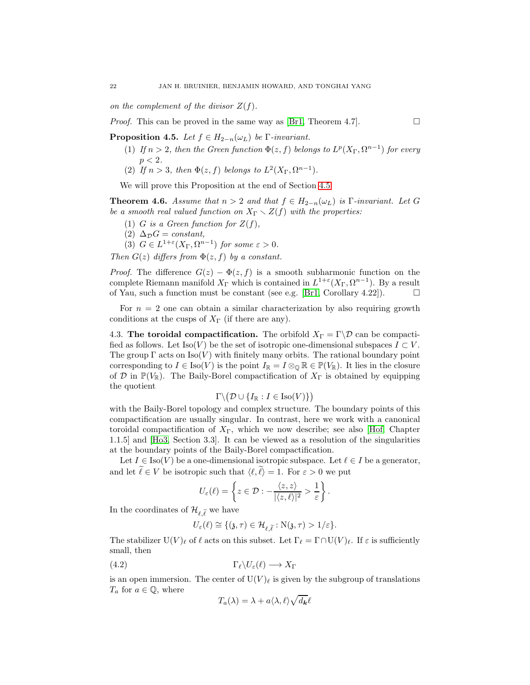on the complement of the divisor  $Z(f)$ .

*Proof.* This can be proved in the same way as [\[Br1,](#page-67-4) Theorem 4.7].

<span id="page-21-1"></span>**Proposition 4.5.** Let  $f \in H_{2-n}(\omega_L)$  be Γ-invariant.

- (1) If  $n > 2$ , then the Green function  $\Phi(z, f)$  belongs to  $L^p(X_{\Gamma}, \Omega^{n-1})$  for every  $p < 2$ .
- (2) If  $n > 3$ , then  $\Phi(z, f)$  belongs to  $L^2(X_{\Gamma}, \Omega^{n-1})$ .

We will prove this Proposition at the end of Section [4.5.](#page-24-0)

**Theorem 4.6.** Assume that  $n > 2$  and that  $f \in H_{2-n}(\omega_L)$  is  $\Gamma$ -invariant. Let G be a smooth real valued function on  $X_{\Gamma} \setminus Z(f)$  with the properties:

- (1) G is a Green function for  $Z(f)$ ,
- (2)  $\Delta_{\mathcal{D}}G = constant,$
- (3)  $G \in L^{1+\varepsilon}(X_{\Gamma}, \Omega^{n-1})$  for some  $\varepsilon > 0$ .

Then  $G(z)$  differs from  $\Phi(z, f)$  by a constant.

*Proof.* The difference  $G(z) - \Phi(z, f)$  is a smooth subharmonic function on the complete Riemann manifold  $X_{\Gamma}$  which is contained in  $L^{1+\epsilon}(X_{\Gamma}, \Omega^{n-1})$ . By a result of Yau, such a function must be constant (see e.g. [\[Br1,](#page-67-4) Corollary 4.22]).  $\Box$ 

For  $n = 2$  one can obtain a similar characterization by also requiring growth conditions at the cusps of  $X_{\Gamma}$  (if there are any).

<span id="page-21-2"></span>4.3. The toroidal compactification. The orbifold  $X_{\Gamma} = \Gamma \backslash \mathcal{D}$  can be compactified as follows. Let Iso(V) be the set of isotropic one-dimensional subspaces  $I \subset V$ . The group  $\Gamma$  acts on Iso(V) with finitely many orbits. The rational boundary point corresponding to  $I \in \text{Iso}(V)$  is the point  $I_{\mathbb{R}} = I \otimes_{\mathbb{Q}} \mathbb{R} \in \mathbb{P}(V_{\mathbb{R}})$ . It lies in the closure of D in  $\mathbb{P}(V_{\mathbb{R}})$ . The Baily-Borel compactification of  $X_{\Gamma}$  is obtained by equipping the quotient

$$
\Gamma \backslash \big( \mathcal{D} \cup \{ I_\mathbb{R} : I \in \text{Iso}(V) \} \big)
$$

with the Baily-Borel topology and complex structure. The boundary points of this compactification are usually singular. In contrast, here we work with a canonical toroidal compactification of  $X_{\Gamma}$ , which we now describe; see also [\[Hof,](#page-68-20) Chapter 1.1.5] and [\[Ho3,](#page-68-7) Section 3.3]. It can be viewed as a resolution of the singularities at the boundary points of the Baily-Borel compactification.

Let  $I \in \text{Iso}(V)$  be a one-dimensional isotropic subspace. Let  $\ell \in I$  be a generator, and let  $\tilde{\ell} \in V$  be isotropic such that  $\langle \ell, \tilde{\ell} \rangle = 1$ . For  $\varepsilon > 0$  we put

$$
U_{\varepsilon}(\ell) = \left\{ z \in \mathcal{D} : -\frac{\langle z, z \rangle}{|\langle z, \ell \rangle|^2} > \frac{1}{\varepsilon} \right\}.
$$

In the coordinates of  $\mathcal{H}_{\ell,\widetilde{\ell}}$  we have

$$
U_{\varepsilon}(\ell) \cong \{(\mathfrak{z}, \tau) \in \mathcal{H}_{\ell, \widetilde{\ell}} : \mathrm{N}(\mathfrak{z}, \tau) > 1/\varepsilon\}.
$$

The stabilizer  $U(V)_\ell$  of  $\ell$  acts on this subset. Let  $\Gamma_\ell = \Gamma \cap U(V)_\ell$ . If  $\varepsilon$  is sufficiently small, then

<span id="page-21-0"></span>
$$
(4.2) \t\Gamma_{\ell} \backslash U_{\varepsilon}(\ell) \longrightarrow X_{\Gamma}
$$

is an open immersion. The center of  $U(V)_\ell$  is given by the subgroup of translations  $T_a$  for  $a \in \mathbb{Q}$ , where

$$
T_a(\lambda) = \lambda + a \langle \lambda, \ell \rangle \sqrt{d_{\mathbf{k}}} \ell
$$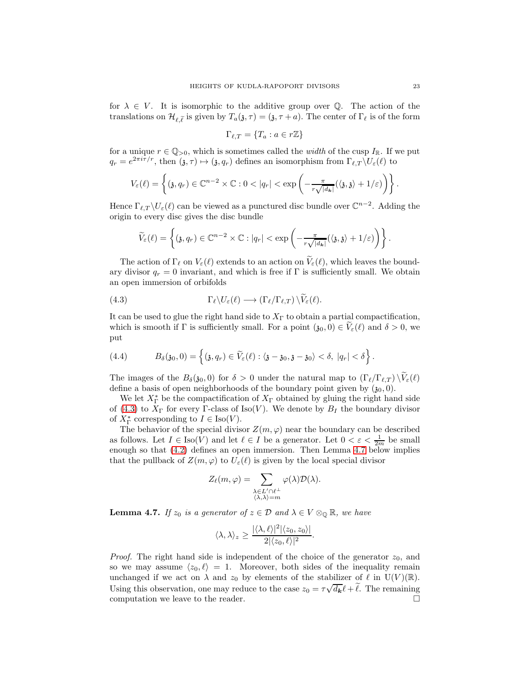for  $\lambda \in V$ . It is isomorphic to the additive group over Q. The action of the translations on  $\mathcal{H}_{\ell,\tilde{\ell}}$  is given by  $T_a(\mathfrak{z},\tau)=(\mathfrak{z},\tau+a)$ . The center of  $\Gamma_{\ell}$  is of the form

$$
\Gamma_{\ell,T} = \{T_a : a \in r\mathbb{Z}\}\
$$

for a unique  $r \in \mathbb{Q}_{>0}$ , which is sometimes called the *width* of the cusp  $I_{\mathbb{R}}$ . If we put  $q_r = e^{2\pi i \tau/r}$ , then  $(\mathfrak{z}, \tau) \mapsto (\mathfrak{z}, q_r)$  defines an isomorphism from  $\Gamma_{\ell,T} \backslash U_{\varepsilon}(\ell)$  to

$$
V_{\varepsilon}(\ell)=\left\{( \mathfrak{z}, q_r)\in \mathbb{C}^{n-2}\times \mathbb{C}: 0<|q_r|<\exp\left(-\frac{\pi}{r\sqrt{|d_{\mathbf{k}}|}}(\langle \mathfrak{z}, \mathfrak{z}\rangle+1/\varepsilon)\right)\right\}.
$$

Hence  $\Gamma_{\ell,T} \backslash U_{\varepsilon}(\ell)$  can be viewed as a punctured disc bundle over  $\mathbb{C}^{n-2}$ . Adding the origin to every disc gives the disc bundle

$$
\widetilde{V}_{\varepsilon}(\ell) = \left\{ (\mathfrak{z}, q_r) \in \mathbb{C}^{n-2} \times \mathbb{C} : |q_r| < \exp\left( -\frac{\pi}{r\sqrt{|d_k|}} (\langle \mathfrak{z}, \mathfrak{z} \rangle + 1/\varepsilon) \right) \right\}.
$$

The action of  $\Gamma_\ell$  on  $V_\varepsilon(\ell)$  extends to an action on  $\widetilde{V}_\varepsilon(\ell)$ , which leaves the boundary divisor  $q_r = 0$  invariant, and which is free if  $\Gamma$  is sufficiently small. We obtain an open immersion of orbifolds

 $\sim$ 

<span id="page-22-0"></span>(4.3) 
$$
\Gamma_{\ell} \backslash U_{\varepsilon}(\ell) \longrightarrow (\Gamma_{\ell}/\Gamma_{\ell,T}) \backslash V_{\varepsilon}(\ell).
$$

It can be used to glue the right hand side to  $X<sub>\Gamma</sub>$  to obtain a partial compactification, which is smooth if  $\Gamma$  is sufficiently small. For a point  $(\mathfrak{z}_0, 0) \in V_{\varepsilon}(\ell)$  and  $\delta > 0$ , we put

<span id="page-22-2"></span>(4.4) 
$$
B_{\delta}(\mathfrak{z}_0,0)=\left\{(\mathfrak{z},q_r)\in \widetilde{V}_{\varepsilon}(\ell):\langle \mathfrak{z}-\mathfrak{z}_0,\mathfrak{z}-\mathfrak{z}_0\rangle<\delta,\ |q_r|<\delta\right\}.
$$

The images of the  $B_\delta(\mathfrak{z}_0, 0)$  for  $\delta > 0$  under the natural map to  $(\Gamma_\ell/\Gamma_{\ell,T}) \setminus \widetilde{V}_\varepsilon(\ell)$ define a basis of open neighborhoods of the boundary point given by  $(\mathfrak{z}_0, 0)$ .

We let  $X_{\Gamma}^*$  be the compactification of  $X_{\Gamma}$  obtained by gluing the right hand side of [\(4.3\)](#page-22-0) to  $X_{\Gamma}$  for every Γ-class of Iso(V). We denote by  $B_I$  the boundary divisor of  $X_{\Gamma}^*$  corresponding to  $I \in \text{Iso}(V)$ .

The behavior of the special divisor  $Z(m, \varphi)$  near the boundary can be described as follows. Let  $I \in \text{Iso}(V)$  and let  $\ell \in I$  be a generator. Let  $0 < \varepsilon < \frac{1}{2m}$  be small enough so that [\(4.2\)](#page-21-0) defines an open immersion. Then Lemma [4.7](#page-22-1) below implies that the pullback of  $Z(m, \varphi)$  to  $U_{\varepsilon}(\ell)$  is given by the local special divisor

$$
Z_{\ell}(m,\varphi) = \sum_{\substack{\lambda \in L' \cap \ell^{\perp} \\ \langle \lambda, \lambda \rangle = m}} \varphi(\lambda) \mathcal{D}(\lambda).
$$

<span id="page-22-1"></span>**Lemma 4.7.** If  $z_0$  is a generator of  $z \in \mathcal{D}$  and  $\lambda \in V \otimes_{\mathbb{Q}} \mathbb{R}$ , we have

$$
\langle \lambda, \lambda \rangle_z \geq \frac{|\langle \lambda, \ell \rangle|^2 |\langle z_0, z_0 \rangle|}{2|\langle z_0, \ell \rangle|^2}.
$$

*Proof.* The right hand side is independent of the choice of the generator  $z_0$ , and so we may assume  $\langle z_0, \ell \rangle = 1$ . Moreover, both sides of the inequality remain unchanged if we act on  $\lambda$  and  $z_0$  by elements of the stabilizer of  $\ell$  in  $U(V)(\mathbb{R})$ . Using this observation, one may reduce to the case  $z_0 = \tau \sqrt{d_k} \ell + \tilde{\ell}$ . The remaining computation we leave to the reader.  $\Box$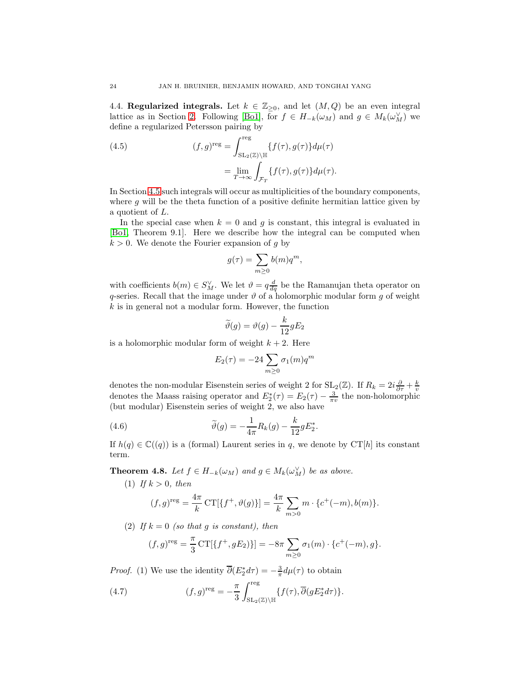4.4. Regularized integrals. Let  $k \in \mathbb{Z}_{\geq 0}$ , and let  $(M, Q)$  be an even integral lattice as in Section [2.](#page-7-0) Following [\[Bo1\]](#page-67-2), for  $f \in H_{-k}(\omega_M)$  and  $g \in M_k(\omega_M^{\vee})$  we define a regularized Petersson pairing by

<span id="page-23-2"></span>(4.5) 
$$
(f,g)^{\text{reg}} = \int_{\text{SL}_2(\mathbb{Z}) \backslash \mathbb{H}}^{\text{reg}} \{f(\tau), g(\tau)\} d\mu(\tau)
$$

$$
= \lim_{T \to \infty} \int_{\mathcal{F}_T} \{f(\tau), g(\tau)\} d\mu(\tau).
$$

In Section [4.5](#page-24-0) such integrals will occur as multiplicities of the boundary components, where  $g$  will be the theta function of a positive definite hermitian lattice given by a quotient of L.

In the special case when  $k = 0$  and g is constant, this integral is evaluated in [\[Bo1,](#page-67-2) Theorem 9.1]. Here we describe how the integral can be computed when  $k > 0$ . We denote the Fourier expansion of g by

$$
g(\tau) = \sum_{m \ge 0} b(m)q^m,
$$

with coefficients  $b(m) \in S_M^{\vee}$ . We let  $\vartheta = q \frac{d}{dq}$  be the Ramanujan theta operator on q-series. Recall that the image under  $\vartheta$  of a holomorphic modular form g of weight  $k$  is in general not a modular form. However, the function

$$
\widetilde{\vartheta}(g) = \vartheta(g) - \frac{k}{12}gE_2
$$

is a holomorphic modular form of weight  $k + 2$ . Here

$$
E_2(\tau) = -24 \sum_{m \ge 0} \sigma_1(m) q^m
$$

denotes the non-modular Eisenstein series of weight 2 for  $SL_2(\mathbb{Z})$ . If  $R_k = 2i \frac{\partial}{\partial \tau} + \frac{k}{v}$  denotes the Maass raising operator and  $E_2^*(\tau) = E_2(\tau) - \frac{3}{\pi v}$  the non-holomorphic (but modular) Eisenstein series of weight 2, we also have

<span id="page-23-0"></span>(4.6) 
$$
\widetilde{\vartheta}(g) = -\frac{1}{4\pi} R_k(g) - \frac{k}{12} g E_2^*.
$$

If  $h(q) \in \mathbb{C}((q))$  is a (formal) Laurent series in q, we denote by CT[h] its constant term.

<span id="page-23-3"></span>**Theorem 4.8.** Let  $f \in H_{-k}(\omega_M)$  and  $g \in M_k(\omega_M^{\vee})$  be as above.

(1) If  $k > 0$ , then

$$
(f,g)^{\text{reg}} = \frac{4\pi}{k} \text{CT}[\{f^+, \vartheta(g)\}] = \frac{4\pi}{k} \sum_{m>0} m \cdot \{c^+(-m), b(m)\}.
$$

(2) If  $k = 0$  (so that g is constant), then

$$
(f,g)^{\text{reg}} = \frac{\pi}{3} \text{CT}[\{f^+, gE_2\}]] = -8\pi \sum_{m \ge 0} \sigma_1(m) \cdot \{c^+(-m), g\}.
$$

*Proof.* (1) We use the identity  $\overline{\partial}(E_2^* d\tau) = -\frac{3}{\pi}d\mu(\tau)$  to obtain

<span id="page-23-1"></span>(4.7) 
$$
(f,g)^{\text{reg}} = -\frac{\pi}{3} \int_{\text{SL}_2(\mathbb{Z}) \backslash \mathbb{H}}^{\text{reg}} \{f(\tau), \overline{\partial}(gE_2^* d\tau)\}.
$$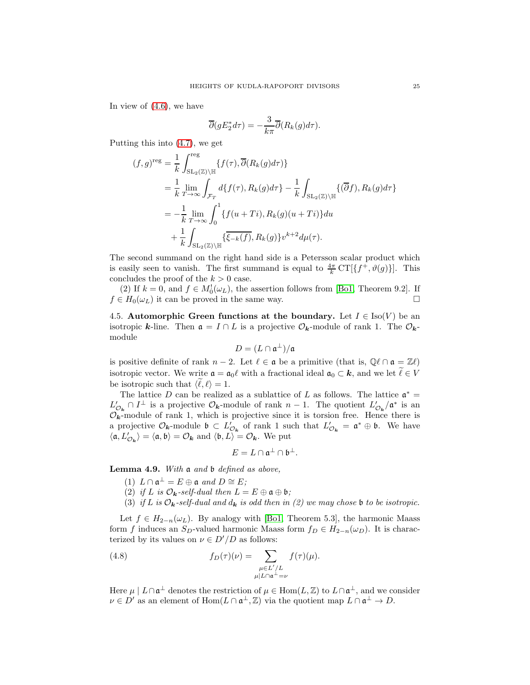In view of [\(4.6\)](#page-23-0), we have

$$
\overline{\partial}(gE_2^*d\tau) = -\frac{3}{k\pi}\overline{\partial}(R_k(g)d\tau).
$$

Putting this into [\(4.7\)](#page-23-1), we get

$$
(f,g)^{\text{reg}} = \frac{1}{k} \int_{\text{SL}_2(\mathbb{Z}) \backslash \mathbb{H}}^{\text{reg}} \{f(\tau), \overline{\partial}(R_k(g)d\tau)\}
$$
  
\n
$$
= \frac{1}{k} \lim_{T \to \infty} \int_{\mathcal{F}_T} d\{f(\tau), R_k(g)d\tau\} - \frac{1}{k} \int_{\text{SL}_2(\mathbb{Z}) \backslash \mathbb{H}} \{(\overline{\partial}f), R_k(g)d\tau\}
$$
  
\n
$$
= -\frac{1}{k} \lim_{T \to \infty} \int_0^1 \{f(u+Ti), R_k(g)(u+Ti)\} du
$$
  
\n
$$
+ \frac{1}{k} \int_{\text{SL}_2(\mathbb{Z}) \backslash \mathbb{H}} \{\overline{\xi_{-k}(f)}, R_k(g)\} v^{k+2} d\mu(\tau).
$$

The second summand on the right hand side is a Petersson scalar product which is easily seen to vanish. The first summand is equal to  $\frac{4\pi}{k} \mathrm{CT}[\{f^+, \vartheta(g)\}]$ . This concludes the proof of the  $k > 0$  case.

(2) If  $k = 0$ , and  $f \in M_0^1(\omega_L)$ , the assertion follows from [\[Bo1,](#page-67-2) Theorem 9.2]. If  $f \in H_0(\omega_L)$  it can be proved in the same way.

<span id="page-24-0"></span>4.5. Automorphic Green functions at the boundary. Let  $I \in Iso(V)$  be an isotropic k-line. Then  $\mathfrak{a} = I \cap L$  is a projective  $\mathcal{O}_{k}$ -module of rank 1. The  $\mathcal{O}_{k}$ module

$$
D=(L\cap\mathfrak{a}^\perp)/\mathfrak{a}
$$

is positive definite of rank  $n-2$ . Let  $\ell \in \mathfrak{a}$  be a primitive (that is,  $\mathbb{Q}\ell \cap \mathfrak{a} = \mathbb{Z}\ell$ ) isotropic vector. We write  $\mathfrak{a} = \mathfrak{a}_0 \ell$  with a fractional ideal  $\mathfrak{a}_0 \subset \mathbf{k}$ , and we let  $\widetilde{\ell} \in V$ be isotropic such that  $\langle \ell, \ell \rangle = 1$ .

The lattice D can be realized as a sublattice of L as follows. The lattice  $\mathfrak{a}^* =$  $L'_{\mathcal{O}_k} \cap I^{\perp}$  is a projective  $\mathcal{O}_k$ -module of rank  $n-1$ . The quotient  $L'_{\mathcal{O}_k}/\mathfrak{a}^*$  is an  $\mathcal{O}_k$ -module of rank 1, which is projective since it is torsion free. Hence there is  $\mathcal{O}_k$ -module of rank 1, which is projective since it is torsion free. Hence there is a projective  $\mathcal{O}_k$ -module  $\mathfrak{b} \subset L'_{\mathcal{O}_k}$  of rank 1 such that  $L'_{\mathcal{O}_k} = \mathfrak{a}^* \oplus \mathfrak{b}$ . We have  $\langle \mathfrak{a}, L'_{\mathcal{O}_k} \rangle = \langle \mathfrak{a}, \mathfrak{b} \rangle = \mathcal{O}_k$  and  $\langle \mathfrak{b}, L \rangle = \mathcal{O}_k$ . We put

$$
E=L\cap\mathfrak{a}^{\perp}\cap\mathfrak{b}^{\perp}.
$$

<span id="page-24-1"></span>**Lemma 4.9.** With  $\mathfrak{a}$  and  $\mathfrak{b}$  defined as above,

- $(1)$   $L \cap \mathfrak{a}^{\perp} = E \oplus \mathfrak{a}$  and  $D \cong E$ ;
- (2) if L is  $\mathcal{O}_k$ -self-dual then  $L = E \oplus \mathfrak{a} \oplus \mathfrak{b}$ ;
- (3) if L is  $\mathcal{O}_k$ -self-dual and  $d_k$  is odd then in (2) we may chose b to be isotropic.

Let  $f \in H_{2-n}(\omega_L)$ . By analogy with [\[Bo1,](#page-67-2) Theorem 5.3], the harmonic Maass form f induces an S<sub>D</sub>-valued harmonic Maass form  $f_D \in H_{2-n}(\omega_D)$ . It is characterized by its values on  $\nu \in D'/D$  as follows:

<span id="page-24-2"></span>(4.8) 
$$
f_D(\tau)(\nu) = \sum_{\substack{\mu \in L'/L \\ \mu | L \cap \mathfrak{a}^{\perp} = \nu}} f(\tau)(\mu).
$$

Here  $\mu \mid L \cap \mathfrak{a}^{\perp}$  denotes the restriction of  $\mu \in \text{Hom}(L, \mathbb{Z})$  to  $L \cap \mathfrak{a}^{\perp}$ , and we consider  $\nu \in D'$  as an element of  $\text{Hom}(L \cap \mathfrak{a}^{\perp}, \mathbb{Z})$  via the quotient map  $L \cap \mathfrak{a}^{\perp} \to D$ .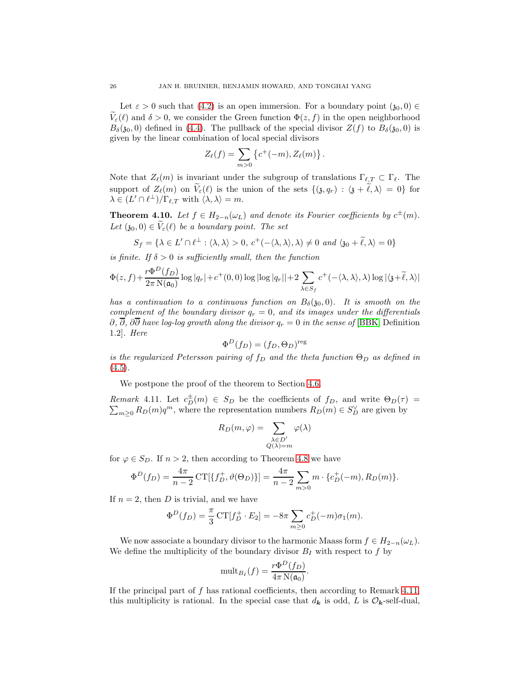Let  $\varepsilon > 0$  such that [\(4.2\)](#page-21-0) is an open immersion. For a boundary point  $(\mathfrak{z}_0, 0) \in$  $\widetilde{V}_{\varepsilon}(\ell)$  and  $\delta > 0$ , we consider the Green function  $\Phi(z, f)$  in the open neighborhood  $B_{\delta}(\mathfrak{z}_0, 0)$  defined in [\(4.4\)](#page-22-2). The pullback of the special divisor  $Z(f)$  to  $B_{\delta}(\mathfrak{z}_0, 0)$  is given by the linear combination of local special divisors

$$
Z_{\ell}(f) = \sum_{m>0} \left\{ c^{+}(-m), Z_{\ell}(m) \right\}
$$

.

Note that  $Z_{\ell}(m)$  is invariant under the subgroup of translations  $\Gamma_{\ell,T} \subset \Gamma_{\ell}$ . The support of  $Z_{\ell}(m)$  on  $V_{\epsilon}(\ell)$  is the union of the sets  $\{(3, q_r) : \langle 3 + \ell, \lambda \rangle = 0\}$  for  $\lambda \in (L' \cap \ell^{\perp})/\Gamma_{\ell,T}$  with  $\langle \lambda, \lambda \rangle = m$ .

<span id="page-25-1"></span>**Theorem 4.10.** Let  $f \in H_{2-n}(\omega_L)$  and denote its Fourier coefficients by  $c^{\pm}(m)$ . Let  $(s_0, 0) \in V_{\varepsilon}(\ell)$  be a boundary point. The set

$$
S_f = \{ \lambda \in L' \cap \ell^{\perp} : \langle \lambda, \lambda \rangle > 0, c^+(-\langle \lambda, \lambda \rangle, \lambda) \neq 0 \text{ and } \langle \mathfrak{z}_0 + \widetilde{\ell}, \lambda \rangle = 0 \}
$$

is finite. If  $\delta > 0$  is sufficiently small, then the function

 $-D(x)$ 

$$
\Phi(z,f) + \frac{r\Phi^D(f_D)}{2\pi N(\mathfrak{a}_0)} \log |q_r| + c^+(0,0) \log |\log |q_r|| + 2 \sum_{\lambda \in S_f} c^+(-\langle \lambda, \lambda \rangle, \lambda) \log |\langle \mathfrak{z} + \widetilde{\ell}, \lambda \rangle|
$$

has a continuation to a continuous function on  $B_\delta(\mathfrak{z}_0,0)$ . It is smooth on the complement of the boundary divisor  $q_r = 0$ , and its images under the differentials  $\partial$ ,  $\overline{\partial}$ ,  $\partial \overline{\partial}$  have log-log growth along the divisor  $q_r = 0$  in the sense of [\[BBK,](#page-67-8) Definition 1.2]. Here

$$
\Phi^D(f_D) = (f_D, \Theta_D)^{\text{reg}}
$$

is the regularized Petersson pairing of  $f_D$  and the theta function  $\Theta_D$  as defined in  $(4.5).$  $(4.5).$ 

We postpone the proof of the theorem to Section [4.6.](#page-26-1)

<span id="page-25-0"></span>Remark 4.11. Let  $c_D^{\pm}(m) \in S_D$  be the coefficients of  $f_D$ , and write  $\Theta_D(\tau) =$  $\sum_{m\geq 0} R_D(m)q^m$ , where the representation numbers  $R_D(m) \in S_D^{\vee}$  are given by

$$
R_D(m,\varphi) = \sum_{\substack{\lambda \in D'\\ Q(\lambda) = m}} \varphi(\lambda)
$$

for  $\varphi \in S_D$ . If  $n > 2$ , then according to Theorem [4.8](#page-23-3) we have

$$
\Phi^{D}(f_{D}) = \frac{4\pi}{n-2} \mathrm{CT}[\{f_{D}^{+}, \vartheta(\Theta_{D})\}] = \frac{4\pi}{n-2} \sum_{m>0} m \cdot \{c_{D}^{+}(-m), R_{D}(m)\}.
$$

If  $n = 2$ , then D is trivial, and we have

$$
\Phi^{D}(f_{D}) = \frac{\pi}{3} \operatorname{CT}[f_{D}^{+} \cdot E_{2}] = -8\pi \sum_{m \ge 0} c_{D}^{+}(-m)\sigma_{1}(m).
$$

We now associate a boundary divisor to the harmonic Maass form  $f \in H_{2-n}(\omega_L)$ . We define the multiplicity of the boundary divisor  $B_I$  with respect to f by

$$
\text{mult}_{B_I}(f) = \frac{r\Phi^D(f_D)}{4\pi \,\text{N}(\mathfrak{a}_0)}.
$$

If the principal part of f has rational coefficients, then according to Remark [4.11,](#page-25-0) this multiplicity is rational. In the special case that  $d_k$  is odd, L is  $\mathcal{O}_k$ -self-dual,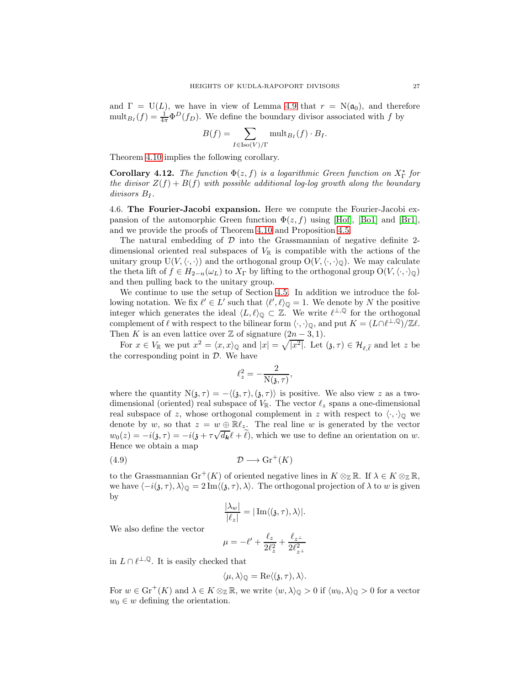and  $\Gamma = U(L)$ , we have in view of Lemma [4.9](#page-24-1) that  $r = N(\mathfrak{a}_0)$ , and therefore  $\text{mult}_{B_I}(f) = \frac{1}{4\pi} \Phi^D(f_D)$ . We define the boundary divisor associated with f by

$$
B(f) = \sum_{I \in \text{Iso}(V)/\Gamma} \text{mult}_{B_I}(f) \cdot B_I.
$$

Theorem [4.10](#page-25-1) implies the following corollary.

<span id="page-26-0"></span>**Corollary 4.12.** The function  $\Phi(z, f)$  is a logarithmic Green function on  $X_{\Gamma}^*$  for the divisor  $Z(f) + B(f)$  with possible additional log-log growth along the boundary  $divisors B_I$ .

<span id="page-26-1"></span>4.6. The Fourier-Jacobi expansion. Here we compute the Fourier-Jacobi expansion of the automorphic Green function  $\Phi(z, f)$  using [\[Hof\]](#page-68-20), [\[Bo1\]](#page-67-2) and [\[Br1\]](#page-67-4), and we provide the proofs of Theorem [4.10](#page-25-1) and Proposition [4.5.](#page-21-1)

The natural embedding of  $D$  into the Grassmannian of negative definite 2dimensional oriented real subspaces of  $V_{\mathbb{R}}$  is compatible with the actions of the unitary group  $U(V,\langle\cdot,\cdot\rangle)$  and the orthogonal group  $O(V,\langle\cdot,\cdot\rangle)$ . We may calculate the theta lift of  $f \in H_{2-n}(\omega_L)$  to  $X_{\Gamma}$  by lifting to the orthogonal group  $O(V,\langle \cdot, \cdot \rangle_{\mathbb{Q}})$ and then pulling back to the unitary group.

We continue to use the setup of Section [4.5.](#page-24-0) In addition we introduce the following notation. We fix  $\ell' \in L'$  such that  $\langle \ell', \ell \rangle_{\mathbb{Q}} = 1$ . We denote by N the positive integer which generates the ideal  $\langle L, \ell \rangle_{\mathbb{Q}} \subset \mathbb{Z}$ . We write  $\ell^{\perp, \mathbb{Q}}$  for the orthogonal complement of  $\ell$  with respect to the bilinear form  $\langle \cdot, \cdot \rangle_{\mathbb{Q}}$ , and put  $K = (L \cap \ell^{\perp, \mathbb{Q}})/\mathbb{Z} \ell$ . Then K is an even lattice over Z of signature  $(2n-3,1)$ .

For  $x \in V_{\mathbb{R}}$  we put  $x^2 = \langle x, x \rangle_{\mathbb{Q}}$  and  $|x| = \sqrt{|x^2|}$ . Let  $(\mathfrak{z}, \tau) \in \mathcal{H}_{\ell, \widetilde{\ell}}$  and let z be the corresponding point in  $\mathcal{D}$ . We have

$$
\ell_z^2 = -\frac{2}{\mathrm{N}(\mathfrak{z},\tau)},
$$

where the quantity  $N(\mathfrak{z}, \tau) = -\langle (\mathfrak{z}, \tau), (\mathfrak{z}, \tau) \rangle$  is positive. We also view z as a twodimensional (oriented) real subspace of  $V_{\mathbb{R}}$ . The vector  $\ell_z$  spans a one-dimensional real subspace of z, whose orthogonal complement in z with respect to  $\langle \cdot, \cdot \rangle_0$  we denote by w, so that  $z = w \oplus \mathbb{R}l_z$ . The real line w is generated by the vector  $w_0(z) = -i(j, \tau) = -i(j + \tau \sqrt{d_k} \ell + \tilde{\ell}),$  which we use to define an orientation on w. Hence we obtain a map

<span id="page-26-2"></span>D −→ Gr<sup>+</sup> (4.9) (K)

to the Grassmannian  $\text{Gr}^+(K)$  of oriented negative lines in  $K \otimes_{\mathbb{Z}} \mathbb{R}$ . If  $\lambda \in K \otimes_{\mathbb{Z}} \mathbb{R}$ , we have  $\langle -i(\mathfrak{z}, \tau), \lambda \rangle_{\mathbb{Q}} = 2 \operatorname{Im} \langle (\mathfrak{z}, \tau), \lambda \rangle$ . The orthogonal projection of  $\lambda$  to w is given by

$$
\frac{|\lambda_w|}{|\ell_z|}=|\operatorname{Im}\langle(\mathfrak{z},\tau),\lambda\rangle|.
$$

We also define the vector

$$
\mu = -\ell' + \frac{\ell_z}{2\ell_z^2} + \frac{\ell_{z^\perp}}{2\ell_{z^\perp}^2}
$$

in  $L \cap \ell^{\perp,\mathbb{Q}}$ . It is easily checked that

$$
\langle \mu, \lambda \rangle_{\mathbb{Q}} = \text{Re}\langle (\mathfrak{z}, \tau), \lambda \rangle.
$$

For  $w \in \mathrm{Gr}^+(K)$  and  $\lambda \in K \otimes_{\mathbb{Z}} \mathbb{R}$ , we write  $\langle w, \lambda \rangle_{\mathbb{Q}} > 0$  if  $\langle w_0, \lambda \rangle_{\mathbb{Q}} > 0$  for a vector  $w_0 \in w$  defining the orientation.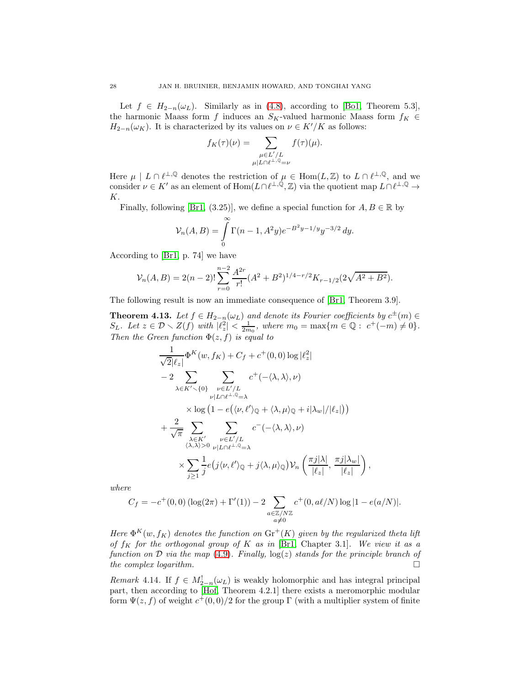Let  $f \in H_{2-n}(\omega_L)$ . Similarly as in [\(4.8\)](#page-24-2), according to [\[Bo1,](#page-67-2) Theorem 5.3], the harmonic Maass form f induces an S<sub>K</sub>-valued harmonic Maass form  $f_K \in$  $H_{2-n}(\omega_K)$ . It is characterized by its values on  $\nu \in K'/K$  as follows:

$$
f_K(\tau)(\nu) = \sum_{\substack{\mu \in L'/L \\ \mu | L \cap \ell^{\perp, \mathbb{Q}} = \nu}} f(\tau)(\mu).
$$

Here  $\mu \mid L \cap \ell^{\perp,\mathbb{Q}}$  denotes the restriction of  $\mu \in \text{Hom}(L,\mathbb{Z})$  to  $L \cap \ell^{\perp,\mathbb{Q}}$ , and we consider  $\nu \in K'$  as an element of  $\text{Hom}(L \cap \ell^{\perp,\mathbb{Q}}, \mathbb{Z})$  via the quotient map  $L \cap \ell^{\perp,\mathbb{Q}} \to$ K.

Finally, following [\[Br1,](#page-67-4) (3.25)], we define a special function for  $A, B \in \mathbb{R}$  by

$$
\mathcal{V}_n(A, B) = \int\limits_0^\infty \Gamma(n-1, A^2y) e^{-B^2y - 1/y} y^{-3/2} dy.
$$

According to [\[Br1,](#page-67-4) p. 74] we have

$$
\mathcal{V}_n(A, B) = 2(n-2)! \sum_{r=0}^{n-2} \frac{A^{2r}}{r!} (A^2 + B^2)^{1/4-r/2} K_{r-1/2} (2\sqrt{A^2 + B^2}).
$$

The following result is now an immediate consequence of [\[Br1,](#page-67-4) Theorem 3.9].

<span id="page-27-0"></span>**Theorem 4.13.** Let  $f \in H_{2-n}(\omega_L)$  and denote its Fourier coefficients by  $c^{\pm}(m) \in$  $S_L$ . Let  $z \in \mathcal{D} \setminus Z(f)$  with  $|\ell_z^2| < \frac{1}{2m_0}$ , where  $m_0 = \max\{m \in \mathbb{Q}: c^+(-m) \neq 0\}$ . Then the Green function  $\Phi(z, f)$  is equal to

$$
\frac{1}{\sqrt{2}|\ell_{z}|} \Phi^{K}(w, f_{K}) + C_{f} + c^{+}(0, 0) \log |\ell_{z}^{2}|
$$
\n
$$
-2 \sum_{\lambda \in K' \setminus \{0\}} \sum_{\substack{\nu \in L'/L \\ \nu | L \cap \ell^{\perp}, \mathbb{Q} = \lambda}} c^{+}(-\langle \lambda, \lambda \rangle, \nu)
$$
\n
$$
\times \log (1 - e(\langle \nu, \ell' \rangle_{\mathbb{Q}} + \langle \lambda, \mu \rangle_{\mathbb{Q}} + i |\lambda_{w}| / |\ell_{z}|))
$$
\n
$$
+ \frac{2}{\sqrt{\pi}} \sum_{\substack{\lambda \in K' \\ \langle \lambda, \lambda \rangle > 0}} \sum_{\substack{\nu \in L'/L \\ \nu | L \cap \ell^{\perp}, \mathbb{Q} = \lambda}} c^{-}(-\langle \lambda, \lambda \rangle, \nu)
$$
\n
$$
\times \sum_{j \geq 1} \frac{1}{j} e(j \langle \nu, \ell' \rangle_{\mathbb{Q}} + j \langle \lambda, \mu \rangle_{\mathbb{Q}}) \mathcal{V}_{n} \left( \frac{\pi j |\lambda|}{|\ell_{z}|}, \frac{\pi j |\lambda_{w}|}{|\ell_{z}|} \right),
$$

where

$$
C_f = -c^+(0,0) \left( \log(2\pi) + \Gamma'(1) \right) - 2 \sum_{\substack{a \in \mathbb{Z}/N\mathbb{Z} \\ a \neq 0}} c^+(0, a\ell/N) \log|1 - e(a/N)|.
$$

Here  $\Phi^K(w, f_K)$  denotes the function on  $\text{Gr}^+(K)$  given by the regularized theta lift of  $f_K$  for the orthogonal group of K as in [\[Br1,](#page-67-4) Chapter 3.1]. We view it as a function on  $\mathcal D$  via the map [\(4.9\)](#page-26-2). Finally,  $\log(z)$  stands for the principle branch of the complex logarithm. the complex logarithm.

Remark 4.14. If  $f \in M_{2-n}^{!}(\omega_L)$  is weakly holomorphic and has integral principal part, then according to [\[Hof,](#page-68-20) Theorem 4.2.1] there exists a meromorphic modular form  $\Psi(z, f)$  of weight  $c^+(0, 0)/2$  for the group  $\Gamma$  (with a multiplier system of finite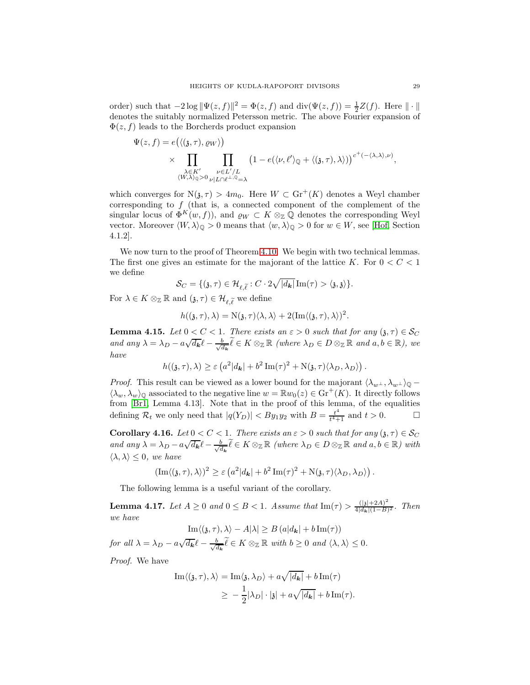order) such that  $-2\log \|\Psi(z, f)\|^2 = \Phi(z, f)$  and  $\text{div}(\Psi(z, f)) = \frac{1}{2}Z(f)$ . Here  $\|\cdot\|$ denotes the suitably normalized Petersson metric. The above Fourier expansion of  $\Phi(z, f)$  leads to the Borcherds product expansion

$$
\Psi(z,f) = e(\langle \langle \mathfrak{z}, \tau \rangle, \varrho_{W} \rangle) \times \prod_{\substack{\lambda \in K' \\ \langle W, \lambda \rangle_{\mathbb{Q}} > 0}} \prod_{\substack{\nu \in L'/L \\ \nu |L \cap \ell^{\perp}, \mathbb{Q} = \lambda}} \left(1 - e(\langle \nu, \ell' \rangle_{\mathbb{Q}} + \langle \mathfrak{z}, \tau \rangle, \lambda \rangle)\right)^{c^+(-\langle \lambda, \lambda \rangle, \nu)},
$$

which converges for  $N(\mathfrak{z}, \tau) > 4m_0$ . Here  $W \subset \text{Gr}^+(K)$  denotes a Weyl chamber corresponding to  $f$  (that is, a connected component of the complement of the singular locus of  $\Phi^K(w, f)$ , and  $\varrho_W \subset K \otimes_{\mathbb{Z}} \mathbb{Q}$  denotes the corresponding Weyl vector. Moreover  $\langle W, \lambda \rangle_{\mathbb{Q}} > 0$  means that  $\langle w, \lambda \rangle_{\mathbb{Q}} > 0$  for  $w \in W$ , see [\[Hof,](#page-68-20) Section 4.1.2].

We now turn to the proof of Theorem [4.10.](#page-25-1) We begin with two technical lemmas. The first one gives an estimate for the majorant of the lattice K. For  $0 < C < 1$ we define

$$
\mathcal{S}_C = \{(\mathfrak{z}, \tau) \in \mathcal{H}_{\ell, \widetilde{\ell}} : C \cdot 2\sqrt{|d_{\boldsymbol{k}}|} \operatorname{Im}(\tau) > \langle \mathfrak{z}, \mathfrak{z} \rangle\}.
$$

For  $\lambda \in K \otimes_{\mathbb{Z}} \mathbb{R}$  and  $(\mathfrak{z}, \tau) \in \mathcal{H}_{\ell \widetilde{\ell}}$  we define

$$
h((\mathfrak{z},\tau),\lambda)=\mathrm{N}(\mathfrak{z},\tau)\langle\lambda,\lambda\rangle+2(\mathrm{Im}\langle(\mathfrak{z},\tau),\lambda\rangle)^2.
$$

<span id="page-28-0"></span>**Lemma 4.15.** Let  $0 < C < 1$ . There exists an  $\varepsilon > 0$  such that for any  $(\mathfrak{z}, \tau) \in \mathcal{S}_C$ and any  $\lambda = \lambda_D - a\sqrt{d_{\mathbf{k}}} \ell - \frac{b}{\sqrt{a}}$  $\frac{b}{d_k} \ell \in K \otimes_{\mathbb{Z}} \mathbb{R}$  (where  $\lambda_D \in D \otimes_{\mathbb{Z}} \mathbb{R}$  and  $a, b \in \mathbb{R}$ ), we have

$$
h((\mathfrak{z},\tau),\lambda) \geq \varepsilon \left( a^2 |d_{\mathbf{k}}| + b^2 \operatorname{Im}(\tau)^2 + \mathrm{N}(\mathfrak{z},\tau) \langle \lambda_D, \lambda_D \rangle \right).
$$

*Proof.* This result can be viewed as a lower bound for the majorant  $\langle \lambda_{w^{\perp}}, \lambda_{w^{\perp}} \rangle_{\mathbb{Q}}$  –  $\langle \lambda_w, \lambda_w \rangle_{\mathbb{Q}}$  associated to the negative line  $w = \mathbb{R}w_0(z) \in \text{Gr}^+(K)$ . It directly follows from [\[Br1,](#page-67-4) Lemma 4.13]. Note that in the proof of this lemma, of the equalities defining  $\mathcal{R}_t$  we only need that  $|q(Y_D)| < By_1y_2$  with  $B = \frac{t^4}{t^4 + 1}$  $\frac{t^4}{t^4+1}$  and  $t > 0$ .

<span id="page-28-1"></span>Corollary 4.16. Let  $0 < C < 1$ . There exists an  $\varepsilon > 0$  such that for any  $(\mathfrak{z}, \tau) \in \mathcal{S}_C$ and any  $\lambda = \lambda_D - a\sqrt{d_{\mathbf{k}}} \ell - \frac{b}{\sqrt{c}}$  $\frac{b}{d_k} \ell \in K \otimes_{\mathbb{Z}} \mathbb{R}$  (where  $\lambda_D \in D \otimes_{\mathbb{Z}} \mathbb{R}$  and  $a, b \in \mathbb{R}$ ) with  $\langle \lambda, \lambda \rangle \leq 0$ , we have

$$
(\text{Im}\langle (\mathfrak{z},\tau),\lambda\rangle)^2 \geq \varepsilon \left( a^2 |d_{\mathbf{k}}| + b^2 \text{Im}(\tau)^2 + \text{N}(\mathfrak{z},\tau) \langle \lambda_D, \lambda_D \rangle \right).
$$

The following lemma is a useful variant of the corollary.

<span id="page-28-2"></span>**Lemma 4.17.** Let  $A \ge 0$  and  $0 \le B < 1$ . Assume that  $\text{Im}(\tau) > \frac{(|\mathfrak{z}| + 2A)^2}{4|d_{\mathbf{k}}|(1-B)}$  $rac{(3+2A)}{4|d_{\mathbf{k}}|(1-B)^2}$ . Then we have

$$
\operatorname{Im}\langle (\mathfrak{z},\tau),\lambda\rangle - A|\lambda| \geq B\left(a|d_{\mathbf{k}}| + b\operatorname{Im}(\tau)\right)
$$

for all  $\lambda = \lambda_D - a\sqrt{d_{\mathbf{k}}} \ell - \frac{b}{\sqrt{a}}$  $\frac{b}{d_{\mathbf{k}}} \ell \in K \otimes_{\mathbb{Z}} \mathbb{R}$  with  $b \geq 0$  and  $\langle \lambda, \lambda \rangle \leq 0$ .

Proof. We have

$$
\begin{aligned} \mathrm{Im}\langle (\mathfrak{z},\tau),\lambda\rangle&=\mathrm{Im}\langle \mathfrak{z},\lambda_D\rangle+a\sqrt{\left|d_{\pmb{k}}\right|}+b\,\mathrm{Im}(\tau)\\ &\geq{}-\frac{1}{2}|\lambda_D|\cdot|\mathfrak{z}|+a\sqrt{\left|d_{\pmb{k}}\right|}+b\,\mathrm{Im}(\tau). \end{aligned}
$$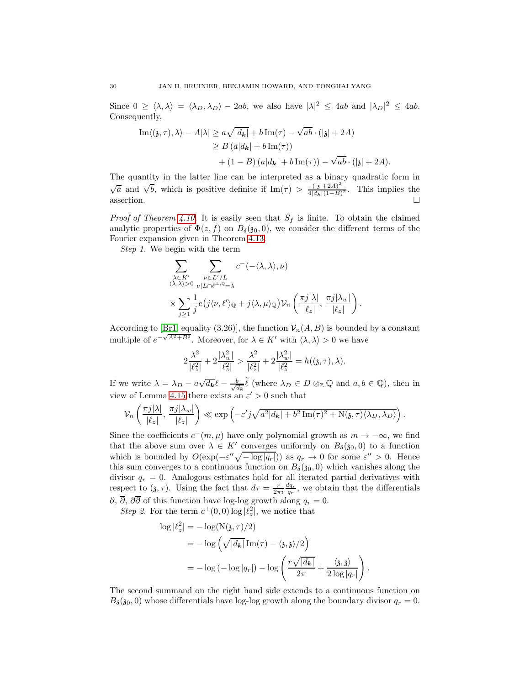Since  $0 \ge \langle \lambda, \lambda \rangle = \langle \lambda_D, \lambda_D \rangle - 2ab$ , we also have  $|\lambda|^2 \le 4ab$  and  $|\lambda_D|^2 \le 4ab$ . Consequently,

$$
\begin{aligned} \text{Im}\langle(\mathfrak{z},\tau),\lambda\rangle - A|\lambda| &\geq a\sqrt{|d_{\mathbf{k}}|} + b\,\text{Im}(\tau) - \sqrt{ab}\cdot(|\mathfrak{z}| + 2A) \\ &\geq B\left(a|d_{\mathbf{k}}| + b\,\text{Im}(\tau)\right) \\ &+ (1 - B)\left(a|d_{\mathbf{k}}| + b\,\text{Im}(\tau)\right) - \sqrt{ab}\cdot(|\mathfrak{z}| + 2A). \end{aligned}
$$

The quantity in the latter line can be interpreted as a binary quadratic form in  $\sqrt{a}$  and  $\sqrt{b}$ , which is positive definite if Im( $\tau$ ) >  $\frac{(|\mathbf{j}|+2A)^2}{4|d_1|(1-B)}$  $\frac{(|\mathfrak{z}|+2A)}{4|d_{\mathbf{k}}|(1-B)^2}$ . This implies the assertion.  $\square$ 

*Proof of Theorem [4.10.](#page-25-1)* It is easily seen that  $S_f$  is finite. To obtain the claimed analytic properties of  $\Phi(z, f)$  on  $B_{\delta}(30, 0)$ , we consider the different terms of the Fourier expansion given in Theorem [4.13.](#page-27-0)

Step 1. We begin with the term

$$
\sum_{\substack{\lambda \in K' \\ \langle \lambda, \lambda \rangle > 0}} \sum_{\substack{\nu \in L'/L \\ \nu | L \cap \ell^{\perp}, \mathbb{Q} = \lambda}} c^{-}(-\langle \lambda, \lambda \rangle, \nu) \times \sum_{j \geq 1} \frac{1}{j} e(j \langle \nu, \ell' \rangle_{\mathbb{Q}} + j \langle \lambda, \mu \rangle_{\mathbb{Q}}) \mathcal{V}_n \left( \frac{\pi j |\lambda|}{|\ell_z|}, \frac{\pi j |\lambda_w|}{|\ell_z|} \right).
$$

According to [\[Br1,](#page-67-4) equality (3.26)], the function  $\mathcal{V}_n(A, B)$  is bounded by a constant multiple of  $e^{-\sqrt{A^2+B^2}}$ . Moreover, for  $\lambda \in K'$  with  $\langle \lambda, \lambda \rangle > 0$  we have

$$
2\frac{\lambda^2}{|\ell_z^2|} + 2\frac{|\lambda_w^2|}{|\ell_z^2|} > \frac{\lambda^2}{|\ell_z^2|} + 2\frac{|\lambda_w^2|}{|\ell_z^2|} = h((\mathfrak{z}, \tau), \lambda).
$$

If we write  $\lambda = \lambda_D - a\sqrt{d_{\mathbf{k}}}\ell - \frac{b}{\sqrt{d_{\mathbf{k}}}}$  $\frac{b}{d_k}$  (where  $\lambda_D \in D \otimes_{\mathbb{Z}} \mathbb{Q}$  and  $a, b \in \mathbb{Q}$ ), then in view of Lemma [4.15](#page-28-0) there exists an  $\varepsilon' > 0$  such that

$$
\mathcal{V}_n\left(\frac{\pi j|\lambda|}{|\ell_z|},\,\frac{\pi j|\lambda_w|}{|\ell_z|}\right) \ll \exp\left(-\varepsilon' j\sqrt{a^2|d_{\mathbf{k}}|+b^2\operatorname{Im}(\tau)^2+\operatorname{N}(\mathfrak{z},\tau)\langle\lambda_D,\lambda_D\rangle}\right).
$$

Since the coefficients  $c^-(m,\mu)$  have only polynomial growth as  $m \to -\infty$ , we find that the above sum over  $\lambda \in K'$  converges uniformly on  $B_{\delta}(\mathfrak{z}_0,0)$  to a function which is bounded by  $O(\exp(-\varepsilon''\sqrt{-\log|q_r|}))$  as  $q_r \to 0$  for some  $\varepsilon'' > 0$ . Hence this sum converges to a continuous function on  $B_{\delta}(\mathfrak{z}_0, 0)$  which vanishes along the divisor  $q_r = 0$ . Analogous estimates hold for all iterated partial derivatives with respect to  $(\mathfrak{z}, \tau)$ . Using the fact that  $d\tau = \frac{r}{2\pi i} \frac{dq_r}{q_r}$ , we obtain that the differentials  $\partial$ ,  $\overline{\partial}$ ,  $\partial \overline{\partial}$  of this function have log-log growth along  $q_r = 0$ .

Step 2. For the term  $c^+(0,0)$  log  $|\ell_z^2|$ , we notice that

$$
\log |\ell_z^2| = -\log(N(\mathfrak{z}, \tau)/2)
$$
  
=  $-\log \left( \sqrt{|d_{\mathbf{k}}|} \operatorname{Im}(\tau) - \langle \mathfrak{z}, \mathfrak{z} \rangle / 2 \right)$   
=  $-\log \left( -\log |q_r| \right) - \log \left( \frac{r \sqrt{|d_{\mathbf{k}}|}}{2\pi} + \frac{\langle \mathfrak{z}, \mathfrak{z} \rangle}{2 \log |q_r|} \right).$ 

The second summand on the right hand side extends to a continuous function on  $B_{\delta}(\mathfrak{z}_0, 0)$  whose differentials have log-log growth along the boundary divisor  $q_r = 0$ .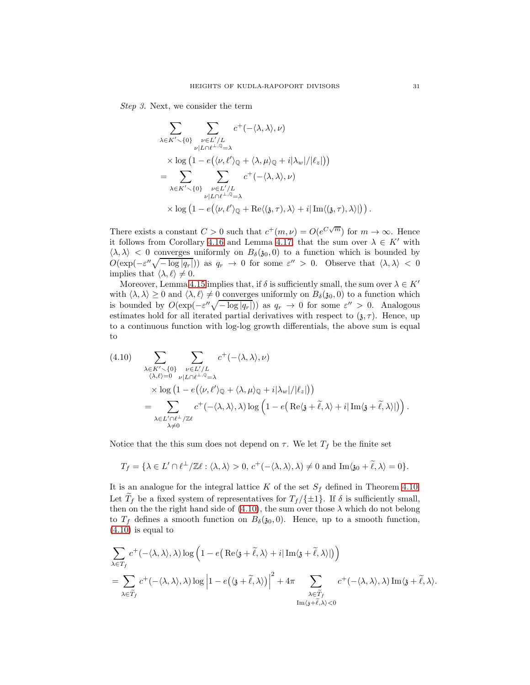Step 3. Next, we consider the term

$$
\sum_{\lambda \in K' \smallsetminus \{0\}} \sum_{\substack{\nu \in L'/L \\ \nu | L \cap \ell^{\perp}, \mathbb{Q} = \lambda}} c^+(-\langle \lambda, \lambda \rangle, \nu) \times \log (1 - e(\langle \nu, \ell' \rangle_{\mathbb{Q}} + \langle \lambda, \mu \rangle_{\mathbb{Q}} + i|\lambda_w|/|\ell_z|)) \n= \sum_{\lambda \in K' \smallsetminus \{0\}} \sum_{\substack{\nu \in L'/L \\ \nu | L \cap \ell^{\perp}, \mathbb{Q} = \lambda}} c^+(-\langle \lambda, \lambda \rangle, \nu) \times \log (1 - e(\langle \nu, \ell' \rangle_{\mathbb{Q}} + \text{Re}\langle (\mathfrak{z}, \tau), \lambda \rangle + i|\text{Im}\langle (\mathfrak{z}, \tau), \lambda \rangle|)).
$$

There exists a constant  $C > 0$  such that  $c^+(m, \nu) = O(e^{C\sqrt{m}})$  for  $m \to \infty$ . Hence it follows from Corollary [4.16](#page-28-1) and Lemma [4.17,](#page-28-2) that the sum over  $\lambda \in K'$  with  $\langle \lambda, \lambda \rangle$  < 0 converges uniformly on  $B_{\delta}(\mathfrak{z}_0, 0)$  to a function which is bounded by  $O(\exp(-\varepsilon''\sqrt{-\log|q_r|}))$  as  $q_r \to 0$  for some  $\varepsilon'' > 0$ . Observe that  $\langle \lambda, \lambda \rangle < 0$ implies that  $\langle \lambda, \ell \rangle \neq 0$ .

Moreover, Lemma [4.15](#page-28-0) implies that, if  $\delta$  is sufficiently small, the sum over  $\lambda \in K'$ with  $\langle \lambda, \lambda \rangle \ge 0$  and  $\langle \lambda, \ell \rangle \ne 0$  converges uniformly on  $B_{\delta}(\mathfrak{z}_0, 0)$  to a function which is bounded by  $O(\exp(-\varepsilon''\sqrt{-\log|q_r|}))$  as  $q_r \to 0$  for some  $\varepsilon'' > 0$ . Analogous estimates hold for all iterated partial derivatives with respect to  $(\mathfrak{z}, \tau)$ . Hence, up to a continuous function with log-log growth differentials, the above sum is equal to

<span id="page-30-0"></span>(4.10) 
$$
\sum_{\substack{\lambda \in K' \setminus \{0\} \\ (\lambda, \ell) = 0}} \sum_{\substack{\nu \in L'/L \\ \nu | L \cap \ell^{\perp}, \mathbb{Q} = \lambda}} c^+(-\langle \lambda, \lambda \rangle, \nu) \times \log (1 - e(\langle \nu, \ell' \rangle_{\mathbb{Q}} + \langle \lambda, \mu \rangle_{\mathbb{Q}} + i|\lambda_w|/|\ell_z|)) \n= \sum_{\substack{\lambda \in L' \cap \ell^{\perp}/\mathbb{Z} \ell \\ \lambda \neq 0}} c^+(-\langle \lambda, \lambda \rangle, \lambda) \log \left(1 - e\left(\text{Re}\langle \mathfrak{z} + \tilde{\ell}, \lambda \rangle + i|\text{Im}\langle \mathfrak{z} + \tilde{\ell}, \lambda \rangle|\right)\right).
$$

Notice that the this sum does not depend on  $\tau$ . We let  $T_f$  be the finite set

$$
T_f = \{\lambda \in L' \cap \ell^{\perp}/\mathbb{Z}\ell : \langle \lambda, \lambda \rangle > 0, c^+(-\langle \lambda, \lambda \rangle, \lambda) \neq 0 \text{ and } \text{Im}\langle \mathfrak{z}_0 + \tilde{\ell}, \lambda \rangle = 0\}.
$$

It is an analogue for the integral lattice K of the set  $S_f$  defined in Theorem [4.10.](#page-25-1) Let  $T_f$  be a fixed system of representatives for  $T_f / \{\pm 1\}$ . If  $\delta$  is sufficiently small, then on the the right hand side of  $(4.10)$ , the sum over those  $\lambda$  which do not belong to  $T_f$  defines a smooth function on  $B_\delta(\mathfrak{z}_0, 0)$ . Hence, up to a smooth function,  $(4.10)$  is equal to

$$
\sum_{\lambda \in T_f} c^+(-\langle \lambda, \lambda \rangle, \lambda) \log \left(1 - e\left(\text{Re}\langle \mathfrak{z} + \widetilde{\ell}, \lambda \rangle + i | \text{Im}\langle \mathfrak{z} + \widetilde{\ell}, \lambda \rangle|\right)\right)
$$
\n
$$
= \sum_{\lambda \in \widetilde{T}_f} c^+(-\langle \lambda, \lambda \rangle, \lambda) \log \left|1 - e\left(\langle \mathfrak{z} + \widetilde{\ell}, \lambda \rangle\right)\right|^2 + 4\pi \sum_{\substack{\lambda \in \widetilde{T}_f \\ \text{Im}\langle \mathfrak{z} + \widetilde{\ell}, \lambda \rangle < 0}} c^+(-\langle \lambda, \lambda \rangle, \lambda) \text{Im}\langle \mathfrak{z} + \widetilde{\ell}, \lambda \rangle.
$$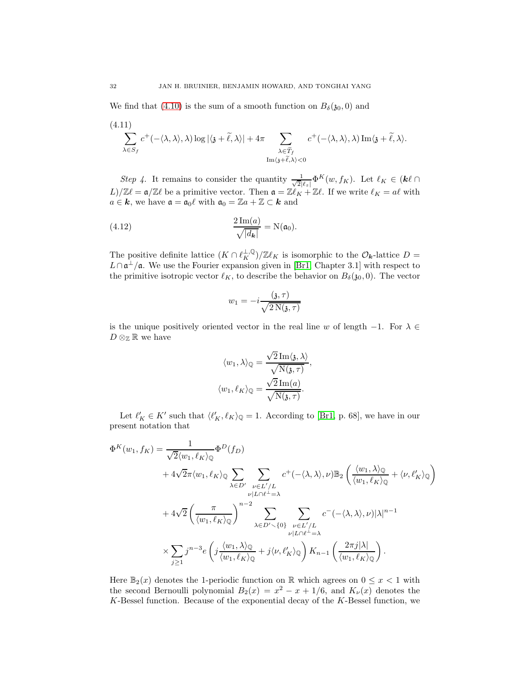We find that [\(4.10\)](#page-30-0) is the sum of a smooth function on  $B_{\delta}(\mathfrak{z}_0, 0)$  and

<span id="page-31-0"></span>
$$
(4.11)
$$
  

$$
\sum_{\lambda \in S_f} c^+(-\langle \lambda, \lambda \rangle, \lambda) \log |\langle \mathfrak{z} + \widetilde{\ell}, \lambda \rangle| + 4\pi \sum_{\substack{\lambda \in \widetilde{T}_f \\ \text{Im}\langle \mathfrak{z} + \widetilde{\ell}, \lambda \rangle < 0}} c^+(-\langle \lambda, \lambda \rangle, \lambda) \operatorname{Im}\langle \mathfrak{z} + \widetilde{\ell}, \lambda \rangle.
$$

Step 4. It remains to consider the quantity  $\frac{1}{\sqrt{2}}$  $\frac{1}{2|\ell_z|} \Phi^K(w, f_K)$ . Let  $\ell_K \in (\mathbf{k}\ell)$  $L)/\mathbb{Z}\ell = \mathfrak{a}/\mathbb{Z}\ell$  be a primitive vector. Then  $\mathfrak{a} = \mathbb{Z}\ell_K + \mathbb{Z}\ell$ . If we write  $\ell_K = a\ell$  with  $a \in \mathbf{k}$ , we have  $\mathfrak{a} = \mathfrak{a}_0 \ell$  with  $\mathfrak{a}_0 = \mathbb{Z} a + \mathbb{Z} \subset \mathbf{k}$  and

<span id="page-31-1"></span>(4.12) 
$$
\frac{2 \operatorname{Im}(a)}{\sqrt{|d_{\mathbf{k}}|}} = N(\mathfrak{a}_0).
$$

The positive definite lattice  $(K \cap \ell_K^{\perp, \mathbb{Q}})/\mathbb{Z}\ell_K$  is isomorphic to the  $\mathcal{O}_{\mathbf{k}}$ -lattice  $D =$  $L \cap \mathfrak{a}^{\perp}/\mathfrak{a}$ . We use the Fourier expansion given in [\[Br1,](#page-67-4) Chapter 3.1] with respect to the primitive isotropic vector  $\ell_K$ , to describe the behavior on  $B_\delta(\mathfrak{z}_0, 0)$ . The vector

$$
w_1 = -i \frac{(\mathfrak{z}, \tau)}{\sqrt{2 \operatorname{N}(\mathfrak{z}, \tau)}}
$$

is the unique positively oriented vector in the real line w of length  $-1$ . For  $\lambda \in$  $D\otimes_{\mathbb{Z}}\mathbb{R}$  we have

$$
\langle w_1, \lambda \rangle_{\mathbb{Q}} = \frac{\sqrt{2} \operatorname{Im} \langle \mathbf{j}, \lambda \rangle}{\sqrt{\mathrm{N}(\mathbf{j}, \tau)}},
$$

$$
\langle w_1, \ell_K \rangle_{\mathbb{Q}} = \frac{\sqrt{2} \operatorname{Im}(a)}{\sqrt{\mathrm{N}(\mathbf{j}, \tau)}}.
$$

Let  $\ell'_K \in K'$  such that  $\langle \ell'_K, \ell_K \rangle_{\mathbb{Q}} = 1$ . According to [\[Br1,](#page-67-4) p. 68], we have in our present notation that

$$
\Phi^{K}(w_{1}, f_{K}) = \frac{1}{\sqrt{2}\langle w_{1}, \ell_{K}\rangle_{\mathbb{Q}}}\Phi^{D}(f_{D})
$$
  
+  $4\sqrt{2}\pi\langle w_{1}, \ell_{K}\rangle_{\mathbb{Q}}\sum_{\lambda \in D'}\sum_{\substack{\nu \in L'/L \\ \nu | L \cap \ell - = \lambda}} c^{+}(-\langle \lambda, \lambda \rangle, \nu)\mathbb{B}_{2}\left(\frac{\langle w_{1}, \lambda \rangle_{\mathbb{Q}}}{\langle w_{1}, \ell_{K}\rangle_{\mathbb{Q}}} + \langle \nu, \ell'_{K}\rangle_{\mathbb{Q}}\right)$   
+  $4\sqrt{2}\left(\frac{\pi}{\langle w_{1}, \ell_{K}\rangle_{\mathbb{Q}}}\right)^{n-2}\sum_{\lambda \in D' \setminus \{0\}}\sum_{\substack{\nu \in L'/L \\ \nu | L \cap \ell - = \lambda}} c^{-}(-\langle \lambda, \lambda \rangle, \nu)|\lambda|^{n-1}$   
 $\times \sum_{j\geq 1} j^{n-3}e\left(j\frac{\langle w_{1}, \lambda \rangle_{\mathbb{Q}}}{\langle w_{1}, \ell_{K}\rangle_{\mathbb{Q}}} + j\langle \nu, \ell'_{K}\rangle_{\mathbb{Q}}\right)K_{n-1}\left(\frac{2\pi j|\lambda|}{\langle w_{1}, \ell_{K}\rangle_{\mathbb{Q}}}\right).$ 

Here  $\mathbb{B}_2(x)$  denotes the 1-periodic function on R which agrees on  $0 \leq x < 1$  with the second Bernoulli polynomial  $B_2(x) = x^2 - x + 1/6$ , and  $K_{\nu}(x)$  denotes the  $K$ -Bessel function. Because of the exponential decay of the  $K$ -Bessel function, we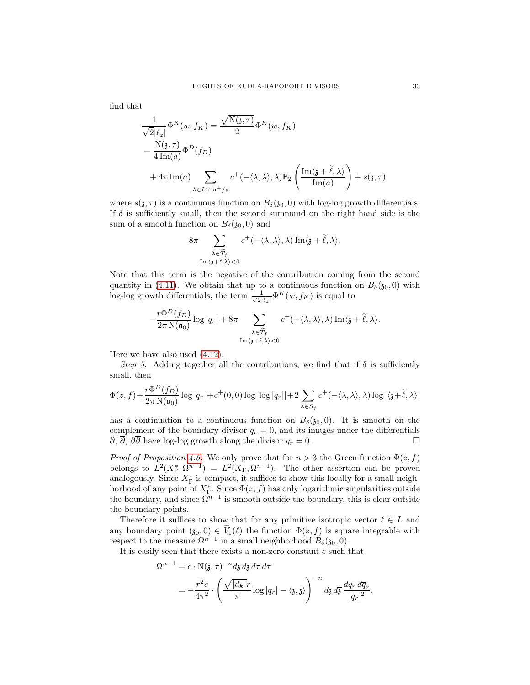find that

$$
\frac{1}{\sqrt{2}|\ell_z|} \Phi^K(w, f_K) = \frac{\sqrt{N(\mathfrak{z}, \tau)}}{2} \Phi^K(w, f_K)
$$
  
= 
$$
\frac{N(\mathfrak{z}, \tau)}{4 \operatorname{Im}(a)} \Phi^D(f_D)
$$
  
+ 
$$
4\pi \operatorname{Im}(a) \sum_{\lambda \in L' \cap \mathfrak{a}^{\perp}/\mathfrak{a}} c^+(-\langle \lambda, \lambda \rangle, \lambda) \mathbb{B}_2 \left( \frac{\operatorname{Im}\langle \mathfrak{z} + \tilde{\ell}, \lambda \rangle}{\operatorname{Im}(a)} \right) + s(\mathfrak{z}, \tau),
$$

where  $s(\mathfrak{z}, \tau)$  is a continuous function on  $B_{\delta}(\mathfrak{z}_0, 0)$  with log-log growth differentials. If  $\delta$  is sufficiently small, then the second summand on the right hand side is the sum of a smooth function on  $B_{\delta}(\mathfrak{z}_0,0)$  and

$$
8\pi \sum_{\substack{\lambda \in \widetilde{T}_f \\ \text{Im}\langle \mathfrak{z} + \widetilde{\ell}, \lambda \rangle < 0}} c^+(-\langle \lambda, \lambda \rangle, \lambda) \text{Im}\langle \mathfrak{z} + \widetilde{\ell}, \lambda \rangle.
$$

Note that this term is the negative of the contribution coming from the second quantity in [\(4.11\)](#page-31-0). We obtain that up to a continuous function on  $B_{\delta}(\mathfrak{z}_0,0)$  with log-log growth differentials, the term  $\frac{1}{\sqrt{2}}$  $\frac{1}{2|\ell_z|} \Phi^K(w, f_K)$  is equal to

$$
-\frac{r\Phi^D(f_D)}{2\pi N(\mathfrak{a}_0)}\log|q_r| + 8\pi \sum_{\substack{\lambda \in \widetilde{T}_f \\ \text{Im}\langle \mathfrak{z} + \widetilde{\ell}, \lambda \rangle < 0}} c^+(-\langle \lambda, \lambda \rangle, \lambda) \operatorname{Im}\langle \mathfrak{z} + \widetilde{\ell}, \lambda \rangle.
$$

Here we have also used [\(4.12\)](#page-31-1).

Step 5. Adding together all the contributions, we find that if  $\delta$  is sufficiently small, then

$$
\Phi(z,f) + \frac{r\Phi^D(f_D)}{2\pi N(\mathfrak{a}_0)} \log |q_r| + c^+(0,0) \log |\log |q_r|| + 2 \sum_{\lambda \in S_f} c^+(-\langle \lambda, \lambda \rangle, \lambda) \log |\langle \mathfrak{z} + \widetilde{\ell}, \lambda \rangle|
$$

has a continuation to a continuous function on  $B_{\delta}(\mathfrak{z}_0, 0)$ . It is smooth on the complement of the boundary divisor  $q_r = 0$ , and its images under the differentials  $\partial$ ,  $\overline{\partial}$ ,  $\partial \overline{\partial}$  have log-log growth along the divisor  $q_r = 0$ .

*Proof of Proposition [4.5.](#page-21-1)* We only prove that for  $n > 3$  the Green function  $\Phi(z, f)$ belongs to  $L^2(X_{\Gamma}^*, \Omega^{n-1}) = L^2(X_{\Gamma}, \Omega^{n-1})$ . The other assertion can be proved analogously. Since  $X_{\Gamma}^*$  is compact, it suffices to show this locally for a small neighborhood of any point of  $X_{\Gamma}^*$ . Since  $\Phi(z, f)$  has only logarithmic singularities outside the boundary, and since  $\Omega^{n-1}$  is smooth outside the boundary, this is clear outside the boundary points.

Therefore it suffices to show that for any primitive isotropic vector  $\ell \in L$  and any boundary point  $(30, 0) \in V_{\varepsilon}(\ell)$  the function  $\Phi(z, f)$  is square integrable with respect to the measure  $\Omega^{n-1}$  in a small neighborhood  $B_{\delta}(\mathfrak{z}_0,0)$ .

It is easily seen that there exists a non-zero constant  $c$  such that

$$
\Omega^{n-1} = c \cdot N(\mathfrak{z}, \tau)^{-n} d\mathfrak{z} d\overline{\mathfrak{z}} d\tau d\overline{\tau}
$$
  
=  $-\frac{r^2 c}{4\pi^2} \cdot \left(\frac{\sqrt{|d_{\mathbf{k}}|} r}{\pi} \log |q_r| - \langle \mathfrak{z}, \mathfrak{z} \rangle\right)^{-n} d\mathfrak{z} d\overline{\mathfrak{z}} \frac{dq_r d\overline{q}_r}{|q_r|^2}.$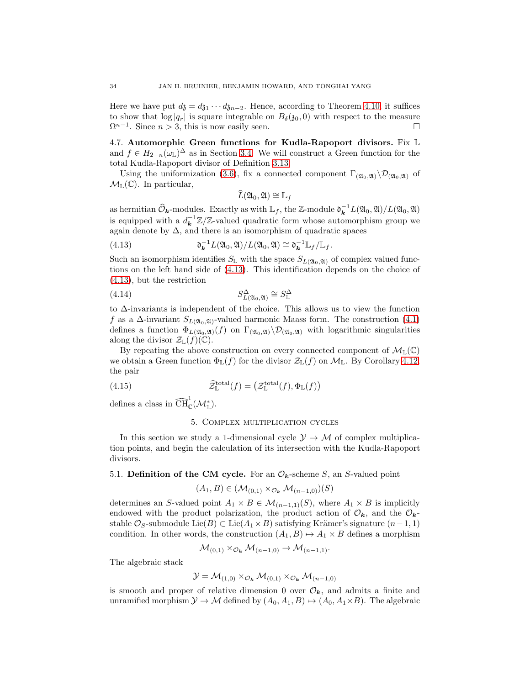Here we have put  $d_3 = d_{31} \cdots d_{3n-2}$ . Hence, according to Theorem [4.10,](#page-25-1) it suffices to show that  $\log |q_r|$  is square integrable on  $B_\delta(\mathfrak{z}_0, 0)$  with respect to the measure  $\Omega^{n-1}$ . Since  $n > 3$ , this is now easily seen.  $\Omega^{n-1}$ . Since  $n > 3$ , this is now easily seen.

<span id="page-33-1"></span>4.7. Automorphic Green functions for Kudla-Rapoport divisors. Fix L and  $f \in H_{2-n}(\omega_{\mathbb{L}})^{\Delta}$  as in Section [3.4.](#page-16-0) We will construct a Green function for the total Kudla-Rapoport divisor of Definition [3.13.](#page-17-1)

Using the uniformization [\(3.6\)](#page-14-0), fix a connected component  $\Gamma_{(\mathfrak{A}_0,\mathfrak{A})}\setminus\mathcal{D}_{(\mathfrak{A}_0,\mathfrak{A})}$  of  $\mathcal{M}_{\mathbb{L}}(\mathbb{C})$ . In particular,

<span id="page-33-3"></span><span id="page-33-2"></span>
$$
L(\mathfrak{A}_0,\mathfrak{A})\cong \mathbb{L}_f
$$

as hermitian  $\widehat{\mathcal{O}}_{\mathbf{k}}$ -modules. Exactly as with  $\mathbb{L}_f$ , the Z-module  $\mathfrak{d}_{\mathbf{k}}^{-1}L(\mathfrak{A}_0,\mathfrak{A})/L(\mathfrak{A}_0,\mathfrak{A})$ is equipped with a  $d_k^{-1}\mathbb{Z}/\mathbb{Z}$ -valued quadratic form whose automorphism group we again denote by  $\Delta$ , and there is an isomorphism of quadratic spaces

(4.13) 
$$
\mathfrak{d}_{\mathbf{k}}^{-1}L(\mathfrak{A}_0,\mathfrak{A})/L(\mathfrak{A}_0,\mathfrak{A})\cong \mathfrak{d}_{\mathbf{k}}^{-1}\mathbb{L}_f/\mathbb{L}_f.
$$

Such an isomorphism identifies  $S_{\mathbb{L}}$  with the space  $S_{L(20,20)}$  of complex valued functions on the left hand side of [\(4.13\)](#page-33-2). This identification depends on the choice of [\(4.13\)](#page-33-2), but the restriction

$$
(4.14) \t\t S_{L(20,21)}^{\Delta} \cong S_{\mathbb{L}}^{\Delta}
$$

to ∆-invariants is independent of the choice. This allows us to view the function f as a  $\Delta$ -invariant  $S_{L(\mathfrak{A}_0,\mathfrak{A})}$ -valued harmonic Maass form. The construction [\(4.1\)](#page-19-0) defines a function  $\Phi_{L(20,30)}(f)$  on  $\Gamma_{(20,30)}\setminus\mathcal{D}_{(20,30)}$  with logarithmic singularities along the divisor  $\mathcal{Z}_{\mathbb{L}}(f)(\mathbb{C})$ .

By repeating the above construction on every connected component of  $\mathcal{M}_{\mathbb{L}}(\mathbb{C})$ we obtain a Green function  $\Phi_{\mathbb{L}}(f)$  for the divisor  $\mathcal{Z}_{\mathbb{L}}(f)$  on  $\mathcal{M}_{\mathbb{L}}$ . By Corollary [4.12,](#page-26-0) the pair

(4.15) 
$$
\widehat{\mathcal{Z}}^{\text{total}}_{\mathbb{L}}(f) = \left( \mathcal{Z}^{\text{total}}_{\mathbb{L}}(f), \Phi_{\mathbb{L}}(f) \right)
$$

<span id="page-33-0"></span>defines a class in  $\widehat{\text{CH}}_{\mathbb{C}}^1(\mathcal{M}_{\mathbb{L}}^*).$ 

### <span id="page-33-4"></span>5. Complex multiplication cycles

In this section we study a 1-dimensional cycle  $\mathcal{Y} \to \mathcal{M}$  of complex multiplication points, and begin the calculation of its intersection with the Kudla-Rapoport divisors.

## 5.1. Definition of the CM cycle. For an  $\mathcal{O}_k$ -scheme S, an S-valued point

$$
(A_1, B) \in (\mathcal{M}_{(0,1)} \times_{\mathcal{O}_{\mathbf{k}}} \mathcal{M}_{(n-1,0)})(S)
$$

determines an S-valued point  $A_1 \times B \in \mathcal{M}_{(n-1,1)}(S)$ , where  $A_1 \times B$  is implicitly endowed with the product polarization, the product action of  $\mathcal{O}_{k}$ , and the  $\mathcal{O}_{k}$ stable  $\mathcal{O}_S$ -submodule Lie(B) ⊂ Lie( $A_1 \times B$ ) satisfying Krämer's signature  $(n-1, 1)$ condition. In other words, the construction  $(A_1, B) \rightarrow A_1 \times B$  defines a morphism

$$
\mathcal{M}_{(0,1)} \times_{\mathcal{O}_{\mathbf{k}}} \mathcal{M}_{(n-1,0)} \to \mathcal{M}_{(n-1,1)}.
$$

The algebraic stack

$$
\mathcal{Y} = \mathcal{M}_{(1,0)} \times_{\mathcal{O}_{\mathbf{k}}} \mathcal{M}_{(0,1)} \times_{\mathcal{O}_{\mathbf{k}}} \mathcal{M}_{(n-1,0)}
$$

is smooth and proper of relative dimension 0 over  $\mathcal{O}_k$ , and admits a finite and unramified morphism  $\mathcal{Y} \to \mathcal{M}$  defined by  $(A_0, A_1, B) \mapsto (A_0, A_1 \times B)$ . The algebraic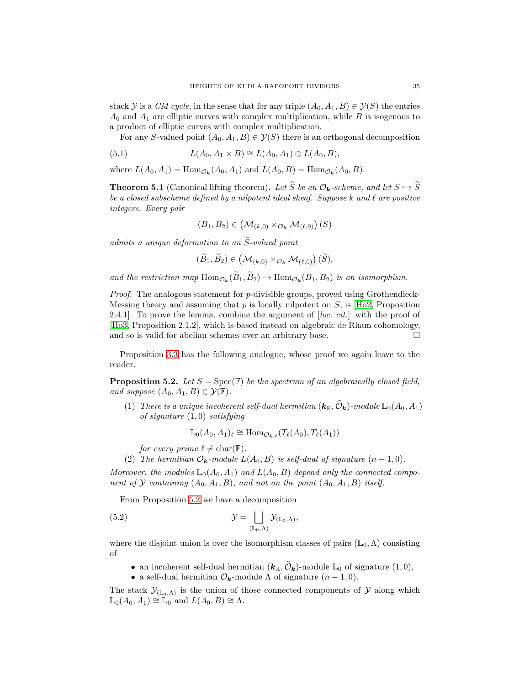stack Y is a CM cycle, in the sense that for any triple  $(A_0, A_1, B) \in \mathcal{Y}(S)$  the entries  $A_0$  and  $A_1$  are elliptic curves with complex multiplication, while B is isogenous to a product of elliptic curves with complex multiplication.

For any S-valued point  $(A_0, A_1, B) \in \mathcal{Y}(S)$  there is an orthogonal decomposition

(5.1) 
$$
L(A_0, A_1 \times B) \cong L(A_0, A_1) \oplus L(A_0, B),
$$

where  $L(A_0, A_1) = \text{Hom}_{\mathcal{O}_{\mathbf{k}}}(A_0, A_1)$  and  $L(A_0, B) = \text{Hom}_{\mathcal{O}_{\mathbf{k}}}(A_0, B)$ .

<span id="page-34-3"></span>**Theorem 5.1** (Canonical lifting theorem). Let  $\widetilde{S}$  be an  $\mathcal{O}_k$ -scheme, and let  $S \hookrightarrow \widetilde{S}$ be a closed subscheme defined by a nilpotent ideal sheaf. Suppose  $k$  and  $\ell$  are positive integers. Every pair

<span id="page-34-2"></span>
$$
(B_1, B_2) \in (\mathcal{M}_{(k,0)} \times_{\mathcal{O}_{\mathbf{k}}} \mathcal{M}_{(\ell,0)})\,(S)
$$

admits a unique deformation to an  $\widetilde{S}$ -valued point

$$
(\widetilde{B}_1, \widetilde{B}_2) \in (\mathcal{M}_{(k,0)} \times_{\mathcal{O}_{\mathbf{k}}} \mathcal{M}_{(\ell,0)}) (\widetilde{S}),
$$

and the restriction map  $\text{Hom}_{\mathcal{O}_k}(B_1, B_2) \to \text{Hom}_{\mathcal{O}_k}(B_1, B_2)$  is an isomorphism.

*Proof.* The analogous statement for  $p$ -divisible groups, proved using Grothendieck-Messing theory and assuming that  $p$  is locally nilpotent on  $S$ , is [\[Ho2,](#page-68-6) Proposition] 2.4.1. To prove the lemma, combine the argument of  $[loc. cit.]$  with the proof of [\[Ho3,](#page-68-7) Proposition 2.1.2], which is based instead on algebraic de Rham cohomology, and so is valid for abelian schemes over an arbitrary base.

Proposition [3.3](#page-11-0) has the following analogue, whose proof we again leave to the reader.

<span id="page-34-0"></span>**Proposition 5.2.** Let  $S = \text{Spec}(\mathbb{F})$  be the spectrum of an algebraically closed field, and suppose  $(A_0, A_1, B) \in \mathcal{Y}(\mathbb{F})$ .

(1) There is a unique incoherent self-dual hermitian  $(k_{\mathbb{R}}, \hat{O}_k)$ -module  $\mathbb{L}_0(A_0, A_1)$ of signature  $(1,0)$  satisfying

<span id="page-34-1"></span>
$$
\mathbb{L}_0(A_0, A_1)_{\ell} \cong \text{Hom}_{\mathcal{O}_{\mathbf{k},\ell}}(T_{\ell}(A_0), T_{\ell}(A_1))
$$

for every prime  $\ell \neq \text{char}(\mathbb{F})$ .

(2) The hermitian  $\mathcal{O}_k$ -module  $L(A_0, B)$  is self-dual of signature  $(n-1, 0)$ .

Moreover, the modules  $\mathbb{L}_0(A_0, A_1)$  and  $L(A_0, B)$  depend only the connected component of Y containing  $(A_0, A_1, B)$ , and not on the point  $(A_0, A_1, B)$  itself.

From Proposition [5.2](#page-34-0) we have a decomposition

(5.2) 
$$
\mathcal{Y} = \bigsqcup_{(\mathbb{L}_0,\Lambda)} \mathcal{Y}_{(\mathbb{L}_0,\Lambda)},
$$

where the disjoint union is over the isomorphism classes of pairs ( $\mathbb{L}_0$ ,  $\Lambda$ ) consisting of

- an incoherent self-dual hermitian  $(k_{\mathbb{R}}, \mathcal{O}_k)$ -module  $\mathbb{L}_0$  of signature  $(1, 0)$ ,
- a self-dual hermitian  $\mathcal{O}_k$ -module  $\Lambda$  of signature  $(n-1,0)$ .

The stack  $\mathcal{Y}_{(\mathbb{L}_0,\Lambda)}$  is the union of those connected components of  $\mathcal Y$  along which  $\mathbb{L}_0(A_0, A_1) \cong \mathbb{L}_0$  and  $L(A_0, B) \cong \Lambda$ .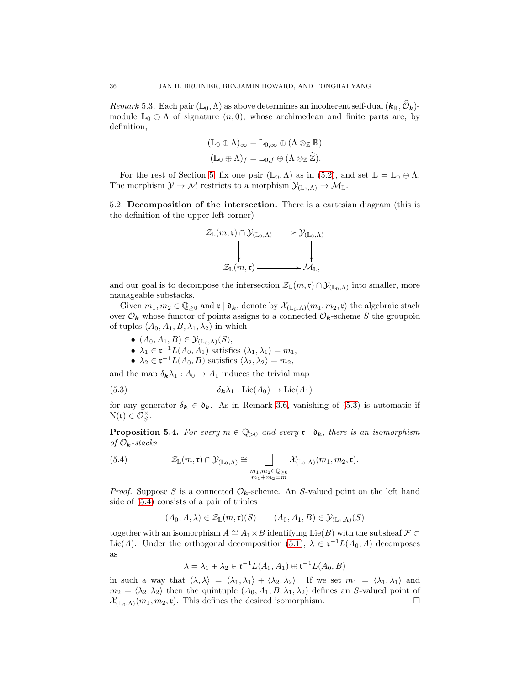<span id="page-35-0"></span>Remark 5.3. Each pair  $(\mathbb{L}_0, \Lambda)$  as above determines an incoherent self-dual  $(\mathbf{k}_\mathbb{R}, \mathcal{O}_k)$ module  $\mathbb{L}_0 \oplus \Lambda$  of signature  $(n, 0)$ , whose archimedean and finite parts are, by definition,

$$
(\mathbb{L}_0 \oplus \Lambda)_{\infty} = \mathbb{L}_{0,\infty} \oplus (\Lambda \otimes_{\mathbb{Z}} \mathbb{R})
$$
  

$$
(\mathbb{L}_0 \oplus \Lambda)_f = \mathbb{L}_{0,f} \oplus (\Lambda \otimes_{\mathbb{Z}} \widehat{\mathbb{Z}}).
$$

For the rest of Section [5,](#page-33-0) fix one pair  $(\mathbb{L}_0, \Lambda)$  as in  $(5.2)$ , and set  $\mathbb{L} = \mathbb{L}_0 \oplus \Lambda$ . The morphism  $\mathcal{Y} \to \mathcal{M}$  restricts to a morphism  $\mathcal{Y}_{(\mathbb{L}_0,\Lambda)} \to \mathcal{M}_{\mathbb{L}}$ .

<span id="page-35-3"></span>5.2. Decomposition of the intersection. There is a cartesian diagram (this is the definition of the upper left corner)



and our goal is to decompose the intersection  $\mathcal{Z}_{\mathbb{L}}(m,\mathfrak{r}) \cap \mathcal{Y}_{(\mathbb{L}_0,\Lambda)}$  into smaller, more manageable substacks.

Given  $m_1, m_2 \in \mathbb{Q}_{\geq 0}$  and  $\mathfrak{r} \mid \mathfrak{d}_{k}$ , denote by  $\mathcal{X}_{(\mathbb{L}_0,\Lambda)}(m_1, m_2, \mathfrak{r})$  the algebraic stack over  $\mathcal{O}_k$  whose functor of points assigns to a connected  $\mathcal{O}_k$ -scheme S the groupoid of tuples  $(A_0, A_1, B, \lambda_1, \lambda_2)$  in which

- $(A_0, A_1, B) \in \mathcal{Y}_{(\mathbb{L}_0,\Lambda)}(S)$ ,
- $\lambda_1 \in \mathfrak{r}^{-1} L(A_0, A_1)$  satisfies  $\langle \lambda_1, \lambda_1 \rangle = m_1$ ,
- <span id="page-35-1"></span>•  $\lambda_2 \in \mathfrak{r}^{-1} L(A_0, B)$  satisfies  $\langle \lambda_2, \lambda_2 \rangle = m_2$ ,

and the map  $\delta_{\mathbf{k}}\lambda_1 : A_0 \to A_1$  induces the trivial map

(5.3) 
$$
\delta_{\mathbf{k}}\lambda_1 : \mathrm{Lie}(A_0) \to \mathrm{Lie}(A_1)
$$

for any generator  $\delta_k \in \mathfrak{d}_k$ . As in Remark [3.6,](#page-12-6) vanishing of [\(5.3\)](#page-35-1) is automatic if  $N(\mathfrak{r}) \in \mathcal{O}_S^{\times}$ .

**Proposition 5.4.** For every  $m \in \mathbb{Q}_{>0}$  and every  $\mathfrak{r} \mid \mathfrak{d}_{k}$ , there is an isomorphism of  $\mathcal{O}_k$ -stacks

(5.4) 
$$
\mathcal{Z}_{\mathbb{L}}(m,\mathfrak{r}) \cap \mathcal{Y}_{(\mathbb{L}_0,\Lambda)} \cong \bigsqcup_{\substack{m_1,m_2 \in \mathbb{Q}_{\geq 0} \\ m_1 + m_2 = m}} \mathcal{X}_{(\mathbb{L}_0,\Lambda)}(m_1, m_2, \mathfrak{r}).
$$

*Proof.* Suppose S is a connected  $\mathcal{O}_k$ -scheme. An S-valued point on the left hand side of [\(5.4\)](#page-35-2) consists of a pair of triples

<span id="page-35-2"></span>
$$
(A_0, A, \lambda) \in \mathcal{Z}_{\mathbb{L}}(m, \mathfrak{r})(S) \qquad (A_0, A_1, B) \in \mathcal{Y}_{(\mathbb{L}_0, \Lambda)}(S)
$$

together with an isomorphism  $A \cong A_1 \times B$  identifying Lie(B) with the subsheaf  $\mathcal{F} \subset$ Lie(A). Under the orthogonal decomposition [\(5.1\)](#page-34-2),  $\lambda \in \mathfrak{r}^{-1}L(A_0, A)$  decomposes as

$$
\lambda = \lambda_1 + \lambda_2 \in \mathfrak{r}^{-1}L(A_0, A_1) \oplus \mathfrak{r}^{-1}L(A_0, B)
$$

in such a way that  $\langle \lambda, \lambda \rangle = \langle \lambda_1, \lambda_1 \rangle + \langle \lambda_2, \lambda_2 \rangle$ . If we set  $m_1 = \langle \lambda_1, \lambda_1 \rangle$  and  $m_2 = \langle \lambda_2, \lambda_2 \rangle$  then the quintuple  $(A_0, A_1, B, \lambda_1, \lambda_2)$  defines an S-valued point of  $\mathcal{X}_{(\mathbb{F}_{\geq 0}, \lambda)}(m_1, m_2, \mathfrak{r})$ . This defines the desired isomorphism.  $\mathcal{X}_{(\mathbb{L}_0,\Lambda)}(m_1,m_2,\mathfrak{r})$ . This defines the desired isomorphism.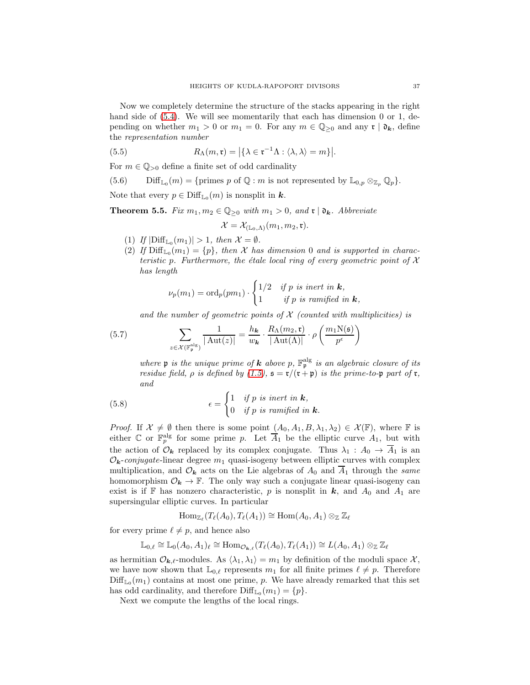Now we completely determine the structure of the stacks appearing in the right hand side of  $(5.4)$ . We will see momentarily that each has dimension 0 or 1, depending on whether  $m_1 > 0$  or  $m_1 = 0$ . For any  $m \in \mathbb{Q}_{\geq 0}$  and any  $\mathfrak{r} \mid \mathfrak{d}_k$ , define the representation number

(5.5) 
$$
R_{\Lambda}(m, \mathfrak{r}) = |\{\lambda \in \mathfrak{r}^{-1}\Lambda : \langle \lambda, \lambda \rangle = m\}|.
$$

For  $m \in \mathbb{Q}_{>0}$  define a finite set of odd cardinality

<span id="page-36-3"></span>(5.6) 
$$
\text{Diff}_{\mathbb{L}_0}(m) = \{ \text{primes } p \text{ of } \mathbb{Q} : m \text{ is not represented by } \mathbb{L}_{0,p} \otimes_{\mathbb{Z}_p} \mathbb{Q}_p \}.
$$

Note that every  $p \in \text{Diff}_{\mathbb{L}_0}(m)$  is nonsplit in  $k$ .

<span id="page-36-0"></span>**Theorem 5.5.** Fix  $m_1, m_2 \in \mathbb{Q}_{\geq 0}$  with  $m_1 > 0$ , and  $\mathfrak{r} \mid \mathfrak{d}_k$ . Abbreviate

<span id="page-36-2"></span>
$$
\mathcal{X}=\mathcal{X}_{(\mathbb{L}_0,\Lambda)}(m_1,m_2,\mathfrak{r}).
$$

- (1) If  $|\text{Diff}_{\mathbb{L}_0}(m_1)| > 1$ , then  $\mathcal{X} = \emptyset$ .
- (2) If  $\text{Diff}_{\mathbb{L}_0}(m_1) = \{p\}$ , then X has dimension 0 and is supported in characteristic p. Furthermore, the étale local ring of every geometric point of  $X$ has length

$$
\nu_p(m_1) = \text{ord}_p(pm_1) \cdot \begin{cases} 1/2 & \text{if } p \text{ is inert in } \mathbf{k}, \\ 1 & \text{if } p \text{ is ramified in } \mathbf{k}, \end{cases}
$$

<span id="page-36-1"></span>and the number of geometric points of  $\mathcal X$  (counted with multiplicities) is

(5.7) 
$$
\sum_{z \in \mathcal{X}(\mathbb{F}_{\mathfrak{p}}^{\mathrm{alg}})} \frac{1}{|\operatorname{Aut}(z)|} = \frac{h_{\mathbf{k}}}{w_{\mathbf{k}}} \cdot \frac{R_{\Lambda}(m_2, \mathfrak{r})}{|\operatorname{Aut}(\Lambda)|} \cdot \rho \left(\frac{m_1 \operatorname{N}(\mathfrak{s})}{p^{\epsilon}}\right)
$$

<span id="page-36-4"></span>where **p** is the unique prime of **k** above p,  $\mathbb{F}_p^{\text{alg}}$  is an algebraic closure of its residue field,  $\rho$  is defined by [\(1.5\)](#page-7-4),  $\mathfrak{s} = \mathfrak{r}/(\mathfrak{r} + \mathfrak{p})$  is the prime-to-p part of  $\mathfrak{r}$ , and

(5.8) 
$$
\epsilon = \begin{cases} 1 & \text{if } p \text{ is inert in } \mathbf{k}, \\ 0 & \text{if } p \text{ is ramified in } \mathbf{k}. \end{cases}
$$

*Proof.* If  $X \neq \emptyset$  then there is some point  $(A_0, A_1, B, \lambda_1, \lambda_2) \in \mathcal{X}(\mathbb{F})$ , where  $\mathbb F$  is either  $\mathbb C$  or  $\mathbb F_p^{\text{alg}}$  for some prime p. Let  $\overline{A}_1$  be the elliptic curve  $A_1$ , but with the action of  $\mathcal{O}_k$  replaced by its complex conjugate. Thus  $\lambda_1 : A_0 \to \overline{A}_1$  is an  $\mathcal{O}_k$ -conjugate-linear degree  $m_1$  quasi-isogeny between elliptic curves with complex multiplication, and  $\mathcal{O}_{\mathbf{k}}$  acts on the Lie algebras of  $A_0$  and  $\overline{A}_1$  through the same homomorphism  $\mathcal{O}_k \to \mathbb{F}$ . The only way such a conjugate linear quasi-isogeny can exist is if F has nonzero characteristic, p is nonsplit in  $k$ , and  $A_0$  and  $A_1$  are supersingular elliptic curves. In particular

$$
\operatorname{Hom}_{\mathbb{Z}_{\ell}}(T_{\ell}(A_0),T_{\ell}(A_1))\cong \operatorname{Hom}(A_0,A_1)\otimes_{\mathbb{Z}}\mathbb{Z}_{\ell}
$$

for every prime  $\ell \neq p$ , and hence also

$$
\mathbb{L}_{0,\ell} \cong \mathbb{L}_0(A_0,A_1)_{\ell} \cong \text{Hom}_{\mathcal{O}_{\mathbf{k},\ell}}(T_{\ell}(A_0),T_{\ell}(A_1)) \cong L(A_0,A_1) \otimes_{\mathbb{Z}} \mathbb{Z}_{\ell}
$$

as hermitian  $\mathcal{O}_{\mathbf{k},\ell}$ -modules. As  $\langle \lambda_1, \lambda_1 \rangle = m_1$  by definition of the moduli space X, we have now shown that  $\mathbb{L}_{0,\ell}$  represents  $m_1$  for all finite primes  $\ell \neq p$ . Therefore  $\text{Diff}_{\mathbb{L}_0}(m_1)$  contains at most one prime, p. We have already remarked that this set has odd cardinality, and therefore  $\text{Diff}_{\mathbb{L}_0}(m_1) = \{p\}.$ 

Next we compute the lengths of the local rings.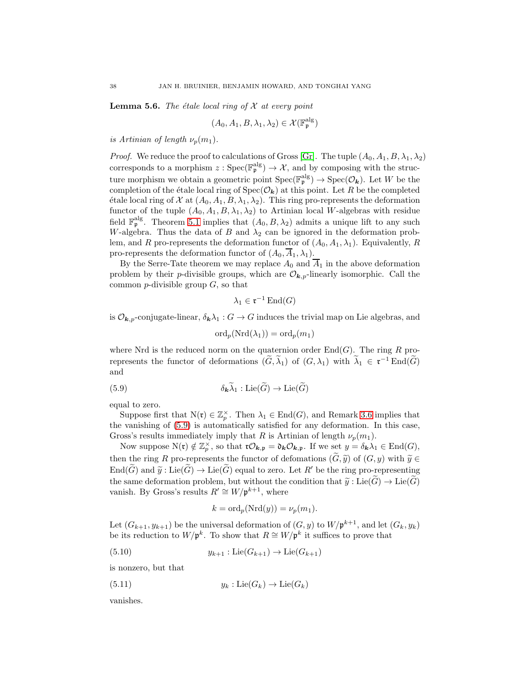<span id="page-37-3"></span>**Lemma 5.6.** The étale local ring of  $\mathcal{X}$  at every point

$$
(A_0, A_1, B, \lambda_1, \lambda_2) \in \mathcal{X}(\mathbb{F}_p^{\text{alg}})
$$

is Artinian of length  $\nu_p(m_1)$ .

*Proof.* We reduce the proof to calculations of Gross [\[Gr\]](#page-68-21). The tuple  $(A_0, A_1, B, \lambda_1, \lambda_2)$ corresponds to a morphism  $z:Spec(\mathbb{F}_{p}^{alg}) \to \mathcal{X}$ , and by composing with the structure morphism we obtain a geometric point  $Spec(\mathbb{F}_p^\text{alg}) \to Spec(\mathcal{O}_k)$ . Let W be the completion of the étale local ring of  $Spec(\mathcal{O}_k)$  at this point. Let R be the completed étale local ring of X at  $(A_0, A_1, B, \lambda_1, \lambda_2)$ . This ring pro-represents the deformation functor of the tuple  $(A_0, A_1, B, \lambda_1, \lambda_2)$  to Artinian local W-algebras with residue field  $\mathbb{F}_{p}^{\text{alg}}$ . Theorem [5.1](#page-34-3) implies that  $(A_0, B, \lambda_2)$  admits a unique lift to any such W-algebra. Thus the data of B and  $\lambda_2$  can be ignored in the deformation problem, and R pro-represents the deformation functor of  $(A_0, A_1, \lambda_1)$ . Equivalently, R pro-represents the deformation functor of  $(A_0, \overline{A}_1, \lambda_1)$ .

By the Serre-Tate theorem we may replace  $A_0$  and  $\overline{A}_1$  in the above deformation problem by their *p*-divisible groups, which are  $\mathcal{O}_{k,p}$ -linearly isomorphic. Call the common  $p$ -divisible group  $G$ , so that

$$
\lambda_1 \in \mathfrak{r}^{-1} \operatorname{End}(G)
$$

is  $\mathcal{O}_{k,p}$ -conjugate-linear,  $\delta_k \lambda_1 : G \to G$  induces the trivial map on Lie algebras, and

<span id="page-37-0"></span>
$$
\mathrm{ord}_p(\mathrm{Nrd}(\lambda_1)) = \mathrm{ord}_p(m_1)
$$

where Nrd is the reduced norm on the quaternion order  $\text{End}(G)$ . The ring R prorepresents the functor of deformations  $(G, \lambda_1)$  of  $(G, \lambda_1)$  with  $\lambda_1 \in \mathfrak{r}^{-1}$  End $(G)$ and

(5.9) 
$$
\delta_{\mathbf{k}} \widetilde{\lambda}_1 : \mathrm{Lie}(\widetilde{G}) \to \mathrm{Lie}(\widetilde{G})
$$

equal to zero.

Suppose first that  $N(\mathfrak{r}) \in \mathbb{Z}_p^{\times}$ . Then  $\lambda_1 \in \text{End}(G)$ , and Remark [3.6](#page-12-6) implies that the vanishing of [\(5.9\)](#page-37-0) is automatically satisfied for any deformation. In this case, Gross's results immediately imply that R is Artinian of length  $\nu_p(m_1)$ .

Now suppose  $N(\mathfrak{r}) \notin \mathbb{Z}_p^{\times}$ , so that  $\mathfrak{r} \mathcal{O}_{\mathbf{k},\mathfrak{p}} = \mathfrak{d}_{\mathbf{k}} \mathcal{O}_{\mathbf{k},\mathfrak{p}}$ . If we set  $y = \delta_{\mathbf{k}} \lambda_1 \in \text{End}(G)$ , then the ring R pro-represents the functor of defomations  $(G, \tilde{y})$  of  $(G, y)$  with  $\tilde{y} \in$  $\text{End}(\widetilde{G})$  and  $\widetilde{y}: \text{Lie}(\widetilde{G}) \to \text{Lie}(\widetilde{G})$  equal to zero. Let R' be the ring pro-representing the same deformation problem, but without the condition that  $\tilde{y}: \text{Lie}(\tilde{G}) \to \text{Lie}(\tilde{G})$ vanish. By Gross's results  $R' \cong W/\mathfrak{p}^{k+1}$ , where

<span id="page-37-2"></span><span id="page-37-1"></span>
$$
k = \text{ord}_p(\text{Nrd}(y)) = \nu_p(m_1).
$$

Let  $(G_{k+1}, y_{k+1})$  be the universal deformation of  $(G, y)$  to  $W/\mathfrak{p}^{k+1}$ , and let  $(G_k, y_k)$ be its reduction to  $W/\mathfrak{p}^k$ . To show that  $R \cong W/\mathfrak{p}^k$  it suffices to prove that

(5.10) 
$$
y_{k+1} : \text{Lie}(G_{k+1}) \to \text{Lie}(G_{k+1})
$$

is nonzero, but that

(5.11) 
$$
y_k: \text{Lie}(G_k) \to \text{Lie}(G_k)
$$

vanishes.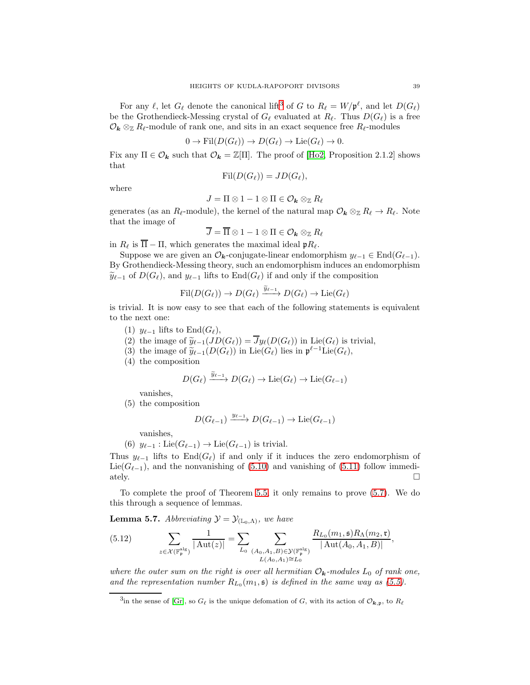For any  $\ell$ , let  $G_{\ell}$  denote the canonical lift<sup>[3](#page-38-0)</sup> of G to  $R_{\ell} = W/\mathfrak{p}^{\ell}$ , and let  $D(G_{\ell})$ be the Grothendieck-Messing crystal of  $G_{\ell}$  evaluated at  $R_{\ell}$ . Thus  $D(G_{\ell})$  is a free  $\mathcal{O}_{\mathbf{k}} \otimes_{\mathbb{Z}} R_{\ell}$ -module of rank one, and sits in an exact sequence free  $R_{\ell}$ -modules

$$
0 \to \mathrm{Fil}(D(G_{\ell})) \to D(G_{\ell}) \to \mathrm{Lie}(G_{\ell}) \to 0.
$$

Fix any  $\Pi \in \mathcal{O}_k$  such that  $\mathcal{O}_k = \mathbb{Z}[\Pi]$ . The proof of [\[Ho2,](#page-68-6) Proposition 2.1.2] shows that

$$
\mathrm{Fil}(D(G_{\ell}))=JD(G_{\ell}),
$$

where

$$
J=\Pi\otimes 1-1\otimes \Pi\in \mathcal O_{\pmb k}\otimes_{\mathbb Z} R_\ell
$$

generates (as an  $R_{\ell}$ -module), the kernel of the natural map  $\mathcal{O}_{\mathbf{k}} \otimes_{\mathbb{Z}} R_{\ell} \to R_{\ell}$ . Note that the image of

$$
\overline{J} = \overline{\Pi} \otimes 1 - 1 \otimes \Pi \in \mathcal{O}_{\bm{k}} \otimes_{\mathbb{Z}} R_{\ell}
$$

in  $R_{\ell}$  is  $\overline{\Pi} - \Pi$ , which generates the maximal ideal  $pR_{\ell}$ .

Suppose we are given an  $\mathcal{O}_{k}$ -conjugate-linear endomorphism  $y_{\ell-1} \in \text{End}(G_{\ell-1})$ . By Grothendieck-Messing theory, such an endomorphism induces an endomorphism  $\widetilde{y}_{\ell-1}$  of  $D(G_{\ell})$ , and  $y_{\ell-1}$  lifts to  $\text{End}(G_{\ell})$  if and only if the composition

$$
\text{Fil}(D(G_{\ell})) \to D(G_{\ell}) \xrightarrow{\widetilde{y}_{\ell-1}} D(G_{\ell}) \to \text{Lie}(G_{\ell})
$$

is trivial. It is now easy to see that each of the following statements is equivalent to the next one:

- (1)  $y_{\ell-1}$  lifts to End( $G_{\ell}$ ),
- (2) the image of  $\widetilde{y}_{\ell-1}(JD(G_{\ell})) = \overline{J}y_{\ell}(D(G_{\ell}))$  in Lie $(G_{\ell})$  is trivial,
- (3) the image of  $\widetilde{y}_{\ell-1}(D(G_{\ell}))$  in Lie $(G_{\ell})$  lies in  $\mathfrak{p}^{\ell-1}$ Lie $(G_{\ell}),$
- (4) the composition

$$
D(G_{\ell}) \xrightarrow{\widetilde{y}_{\ell-1}} D(G_{\ell}) \to \mathrm{Lie}(G_{\ell}) \to \mathrm{Lie}(G_{\ell-1})
$$

vanishes,

(5) the composition

$$
D(G_{\ell-1}) \xrightarrow{y_{\ell-1}} D(G_{\ell-1}) \to \text{Lie}(G_{\ell-1})
$$

vanishes,

(6)  $y_{\ell-1}: \text{Lie}(G_{\ell-1}) \to \text{Lie}(G_{\ell-1})$  is trivial.

Thus  $y_{\ell-1}$  lifts to End( $G_{\ell}$ ) if and only if it induces the zero endomorphism of Lie( $G_{\ell-1}$ ), and the nonvanishing of [\(5.10\)](#page-37-1) and vanishing of [\(5.11\)](#page-37-2) follow immediately. □ ately.  $\square$ 

To complete the proof of Theorem [5.5,](#page-36-0) it only remains to prove [\(5.7\)](#page-36-1). We do this through a sequence of lemmas.

**Lemma 5.7.** Abbreviating  $\mathcal{Y} = \mathcal{Y}_{(\mathbb{L}_0,\Lambda)}$ , we have

<span id="page-38-1"></span>
$$
(5.12) \qquad \sum_{z \in \mathcal{X}(\mathbb{F}_{p}^{\mathrm{alg}})} \frac{1}{|\operatorname{Aut}(z)|} = \sum_{L_{0}} \sum_{\substack{(A_{0}, A_{1}, B) \in \mathcal{Y}(\mathbb{F}_{p}^{\mathrm{alg}}) \\ L(A_{0}, A_{1}) \cong L_{0}}} \frac{R_{L_{0}}(m_{1}, \mathfrak{s}) R_{\Lambda}(m_{2}, \mathfrak{r})}{|\operatorname{Aut}(A_{0}, A_{1}, B)|},
$$

where the outer sum on the right is over all hermitian  $\mathcal{O}_k$ -modules  $L_0$  of rank one, and the representation number  $R_{L_0}(m_1, \mathfrak{s})$  is defined in the same way as [\(5.5\)](#page-36-2).

<span id="page-38-0"></span><sup>&</sup>lt;sup>3</sup>in the sense of [\[Gr\]](#page-68-21), so  $G_{\ell}$  is the unique defomation of G, with its action of  $\mathcal{O}_{\mathbf{k},\mathbf{p}}$ , to  $R_{\ell}$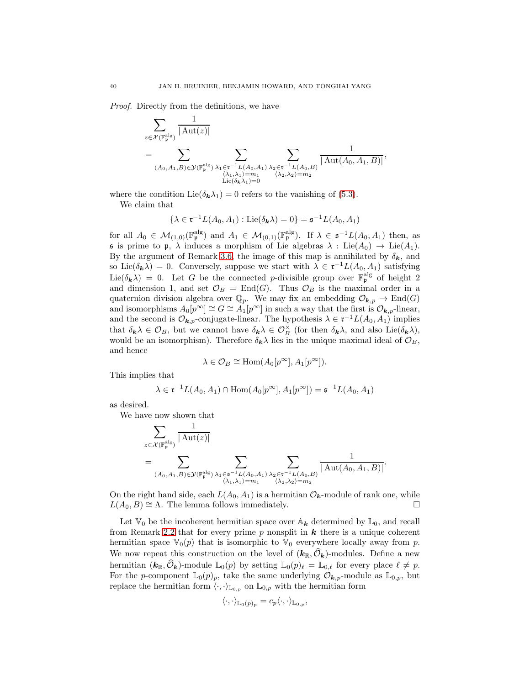Proof. Directly from the definitions, we have

$$
\sum_{z \in \mathcal{X}(\mathbb{F}_{\mathfrak{p}}^{\mathrm{alg}})} \frac{1}{|\operatorname{Aut}(z)|} \n= \sum_{(A_0, A_1, B) \in \mathcal{Y}(\mathbb{F}_{\mathfrak{p}}^{\mathrm{alg}})} \sum_{\substack{\lambda_1 \in \mathfrak{r}^{-1}L(A_0, A_1) \\ \langle \lambda_1, \lambda_1 \rangle = m_1 \\ \operatorname{Lie}(\delta_{\mathbf{k}} \lambda_1) = 0}} \sum_{\substack{\lambda_2 \in \mathfrak{r}^{-1}L(A_0, B) \\ \langle \lambda_2, \lambda_2 \rangle = m_2}} \frac{1}{|\operatorname{Aut}(A_0, A_1, B)|},
$$

where the condition Lie( $\delta_{\mathbf{k}}\lambda_1$ ) = 0 refers to the vanishing of [\(5.3\)](#page-35-1).

We claim that

 $\{\lambda \in \mathfrak{r}^{-1} L(A_0, A_1) : \text{Lie}(\delta_{\mathbf{k}}\lambda) = 0\} = \mathfrak{s}^{-1} L(A_0, A_1)$ 

for all  $A_0 \in \mathcal{M}_{(1,0)}(\mathbb{F}_p^{\text{alg}})$  and  $A_1 \in \mathcal{M}_{(0,1)}(\mathbb{F}_p^{\text{alg}})$ . If  $\lambda \in \mathfrak{s}^{-1}L(A_0, A_1)$  then, as  $\mathfrak s$  is prime to  $\mathfrak p$ ,  $\lambda$  induces a morphism of Lie algebras  $\lambda$  : Lie $(A_0) \to \text{Lie}(A_1)$ . By the argument of Remark [3.6,](#page-12-6) the image of this map is annihilated by  $\delta_{\mathbf{k}}$ , and so Lie( $\delta_{\mathbf{k}}\lambda$ ) = 0. Conversely, suppose we start with  $\lambda \in \mathfrak{r}^{-1}L(A_0,A_1)$  satisfying Lie( $\delta_{\bf k}$  $\lambda$ ) = 0. Let G be the connected p-divisible group over  $\mathbb{F}_{p}^{\text{alg}}$  of height 2 and dimension 1, and set  $\mathcal{O}_B = \text{End}(G)$ . Thus  $\mathcal{O}_B$  is the maximal order in a quaternion division algebra over  $\mathbb{Q}_p$ . We may fix an embedding  $\mathcal{O}_{\mathbf{k},p} \to \text{End}(G)$ and isomorphisms  $A_0[p^{\infty}] \cong G \cong A_1[p^{\infty}]$  in such a way that the first is  $\mathcal{O}_{k,p}$ -linear, and the second is  $\mathcal{O}_{k,p}$ -conjugate-linear. The hypothesis  $\lambda \in \mathfrak{r}^{-1}L(A_0, A_1)$  implies that  $\delta_{\mathbf{k}}\lambda \in \mathcal{O}_B$ , but we cannot have  $\delta_{\mathbf{k}}\lambda \in \mathcal{O}_B^{\times}$  (for then  $\delta_{\mathbf{k}}\lambda$ , and also Lie $(\delta_{\mathbf{k}}\lambda)$ , would be an isomorphism). Therefore  $\delta_{\mathbf{k}}\lambda$  lies in the unique maximal ideal of  $\mathcal{O}_B$ , and hence

$$
\lambda \in \mathcal{O}_B \cong \text{Hom}(A_0[p^{\infty}], A_1[p^{\infty}]).
$$

This implies that

$$
\lambda \in \mathfrak{r}^{-1}L(A_0, A_1) \cap \text{Hom}(A_0[p^{\infty}], A_1[p^{\infty}]) = \mathfrak{s}^{-1}L(A_0, A_1)
$$

as desired.

We have now shown that

$$
\sum_{z \in \mathcal{X}(\mathbb{F}_p^\mathrm{alg})} \frac{1}{|\operatorname{Aut}(z)|} \newline = \sum_{(A_0, A_1, B) \in \mathcal{Y}(\mathbb{F}_p^\mathrm{alg})} \sum_{\substack{\lambda_1 \in \mathfrak{s}^{-1}L(A_0, A_1) \\ \langle \lambda_1, \lambda_1 \rangle = m_1}} \sum_{\substack{\lambda_2 \in \mathfrak{r}^{-1}L(A_0, B) \\ \langle \lambda_2, \lambda_2 \rangle = m_2}} \frac{1}{|\operatorname{Aut}(A_0, A_1, B)|}.
$$

On the right hand side, each  $L(A_0, A_1)$  is a hermitian  $\mathcal{O}_{\mathbf{k}}$ -module of rank one, while  $L(A_0, B) \cong \Lambda$ . The lemma follows immediately.

Let  $\mathbb{V}_0$  be the incoherent hermitian space over  $\mathbb{A}_k$  determined by  $\mathbb{L}_0$ , and recall from Remark [2.2](#page-8-1) that for every prime  $p$  nonsplit in  $k$  there is a unique coherent hermitian space  $\mathbb{V}_0(p)$  that is isomorphic to  $\mathbb{V}_0$  everywhere locally away from p. We now repeat this construction on the level of  $(k_{\mathbb{R}}, \hat{\mathcal{O}}_k)$ -modules. Define a new hermitian  $(k_{\mathbb{R}}, \widehat{\mathcal{O}}_k)$ -module  $\mathbb{L}_0(p)$  by setting  $\mathbb{L}_0(p)_{\ell} = \mathbb{L}_{0,\ell}$  for every place  $\ell \neq p$ . For the p-component  $\mathbb{L}_0(p)_p$ , take the same underlying  $\mathcal{O}_{\mathbf{k},p}$ -module as  $\mathbb{L}_{0,p}$ , but replace the hermitian form  $\langle \cdot, \cdot \rangle_{\mathbb{L}_{0,p}}$  on  $\mathbb{L}_{0,p}$  with the hermitian form

$$
\langle \cdot, \cdot \rangle_{\mathbb{L}_0(p)_p} = c_p \langle \cdot, \cdot \rangle_{\mathbb{L}_{0,p}},
$$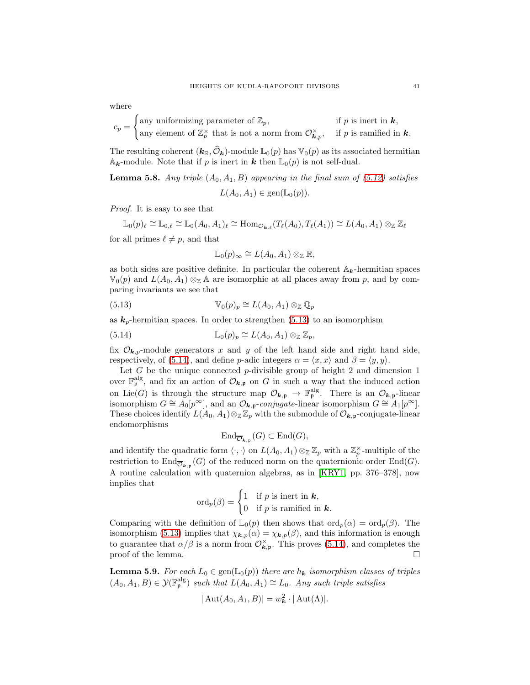where

$$
c_p = \begin{cases} \text{any uniformizing parameter of } \mathbb{Z}_p, & \text{if } p \text{ is inert in } \mathbf{k}, \\ \text{any element of } \mathbb{Z}_p^{\times} \text{ that is not a norm from } \mathcal{O}_{\mathbf{k},p}^{\times}, & \text{if } p \text{ is ramified in } \mathbf{k}. \end{cases}
$$

The resulting coherent  $(k_{\mathbb{R}}, \hat{\mathcal{O}}_{\mathbf{k}})$ -module  $\mathbb{L}_0(p)$  has  $\mathbb{V}_0(p)$  as its associated hermitian  $A_k$ -module. Note that if p is inert in k then  $\mathbb{L}_0(p)$  is not self-dual.

**Lemma 5.8.** Any triple  $(A_0, A_1, B)$  appearing in the final sum of [\(5.12\)](#page-38-1) satisfies

$$
L(A_0, A_1) \in \text{gen}(\mathbb{L}_0(p)).
$$

Proof. It is easy to see that

$$
\mathbb{L}_0(p)_{\ell} \cong \mathbb{L}_{0,\ell} \cong \mathbb{L}_0(A_0,A_1)_{\ell} \cong \text{Hom}_{\mathcal{O}_{\mathbf{k},\ell}}(T_{\ell}(A_0),T_{\ell}(A_1)) \cong L(A_0,A_1) \otimes_{\mathbb{Z}} \mathbb{Z}_{\ell}
$$

for all primes  $\ell \neq p$ , and that

<span id="page-40-1"></span><span id="page-40-0"></span>
$$
\mathbb{L}_0(p)_{\infty} \cong L(A_0, A_1) \otimes_{\mathbb{Z}} \mathbb{R},
$$

as both sides are positive definite. In particular the coherent  $\mathbb{A}_k$ -hermitian spaces  $\mathbb{V}_0(p)$  and  $L(A_0, A_1) \otimes_{\mathbb{Z}} A$  are isomorphic at all places away from p, and by comparing invariants we see that

(5.13) 
$$
\mathbb{V}_0(p)_p \cong L(A_0, A_1) \otimes_{\mathbb{Z}} \mathbb{Q}_p
$$

as  $k_p$ -hermitian spaces. In order to strengthen [\(5.13\)](#page-40-0) to an isomorphism

(5.14) 
$$
\mathbb{L}_0(p)_p \cong L(A_0, A_1) \otimes_{\mathbb{Z}} \mathbb{Z}_p,
$$

fix  $\mathcal{O}_{k,p}$ -module generators x and y of the left hand side and right hand side, respectively, of [\(5.14\)](#page-40-1), and define p-adic integers  $\alpha = \langle x, x \rangle$  and  $\beta = \langle y, y \rangle$ .

Let  $G$  be the unique connected  $p$ -divisible group of height 2 and dimension 1 over  $\mathbb{F}_p^{\text{alg}}$ , and fix an action of  $\mathcal{O}_{k,p}$  on G in such a way that the induced action on Lie(G) is through the structure map  $\mathcal{O}_{\mathbf{k},\mathfrak{p}} \to \mathbb{F}_{\mathfrak{p}}^{\text{alg}}$ . There is an  $\mathcal{O}_{\mathbf{k},\mathfrak{p}}$ -linear isomorphism  $G \cong A_0[p^{\infty}]$ , and an  $\mathcal{O}_{\mathbf{k},\mathbf{p}}$ -conjugate-linear isomorphism  $G \cong A_1[p^{\infty}]$ . These choices identify  $L(A_0, A_1) \otimes_{\mathbb{Z}} \mathbb{Z}_p$  with the submodule of  $\mathcal{O}_{\mathbf{k},p}$ -conjugate-linear endomorphisms

$$
\text{End}_{\overline{\mathcal{O}}_{\mathbf{k},\mathfrak{p}}}(G) \subset \text{End}(G),
$$

and identify the quadratic form  $\langle \cdot, \cdot \rangle$  on  $L(A_0, A_1) \otimes_{\mathbb{Z}} \mathbb{Z}_p$  with a  $\mathbb{Z}_p^{\times}$ -multiple of the restriction to  $\text{End}_{\overline{\mathcal{O}}_{k,p}}(G)$  of the reduced norm on the quaternionic order  $\text{End}(G)$ . A routine calculation with quaternion algebras, as in [\[KRY1,](#page-68-22) pp. 376–378], now implies that

$$
\operatorname{ord}_p(\beta) = \begin{cases} 1 & \text{if } p \text{ is inert in } \mathbf{k}, \\ 0 & \text{if } p \text{ is ramified in } \mathbf{k}. \end{cases}
$$

Comparing with the definition of  $\mathbb{L}_0(p)$  then shows that  $\text{ord}_p(\alpha) = \text{ord}_p(\beta)$ . The isomorphism [\(5.13\)](#page-40-0) implies that  $\chi_{\mathbf{k},p}(\alpha) = \chi_{\mathbf{k},p}(\beta)$ , and this information is enough to guarantee that  $\alpha/\beta$  is a norm from  $\mathcal{O}_{\mathbf{k},\mathbf{p}}^{\times}$ . This proves [\(5.14\)](#page-40-1), and completes the proof of the lemma.  $\Box$ 

**Lemma 5.9.** For each  $L_0 \in \text{gen}(\mathbb{L}_0(p))$  there are  $h_k$  isomorphism classes of triples  $(A_0, A_1, B) \in \mathcal{Y}(\mathbb{F}_p^\text{alg})$  such that  $L(A_0, A_1) \cong L_0$ . Any such triple satisfies

$$
|\operatorname{Aut}(A_0,A_1,B)|=w_{\boldsymbol{k}}^2\cdot|\operatorname{Aut}(\Lambda)|.
$$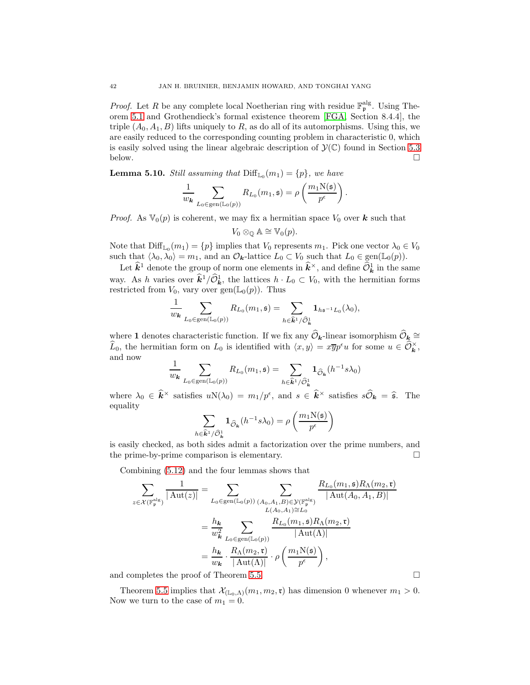*Proof.* Let R be any complete local Noetherian ring with residue  $\mathbb{F}_p^{\text{alg}}$ . Using Theorem [5.1](#page-34-3) and Grothendieck's formal existence theorem [\[FGA,](#page-68-23) Section 8.4.4], the triple  $(A_0, A_1, B)$  lifts uniquely to R, as do all of its automorphisms. Using this, we are easily reduced to the corresponding counting problem in characteristic 0, which is easily solved using the linear algebraic description of  $\mathcal{Y}(\mathbb{C})$  found in Section [5.3](#page-42-0) below. below.  $\Box$ 

**Lemma 5.10.** Still assuming that  $\text{Diff}_{\mathbb{L}_0}(m_1) = \{p\}$ , we have

$$
\frac{1}{w_{\mathbf{k}}}\sum_{L_0\in \text{gen}(\mathbb{L}_0(p))}R_{L_0}(m_1, \mathfrak{s})=\rho\left(\frac{m_1\mathrm{N}(\mathfrak{s})}{p^\epsilon}\right).
$$

*Proof.* As  $\mathbb{V}_0(p)$  is coherent, we may fix a hermitian space  $V_0$  over **k** such that

$$
V_0 \otimes_{\mathbb{Q}} \mathbb{A} \cong \mathbb{V}_0(p).
$$

Note that  $\text{Diff}_{\mathbb{L}_0}(m_1) = \{p\}$  implies that  $V_0$  represents  $m_1$ . Pick one vector  $\lambda_0 \in V_0$ such that  $\langle \lambda_0, \lambda_0 \rangle = m_1$ , and an  $\mathcal{O}_{\mathbf{k}}$ -lattice  $L_0 \subset V_0$  such that  $L_0 \in \text{gen}(\mathbb{L}_0(p)).$ 

Let  $\hat{k}^1$  denote the group of norm one elements in  $\hat{k}^{\times}$ , and define  $\widehat{\mathcal{O}}_{\hat{k}}^1$  in the same way. As h varies over  $\hat{k}^1/\hat{\mathcal{O}}^1_{\hat{k}}$ , the lattices  $h \cdot L_0 \subset V_0$ , with the hermitian forms restricted from  $V_0$ , vary over  $gen(\mathbb{L}_0(p))$ . Thus

$$
\frac{1}{w_{\mathbf{k}}}\sum_{L_0\in \text{gen}(\mathbb{L}_0(p))}R_{L_0}(m_1,\mathfrak{s})=\sum_{h\in \widehat{\mathbf{k}}^1/\widehat{\mathcal{O}}^1_{\mathbf{k}}}\mathbf{1}_{h\mathfrak{s}^{-1}L_0}(\lambda_0),
$$

where 1 denotes characteristic function. If we fix any  $\mathcal{O}_k$ -linear isomorphism  $\mathcal{O}_k \cong$  $\widehat{L}_0$ , the hermitian form on  $L_0$  is identified with  $\langle x, y \rangle = x \overline{y} p^{\epsilon} u$  for some  $u \in \widehat{\mathcal{O}}_{\mathbf{k}}^{\times}$ , and now

$$
\frac{1}{w_{\mathbf{k}}}\sum_{L_0 \in \text{gen}(\mathbb{L}_0(p))} R_{L_0}(m_1, \mathfrak{s}) = \sum_{h \in \widehat{\mathbf{k}}^1/\widehat{\mathcal{O}}_{\mathbf{k}}^1} \mathbf{1}_{\widehat{\mathcal{O}}_{\mathbf{k}}}(h^{-1} s \lambda_0)
$$

where  $\lambda_0 \in \hat{k}^{\times}$  satisfies  $uN(\lambda_0) = m_1/p^{\epsilon}$ , and  $s \in \hat{k}^{\times}$  satisfies  $s\widehat{\mathcal{O}}_{\bm{k}} = \widehat{s}$ . The equality

$$
\sum_{\epsilon \widehat{\mathbf{k}}^1/\widehat{\mathcal{O}}_{\mathbf{k}}^1} \mathbf{1}_{\widehat{\mathcal{O}}_{\mathbf{k}}}(h^{-1} s \lambda_0) = \rho \left( \frac{m_1 \mathbf{N}(\mathfrak{s})}{p^{\epsilon}} \right)
$$

is easily checked, as both sides admit a factorization over the prime numbers, and the prime-by-prime comparison is elementary.

Combining [\(5.12\)](#page-38-1) and the four lemmas shows that

 $h$ 

$$
\sum_{z \in \mathcal{X}(\mathbb{F}_{\mathfrak{p}}^{\mathrm{alg}})} \frac{1}{|\operatorname{Aut}(z)|} = \sum_{L_0 \in \operatorname{gen}(\mathbb{L}_0(p))} \sum_{\substack{(A_0, A_1, B) \in \mathcal{Y}(\mathbb{F}_{\mathfrak{p}}^{\mathrm{alg}}) \\ L(A_0, A_1) \cong L_0}} \frac{R_{L_0}(m_1, \mathfrak{s}) R_{\Lambda}(m_2, \mathfrak{r})}{|\operatorname{Aut}(A_0, A_1, B)|}
$$
\n
$$
= \frac{h_{\mathbf{k}}}{w_{\mathbf{k}}^2} \sum_{L_0 \in \operatorname{gen}(\mathbb{L}_0(p))} \frac{R_{L_0}(m_1, \mathfrak{s}) R_{\Lambda}(m_2, \mathfrak{r})}{|\operatorname{Aut}(\Lambda)|}
$$
\n
$$
= \frac{h_{\mathbf{k}}}{w_{\mathbf{k}}} \cdot \frac{R_{\Lambda}(m_2, \mathfrak{r})}{|\operatorname{Aut}(\Lambda)|} \cdot \rho \left(\frac{m_1 \mathrm{N}(\mathfrak{s})}{p^{\epsilon}}\right),
$$

and completes the proof of Theorem [5.5.](#page-36-0)

Theorem [5.5](#page-36-0) implies that  $\mathcal{X}_{(\mathbb{L}_0,\Lambda)}(m_1,m_2,\mathfrak{r})$  has dimension 0 whenever  $m_1 > 0$ . Now we turn to the case of  $m_1 = 0$ .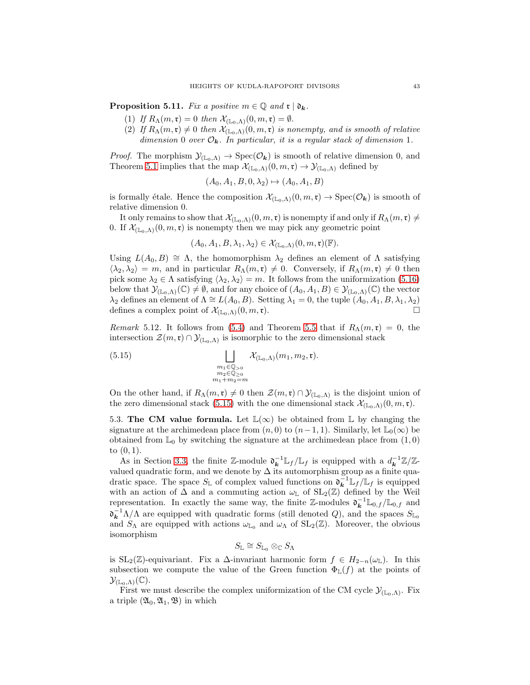<span id="page-42-3"></span>**Proposition 5.11.** Fix a positive  $m \in \mathbb{Q}$  and  $\mathfrak{r} \mid \mathfrak{d}_k$ .

- (1) If  $R_{\Lambda}(m,\mathfrak{r})=0$  then  $\mathcal{X}_{(\mathbb{L}_{0},\Lambda)}(0,m,\mathfrak{r})=\emptyset$ .
- (2) If  $R_{\Lambda}(m,\mathfrak{r})\neq 0$  then  $\mathcal{X}_{(\mathbb{L}_0,\Lambda)}(0,m,\mathfrak{r})$  is nonempty, and is smooth of relative dimension 0 over  $\mathcal{O}_k$ . In particular, it is a regular stack of dimension 1.

*Proof.* The morphism  $\mathcal{Y}_{(\mathbb{L}_0,\Lambda)} \to \text{Spec}(\mathcal{O}_{\mathbf{k}})$  is smooth of relative dimension 0, and Theorem [5.1](#page-34-3) implies that the map  $\mathcal{X}_{(\mathbb{L}_0,\Lambda)}(0,m,\mathfrak{r}) \to \mathcal{Y}_{(\mathbb{L}_0,\Lambda)}$  defined by

$$
(A_0, A_1, B, 0, \lambda_2) \mapsto (A_0, A_1, B)
$$

is formally étale. Hence the composition  $\mathcal{X}_{(\mathbb{L}_0,\Lambda)}(0,m,\mathfrak{r}) \to \operatorname{Spec}(\mathcal{O}_{\mathbf{k}})$  is smooth of relative dimension 0.

It only remains to show that  $\mathcal{X}_{(\mathbb{L}_0,\Lambda)}(0,m,\mathfrak{r})$  is nonempty if and only if  $R_\Lambda(m,\mathfrak{r})\neq 0$ 0. If  $\mathcal{X}_{(\mathbb{L}_0,\Lambda)}(0,m,\mathfrak{r})$  is nonempty then we may pick any geometric point

$$
(A_0, A_1, B, \lambda_1, \lambda_2) \in \mathcal{X}_{(\mathbb{L}_0,\Lambda)}(0,m,\mathfrak{r})(\mathbb{F}).
$$

Using  $L(A_0, B) \cong \Lambda$ , the homomorphism  $\lambda_2$  defines an element of  $\Lambda$  satisfying  $\langle \lambda_2, \lambda_2 \rangle = m$ , and in particular  $R_\Lambda(m, \mathfrak{r}) \neq 0$ . Conversely, if  $R_\Lambda(m, \mathfrak{r}) \neq 0$  then pick some  $\lambda_2 \in \Lambda$  satisfying  $\langle \lambda_2, \lambda_2 \rangle = m$ . It follows from the uniformization [\(5.16\)](#page-43-1) below that  $\mathcal{Y}_{(\mathbb{L}_0,\Lambda)}(\mathbb{C})\neq \emptyset$ , and for any choice of  $(A_0, A_1, B)\in \mathcal{Y}_{(\mathbb{L}_0,\Lambda)}(\mathbb{C})$  the vector  $\lambda_2$  defines an element of  $\Lambda \cong L(A_0, B)$ . Setting  $\lambda_1 = 0$ , the tuple  $(A_0, A_1, B, \lambda_1, \lambda_2)$ defines a complex point of  $\mathcal{X}_{(\mathbb{L}_0,\Lambda)}(0,m,\mathfrak{r}).$ 

<span id="page-42-2"></span>Remark 5.12. It follows from [\(5.4\)](#page-35-2) and Theorem [5.5](#page-36-0) that if  $R_{\Lambda}(m,\mathfrak{r}) = 0$ , the intersection  $\mathcal{Z}(m,\mathfrak{r}) \cap \mathcal{Y}_{(\mathbb{L}_0,\Lambda)}$  is isomorphic to the zero dimensional stack

<span id="page-42-1"></span>(5.15) 
$$
\bigsqcup_{\substack{m_1 \in \mathbb{Q}_{>0} \\ m_2 \in \mathbb{Q}_{\geq 0} \\ m_1 + m_2 = m}} \mathcal{X}_{(\mathbb{L}_0,\Lambda)}(m_1, m_2, \mathfrak{r}).
$$

On the other hand, if  $R_{\Lambda}(m,\mathfrak{r})\neq 0$  then  $\mathcal{Z}(m,\mathfrak{r})\cap \mathcal{Y}_{(\mathbb{L}_0,\Lambda)}$  is the disjoint union of the zero dimensional stack [\(5.15\)](#page-42-1) with the one dimensional stack  $\mathcal{X}_{(\mathbb{L}_0,\Lambda)}(0,m,\mathfrak{r})$ .

<span id="page-42-0"></span>5.3. The CM value formula. Let  $\mathbb{L}(\infty)$  be obtained from  $\mathbb{L}$  by changing the signature at the archimedean place from  $(n, 0)$  to  $(n-1, 1)$ . Similarly, let  $\mathbb{L}_0(\infty)$  be obtained from  $\mathbb{L}_0$  by switching the signature at the archimedean place from  $(1, 0)$ to  $(0, 1)$ .

As in Section [3.3,](#page-14-1) the finite Z-module  $\mathfrak{d}_{\mathbf{k}}^{-1} \mathbb{L}_{f} / \mathbb{L}_{f}$  is equipped with a  $d_{\mathbf{k}}^{-1} \mathbb{Z}/\mathbb{Z}$ valued quadratic form, and we denote by  $\Delta$  its automorphism group as a finite quadratic space. The space  $S_{\mathbb{L}}$  of complex valued functions on  $\mathfrak{d}_{\mathbf{k}}^{-1} \mathbb{L}_f / \mathbb{L}_f$  is equipped with an action of  $\Delta$  and a commuting action  $\omega_{\mathbb{L}}$  of  $SL_2(\mathbb{Z})$  defined by the Weil representation. In exactly the same way, the finite Z-modules  $\mathfrak{d}_{\mathbf{k}}^{-1} \mathbb{L}_{0,f}/\mathbb{L}_{0,f}$  and  $\mathfrak{d}_{\mathbf{k}}^{-1}\Lambda/\Lambda$  are equipped with quadratic forms (still denoted Q), and the spaces  $S_{\mathbb{L}_0}$ and  $S_\Lambda$  are equipped with actions  $\omega_{\mathbb{L}_0}$  and  $\omega_\Lambda$  of  $SL_2(\mathbb{Z})$ . Moreover, the obvious isomorphism

$$
S_{\mathbb{L}} \cong S_{\mathbb{L}_0} \otimes_{\mathbb{C}} S_{\Lambda}
$$

is SL<sub>2</sub>( $\mathbb{Z}$ )-equivariant. Fix a  $\Delta$ -invariant harmonic form  $f \in H_{2-n}(\omega_{\mathbb{L}})$ . In this subsection we compute the value of the Green function  $\Phi_{\mathbb{L}}(f)$  at the points of  $\mathcal{Y}_{(\mathbb{L}_0,\Lambda)}(\mathbb{C}).$ 

First we must describe the complex uniformization of the CM cycle  $\mathcal{Y}_{(\mathbb{L}_0,\Lambda)}$ . Fix a triple  $(\mathfrak{A}_0, \mathfrak{A}_1, \mathfrak{B})$  in which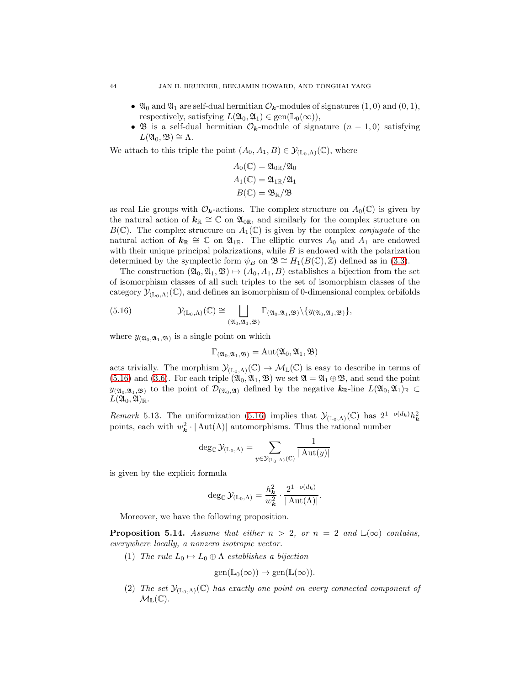- $\mathfrak{A}_0$  and  $\mathfrak{A}_1$  are self-dual hermitian  $\mathcal{O}_k$ -modules of signatures  $(1,0)$  and  $(0,1)$ , respectively, satisfying  $L(\mathfrak{A}_0, \mathfrak{A}_1) \in \text{gen}(\mathbb{L}_0(\infty)),$
- B is a self-dual hermitian  $\mathcal{O}_k$ -module of signature  $(n-1,0)$  satisfying  $L(\mathfrak{A}_0, \mathfrak{B}) \cong \Lambda.$

We attach to this triple the point  $(A_0, A_1, B) \in \mathcal{Y}_{(\mathbb{L}_0,\Lambda)}(\mathbb{C})$ , where

$$
A_0(\mathbb{C}) = \mathfrak{A}_{0\mathbb{R}}/\mathfrak{A}_0
$$
  

$$
A_1(\mathbb{C}) = \mathfrak{A}_{1\mathbb{R}}/\mathfrak{A}_1
$$
  

$$
B(\mathbb{C}) = \mathfrak{B}_{\mathbb{R}}/\mathfrak{B}
$$

as real Lie groups with  $\mathcal{O}_{k}$ -actions. The complex structure on  $A_0(\mathbb{C})$  is given by the natural action of  $k_{\mathbb{R}} \cong \mathbb{C}$  on  $\mathfrak{A}_{0\mathbb{R}}$ , and similarly for the complex structure on  $B(\mathbb{C})$ . The complex structure on  $A_1(\mathbb{C})$  is given by the complex *conjugate* of the natural action of  $k_{\mathbb{R}} \cong \mathbb{C}$  on  $\mathfrak{A}_{1\mathbb{R}}$ . The elliptic curves  $A_0$  and  $A_1$  are endowed with their unique principal polarizations, while  $B$  is endowed with the polarization determined by the symplectic form  $\psi_B$  on  $\mathfrak{B} \cong H_1(B(\mathbb{C}), \mathbb{Z})$  defined as in [\(3.3\)](#page-12-3).

The construction  $(\mathfrak{A}_0, \mathfrak{A}_1, \mathfrak{B}) \mapsto (A_0, A_1, B)$  establishes a bijection from the set of isomorphism classes of all such triples to the set of isomorphism classes of the category  $\mathcal{Y}_{(\mathbb{L}_0,\Lambda)}(\mathbb{C})$ , and defines an isomorphism of 0-dimensional complex orbifolds

(5.16) 
$$
\mathcal{Y}_{(\mathbb{L}_0,\Lambda)}(\mathbb{C}) \cong \bigsqcup_{(\mathfrak{A}_0,\mathfrak{A}_1,\mathfrak{B})} \Gamma_{(\mathfrak{A}_0,\mathfrak{A}_1,\mathfrak{B})} \setminus \{y_{(\mathfrak{A}_0,\mathfrak{A}_1,\mathfrak{B})}\},
$$

where  $y_{(\mathfrak{A}_0, \mathfrak{A}_1, \mathfrak{B})}$  is a single point on which

<span id="page-43-1"></span>
$$
\Gamma_{({\mathfrak{A}}_0,{\mathfrak{A}}_1,{\mathfrak{B}})}=\mathrm{Aut}({\mathfrak{A}}_0,{\mathfrak{A}}_1,{\mathfrak{B}})
$$

acts trivially. The morphism  $\mathcal{Y}_{(\mathbb{L}_0,\Lambda)}(\mathbb{C}) \to \mathcal{M}_{\mathbb{L}}(\mathbb{C})$  is easy to describe in terms of [\(5.16\)](#page-43-1) and [\(3.6\)](#page-14-0). For each triple  $(\mathfrak{A}_0, \mathfrak{A}_1, \mathfrak{B})$  we set  $\mathfrak{A} = \mathfrak{A}_1 \oplus \mathfrak{B}$ , and send the point  $y_{(\mathfrak{A}_0,\mathfrak{A}_1,\mathfrak{B})}$  to the point of  $\mathcal{D}_{(\mathfrak{A}_0,\mathfrak{A})}$  defined by the negative  $k_{\mathbb{R}}$ -line  $L(\mathfrak{A}_0,\mathfrak{A}_1)_{\mathbb{R}} \subset$  $L(\mathfrak{A}_0,\mathfrak{A})_{\mathbb{R}}$ .

<span id="page-43-0"></span>Remark 5.13. The uniformization [\(5.16\)](#page-43-1) implies that  $\mathcal{Y}_{(\mathbb{L}_0,\Lambda)}(\mathbb{C})$  has  $2^{1-o(d_{\mathbf{k}})}h_{\mathbf{k}}^2$ points, each with  $w_k^2 \cdot |\text{Aut}(\Lambda)|$  automorphisms. Thus the rational number

$$
\deg_{\mathbb{C}} \mathcal{Y}_{(\mathbb{L}_0,\Lambda)} = \sum_{y \in \mathcal{Y}_{(\mathbb{L}_0,\Lambda)}(\mathbb{C})} \frac{1}{|\operatorname{Aut}(y)|}
$$

is given by the explicit formula

$$
\deg_{\mathbb{C}} \mathcal{Y}_{(\mathbb{L}_0,\Lambda)} = \frac{h_{\mathbf{k}}^2}{w_{\mathbf{k}}^2} \cdot \frac{2^{1-o(d_{\mathbf{k}})}}{|\mathrm{Aut}(\Lambda)|}.
$$

Moreover, we have the following proposition.

**Proposition 5.14.** Assume that either  $n > 2$ , or  $n = 2$  and  $\mathbb{L}(\infty)$  contains, everywhere locally, a nonzero isotropic vector.

(1) The rule  $L_0 \mapsto L_0 \oplus \Lambda$  establishes a bijection

$$
\text{gen}(\mathbb{L}_0(\infty)) \to \text{gen}(\mathbb{L}(\infty)).
$$

(2) The set  $\mathcal{Y}_{(\mathbb{L}_0,\Lambda)}(\mathbb{C})$  has exactly one point on every connected component of  $\mathcal{M}_{\mathbb{L}}(\mathbb{C}).$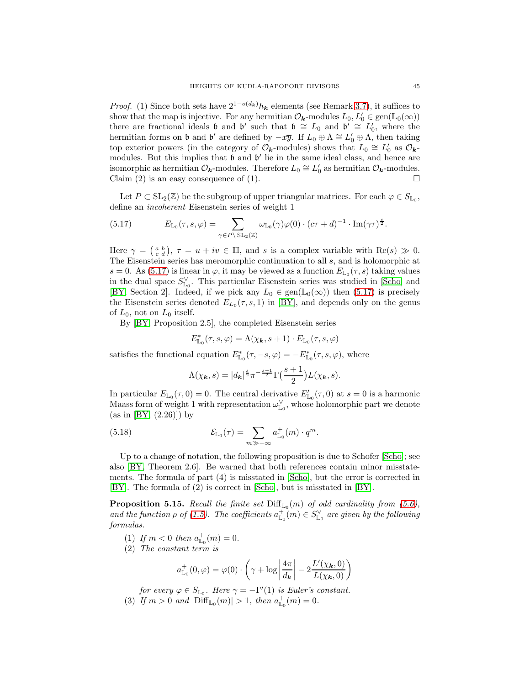*Proof.* (1) Since both sets have  $2^{1-o(d_k)}h_k$  elements (see Remark [3.7\)](#page-14-2), it suffices to show that the map is injective. For any hermitian  $\mathcal{O}_{\mathbf{k}}$ -modules  $L_0, L'_0 \in \text{gen}(\mathbb{L}_0(\infty))$ there are fractional ideals **b** and **b'** such that  $\mathfrak{b} \cong L_0$  and  $\mathfrak{b}' \cong L'_0$ , where the hermitian forms on b and b' are defined by  $-x\overline{y}$ . If  $L_0 \oplus \Lambda \cong L'_0 \oplus \Lambda$ , then taking top exterior powers (in the category of  $\mathcal{O}_k$ -modules) shows that  $L_0 \cong L'_0$  as  $\mathcal{O}_k$ modules. But this implies that **b** and **b'** lie in the same ideal class, and hence are isomorphic as hermitian  $\mathcal{O}_{\mathbf{k}}$ -modules. Therefore  $L_0 \cong L'_0$  as hermitian  $\mathcal{O}_{\mathbf{k}}$ -modules. Claim (2) is an easy consequence of (1).  $\Box$ 

Let  $P \subset SL_2(\mathbb{Z})$  be the subgroup of upper triangular matrices. For each  $\varphi \in S_{\mathbb{L}_0}$ , define an incoherent Eisenstein series of weight 1

<span id="page-44-0"></span>(5.17) 
$$
E_{\mathbb{L}_0}(\tau,s,\varphi) = \sum_{\gamma \in P \backslash \operatorname{SL}_2(\mathbb{Z})} \omega_{\mathbb{L}_0}(\gamma) \varphi(0) \cdot (c\tau + d)^{-1} \cdot \operatorname{Im}(\gamma \tau)^{\frac{s}{2}}.
$$

Here  $\gamma = \begin{pmatrix} a & b \\ c & d \end{pmatrix}$ ,  $\tau = u + iv \in \mathbb{H}$ , and s is a complex variable with  $\text{Re}(s) \gg 0$ . The Eisenstein series has meromorphic continuation to all s, and is holomorphic at s = 0. As [\(5.17\)](#page-44-0) is linear in  $\varphi$ , it may be viewed as a function  $E_{\mathbb{L}_0}(\tau, s)$  taking values in the dual space  $S^{\vee}_{\mathbb{L}_0}$ . This particular Eisenstein series was studied in [\[Scho\]](#page-68-24) and [\[BY,](#page-67-5) Section 2]. Indeed, if we pick any  $L_0 \in \text{gen}(\mathbb{L}_0(\infty))$  then [\(5.17\)](#page-44-0) is precisely the Eisenstein series denoted  $E_{L_0}(\tau, s, 1)$  in [\[BY\]](#page-67-5), and depends only on the genus of  $L_0$ , not on  $L_0$  itself.

By [\[BY,](#page-67-5) Proposition 2.5], the completed Eisenstein series

$$
E^*_{\mathbb{L}_0}(\tau,s,\varphi) = \Lambda(\chi_{\boldsymbol{k}},s+1) \cdot E_{\mathbb{L}_0}(\tau,s,\varphi)
$$

satisfies the functional equation  $E_{\mathbb{L}_0}^*(\tau, -s, \varphi) = -E_{\mathbb{L}_0}^*(\tau, s, \varphi)$ , where

<span id="page-44-1"></span>
$$
\Lambda(\chi_{\mathbf{k}},s) = |d_{\mathbf{k}}|^{\frac{s}{2}} \pi^{-\frac{s+1}{2}} \Gamma\left(\frac{s+1}{2}\right) L(\chi_{\mathbf{k}},s).
$$

In particular  $E_{\mathbb{L}_0}(\tau,0) = 0$ . The central derivative  $E'_{\mathbb{L}_0}(\tau,0)$  at  $s = 0$  is a harmonic Maass form of weight 1 with representation  $\omega_{\mathbb{L}_0}^{\vee}$ , whose holomorphic part we denote  $(as in [BY, (2.26)]) by$  $(as in [BY, (2.26)]) by$  $(as in [BY, (2.26)]) by$ 

(5.18) 
$$
\mathcal{E}_{\mathbb{L}_0}(\tau) = \sum_{m \gg -\infty} a^+_{\mathbb{L}_0}(m) \cdot q^m.
$$

Up to a change of notation, the following proposition is due to Schofer [\[Scho\]](#page-68-24); see also [\[BY,](#page-67-5) Theorem 2.6]. Be warned that both references contain minor misstatements. The formula of part (4) is misstated in [\[Scho\]](#page-68-24), but the error is corrected in [\[BY\]](#page-67-5). The formula of (2) is correct in [\[Scho\]](#page-68-24), but is misstated in [\[BY\]](#page-67-5).

<span id="page-44-2"></span>**Proposition 5.15.** Recall the finite set  $\text{Diff}_{\mathbb{L}_0}(m)$  of odd cardinality from [\(5.6\)](#page-36-3), and the function  $\rho$  of [\(1.5\)](#page-7-4). The coefficients  $a_{\mathbb{L}_0}^+(m) \in S_{\mathbb{L}_0}^\vee$  are given by the following formulas.

- (1) If  $m < 0$  then  $a_{\mathbb{L}_0}^+(m) = 0$ .
- (2) The constant term is

$$
a_{\mathbb{L}_0}^+(0,\varphi) = \varphi(0) \cdot \left(\gamma + \log \left| \frac{4\pi}{d_{\pmb{k}}} \right| - 2 \frac{L'(\chi_{\pmb{k}},0)}{L(\chi_{\pmb{k}},0)} \right)
$$

for every  $\varphi \in S_{\mathbb{L}_0}$ . Here  $\gamma = -\Gamma'(1)$  is Euler's constant. (3) If  $m > 0$  and  $|\text{Diff}_{\mathbb{L}_0}(m)| > 1$ , then  $a_{\mathbb{L}_0}^+(m) = 0$ .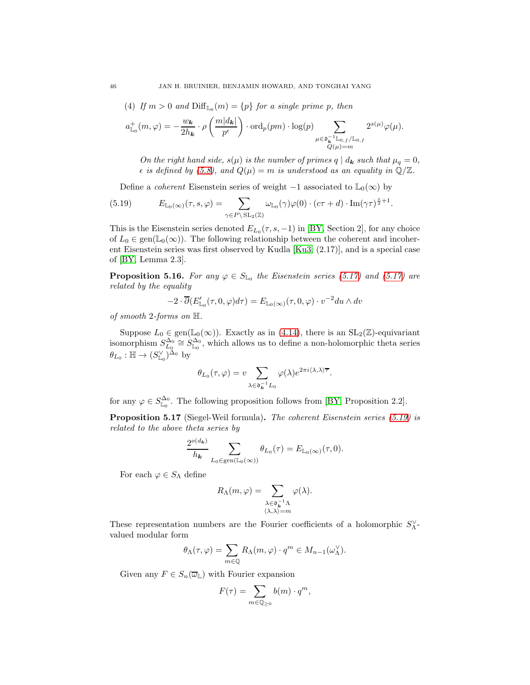(4) If 
$$
m > 0
$$
 and  $\text{Diff}_{\mathbb{L}_0}(m) = \{p\}$  for a single prime p, then

$$
a_{\mathbb{L}_0}^+(m,\varphi) = -\frac{w_{\boldsymbol{k}}}{2h_{\boldsymbol{k}}} \cdot \rho\left(\frac{m|d_{\boldsymbol{k}}|}{p^{\epsilon}}\right) \cdot \mathrm{ord}_p(pm) \cdot \log(p) \sum_{\substack{\mu \in \mathfrak{d}_{\boldsymbol{k}}^{-1} \mathbb{L}_{0,f}/\mathbb{L}_{0,f} \\ Q(\mu)=m}} 2^{s(\mu)} \varphi(\mu).
$$

On the right hand side,  $s(\mu)$  is the number of primes  $q | d_{\mathbf{k}}$  such that  $\mu_q = 0$ ,  $\epsilon$  is defined by [\(5.8\)](#page-36-4), and  $Q(\mu) = m$  is understood as an equality in  $\mathbb{Q}/\mathbb{Z}$ .

<span id="page-45-0"></span>Define a *coherent* Eisenstein series of weight  $-1$  associated to  $\mathbb{L}_0(\infty)$  by

(5.19) 
$$
E_{\mathbb{L}_0(\infty)}(\tau, s, \varphi) = \sum_{\gamma \in P \backslash \operatorname{SL}_2(\mathbb{Z})} \omega_{\mathbb{L}_0}(\gamma) \varphi(0) \cdot (c\tau + d) \cdot \operatorname{Im}(\gamma \tau)^{\frac{s}{2}+1}.
$$

This is the Eisenstein series denoted  $E_{L_0}(\tau, s, -1)$  in [\[BY,](#page-67-5) Section 2], for any choice of  $L_0 \in \text{gen}(\mathbb{L}_0(\infty))$ . The following relationship between the coherent and incoherent Eisenstein series was first observed by Kudla [\[Ku3,](#page-68-12) (2.17)], and is a special case of [\[BY,](#page-67-5) Lemma 2.3].

<span id="page-45-2"></span>**Proposition 5.16.** For any  $\varphi \in S_{\mathbb{L}_0}$  the Eisenstein series [\(5.17\)](#page-44-0) and (5.17) are related by the equality

$$
-2\cdot\overline{\partial}(E'_{\mathbb{L}_0}(\tau,0,\varphi)d\tau)=E_{\mathbb{L}_0(\infty)}(\tau,0,\varphi)\cdot v^{-2}du\wedge dv
$$

of smooth 2-forms on H.

Suppose  $L_0 \in \text{gen}(\mathbb{L}_0(\infty))$ . Exactly as in [\(4.14\)](#page-33-3), there is an  $SL_2(\mathbb{Z})$ -equivariant isomorphism  $S_{L_0}^{\Delta_0} \cong S_{\mathbb{L}_0}^{\Delta_0}$ , which allows us to define a non-holomorphic theta series  $\theta_{L_0}: \mathbb{H} \to (S_{\mathbb{L}_0}^{\vee})^{\Delta_0}$  by

$$
\theta_{L_0}(\tau,\varphi) = v \sum_{\lambda \in \mathfrak{d}_{\mathbf{k}}^{-1} L_0} \varphi(\lambda) e^{2\pi i \langle \lambda, \lambda \rangle \overline{\tau}}.
$$

for any  $\varphi \in S_{\mathbb{L}_0}^{\Delta_0}$ . The following proposition follows from [\[BY,](#page-67-5) Proposition 2.2].

<span id="page-45-1"></span>Proposition 5.17 (Siegel-Weil formula). The coherent Eisenstein series [\(5.19\)](#page-45-0) is related to the above theta series by

$$
\frac{2^{o(d_{\mathbf{k}})}}{h_{\mathbf{k}}} \sum_{L_0 \in \text{gen}(\mathbb{L}_0(\infty))} \theta_{L_0}(\tau) = E_{\mathbb{L}_0(\infty)}(\tau, 0).
$$

For each  $\varphi \in S_\Lambda$  define

$$
R_{\Lambda}(m,\varphi) = \sum_{\substack{\lambda \in \mathfrak{d}_{\mathbf{k}}^{-1}\Lambda \\ \langle \lambda,\lambda \rangle = m}} \varphi(\lambda).
$$

These representation numbers are the Fourier coefficients of a holomorphic  $S_{\Lambda}^{\vee}$ valued modular form

$$
\theta_{\Lambda}(\tau,\varphi) = \sum_{m \in \mathbb{Q}} R_{\Lambda}(m,\varphi) \cdot q^m \in M_{n-1}(\omega_{\Lambda}^{\vee}).
$$

Given any  $F \in S_n(\overline{\omega}_\mathbb{L})$  with Fourier expansion

$$
F(\tau) = \sum_{m \in \mathbb{Q}_{\geq 0}} b(m) \cdot q^m,
$$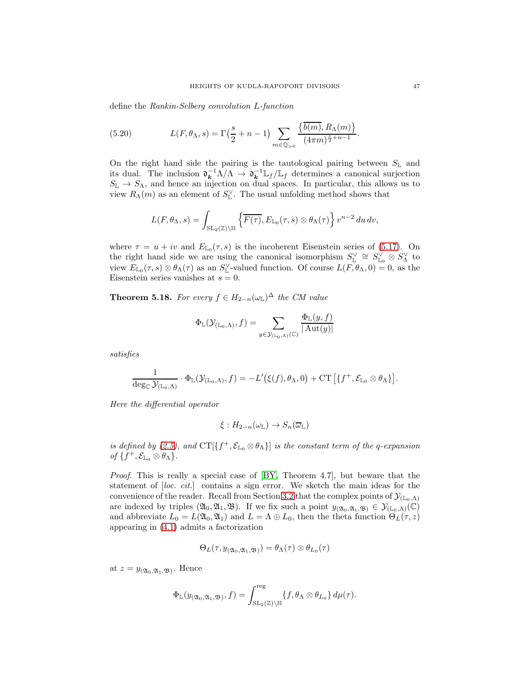define the Rankin-Selberg convolution L-function

<span id="page-46-1"></span>(5.20) 
$$
L(F, \theta_{\Lambda}, s) = \Gamma\left(\frac{s}{2} + n - 1\right) \sum_{m \in \mathbb{Q}_{>0}} \frac{\left\{\overline{b(m)}, R_{\Lambda}(m)\right\}}{(4\pi m)^{\frac{s}{2} + n - 1}}.
$$

On the right hand side the pairing is the tautological pairing between  $S_{\mathbb{L}}$  and its dual. The inclusion  $\mathfrak{d}_{\mathbf{k}}^{-1} \Lambda / \Lambda \to \mathfrak{d}_{\mathbf{k}}^{-1} \mathbb{L}_f / \mathbb{L}_f$  determines a canonical surjection  $S_{\mathbb{L}} \to S_{\Lambda}$ , and hence an injection on dual spaces. In particular, this allows us to view  $R_{\Lambda}(m)$  as an element of  $S_{\mathbb{L}}^{\vee}$ . The usual unfolding method shows that

$$
L(F, \theta_{\Lambda}, s) = \int_{\mathrm{SL}_2(\mathbb{Z}) \backslash \mathbb{H}} \left\{ \overline{F(\tau)}, E_{\mathbb{L}_0}(\tau, s) \otimes \theta_{\Lambda}(\tau) \right\} v^{n-2} du dv,
$$

where  $\tau = u + iv$  and  $E_{\mathbb{L}_0}(\tau, s)$  is the incoherent Eisenstein series of [\(5.17\)](#page-44-0). On the right hand side we are using the canonical isomorphism  $S_{\mathbb{L}}^{\vee} \cong S_{\mathbb{L}_0}^{\vee} \otimes S_{\Lambda}^{\vee}$  to view  $E_{\mathbb{L}_0}(\tau, s) \otimes \theta_\Lambda(\tau)$  as an  $S_{\mathbb{L}}^{\vee}$ -valued function. Of course  $L(F, \theta_\Lambda, 0) = 0$ , as the Eisenstein series vanishes at  $s = 0$ .

<span id="page-46-0"></span>**Theorem 5.18.** For every  $f \in H_{2-n}(\omega_{\mathbb{L}})^{\Delta}$  the CM value

$$
\Phi_{\mathbb{L}}(\mathcal{Y}_{(\mathbb{L}_0,\Lambda)},f)=\sum_{y\in\mathcal{Y}_{(\mathbb{L}_0,\Lambda)}(\mathbb{C})}\frac{\Phi_{\mathbb{L}}(y,f)}{|\operatorname{Aut}(y)|}
$$

satisfies

$$
\frac{1}{\deg_{\mathbb{C}}\mathcal{Y}_{(\mathbb{L}_0,\Lambda)}}\cdot\Phi_{\mathbb{L}}(\mathcal{Y}_{(\mathbb{L}_0,\Lambda)},f)=-L'(\xi(f),\theta_\Lambda,0)+\mathrm{CT}\left[\{f^+,\mathcal{E}_{\mathbb{L}_0}\otimes\theta_\Lambda\}\right].
$$

Here the differential operator

$$
\xi: H_{2-n}(\omega_{\mathbb{L}}) \to S_n(\overline{\omega}_{\mathbb{L}})
$$

is defined by [\(2.5\)](#page-10-3), and  $CT[\{f^+, \mathcal{E}_{\mathbb{L}_0} \otimes \theta_\Lambda\}]$  is the constant term of the q-expansion of  $\{f^+,\mathcal{E}_{\mathbb{L}_0}\otimes\theta_\Lambda\}.$ 

Proof. This is really a special case of [\[BY,](#page-67-5) Theorem 4.7], but beware that the statement of [loc. cit.] contains a sign error. We sketch the main ideas for the convenience of the reader. Recall from Section [3.2](#page-13-0) that the complex points of  $\mathcal{Y}_{(\mathbb{L}_0,\Lambda)}$ are indexed by triples  $(\mathfrak{A}_0, \mathfrak{A}_1, \mathfrak{B})$ . If we fix such a point  $y_{(\mathfrak{A}_0, \mathfrak{A}_1, \mathfrak{B})} \in \mathcal{Y}_{(\mathbb{L}_0, \Lambda)}(\mathbb{C})$ and abbreviate  $L_0 = L(\mathfrak{A}_0, \mathfrak{A}_1)$  and  $L = \Lambda \oplus L_0$ , then the theta function  $\Theta_L(\tau, z)$ appearing in [\(4.1\)](#page-19-0) admits a factorization

$$
\Theta_L(\tau, y_{(\mathfrak{A}_0, \mathfrak{A}_1, \mathfrak{B})}) = \theta_\Lambda(\tau) \otimes \theta_{L_0}(\tau)
$$

at  $z = y_{(\mathfrak{A}_0, \mathfrak{A}_1, \mathfrak{B})}$ . Hence

$$
\Phi_{\mathbb{L}}(y_{(\mathfrak{A}_0,\mathfrak{A}_1,\mathfrak{B})},f)=\int_{\mathrm{SL}_2(\mathbb{Z})\backslash \mathbb{H}}^{\mathrm{reg}}\{f,\theta_\Lambda \otimes \theta_{L_0}\}\,d\mu(\tau).
$$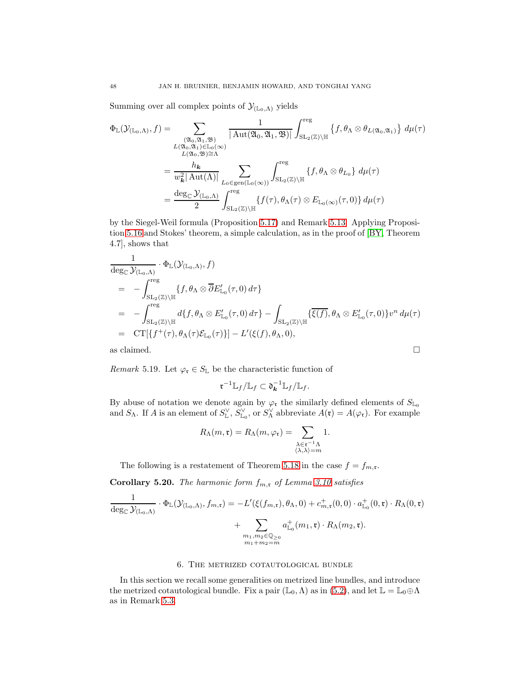Summing over all complex points of  $\mathcal{Y}_{(\mathbb{L}_0,\Lambda)}$  yields

$$
\Phi_{\mathbb{L}}(\mathcal{Y}_{(\mathbb{L}_{0},\Lambda)},f) = \sum_{\substack{(\mathfrak{A}_{0},\mathfrak{A}_{1},\mathfrak{B}) \ (\mathfrak{A}_{0},\mathfrak{A}_{1},\mathfrak{B})}} \frac{1}{|\operatorname{Aut}(\mathfrak{A}_{0},\mathfrak{A}_{1},\mathfrak{B})|} \int_{\operatorname{SL}_{2}(\mathbb{Z})\backslash \mathbb{H}}^{\operatorname{reg}} \{f,\theta_{\Lambda}\otimes\theta_{L(\mathfrak{A}_{0},\mathfrak{A}_{1})}\} d\mu(\tau)
$$
\n
$$
= \frac{h_{\mathbf{k}}}{w_{\mathbf{k}}^{2}|\operatorname{Aut}(\Lambda)|} \sum_{L_{0}\in \operatorname{gen}(\mathbb{L}_{0}(\infty))} \int_{\operatorname{SL}_{2}(\mathbb{Z})\backslash \mathbb{H}}^{\operatorname{reg}} \{f,\theta_{\Lambda}\otimes\theta_{L_{0}}\} d\mu(\tau)
$$
\n
$$
= \frac{\deg_{\mathbb{C}}\mathcal{Y}_{(\mathbb{L}_{0},\Lambda)}}{2} \int_{\operatorname{SL}_{2}(\mathbb{Z})\backslash \mathbb{H}}^{\operatorname{reg}} \{f(\tau),\theta_{\Lambda}(\tau)\otimes E_{\mathbb{L}_{0}(\infty)}(\tau,0)\} d\mu(\tau)
$$

by the Siegel-Weil formula (Proposition [5.17\)](#page-45-1) and Remark [5.13.](#page-43-0) Applying Proposition [5.16](#page-45-2) and Stokes' theorem, a simple calculation, as in the proof of [\[BY,](#page-67-5) Theorem 4.7], shows that

$$
\frac{1}{\deg_{\mathbb{C}} \mathcal{Y}_{(\mathbb{L}_{0}, \Lambda)}} \cdot \Phi_{\mathbb{L}}(\mathcal{Y}_{(\mathbb{L}_{0}, \Lambda)}, f)
$$
\n
$$
= - \int_{\mathrm{SL}_{2}(\mathbb{Z}) \backslash \mathbb{H}}^{\mathrm{reg}} \{ f, \theta_{\Lambda} \otimes \overline{\partial} E'_{\mathbb{L}_{0}}(\tau, 0) d\tau \}
$$
\n
$$
= - \int_{\mathrm{SL}_{2}(\mathbb{Z}) \backslash \mathbb{H}}^{\mathrm{reg}} d\{ f, \theta_{\Lambda} \otimes E'_{\mathbb{L}_{0}}(\tau, 0) d\tau \} - \int_{\mathrm{SL}_{2}(\mathbb{Z}) \backslash \mathbb{H}} \{ \overline{\xi(f)}, \theta_{\Lambda} \otimes E'_{\mathbb{L}_{0}}(\tau, 0) \} v^{n} d\mu(\tau)
$$
\n
$$
= C T[\{ f^{+}(\tau), \theta_{\Lambda}(\tau) \mathcal{E}_{\mathbb{L}_{0}}(\tau) \}] - L'(\xi(f), \theta_{\Lambda}, 0),
$$
\nas claimed.

<span id="page-47-1"></span>Remark 5.19. Let  $\varphi_{\mathfrak{r}} \in S_{\mathbb{L}}$  be the characteristic function of

$$
\mathfrak{r}^{-1} \mathbb{L}_f / \mathbb{L}_f \subset \mathfrak{d}_{\mathbf{k}}^{-1} \mathbb{L}_f / \mathbb{L}_f.
$$

By abuse of notation we denote again by  $\varphi_{\mathfrak{r}}$  the similarly defined elements of  $S_{\mathbb{L}_0}$ and  $S_\Lambda$ . If A is an element of  $S_\mathbb{L}^\vee$ ,  $S_\mathbb{L}^\vee$ , or  $S_\Lambda^\vee$  abbreviate  $A(\mathfrak{r}) = A(\varphi_\mathfrak{r})$ . For example

$$
R_{\Lambda}(m, \mathfrak{r}) = R_{\Lambda}(m, \varphi_{\mathfrak{r}}) = \sum_{\substack{\lambda \in \mathfrak{r}^{-1} \Lambda \\ \langle \lambda, \lambda \rangle = m}} 1.
$$

The following is a restatement of Theorem [5.18](#page-46-0) in the case  $f = f_{m,\mathfrak{r}}$ .

<span id="page-47-2"></span>**Corollary 5.20.** The harmonic form  $f_{m,r}$  of Lemma [3.10](#page-15-0) satisfies

$$
\frac{1}{\deg_{\mathbb{C}}\mathcal{Y}_{(\mathbb{L}_0,\Lambda)}}\cdot\Phi_{\mathbb{L}}(\mathcal{Y}_{(\mathbb{L}_0,\Lambda)},f_{m,\mathfrak{r}})=-L'(\xi(f_{m,\mathfrak{r}}),\theta_\Lambda,0)+c_{m,\mathfrak{r}}^+(0,0)\cdot a_{\mathbb{L}_0}^+(0,\mathfrak{r})\cdot R_{\Lambda}(0,\mathfrak{r})+\sum_{\substack{m_1,m_2\in\mathbb{Q}_{\geq 0}\\m_1+m_2=m}}a_{\mathbb{L}_0}^+(m_1,\mathfrak{r})\cdot R_{\Lambda}(m_2,\mathfrak{r}).
$$

## 6. The metrized cotautological bundle

<span id="page-47-0"></span>In this section we recall some generalities on metrized line bundles, and introduce the metrized cotautological bundle. Fix a pair  $(\mathbb{L}_0, \Lambda)$  as in  $(5.2)$ , and let  $\mathbb{L} = \mathbb{L}_0 \oplus \Lambda$ as in Remark [5.3.](#page-35-0)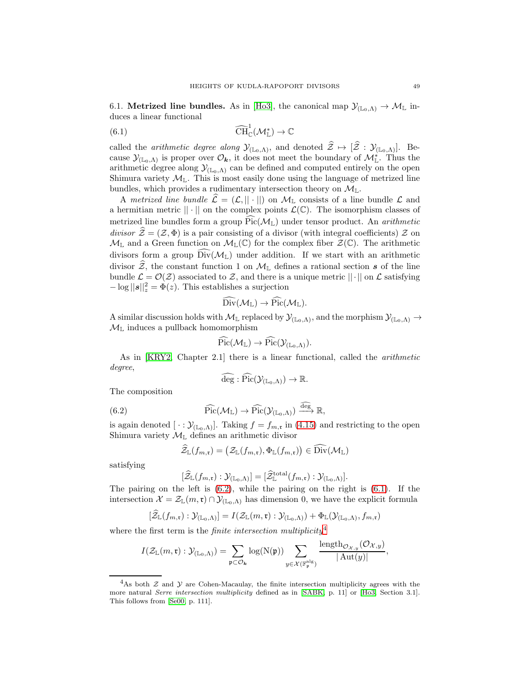<span id="page-48-3"></span>6.1. **Metrized line bundles.** As in [\[Ho3\]](#page-68-7), the canonical map  $\mathcal{Y}_{(\mathbb{L}_0,\Lambda)} \to \mathcal{M}_{\mathbb{L}}$  induces a linear functional

<span id="page-48-1"></span>(6.1) 
$$
\widehat{\text{CH}}_{\mathbb{C}}^1(\mathcal{M}_{\mathbb{L}}^*) \to \mathbb{C}
$$

called the *arithmetic degree along*  $\mathcal{Y}_{(\mathbb{L}_0,\Lambda)}$ , and denoted  $\mathcal{Z} \mapsto [\mathcal{Z} : \mathcal{Y}_{(\mathbb{L}_0,\Lambda)}]$ . Because  $\mathcal{Y}_{(\mathbb{L}_0,\Lambda)}$  is proper over  $\mathcal{O}_k$ , it does not meet the boundary of  $\mathcal{M}^*_{\mathbb{L}}$ . Thus the arithmetic degree along  $\mathcal{Y}_{(L_0,\Lambda)}$  can be defined and computed entirely on the open Shimura variety  $\mathcal{M}_{\mathbb{L}}$ . This is most easily done using the language of metrized line bundles, which provides a rudimentary intersection theory on  $\mathcal{M}_{\mathbb{L}}$ .

A metrized line bundle  $\hat{\mathcal{L}} = (\mathcal{L}, || \cdot ||)$  on  $\mathcal{M}_{\mathbb{L}}$  consists of a line bundle  $\mathcal{L}$  and a hermitian metric  $|| \cdot ||$  on the complex points  $\mathcal{L}(\mathbb{C})$ . The isomorphism classes of metrized line bundles form a group  $\text{Pic}(\mathcal{M}_{\mathbb{L}})$  under tensor product. An *arithmetic* divisor  $\hat{Z} = (Z, \Phi)$  is a pair consisting of a divisor (with integral coefficients) Z on  $\mathcal{M}_{\mathbb{L}}$  and a Green function on  $\mathcal{M}_{\mathbb{L}}(\mathbb{C})$  for the complex fiber  $\mathcal{Z}(\mathbb{C})$ . The arithmetic divisors form a group  $\widehat{\mathrm{Div}}(\mathcal{M}_L)$  under addition. If we start with an arithmetic divisor  $\hat{z}$ , the constant function 1 on  $\mathcal{M}_{\mathbb{L}}$  defines a rational section s of the line bundle  $\mathcal{L} = \mathcal{O}(\mathcal{Z})$  associated to  $\mathcal{Z}$ , and there is a unique metric  $||\cdot||$  on  $\mathcal{L}$  satisfying  $-\log ||s||_z^2 = \Phi(z)$ . This establishes a surjection

$$
\widehat{\operatorname{Div}}(\mathcal{M}_\mathbb{L}) \to \widehat{\operatorname{Pic}}(\mathcal{M}_\mathbb{L}).
$$

A similar discussion holds with  $M_{\mathbb{L}}$  replaced by  $\mathcal{Y}_{(\mathbb{L}_0,\Lambda)}$ , and the morphism  $\mathcal{Y}_{(\mathbb{L}_0,\Lambda)} \to$  $\mathcal{M}_{\mathbb{L}}$  induces a pullback homomorphism

$$
\mathrm{Pic}(\mathcal{M}_\mathbb{L}) \to \mathrm{Pic}(\mathcal{Y}_{(\mathbb{L}_0,\Lambda)}).
$$

As in [\[KRY2,](#page-68-8) Chapter 2.1] there is a linear functional, called the arithmetic degree,

<span id="page-48-0"></span>
$$
\widehat{\deg} : \widehat{\rm Pic}(\mathcal{Y}_{(\mathbb{L}_0,\Lambda)}) \to \mathbb{R}.
$$

The composition

(6.2) 
$$
\widehat{\mathrm{Pic}}(\mathcal{M}_{\mathbb{L}}) \to \widehat{\mathrm{Pic}}(\mathcal{Y}_{(\mathbb{L}_0,\Lambda)}) \stackrel{\widehat{\deg}}{\longrightarrow} \mathbb{R},
$$

is again denoted  $[\cdot : \mathcal{Y}_{(\mathbb{L}_0,\Lambda)}].$  Taking  $f = f_{m,\mathfrak{r}}$  in [\(4.15\)](#page-33-4) and restricting to the open Shimura variety  $\mathcal{M}_{\mathbb{L}}$  defines an arithmetic divisor

$$
\widehat{\mathcal{Z}}_{\mathbb{L}}(f_{m,\mathfrak{r}})=\big(\mathcal{Z}_{\mathbb{L}}(f_{m,\mathfrak{r}}),\Phi_{\mathbb{L}}(f_{m,\mathfrak{r}})\big)\in\widehat{\operatorname{Div}}(\mathcal{M}_{\mathbb{L}})
$$

satisfying

$$
[\widehat{\mathcal{Z}}_{\mathbb{L}}(f_{m,\mathfrak{r}}):\mathcal{Y}_{(\mathbb{L}_0,\Lambda)}]=[\widehat{\mathcal{Z}}_{\mathbb{L}}^{\text{total}}(f_{m,\mathfrak{r}}):\mathcal{Y}_{(\mathbb{L}_0,\Lambda)}].
$$

The pairing on the left is  $(6.2)$ , while the pairing on the right is  $(6.1)$ . If the intersection  $\mathcal{X} = \mathcal{Z}_{\mathbb{L}}(m,\mathfrak{r}) \cap \mathcal{Y}_{(\mathbb{L}_0,\Lambda)}$  has dimension 0, we have the explicit formula

$$
[\widetilde{\mathcal{Z}}_{\mathbb{L}}(f_{m,\mathfrak{r}}):\mathcal{Y}_{(\mathbb{L}_0,\Lambda)}]=I(\mathcal{Z}_{\mathbb{L}}(m,\mathfrak{r}):\mathcal{Y}_{(\mathbb{L}_0,\Lambda)})+\Phi_{\mathbb{L}}(\mathcal{Y}_{(\mathbb{L}_0,\Lambda)},f_{m,\mathfrak{r}})
$$

where the first term is the  $\emph{finite intersection multiplicity}^4$  $\emph{finite intersection multiplicity}^4$ 

$$
I(\mathcal{Z}_{\mathbb{L}}(m,\mathfrak{r}): \mathcal{Y}_{(\mathbb{L}_0,\Lambda)})=\sum_{\mathfrak{p}\subset \mathcal{O}_{\bm{k}}}\log(N(\mathfrak{p}))\sum_{y\in\mathcal{X}(\mathbb{F}_\mathfrak{p}^{\rm alg})}\frac{\text{length}_{\mathcal{O}_{\mathcal{X},y}}(\mathcal{O}_{\mathcal{X},y})}{|\operatorname{Aut}(y)|},
$$

<span id="page-48-2"></span><sup>&</sup>lt;sup>4</sup>As both  $\mathcal Z$  and  $\mathcal Y$  are Cohen-Macaulay, the finite intersection multiplicity agrees with the more natural *Serre intersection multiplicity* defined as in [\[SABK,](#page-68-3) p. 11] or [\[Ho3,](#page-68-7) Section 3.1]. This follows from [\[Se00,](#page-68-25) p. 111].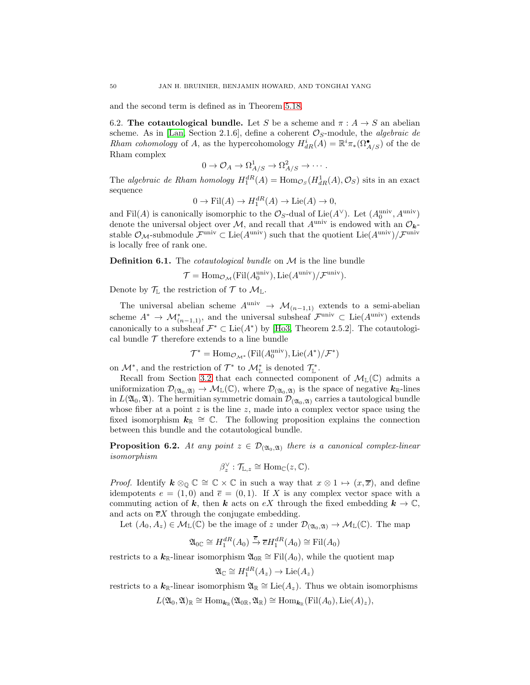<span id="page-49-0"></span>and the second term is defined as in Theorem [5.18.](#page-46-0)

6.2. The cotautological bundle. Let S be a scheme and  $\pi : A \rightarrow S$  an abelian scheme. As in [\[Lan,](#page-68-18) Section 2.1.6], define a coherent  $\mathcal{O}_S$ -module, the *algebraic de* Rham cohomology of A, as the hypercohomology  $H^i_{dR}(A) = \mathbb{R}^i \pi_*(\Omega_{A/S}^{\bullet})$  of the de Rham complex

$$
0 \to \mathcal{O}_A \to \Omega^1_{A/S} \to \Omega^2_{A/S} \to \cdots.
$$

The algebraic de Rham homology  $H_1^{dR}(A) = \text{Hom}_{\mathcal{O}_S}(H^1_{dR}(A), \mathcal{O}_S)$  sits in an exact sequence

$$
0 \to \text{Fil}(A) \to H_1^{dR}(A) \to \text{Lie}(A) \to 0,
$$

and Fil(A) is canonically isomorphic to the  $\mathcal{O}_S$ -dual of Lie(A<sup> $\vee$ </sup>). Let  $(A_0^{\text{univ}}, A_{\text{univ}})$ denote the universal object over  $M$ , and recall that  $A^{\text{univ}}$  is endowed with an  $\mathcal{O}_{k}$ stable  $\mathcal{O}_M$ -submodule  $\mathcal{F}^{\text{univ}} \subset \text{Lie}(A^{\text{univ}})$  such that the quotient  $\text{Lie}(A^{\text{univ}})/\mathcal{F}^{\text{univ}}$ is locally free of rank one.

**Definition 6.1.** The *cotautological bundle* on  $M$  is the line bundle

$$
\mathcal{T} = \text{Hom}_{\mathcal{O}_\mathcal{M}}(\text{Fil}(A_0^{\text{univ}}), \text{Lie}(A^{\text{univ}})/\mathcal{F}^{\text{univ}}).
$$

Denote by  $\mathcal{T}_{\mathbb{L}}$  the restriction of  $\mathcal{T}$  to  $\mathcal{M}_{\mathbb{L}}$ .

The universal abelian scheme  $A^{\text{univ}} \rightarrow \mathcal{M}_{(n-1,1)}$  extends to a semi-abelian scheme  $A^* \to \mathcal{M}_{(n-1,1)}^*$ , and the universal subsheaf  $\mathcal{F}^{\text{univ}} \subset \text{Lie}(A^{\text{univ}})$  extends canonically to a subsheaf  $\mathcal{F}^* \subset \text{Lie}(A^*)$  by [\[Ho3,](#page-68-7) Theorem 2.5.2]. The cotautological bundle  $\mathcal T$  therefore extends to a line bundle

$$
\mathcal{T}^* = \operatorname{Hom}_{\mathcal{O}_\mathcal{M}^*}(\operatorname{Fil}(A_0^{\text{univ}}), \operatorname{Lie}(A^*) / \mathcal{F}^*)
$$

on  $\mathcal{M}^*$ , and the restriction of  $\mathcal{T}^*$  to  $\mathcal{M}^*_{\mathbb{L}}$  is denoted  $\mathcal{T}^*_{\mathbb{L}}$ .

Recall from Section [3.2](#page-13-0) that each connected component of  $\mathcal{M}_{\mathbb{L}}(\mathbb{C})$  admits a uniformization  $\mathcal{D}_{(\mathfrak{A}_0,\mathfrak{A})}\to \mathcal{M}_{\mathbb{L}}(\mathbb{C})$ , where  $\mathcal{D}_{(\mathfrak{A}_0,\mathfrak{A})}$  is the space of negative  $k_{\mathbb{R}}$ -lines in  $L(\mathfrak{A}_0, \mathfrak{A})$ . The hermitian symmetric domain  $\mathcal{D}_{(\mathfrak{A}_0, \mathfrak{A})}$  carries a tautological bundle whose fiber at a point  $z$  is the line  $z$ , made into a complex vector space using the fixed isomorphism  $k_{\mathbb{R}} \cong \mathbb{C}$ . The following proposition explains the connection between this bundle and the cotautological bundle.

<span id="page-49-1"></span>**Proposition 6.2.** At any point  $z \in \mathcal{D}_{(\mathfrak{A}_0, \mathfrak{A})}$  there is a canonical complex-linear isomorphism

$$
\beta_z^{\vee} : \mathcal{T}_{\mathbb{L},z} \cong \text{Hom}_{\mathbb{C}}(z,\mathbb{C}).
$$

*Proof.* Identify  $k \otimes_{\mathbb{Q}} \mathbb{C} \cong \mathbb{C} \times \mathbb{C}$  in such a way that  $x \otimes 1 \mapsto (x, \overline{x})$ , and define idempotents  $e = (1, 0)$  and  $\overline{e} = (0, 1)$ . If X is any complex vector space with a commuting action of k, then k acts on eX through the fixed embedding  $k \to \mathbb{C}$ , and acts on  $\overline{e}X$  through the conjugate embedding.

Let  $(A_0, A_z) \in \mathcal{M}_{\mathbb{L}}(\mathbb{C})$  be the image of z under  $\mathcal{D}_{(\mathfrak{A}_0, \mathfrak{A})} \to \mathcal{M}_{\mathbb{L}}(\mathbb{C})$ . The map

$$
\mathfrak{A}_{0\mathbb{C}} \cong H_1^{dR}(A_0) \xrightarrow{\overline{e}} \overline{e}H_1^{dR}(A_0) \cong \mathrm{Fil}(A_0)
$$

restricts to a  $\mathbf{k}_{\mathbb{R}}$ -linear isomorphism  $\mathfrak{A}_{\mathbb{OR}} \cong \mathrm{Fil}(A_0)$ , while the quotient map

$$
\mathfrak{A}_{\mathbb{C}} \cong H_1^{dR}(A_z) \to \text{Lie}(A_z)
$$

restricts to a  $\mathbf{k}_{\mathbb{R}}$ -linear isomorphism  $\mathfrak{A}_{\mathbb{R}} \cong \text{Lie}(A_z)$ . Thus we obtain isomorphisms

 $L(\mathfrak{A}_0, \mathfrak{A})_{\mathbb{R}} \cong \mathrm{Hom}_{\mathbf{k}_{\mathbb{R}}}(\mathfrak{A}_{0\mathbb{R}}, \mathfrak{A}_{\mathbb{R}}) \cong \mathrm{Hom}_{\mathbf{k}_{\mathbb{R}}}(\mathrm{Fil}(A_0), \mathrm{Lie}(A)_z),$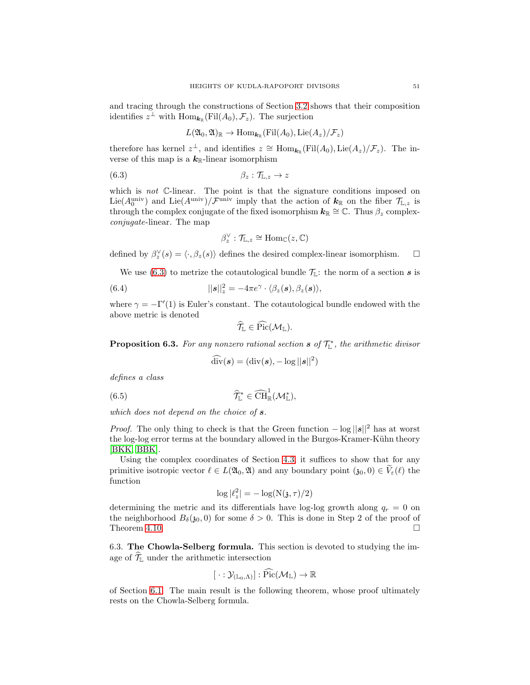and tracing through the constructions of Section [3.2](#page-13-0) shows that their composition identifies  $z^{\perp}$  with  $\text{Hom}_{\mathbf{k}_{\mathbb{R}}}(\text{Fil}(A_0), \mathcal{F}_z)$ . The surjection

$$
L(\mathfrak{A}_0,\mathfrak{A})_{\mathbb{R}} \to \text{Hom}_{\bm{k}_{\mathbb{R}}}(\text{Fil}(A_0),\text{Lie}(A_z)/\mathcal{F}_z)
$$

therefore has kernel  $z^{\perp}$ , and identifies  $z \cong \text{Hom}_{\mathbf{k}_{\mathbb{R}}}(\text{Fil}(A_0), \text{Lie}(A_z)/\mathcal{F}_z)$ . The inverse of this map is a  $k_{\mathbb{R}}$ -linear isomorphism

$$
\beta_z : \mathcal{T}_{\mathbb{L},z} \to z
$$

which is not  $\mathbb{C}$ -linear. The point is that the signature conditions imposed on Lie( $A_0^{\text{univ}}$ ) and Lie( $A^{\text{univ}}$ )/ $\mathcal{F}^{\text{univ}}$  imply that the action of  $k_{\mathbb{R}}$  on the fiber  $\mathcal{T}_{\mathbb{L},z}$  is through the complex conjugate of the fixed isomorphism  $k_{\mathbb{R}} \cong \mathbb{C}$ . Thus  $\beta_z$  complexconjugate-linear. The map

<span id="page-50-0"></span>
$$
\beta_z^{\vee} : \mathcal{T}_{\mathbb{L},z} \cong \text{Hom}_{\mathbb{C}}(z,\mathbb{C})
$$

defined by  $\beta_z^{\vee}(s) = \langle \cdot, \beta_z(s) \rangle$  defines the desired complex-linear isomorphism.  $\square$ 

We use [\(6.3\)](#page-50-0) to metrize the cotautological bundle  $\mathcal{T}_{L}$ : the norm of a section  $s$  is

(6.4) 
$$
||\boldsymbol{s}||_z^2 = -4\pi e^\gamma \cdot \langle \beta_z(\boldsymbol{s}), \beta_z(\boldsymbol{s}) \rangle,
$$

where  $\gamma = -\Gamma'(1)$  is Euler's constant. The cotautological bundle endowed with the above metric is denoted

<span id="page-50-2"></span>
$$
\widehat{\mathcal{T}}_{\mathbb{L}} \in \mathrm{Pic}(\mathcal{M}_{\mathbb{L}}).
$$

**Proposition 6.3.** For any nonzero rational section  $s$  of  $\mathcal{T}_{L}^{*}$ , the arithmetic divisor

<span id="page-50-1"></span>
$$
\widehat{\mathrm{div}}(\boldsymbol{s}) = (\mathrm{div}(\boldsymbol{s}), -\log ||\boldsymbol{s}||^2)
$$

defines a class

(6.5) 
$$
\widehat{\mathcal{T}}_{\mathbb{L}}^* \in \widehat{\text{CH}}_{\mathbb{R}}^1(\mathcal{M}_{\mathbb{L}}^*),
$$

which does not depend on the choice of  $s$ .

*Proof.* The only thing to check is that the Green function  $-\log ||s||^2$  has at worst the log-log error terms at the boundary allowed in the Burgos-Kramer-Kühn theory [\[BKK,](#page-67-1) [BBK\]](#page-67-8).

Using the complex coordinates of Section [4.3,](#page-21-2) it suffices to show that for any primitive isotropic vector  $\ell \in L(\mathfrak{A}_0, \mathfrak{A})$  and any boundary point  $(\mathfrak{z}_0, 0) \in V_{\varepsilon}(\ell)$  the function

$$
\log |\ell_z^2| = -\log(N(\mathfrak{z}, \tau)/2)
$$

determining the metric and its differentials have log-log growth along  $q_r = 0$  on the neighborhood  $B_{\delta}(\mathfrak{z}_0, 0)$  for some  $\delta > 0$ . This is done in Step 2 of the proof of Theorem [4.10.](#page-25-1)  $\Box$ 

6.3. The Chowla-Selberg formula. This section is devoted to studying the image of  $\widehat{\mathcal{T}}_{\mathbb{L}}$  under the arithmetic intersection

$$
[ \cdot : \mathcal{Y}_{(\mathbb{L}_0,\Lambda)}] : \mathrm{Pic}(\mathcal{M}_\mathbb{L}) \to \mathbb{R}
$$

of Section [6.1.](#page-48-3) The main result is the following theorem, whose proof ultimately rests on the Chowla-Selberg formula.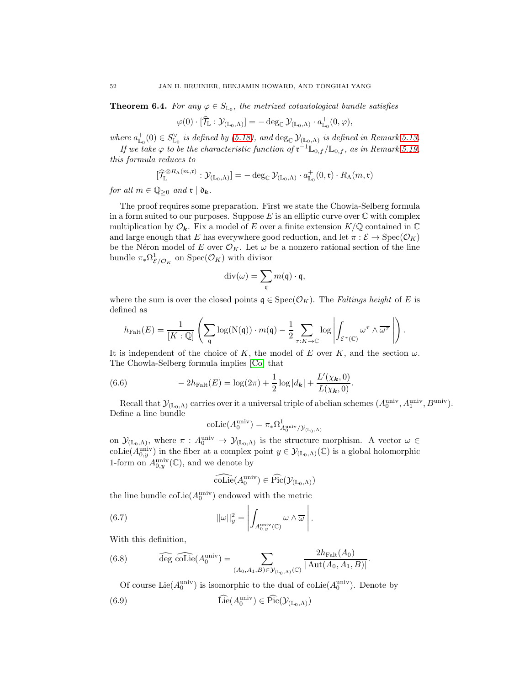<span id="page-51-4"></span>**Theorem 6.4.** For any  $\varphi \in S_{\mathbb{L}_0}$ , the metrized cotautological bundle satisfies

$$
\varphi(0) \cdot [\widehat{\mathcal{T}}_{\mathbb{L}} : \mathcal{Y}_{(\mathbb{L}_0,\Lambda)}] = - \deg_{\mathbb{C}} \mathcal{Y}_{(\mathbb{L}_0,\Lambda)} \cdot a^+_{\mathbb{L}_0}(0,\varphi),
$$

where  $a^+_{\mathbb{L}_0}(0) \in S^{\vee}_{\mathbb{L}_0}$  is defined by [\(5.18\)](#page-44-1), and  $\deg_{\mathbb{C}} \mathcal{Y}_{(\mathbb{L}_0,\Lambda)}$  is defined in Remark [5.13.](#page-43-0)

If we take  $\varphi$  to be the characteristic function of  $\mathfrak{r}^{-1} \mathbb{L}_{0,f} / \mathbb{L}_{0,f}$ , as in Remark [5.19,](#page-47-1) this formula reduces to

$$
[\widehat{\mathcal{T}}^{\otimes R_{\Lambda}(m,\mathfrak{r})}_{\mathbb{L}}:\mathcal{Y}_{(\mathbb{L}_0,\Lambda)}] = -\deg_{\mathbb{C}}\mathcal{Y}_{(\mathbb{L}_0,\Lambda)}\cdot a^+_{\mathbb{L}_0}(0,\mathfrak{r})\cdot R_{\Lambda}(m,\mathfrak{r})
$$

for all  $m \in \mathbb{Q}_{\geq 0}$  and  $\mathfrak{r} \mid \mathfrak{d}_{\mathbf{k}}$ .

The proof requires some preparation. First we state the Chowla-Selberg formula in a form suited to our purposes. Suppose  $E$  is an elliptic curve over  $\mathbb C$  with complex multiplication by  $\mathcal{O}_k$ . Fix a model of E over a finite extension  $K/\mathbb{Q}$  contained in  $\mathbb{C}$ and large enough that E has everywhere good reduction, and let  $\pi : \mathcal{E} \to \text{Spec}(\mathcal{O}_K)$ be the Néron model of E over  $\mathcal{O}_K$ . Let  $\omega$  be a nonzero rational section of the line bundle  $\pi_* \Omega^1_{\mathcal{E}/\mathcal{O}_K}$  on  $\text{Spec}(\mathcal{O}_K)$  with divisor

$$
\mathrm{div}(\omega)=\sum_{\mathfrak{q}} m(\mathfrak{q})\cdot \mathfrak{q},
$$

where the sum is over the closed points  $\mathfrak{q} \in \text{Spec}(\mathcal{O}_K)$ . The *Faltings height* of E is defined as

$$
h_{\mathrm{Falt}}(E) = \frac{1}{[K:\mathbb{Q}]} \left( \sum_{\mathfrak{q}} \log(\mathrm{N}(\mathfrak{q})) \cdot m(\mathfrak{q}) - \frac{1}{2} \sum_{\tau: K \to \mathbb{C}} \log \left| \int_{\mathcal{E}^{\tau}(\mathbb{C})} \omega^{\tau} \wedge \overline{\omega^{\tau}} \, \right| \right).
$$

It is independent of the choice of K, the model of E over K, and the section  $\omega$ . The Chowla-Selberg formula implies [\[Co\]](#page-67-7) that

(6.6) 
$$
-2h_{\text{Falt}}(E) = \log(2\pi) + \frac{1}{2}\log|d_{\mathbf{k}}| + \frac{L'(\chi_{\mathbf{k}},0)}{L(\chi_{\mathbf{k}},0)}.
$$

Recall that  $\mathcal{Y}_{(\mathbb{L}_0,\Lambda)}$  carries over it a universal triple of abelian schemes  $(A_0^{\text{univ}},A_1^{\text{univ}},B^{\text{univ}})$ . Define a line bundle

<span id="page-51-3"></span>
$$
\mathrm{coLie}(A_0^\mathrm{univ})=\pi_*\Omega^1_{A_0^\mathrm{univ}/\mathcal{Y}_{(\mathbb{L}_0,\Lambda)}}
$$

on  $\mathcal{Y}_{(\mathbb{L}_0,\Lambda)}$ , where  $\pi: A_0^{\text{univ}} \to \mathcal{Y}_{(\mathbb{L}_0,\Lambda)}$  is the structure morphism. A vector  $\omega \in$ coLie( $A_{0,y}^{\text{univ}}$ ) in the fiber at a complex point  $y \in \mathcal{Y}_{(\mathbb{L}_0,\Lambda)}(\mathbb{C})$  is a global holomorphic 1-form on  $A_{0,y}^{\text{univ}}(\mathbb{C})$ , and we denote by

<span id="page-51-0"></span>
$$
\widehat{\mathrm{coLie}}(A_0^{\mathrm{univ}}) \in \widehat{\mathrm{Pic}}(\mathcal{Y}_{(\mathbb{L}_0,\Lambda)})
$$

the line bundle  $\mathrm{coLie}(A_0^{\mathrm{univ}})$  endowed with the metric

(6.7) 
$$
||\omega||_y^2 = \left| \int_{A_{0,y}^{\text{univ}}(\mathbb{C})} \omega \wedge \overline{\omega} \right|.
$$

With this definition,

(6.8) 
$$
\widehat{\text{deg }\text{coLie}}(A_0^{\text{univ}}) = \sum_{(A_0, A_1, B) \in \mathcal{Y}_{(\mathbb{L}_0, \Lambda)}(\mathbb{C})} \frac{2h_{\text{Falt}}(A_0)}{|\text{Aut}(A_0, A_1, B)|}.
$$

<span id="page-51-2"></span><span id="page-51-1"></span>Of course Lie( $A_0^{\text{univ}}$ ) is isomorphic to the dual of coLie( $A_0^{\text{univ}}$ ). Denote by

(6.9) 
$$
\widehat{\mathrm{Lie}}(A_0^{\mathrm{univ}}) \in \widehat{\mathrm{Pic}}(\mathcal{Y}_{(\mathbb{L}_0,\Lambda)})
$$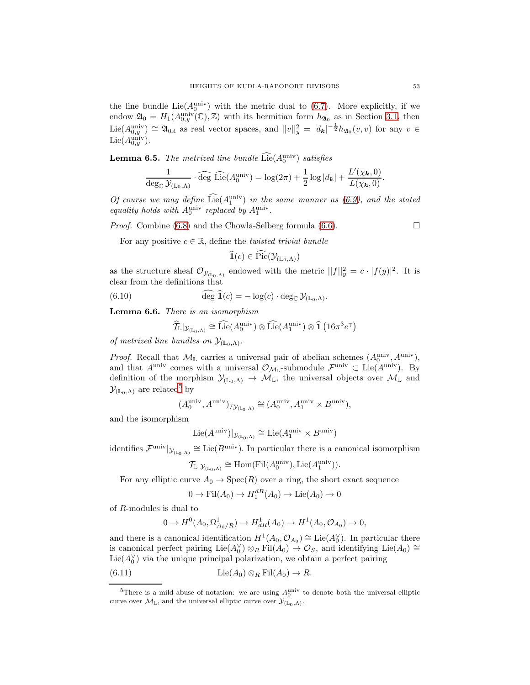the line bundle  $Lie(A_0^{\text{univ}})$  with the metric dual to [\(6.7\)](#page-51-0). More explicitly, if we endow  $\mathfrak{A}_0 = H_1(A_{0,y}^{\text{univ}}(\mathbb{C}), \mathbb{Z})$  with its hermitian form  $h_{\mathfrak{A}_0}$  as in Section [3.1,](#page-10-2) then Lie( $A_{0,y}^{\text{univ}}$ )  $\cong$   $\mathfrak{A}_{0\mathbb{R}}$  as real vector spaces, and  $||v||_y^2 = |d_{\mathbf{k}}|^{-\frac{1}{2}} h_{\mathfrak{A}_0}(v, v)$  for any  $v \in$  $\mathrm{Lie}(A_{0,y}^{\text{univ}}).$ 

<span id="page-52-2"></span>**Lemma 6.5.** The metrized line bundle  $\text{Lie}(A_0^{\text{univ}})$  satisfies

$$
\frac{1}{\deg_{\mathbb{C}} \mathcal{Y}_{(\mathbb{L}_0,\Lambda)}} \cdot \widehat{\deg} \ \widehat{\mathrm{Lie}}(A_0^{\mathrm{univ}}) = \log(2\pi) + \frac{1}{2} \log |d_{\mathbf{k}}| + \frac{L'(\chi_{\mathbf{k}},0)}{L(\chi_{\mathbf{k}},0)}.
$$

Of course we may define  $Lie(A_1^{\text{univ}})$  in the same manner as  $(6.9)$ , and the stated equality holds with  $A_0^{\text{univ}}$  replaced by  $A_1^{\text{univ}}$ .

*Proof.* Combine [\(6.8\)](#page-51-2) and the Chowla-Selberg formula [\(6.6\)](#page-51-3).  $\Box$ 

For any positive  $c \in \mathbb{R}$ , define the *twisted trivial bundle* 

$$
\mathbf{1}(c) \in \mathrm{Pic}(\mathcal{Y}_{(\mathbb{L}_0,\Lambda)})
$$

as the structure sheaf  $\mathcal{O}_{\mathcal{Y}_{(L_0,\Lambda)}}$  endowed with the metric  $||f||_y^2 = c \cdot |f(y)|^2$ . It is clear from the definitions that

(6.10) 
$$
\widehat{\deg} \,\widehat{\mathbf{1}}(c) = -\log(c) \cdot \deg_{\mathbb{C}} \mathcal{Y}_{(\mathbb{L}_0,\Lambda)}.
$$

<span id="page-52-3"></span>Lemma 6.6. There is an isomorphism

<span id="page-52-4"></span>
$$
\widehat{\mathcal{T}}_{\mathbb{L}}|_{\mathcal{Y}_{(\mathbb{L}_0,\Lambda)}} \cong \widehat{\mathrm{Lie}}(A_0^{\mathrm{univ}}) \otimes \widehat{\mathrm{Lie}}(A_1^{\mathrm{univ}}) \otimes \widehat{\mathbf{1}}\left(16\pi^3 e^{\gamma}\right)
$$

of metrized line bundles on  $\mathcal{Y}_{(\mathbb{L}_0,\Lambda)}$ .

*Proof.* Recall that  $\mathcal{M}_{\mathbb{L}}$  carries a universal pair of abelian schemes  $(A_0^{\text{univ}}, A^{\text{univ}})$ , and that  $A^{\text{univ}}$  comes with a universal  $\mathcal{O}_{\mathcal{M}_L}$ -submodule  $\mathcal{F}^{\text{univ}} \subset \text{Lie}(A^{\text{univ}})$ . By definition of the morphism  $\mathcal{Y}_{(\mathbb{L}_0,\Lambda)} \to \mathcal{M}_{\mathbb{L}}$ , the universal objects over  $\mathcal{M}_{\mathbb{L}}$  and  $\mathcal{Y}_{(\mathbb{L}_0,\Lambda)}$  are related<sup>[5](#page-52-0)</sup> by

$$
(A_0^{\text{univ}}, A^{\text{univ}})_{/\mathcal{Y}_{(\mathbb{L}_0,\Lambda)}} \cong (A_0^{\text{univ}}, A_1^{\text{univ}} \times B^{\text{univ}}),
$$

and the isomorphism

$$
\mathrm{Lie}(A^{\mathrm{univ}})|_{\mathcal{Y}_{(\mathbb{L}_0,\Lambda)}}\cong \mathrm{Lie}(A_1^{\mathrm{univ}}\times B^{\mathrm{univ}})
$$

identifies  $\mathcal{F}^{\text{univ}}|_{\mathcal{Y}_{(L_0,\Lambda)}} \cong \text{Lie}(B^{\text{univ}})$ . In particular there is a canonical isomorphism

$$
\mathcal{T}_{\mathbb{L}}|_{\mathcal{Y}_{(\mathbb{L}_0,\Lambda)}} \cong \mathrm{Hom}(\mathrm{Fil}(A_0^{\text{univ}}), \mathrm{Lie}(A_1^{\text{univ}})).
$$

For any elliptic curve  $A_0 \to \text{Spec}(R)$  over a ring, the short exact sequence

$$
0 \to \mathrm{Fil}(A_0) \to H_1^{dR}(A_0) \to \mathrm{Lie}(A_0) \to 0
$$

of R-modules is dual to

<span id="page-52-1"></span>
$$
0 \to H^0(A_0, \Omega^1_{A_0/R}) \to H^1_{dR}(A_0) \to H^1(A_0, \mathcal{O}_{A_0}) \to 0,
$$

and there is a canonical identification  $H^1(A_0, \mathcal{O}_{A_0}) \cong \text{Lie}(A_0^{\vee})$ . In particular there is canonical perfect pairing  $\text{Lie}(A_0^{\vee}) \otimes_R \text{Fil}(A_0) \to \mathcal{O}_S$ , and identifying  $\text{Lie}(A_0) \cong$ Lie( $A_0^{\vee}$ ) via the unique principal polarization, we obtain a perfect pairing

(6.11) 
$$
\operatorname{Lie}(A_0) \otimes_R \operatorname{Fil}(A_0) \to R.
$$

<span id="page-52-0"></span><sup>&</sup>lt;sup>5</sup>There is a mild abuse of notation: we are using  $A_0^{\text{univ}}$  to denote both the universal elliptic curve over  $\mathcal{M}_{\mathbb{L}}$ , and the universal elliptic curve over  $\mathcal{Y}_{(\mathbb{L}_0,\Lambda)}$ .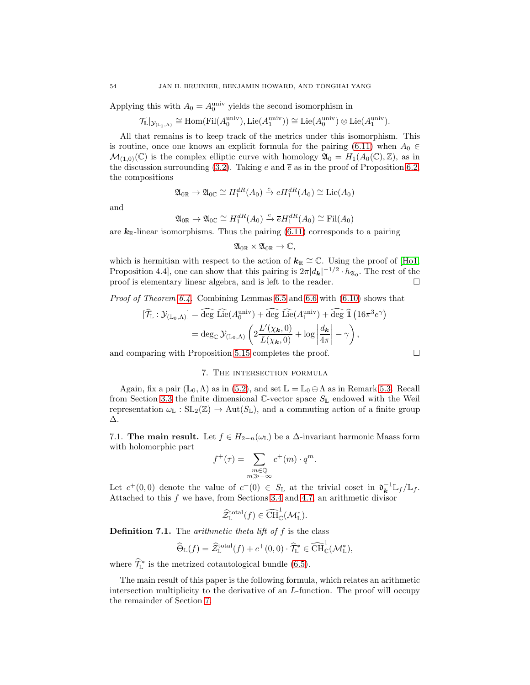Applying this with  $A_0 = A_0^{\text{univ}}$  yields the second isomorphism in

$$
\mathcal{T}_{\mathbb{L}}|_{\mathcal{Y}_{(\mathbb{L}_0,\Lambda)}} \cong \mathrm{Hom}(\mathrm{Fil}(A_0^{\mathrm{univ}}), \mathrm{Lie}(A_1^{\mathrm{univ}})) \cong \mathrm{Lie}(A_0^{\mathrm{univ}}) \otimes \mathrm{Lie}(A_1^{\mathrm{univ}}).
$$

All that remains is to keep track of the metrics under this isomorphism. This is routine, once one knows an explicit formula for the pairing [\(6.11\)](#page-52-1) when  $A_0 \in$  $\mathcal{M}_{(1,0)}(\mathbb{C})$  is the complex elliptic curve with homology  $\mathfrak{A}_0 = H_1(A_0(\mathbb{C}), \mathbb{Z})$ , as in the discussion surrounding [\(3.2\)](#page-11-2). Taking e and  $\bar{e}$  as in the proof of Proposition [6.2,](#page-49-1) the compositions

$$
\mathfrak{A}_{0\mathbb{R}} \to \mathfrak{A}_{0\mathbb{C}} \cong H_1^{dR}(A_0) \xrightarrow{e} eH_1^{dR}(A_0) \cong \mathrm{Lie}(A_0)
$$

and

$$
\mathfrak{A}_{0\mathbb{R}} \to \mathfrak{A}_{0\mathbb{C}} \cong H_1^{dR}(A_0) \xrightarrow{\overline{e}} \overline{e}H_1^{dR}(A_0) \cong \mathrm{Fil}(A_0)
$$

are  $k_{\mathbb{R}}$ -linear isomorphisms. Thus the pairing [\(6.11\)](#page-52-1) corresponds to a pairing

$$
\mathfrak{A}_{0\mathbb{R}}\times\mathfrak{A}_{0\mathbb{R}}\to\mathbb{C},
$$

which is hermitian with respect to the action of  $k_{\mathbb{R}} \cong \mathbb{C}$ . Using the proof of [\[Ho1,](#page-68-9) Proposition 4.4, one can show that this pairing is  $2\pi |d_{\mathbf{k}}|^{-1/2} \cdot h_{\mathfrak{A}_0}$ . The rest of the proof is elementary linear algebra, and is left to the reader.  $\Box$ 

Proof of Theorem [6.4.](#page-51-4) Combining Lemmas [6.5](#page-52-2) and [6.6](#page-52-3) with [\(6.10\)](#page-52-4) shows that

$$
[\widehat{\mathcal{T}}_{\mathbb{L}} : \mathcal{Y}_{(\mathbb{L}_0,\Lambda)}] = \widehat{\text{deg}} \widehat{\text{Lie}}(A_0^{\text{univ}}) + \widehat{\text{deg}} \widehat{\text{Lie}}(A_1^{\text{univ}}) + \widehat{\text{deg}} \widehat{\mathbf{1}} (16\pi^3 e^{\gamma})
$$

$$
= \deg_{\mathbb{C}} \mathcal{Y}_{(\mathbb{L}_0,\Lambda)} \left( 2 \frac{L'(\chi_{\mathbf{k}},0)}{L(\chi_{\mathbf{k}},0)} + \log \left| \frac{d_{\mathbf{k}}}{4\pi} \right| - \gamma \right),
$$

<span id="page-53-0"></span>and comparing with Proposition [5.15](#page-44-2) completes the proof.

## 7. The intersection formula

Again, fix a pair  $(\mathbb{L}_0, \Lambda)$  as in  $(5.2)$ , and set  $\mathbb{L} = \mathbb{L}_0 \oplus \Lambda$  as in Remark [5.3.](#page-35-0) Recall from Section [3.3](#page-14-1) the finite dimensional  $\mathbb{C}\text{-vector space } S_{\mathbb{L}}$  endowed with the Weil representation  $\omega_{\mathbb{L}} : SL_2(\mathbb{Z}) \to Aut(S_{\mathbb{L}})$ , and a commuting action of a finite group ∆.

7.1. The main result. Let  $f \in H_{2-n}(\omega_{\mathbb{L}})$  be a  $\Delta$ -invariant harmonic Maass form with holomorphic part

$$
f^+(\tau) = \sum_{\substack{m \in \mathbb{Q} \\ m \gg -\infty}} c^+(m) \cdot q^m.
$$

Let  $c^+(0,0)$  denote the value of  $c^+(0) \in S_{\mathbb{L}}$  at the trivial coset in  $\mathfrak{d}_{\mathbf{k}}^{-1} \mathbb{L}_f / \mathbb{L}_f$ . Attached to this f we have, from Sections [3.4](#page-16-0) and [4.7,](#page-33-1) an arithmetic divisor

$$
\widehat{\mathcal{Z}}^{\text{total}}_{\mathbb{L}}(f) \in \widehat{\text{CH}}_{\mathbb{C}}^1(\mathcal{M}_{\mathbb{L}}^*).
$$

**Definition 7.1.** The *arithmetic theta lift of f* is the class

$$
\widehat{\Theta}_{\mathbb{L}}(f) = \widehat{Z}_{\mathbb{L}}^{\text{total}}(f) + c^{+}(0,0) \cdot \widehat{\mathcal{T}}_{\mathbb{L}}^{*} \in \widehat{\text{CH}}_{\mathbb{C}}^{1}(\mathcal{M}_{\mathbb{L}}^{*}),
$$

where  $\mathcal{T}_{\mathbb{L}}^*$  is the metrized cotautological bundle [\(6.5\)](#page-50-1).

The main result of this paper is the following formula, which relates an arithmetic intersection multiplicity to the derivative of an L-function. The proof will occupy the remainder of Section [7.](#page-53-0)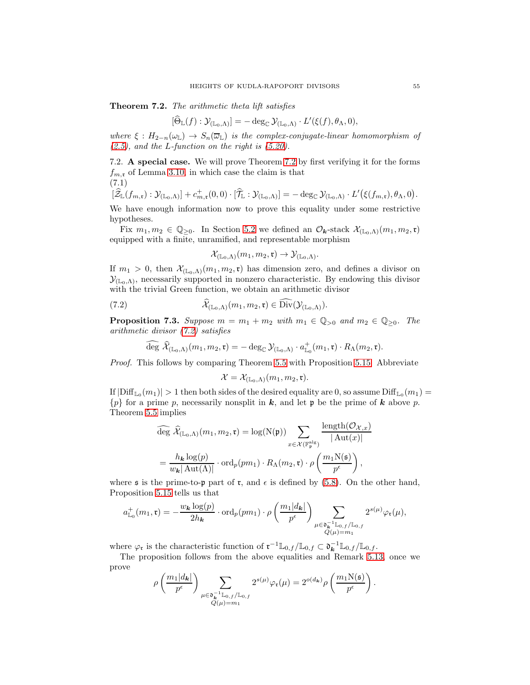<span id="page-54-0"></span>Theorem 7.2. The arithmetic theta lift satisfies

$$
[\widehat{\Theta}_{\mathbb{L}}(f): \mathcal{Y}_{(\mathbb{L}_0,\Lambda)}] = - \deg_{\mathbb{C}} \mathcal{Y}_{(\mathbb{L}_0,\Lambda)} \cdot L'(\xi(f), \theta_\Lambda, 0),
$$

where  $\xi : H_{2-n}(\omega_{\mathbb{L}}) \to S_n(\overline{\omega}_{\mathbb{L}})$  is the complex-conjugate-linear homomorphism of  $(2.5)$ , and the L-function on the right is  $(5.20)$ .

7.2. A special case. We will prove Theorem [7.2](#page-54-0) by first verifying it for the forms  $f_{m,r}$  of Lemma [3.10,](#page-15-0) in which case the claim is that (7.1)

<span id="page-54-2"></span>
$$
[\widehat{Z}_{\mathbb{L}}(f_{m,\mathfrak{r}}):\mathcal{Y}_{(\mathbb{L}_0,\Lambda)}]+c_{m,\mathfrak{r}}^+(0,0)\cdot[\widehat{\mathcal{T}}_{\mathbb{L}}:\mathcal{Y}_{(\mathbb{L}_0,\Lambda)}]=-\deg_{\mathbb{C}}\mathcal{Y}_{(\mathbb{L}_0,\Lambda)}\cdot L'(\xi(f_{m,\mathfrak{r}}),\theta_\Lambda,0).
$$

We have enough information now to prove this equality under some restrictive hypotheses.

Fix  $m_1, m_2 \in \mathbb{Q}_{\geq 0}$ . In Section [5.2](#page-35-3) we defined an  $\mathcal{O}_{\mathbf{k}}$ -stack  $\mathcal{X}_{(\mathbb{L}_0,\Lambda)}(m_1, m_2,\mathfrak{r})$ equipped with a finite, unramified, and representable morphism

<span id="page-54-1"></span>
$$
\mathcal{X}_{(\mathbb{L}_0,\Lambda)}(m_1,m_2,\mathfrak{r})\rightarrow \mathcal{Y}_{(\mathbb{L}_0,\Lambda)}.
$$

If  $m_1 > 0$ , then  $\mathcal{X}_{(\mathbb{L}_0,\Lambda)}(m_1,m_2,\mathfrak{r})$  has dimension zero, and defines a divisor on  $\mathcal{Y}_{(\mathbb{L}_0,\Lambda)}$ , necessarily supported in nonzero characteristic. By endowing this divisor with the trivial Green function, we obtain an arithmetic divisor

(7.2) 
$$
\mathcal{X}_{(\mathbb{L}_0,\Lambda)}(m_1,m_2,\mathfrak{r})\in \text{Div}(\mathcal{Y}_{(\mathbb{L}_0,\Lambda)}).
$$

<span id="page-54-3"></span>**Proposition 7.3.** Suppose  $m = m_1 + m_2$  with  $m_1 \in \mathbb{Q}_{>0}$  and  $m_2 \in \mathbb{Q}_{\geq 0}$ . The arithmetic divisor [\(7.2\)](#page-54-1) satisfies

$$
\widehat{\deg}\ \widehat{\mathcal{X}}_{(\mathbb{L}_0,\Lambda)}(m_1,m_2,\mathfrak{r})=-\deg_{\mathbb{C}}\mathcal{Y}_{(\mathbb{L}_0,\Lambda)}\cdot a_{\mathbb{L}_0}^+(m_1,\mathfrak{r})\cdot R_{\Lambda}(m_2,\mathfrak{r}).
$$

Proof. This follows by comparing Theorem [5.5](#page-36-0) with Proposition [5.15.](#page-44-2) Abbreviate

$$
\mathcal{X}=\mathcal{X}_{(\mathbb{L}_0,\Lambda)}(m_1,m_2,\mathfrak{r}).
$$

If  $|\text{Diff}_{\mathbb{L}_0}(m_1)| > 1$  then both sides of the desired equality are 0, so assume  $\text{Diff}_{\mathbb{L}_0}(m_1) =$  ${p}$  for a prime p, necessarily nonsplit in k, and let p be the prime of k above p. Theorem [5.5](#page-36-0) implies

$$
\begin{split} \widehat{\deg} \; \widehat{\mathcal{X}}_{(\mathbb{L}_0,\Lambda)}(m_1,m_2,\mathfrak{r}) &= \log(\mathrm{N}(\mathfrak{p})) \sum_{x \in \mathcal{X}(\mathbb{F}_{\mathfrak{p}}^{\mathrm{alg}})} \frac{\operatorname{length}(\mathcal{O}_{\mathcal{X},x})}{|\operatorname{Aut}(x)|} \\ &= \frac{h_{\mathbf{k}}\log(p)}{w_{\mathbf{k}}|\operatorname{Aut}(\Lambda)|} \cdot \operatorname{ord}_p(pm_1) \cdot R_{\Lambda}(m_2,\mathfrak{r}) \cdot \rho\left(\frac{m_1\mathrm{N}(\mathfrak{s})}{p^{\epsilon}}\right), \end{split}
$$

where s is the prime-to-p part of r, and  $\epsilon$  is defined by [\(5.8\)](#page-36-4). On the other hand, Proposition [5.15](#page-44-2) tells us that

$$
a_{\mathbb{L}_0}^+(m_1,\mathfrak{r})=-\frac{w_{\boldsymbol{k}}\log(p)}{2h_{\boldsymbol{k}}}\cdot \mathrm{ord}_p(pm_1)\cdot \rho\left(\frac{m_1|d_{\boldsymbol{k}}|}{p^{\epsilon}}\right)\sum_{\substack{\mu\in \mathfrak{d}_{\boldsymbol{k}}^{-1}\mathbb{L}_{0,f}/\mathbb{L}_{0,f}\\Q(\mu)=m_1}}2^{s(\mu)}\varphi_{\mathfrak{r}}(\mu),
$$

where  $\varphi_{\mathfrak{r}}$  is the characteristic function of  $\mathfrak{r}^{-1} \mathbb{L}_{0,f} / \mathbb{L}_{0,f} \subset \mathfrak{d}_{\mathbf{k}}^{-1} \mathbb{L}_{0,f} / \mathbb{L}_{0,f}$ .

The proposition follows from the above equalities and Remark [5.13,](#page-43-0) once we prove

$$
\rho\left(\frac{m_1|d_{\boldsymbol{k}}|}{p^{\epsilon}}\right)\sum_{\substack{\mu\in \mathfrak{d}_{\boldsymbol{k}}^{-1}\mathbb{L}_{0,f}/\mathbb{L}_{0,f}\\Q(\mu)=m_1}}2^{s(\mu)}\varphi_{\mathfrak{r}}(\mu)=2^{o(d_{\boldsymbol{k}})}\rho\left(\frac{m_1\mathrm{N}(\mathfrak{s})}{p^{\epsilon}}\right).
$$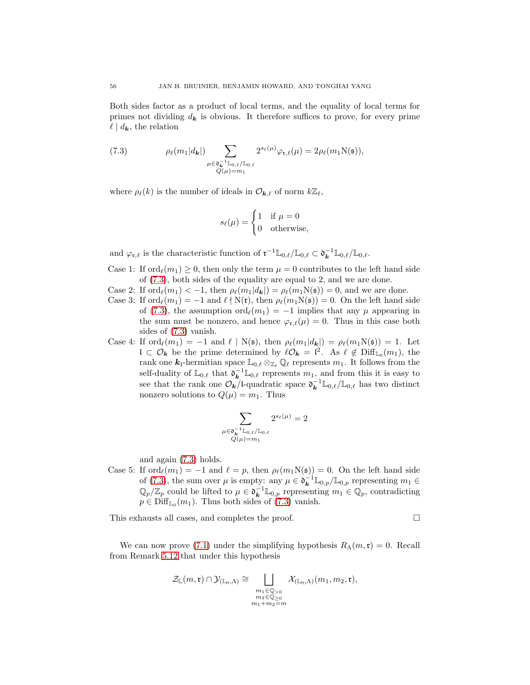Both sides factor as a product of local terms, and the equality of local terms for primes not dividing  $d_k$  is obvious. It therefore suffices to prove, for every prime  $\ell \mid d_{\mathbf{k}}$ , the relation

<span id="page-55-0"></span>(7.3) 
$$
\rho_{\ell}(m_1|d_{\mathbf{k}}|)\sum_{\substack{\mu \in \mathfrak{d}_{\mathbf{k}}^{-1} \mathbb{L}_{0,\ell}/\mathbb{L}_{0,\ell} \\ Q(\mu)=m_1}} 2^{s_{\ell}(\mu)} \varphi_{\mathfrak{r},\ell}(\mu) = 2 \rho_{\ell}(m_1 N(\mathfrak{s})),
$$

where  $\rho_{\ell}(k)$  is the number of ideals in  $\mathcal{O}_{\mathbf{k},\ell}$  of norm  $k\mathbb{Z}_{\ell}$ ,

$$
s_{\ell}(\mu) = \begin{cases} 1 & \text{if } \mu = 0 \\ 0 & \text{otherwise,} \end{cases}
$$

and  $\varphi_{\mathfrak{r},\ell}$  is the characteristic function of  $\mathfrak{r}^{-1}\mathbb{L}_{0,\ell}/\mathbb{L}_{0,\ell} \subset \mathfrak{d}_{\mathbf{k}}^{-1}\mathbb{L}_{0,\ell}/\mathbb{L}_{0,\ell}$ .

- Case 1: If  $\text{ord}_{\ell}(m_1) \geq 0$ , then only the term  $\mu = 0$  contributes to the left hand side of [\(7.3\)](#page-55-0), both sides of the equality are equal to 2, and we are done.
- Case 2: If  $\text{ord}_{\ell}(m_1) < -1$ , then  $\rho_{\ell}(m_1|d_{\mathbf{k}}|) = \rho_{\ell}(m_1N(\mathfrak{s})) = 0$ , and we are done.
- Case 3: If  $\text{ord}_{\ell}(m_1) = -1$  and  $\ell \nmid N(\mathfrak{r})$ , then  $\rho_{\ell}(m_1N(\mathfrak{s})) = 0$ . On the left hand side of [\(7.3\)](#page-55-0), the assumption  $\text{ord}_{\ell}(m_1) = -1$  implies that any  $\mu$  appearing in the sum must be nonzero, and hence  $\varphi_{\mathfrak{r},\ell}(\mu) = 0$ . Thus in this case both sides of [\(7.3\)](#page-55-0) vanish.
- Case 4: If  $\text{ord}_{\ell}(m_1) = -1$  and  $\ell \mid N(\mathfrak{s})$ , then  $\rho_{\ell}(m_1|d_{\mathbf{k}}|) = \rho_{\ell}(m_1N(\mathfrak{s})) = 1$ . Let  $\mathfrak{l} \subset \mathcal{O}_{\mathbf{k}}$  be the prime determined by  $\ell \mathcal{O}_{\mathbf{k}} = \mathfrak{l}^2$ . As  $\ell \notin \text{Diff}_{\mathbb{L}_0}(m_1)$ , the rank one  $k_1$ -hermitian space  $\mathbb{L}_{0,\ell} \otimes_{\mathbb{Z}_{\ell}} \mathbb{Q}_{\ell}$  represents  $m_1$ . It follows from the self-duality of  $\mathbb{L}_{0,\ell}$  that  $\mathfrak{d}_{\mathbf{k}}^{-1} \mathbb{L}_{0,\ell}$  represents  $m_1$ , and from this it is easy to see that the rank one  $\mathcal{O}_{k}/\mathcal{L}$ quadratic space  $\mathfrak{d}_{k}^{-1}\mathbb{L}_{0,\ell}/\mathbb{L}_{0,\ell}$  has two distinct nonzero solutions to  $Q(\mu) = m_1$ . Thus

$$
\sum_{\substack{\mu \in \mathfrak{d}_{\mathbf{k}}^{-1}\mathbb{L}_{0,\ell}/\mathbb{L}_{0,\ell} \\ Q(\mu)=m_1 }} 2^{s_\ell(\mu)} = 2
$$

and again [\(7.3\)](#page-55-0) holds.

Case 5: If  $\text{ord}_{\ell}(m_1) = -1$  and  $\ell = p$ , then  $\rho_{\ell}(m_1N(\mathfrak{s})) = 0$ . On the left hand side of [\(7.3\)](#page-55-0), the sum over  $\mu$  is empty: any  $\mu \in \mathfrak{d}_{\mathbf{k}}^{-1} \mathbb{L}_{0,p}/\mathbb{L}_{0,p}$  representing  $m_1 \in$  $\mathbb{Q}_p/\mathbb{Z}_p$  could be lifted to  $\mu \in \mathfrak{d}_{\mathbf{k}}^{-1} \mathbb{L}_{0,p}$  representing  $m_1 \in \mathbb{Q}_p$ , contradicting  $p \in \text{Diff}_{\mathbb{L}_0}(m_1)$ . Thus both sides of [\(7.3\)](#page-55-0) vanish.

This exhausts all cases, and completes the proof.

$$
\Box
$$

We can now prove [\(7.1\)](#page-54-2) under the simplifying hypothesis  $R_{\Lambda}(m, \mathfrak{r}) = 0$ . Recall from Remark [5.12](#page-42-2) that under this hypothesis

$$
\mathcal{Z}_{\mathbb{L}}(m,\mathfrak{r})\cap\mathcal{Y}_{(\mathbb{L}_0,\Lambda)}\cong\bigsqcup_{\substack{m_1\in\mathbb{Q}_{>0}\\m_2\in\mathbb{Q}_{\geq0}\\m_1+m_2=m}}\mathcal{X}_{(\mathbb{L}_0,\Lambda)}(m_1,m_2,\mathfrak{r}),
$$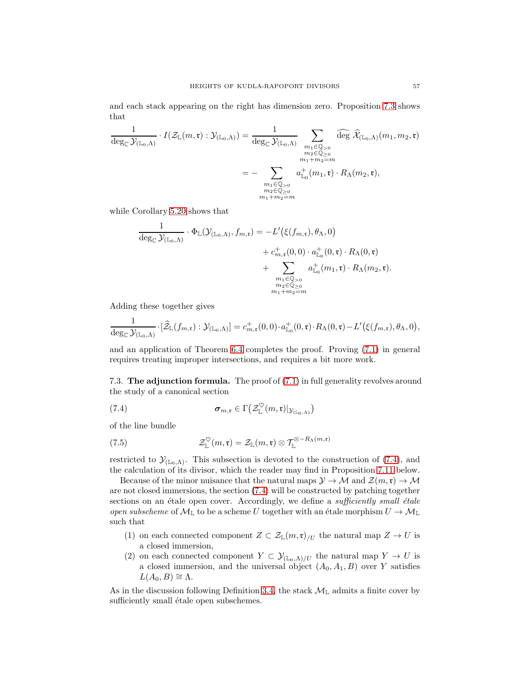and each stack appearing on the right has dimension zero. Proposition [7.3](#page-54-3) shows that

$$
\frac{1}{\deg_{\mathbb{C}}\mathcal{Y}_{(\mathbb{L}_0,\Lambda)}}\cdot I(\mathcal{Z}_{\mathbb{L}}(m,\mathfrak{r}):\mathcal{Y}_{(\mathbb{L}_0,\Lambda)})=\frac{1}{\deg_{\mathbb{C}}\mathcal{Y}_{(\mathbb{L}_0,\Lambda)}}\sum_{\substack{m_1\in\mathbb{Q}_{>0}\\m_2\in\mathbb{Q}_{\geq 0}\\m_1+m_2=m}}\widehat{\deg}\,\widehat{\mathcal{X}}_{(\mathbb{L}_0,\Lambda)}(m_1,m_2,\mathfrak{r})
$$
\n
$$
=-\sum_{\substack{m_1\in\mathbb{Q}_{>0}\\m_2\in\mathbb{Q}_{\geq 0}\\m_1+m_2=m}}a^+_{\mathbb{L}_0}(m_1,\mathfrak{r})\cdot R_{\Lambda}(m_2,\mathfrak{r}),
$$

while Corollary [5.20](#page-47-2) shows that

$$
\frac{1}{\deg_{\mathbb{C}} \mathcal{Y}_{(\mathbb{L}_0,\Lambda)}} \cdot \Phi_{\mathbb{L}}(\mathcal{Y}_{(\mathbb{L}_0,\Lambda)},f_{m,\mathfrak{r}}) = -L'(\xi(f_{m,\mathfrak{r}}),\theta_\Lambda,0) \n+ c_{m,\mathfrak{r}}^+(0,0) \cdot a_{\mathbb{L}_0}^+(0,\mathfrak{r}) \cdot R_\Lambda(0,\mathfrak{r}) \n+ \sum_{\substack{m_1 \in \mathbb{Q} > 0 \\ m_2 \in \mathbb{Q} \geq 0 \\ m_1 + m_2 = m}} a_{\mathbb{L}_0}^+(m_1,\mathfrak{r}) \cdot R_\Lambda(m_2,\mathfrak{r}).
$$

Adding these together gives

$$
\frac{1}{\deg_{\mathbb{C}}\mathcal{Y}_{(\mathbb{L}_0,\Lambda)}}\cdot[\widehat{\mathcal{Z}}_{\mathbb{L}}(f_{m,\mathfrak{r}}):\mathcal{Y}_{(\mathbb{L}_0,\Lambda)}]=c_{m,\mathfrak{r}}^+(0,0)\cdot a_{\mathbb{L}_0}^+(0,\mathfrak{r})\cdot R_{\Lambda}(0,\mathfrak{r})-L'(\xi(f_{m,\mathfrak{r}}),\theta_\Lambda,0),
$$

and an application of Theorem [6.4](#page-51-4) completes the proof. Proving [\(7.1\)](#page-54-2) in general requires treating improper intersections, and requires a bit more work.

<span id="page-56-2"></span>7.3. The adjunction formula. The proof of [\(7.1\)](#page-54-2) in full generality revolves around the study of a canonical section

<span id="page-56-0"></span>(7.4) 
$$
\boldsymbol{\sigma}_{m,\mathfrak{r}} \in \Gamma\big(\mathcal{Z}_{\mathbb{L}}^{\heartsuit}(m,\mathfrak{r})|_{\mathcal{Y}_{(\mathbb{L}_0,\Lambda)}}\big)
$$

of the line bundle

<span id="page-56-1"></span>(7.5) 
$$
\mathcal{Z}_{\mathbb{L}}^{\heartsuit}(m,\mathfrak{r})=\mathcal{Z}_{\mathbb{L}}(m,\mathfrak{r})\otimes \mathcal{T}_{\mathbb{L}}^{\otimes -R_{\Lambda}(m,\mathfrak{r})}
$$

restricted to  $\mathcal{Y}_{(\mathbb{L}_0,\Lambda)}$ . This subsection is devoted to the construction of [\(7.4\)](#page-56-0), and the calculation of its divisor, which the reader may find in Proposition [7.11](#page-63-1) below.

Because of the minor nuisance that the natural maps  $\mathcal{Y} \to \mathcal{M}$  and  $\mathcal{Z}(m,\mathfrak{r}) \to \mathcal{M}$ are not closed immersions, the section [\(7.4\)](#page-56-0) will be constructed by patching together sections on an étale open cover. Accordingly, we define a *sufficiently small étale* open subscheme of  $M_{\mathbb{L}}$  to be a scheme U together with an étale morphism  $U \to M_{\mathbb{L}}$ such that

- (1) on each connected component  $Z \subset \mathcal{Z}_{\mathbb{L}}(m,\mathfrak{r})/U$  the natural map  $Z \to U$  is a closed immersion,
- (2) on each connected component  $Y \subset \mathcal{Y}_{(\mathbb{L}_0,\Lambda)/U}$  the natural map  $Y \to U$  is a closed immersion, and the universal object  $(A_0, A_1, B)$  over Y satisfies  $L(A_0, B) \cong \Lambda$ .

As in the discussion following Definition [3.4,](#page-12-4) the stack  $\mathcal{M}_{\mathbb{L}}$  admits a finite cover by sufficiently small étale open subschemes.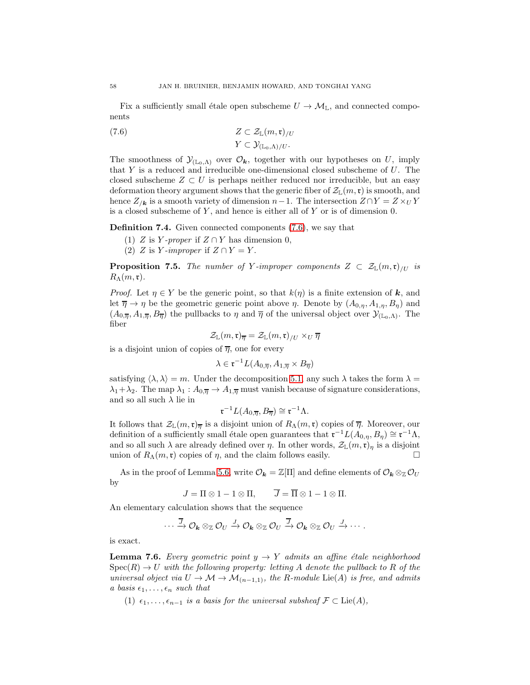Fix a sufficiently small étale open subscheme  $U \to \mathcal{M}_{\mathbb{L}}$ , and connected components

<span id="page-57-0"></span>(7.6) 
$$
Z \subset \mathcal{Z}_{\mathbb{L}}(m,\mathfrak{r})_{/U}
$$

$$
Y \subset \mathcal{Y}_{(\mathbb{L}_0,\Lambda)/U}.
$$

The smoothness of  $\mathcal{Y}_{(\mathbb{L}_0,\Lambda)}$  over  $\mathcal{O}_k$ , together with our hypotheses on U, imply that Y is a reduced and irreducible one-dimensional closed subscheme of U. The closed subscheme  $Z \subset U$  is perhaps neither reduced nor irreducible, but an easy deformation theory argument shows that the generic fiber of  $\mathcal{Z}_{\mathbb{L}}(m,\mathfrak{r})$  is smooth, and hence  $Z_{k}$  is a smooth variety of dimension  $n-1$ . The intersection  $Z \cap Y = Z \times_U Y$ is a closed subscheme of  $Y$ , and hence is either all of  $Y$  or is of dimension 0.

Definition 7.4. Given connected components [\(7.6\)](#page-57-0), we say that

(1) Z is Y-proper if  $Z \cap Y$  has dimension 0,

(2) Z is Y-improper if  $Z \cap Y = Y$ .

<span id="page-57-2"></span>**Proposition 7.5.** The number of Y-improper components  $Z \subset \mathcal{Z}_{\mathbb{L}}(m,\mathfrak{r})_{/U}$  is  $R_\Lambda(m,\mathfrak{r}).$ 

*Proof.* Let  $\eta \in Y$  be the generic point, so that  $k(\eta)$  is a finite extension of k, and let  $\overline{\eta} \to \eta$  be the geometric generic point above  $\eta$ . Denote by  $(A_{0,\eta}, A_{1,\eta}, B_{\eta})$  and  $(A_{0,\overline{\eta}}, A_{1,\overline{\eta}}, B_{\overline{\eta}})$  the pullbacks to  $\eta$  and  $\overline{\eta}$  of the universal object over  $\mathcal{Y}_{(\mathbb{L}_0,\Lambda)}$ . The fiber

$$
\mathcal{Z}_\mathbb{L}(m,\mathfrak{r})_{\overline{\eta}}=\mathcal{Z}_\mathbb{L}(m,\mathfrak{r})_{/U}\times_U\overline{\eta}
$$

is a disjoint union of copies of  $\overline{\eta}$ , one for every

$$
\lambda \in \mathfrak{r}^{-1}L(A_{0,\overline{\eta}}, A_{1,\overline{\eta}} \times B_{\overline{\eta}})
$$

satisfying  $\langle \lambda, \lambda \rangle = m$ . Under the decomposition [5.1,](#page-34-2) any such  $\lambda$  takes the form  $\lambda =$  $\lambda_1 + \lambda_2$ . The map  $\lambda_1 : A_{0,\overline{n}} \to A_{1,\overline{n}}$  must vanish because of signature considerations, and so all such  $\lambda$  lie in

$$
\mathfrak{r}^{-1}L(A_{0,\overline{\eta}},B_{\overline{\eta}}) \cong \mathfrak{r}^{-1}\Lambda.
$$

It follows that  $\mathcal{Z}_{\mathbb{L}}(m,\mathfrak{r})_{\overline{n}}$  is a disjoint union of  $R_{\Lambda}(m,\mathfrak{r})$  copies of  $\overline{\eta}$ . Moreover, our definition of a sufficiently small étale open guarantees that  $\mathfrak{r}^{-1}L(A_{0,\eta}, B_{\eta}) \cong \mathfrak{r}^{-1}\Lambda$ , and so all such  $\lambda$  are already defined over  $\eta$ . In other words,  $\mathcal{Z}_{\mathbb{L}}(m,\mathfrak{r})_{\eta}$  is a disjoint union of  $R_{\lambda}(m,\mathfrak{r})$  copies of n and the claim follows easily union of  $R_{\Lambda}(m, \mathfrak{r})$  copies of  $\eta$ , and the claim follows easily.

As in the proof of Lemma [5.6,](#page-37-3) write  $\mathcal{O}_k = \mathbb{Z}[\Pi]$  and define elements of  $\mathcal{O}_k \otimes_{\mathbb{Z}} \mathcal{O}_U$ by

 $J = \Pi \otimes 1 - 1 \otimes \Pi$ ,  $\overline{J} = \overline{\Pi} \otimes 1 - 1 \otimes \Pi$ .

An elementary calculation shows that the sequence

$$
\cdots \xrightarrow{\overline{J}} \mathcal{O}_{\mathbf{k}} \otimes_{\mathbb{Z}} \mathcal{O}_{U} \xrightarrow{J} \mathcal{O}_{\mathbf{k}} \otimes_{\mathbb{Z}} \mathcal{O}_{U} \xrightarrow{\overline{J}} \mathcal{O}_{\mathbf{k}} \otimes_{\mathbb{Z}} \mathcal{O}_{U} \xrightarrow{J} \cdots
$$

is exact.

<span id="page-57-1"></span>**Lemma 7.6.** Every geometric point  $y \rightarrow Y$  admits an affine étale neighborhood  $Spec(R) \rightarrow U$  with the following property: letting A denote the pullback to R of the universal object via  $U \to \mathcal{M} \to \mathcal{M}_{(n-1,1)}$ , the R-module Lie(A) is free, and admits a basis  $\epsilon_1, \ldots, \epsilon_n$  such that

(1)  $\epsilon_1, \ldots, \epsilon_{n-1}$  is a basis for the universal subsheaf  $\mathcal{F} \subset \text{Lie}(A)$ ,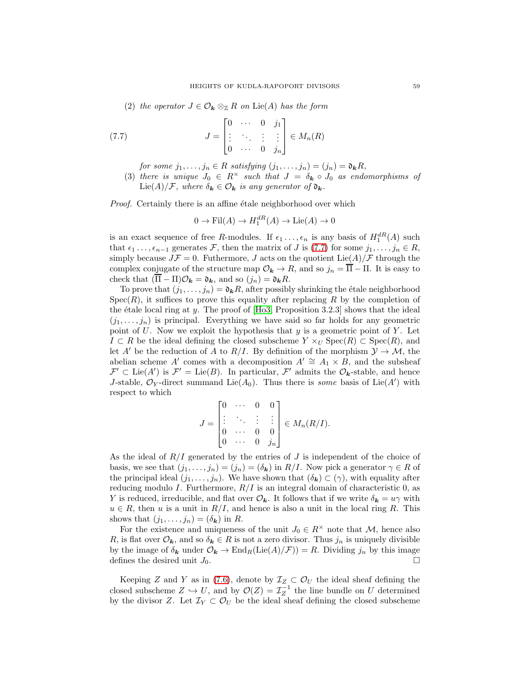(2) the operator  $J \in \mathcal{O}_{\mathbf{k}} \otimes_{\mathbb{Z}} R$  on Lie(A) has the form

(7.7) 
$$
J = \begin{bmatrix} 0 & \cdots & 0 & j_1 \\ \vdots & \ddots & \vdots & \vdots \\ 0 & \cdots & 0 & j_n \end{bmatrix} \in M_n(R)
$$

<span id="page-58-0"></span>for some  $j_1, \ldots, j_n \in R$  satisfying  $(j_1, \ldots, j_n) = (j_n) = \mathfrak{d}_k R$ ,

(3) there is unique  $J_0 \in R^\times$  such that  $J = \delta_{\mathbf{k}} \circ J_0$  as endomorphisms of  $\text{Lie}(A)/\mathcal{F}$ , where  $\delta_{\mathbf{k}} \in \mathcal{O}_{\mathbf{k}}$  is any generator of  $\mathfrak{d}_{\mathbf{k}}$ .

Proof. Certainly there is an affine étale neighborhood over which

$$
0 \to \text{Fil}(A) \to H_1^{dR}(A) \to \text{Lie}(A) \to 0
$$

is an exact sequence of free R-modules. If  $\epsilon_1 \ldots, \epsilon_n$  is any basis of  $H_1^{dR}(A)$  such that  $\epsilon_1 \ldots, \epsilon_{n-1}$  generates F, then the matrix of J is [\(7.7\)](#page-58-0) for some  $j_1, \ldots, j_n \in R$ , simply because  $J\mathcal{F} = 0$ . Futhermore, J acts on the quotient  $\text{Lie}(A)/\mathcal{F}$  through the complex conjugate of the structure map  $\mathcal{O}_{k} \to R$ , and so  $j_n = \overline{\Pi} - \Pi$ . It is easy to check that  $(\overline{\Pi} - \Pi)\mathcal{O}_k = \mathfrak{d}_k$ , and so  $(j_n) = \mathfrak{d}_k R$ .

To prove that  $(j_1, \ldots, j_n) = \mathfrak{d}_k R$ , after possibly shrinking the étale neighborhood  $Spec(R)$ , it suffices to prove this equality after replacing R by the completion of the étale local ring at y. The proof of  $[H<sub>0</sub>3, Proposition 3.2.3]$  shows that the ideal  $(j_1, \ldots, j_n)$  is principal. Everything we have said so far holds for any geometric point of U. Now we exploit the hypothesis that  $y$  is a geometric point of Y. Let  $I \subset R$  be the ideal defining the closed subscheme  $Y \times_U \text{Spec}(R) \subset \text{Spec}(R)$ , and let A' be the reduction of A to R/I. By definition of the morphism  $\mathcal{Y} \to \mathcal{M}$ , the abelian scheme A′ comes with a decomposition  $A' \cong A_1 \times B$ , and the subsheaf  $\mathcal{F}' \subset \text{Lie}(A')$  is  $\mathcal{F}' = \text{Lie}(B)$ . In particular,  $\mathcal{F}'$  admits the  $\mathcal{O}_k$ -stable, and hence J-stable,  $\mathcal{O}_Y$ -direct summand Lie( $A_0$ ). Thus there is *some* basis of Lie( $A'$ ) with respect to which

$$
J = \begin{bmatrix} 0 & \cdots & 0 & 0 \\ \vdots & \ddots & \vdots & \vdots \\ 0 & \cdots & 0 & 0 \\ 0 & \cdots & 0 & j_n \end{bmatrix} \in M_n(R/I).
$$

As the ideal of  $R/I$  generated by the entries of J is independent of the choice of basis, we see that  $(j_1, \ldots, j_n) = (j_n) = (\delta_k)$  in  $R/I$ . Now pick a generator  $\gamma \in R$  of the principal ideal  $(j_1, \ldots, j_n)$ . We have shown that  $(\delta_k) \subset (\gamma)$ , with equality after reducing modulo I. Furthermore,  $R/I$  is an integral domain of characteristic 0, as Y is reduced, irreducible, and flat over  $\mathcal{O}_k$ . It follows that if we write  $\delta_k = u\gamma$  with  $u \in R$ , then u is a unit in  $R/I$ , and hence is also a unit in the local ring R. This shows that  $(j_1, \ldots, j_n) = (\delta_{\mathbf{k}})$  in R.

For the existence and uniqueness of the unit  $J_0 \in R^{\times}$  note that M, hence also R, is flat over  $\mathcal{O}_k$ , and so  $\delta_k \in R$  is not a zero divisor. Thus  $j_n$  is uniquely divisible by the image of  $\delta_{\mathbf{k}}$  under  $\mathcal{O}_{\mathbf{k}} \to \text{End}_{R}(\text{Lie}(A)/\mathcal{F})) = R$ . Dividing  $j_n$  by this image defines the desired unit  $J_0$ defines the desired unit  $J_0$ .

Keeping Z and Y as in [\(7.6\)](#page-57-0), denote by  $\mathcal{I}_Z \subset \mathcal{O}_U$  the ideal sheaf defining the closed subscheme  $Z \hookrightarrow U$ , and by  $\mathcal{O}(Z) = \mathcal{I}_Z^{-1}$  the line bundle on U determined by the divisor Z. Let  $\mathcal{I}_Y \subset \mathcal{O}_U$  be the ideal sheaf defining the closed subscheme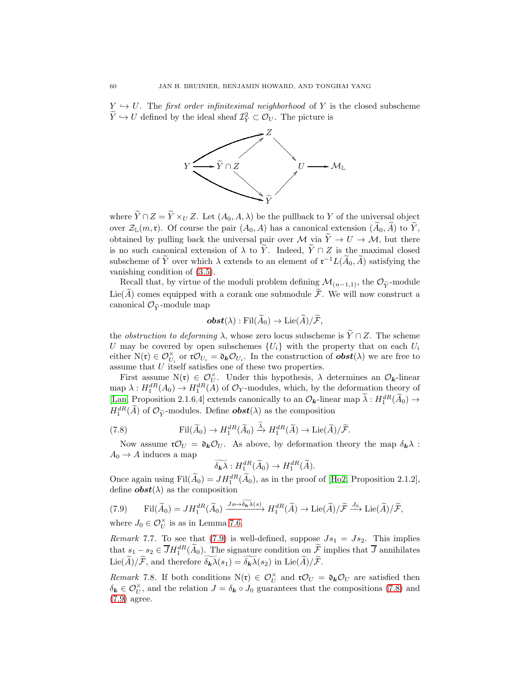$Y \hookrightarrow U$ . The first order infinitesimal neighborhood of Y is the closed subscheme  $\widetilde{Y} \hookrightarrow U$  defined by the ideal sheaf  $\mathcal{I}_Y^2 \subset \mathcal{O}_U$ . The picture is



where  $\widetilde{Y} \cap Z = \widetilde{Y} \times_U Z$ . Let  $(A_0, A, \lambda)$  be the pullback to Y of the universal object over  $\mathcal{Z}_{\mathbb{L}}(m,\mathfrak{r})$ . Of course the pair  $(A_0, A)$  has a canonical extension  $(\widetilde{A}_0, \widetilde{A})$  to  $\widetilde{Y}$ , obtained by pulling back the universal pair over M via  $\widetilde{Y} \to U \to M$ , but there is no such canonical extension of  $\lambda$  to  $\widetilde{Y}$ . Indeed,  $\widetilde{Y} \cap Z$  is the maximal closed subscheme of  $\tilde{Y}$  over which  $\lambda$  extends to an element of  $\mathfrak{r}^{-1}L(\tilde{A}_0,\tilde{A})$  satisfying the vanishing condition of [\(3.5\)](#page-12-1).

Recall that, by virtue of the moduli problem defining  $\mathcal{M}_{(n-1,1)}$ , the  $\mathcal{O}_{\tilde{Y}}$ -module Lie( $\widetilde{A}$ ) comes equipped with a corank one submodule  $\widetilde{\mathcal{F}}$ . We will now construct a canonical  $\mathcal{O}_{\widetilde{Y}}$ -module map

$$
\boldsymbol{obst}(\lambda) : \mathrm{Fil}(\widetilde{A}_0) \to \mathrm{Lie}(\widetilde{A})/\widetilde{\mathcal{F}},
$$

the *obstruction to deforming*  $\lambda$ , whose zero locus subscheme is  $\widetilde{Y} \cap Z$ . The scheme U may be covered by open subschemes  ${U_i}$  with the property that on each  $U_i$ either  $N(\mathfrak{r}) \in \mathcal{O}_{U_i}^{\times}$  or  $\mathfrak{r} \mathcal{O}_{U_i} = \mathfrak{d}_{\mathbf{k}} \mathcal{O}_{U_i}$ . In the construction of  $\boldsymbol{obst}(\lambda)$  we are free to assume that U itself satisfies one of these two properties.

First assume  $N(r) \in \mathcal{O}_U^{\times}$ . Under this hypothesis,  $\lambda$  determines an  $\mathcal{O}_k$ -linear map  $\lambda: H_1^{dR}(A_0) \to H_1^{dR}(A)$  of  $\mathcal{O}_Y$ -modules, which, by the deformation theory of [\[Lan,](#page-68-18) Proposition 2.1.6.4] extends canonically to an  $\mathcal{O}_k$ -linear map  $\lambda : H_1^{dR}(\tilde{A}_0) \to$  $H_1^{dR}(\widetilde{A})$  of  $\mathcal{O}_{\widetilde{Y}}$ -modules. Define  $\boldsymbol{obst}(\lambda)$  as the composition

(7.8) 
$$
\mathrm{Fil}(\widetilde{A}_0) \to H_1^{dR}(\widetilde{A}_0) \xrightarrow{\widetilde{\lambda}} H_1^{dR}(\widetilde{A}) \to \mathrm{Lie}(\widetilde{A})/\widetilde{\mathcal{F}}.
$$

Now assume  $\mathfrak{r} \mathcal{O}_U = \mathfrak{d}_k \mathcal{O}_U$ . As above, by deformation theory the map  $\delta_k \lambda$ :  $A_0 \rightarrow A$  induces a map

<span id="page-59-1"></span>
$$
\widetilde{\delta_{\mathbf{k}}\lambda}: H_1^{dR}(\widetilde{A}_0) \to H_1^{dR}(\widetilde{A}).
$$

Once again using  $\text{Fil}(A_0) = JH_1^{dR}(\tilde{A}_0)$ , as in the proof of [\[Ho2,](#page-68-6) Proposition 2.1.2], define  $\boldsymbol{obst}(\lambda)$  as the composition

<span id="page-59-0"></span>(7.9) 
$$
\operatorname{Fil}(\widetilde{A}_0) = J H_1^{dR}(\widetilde{A}_0) \xrightarrow{Js \mapsto \widetilde{\delta_{\mathbf{k}} \lambda}(s)} H_1^{dR}(\widetilde{A}) \to \operatorname{Lie}(\widetilde{A})/\widetilde{\mathcal{F}} \xrightarrow{J_0} \operatorname{Lie}(\widetilde{A})/\widetilde{\mathcal{F}},
$$

where  $J_0 \in \mathcal{O}_U^{\times}$  is as in Lemma [7.6.](#page-57-1)

Remark 7.7. To see that [\(7.9\)](#page-59-0) is well-defined, suppose  $Js_1 = JS_2$ . This implies that  $s_1 - s_2 \in \overline{J}H_1^{dR}(\overline{A}_0)$ . The signature condition on  $\overline{\mathcal{F}}$  implies that  $\overline{J}$  annihilates  $\text{Lie}(\widetilde{A})/\widetilde{\mathcal{F}}$ , and therefore  $\widetilde{\delta_{\mathbf{k}}\lambda}(s_1) = \widetilde{\delta_{\mathbf{k}}\lambda}(s_2)$  in  $\text{Lie}(\widetilde{A})/\widetilde{\mathcal{F}}$ .

Remark 7.8. If both conditions  $N(\mathfrak{r}) \in \mathcal{O}_U^{\times}$  and  $\mathfrak{r} \mathcal{O}_U = \mathfrak{d}_k \mathcal{O}_U$  are satisfied then  $\delta_{\mathbf{k}} \in \mathcal{O}_U^{\times}$ , and the relation  $J = \delta_{\mathbf{k}} \circ J_0$  guarantees that the compositions [\(7.8\)](#page-59-1) and [\(7.9\)](#page-59-0) agree.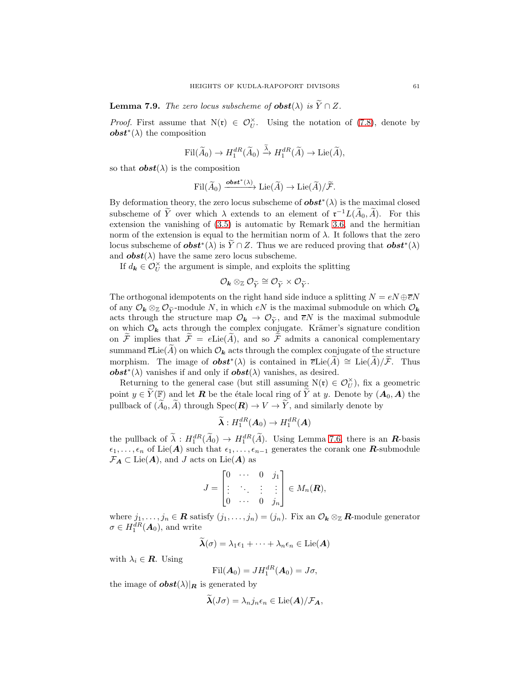**Lemma 7.9.** The zero locus subscheme of  $\boldsymbol{\omega}$  obst( $\lambda$ ) is  $\widetilde{Y} \cap Z$ .

*Proof.* First assume that  $N(\mathfrak{r}) \in \mathcal{O}_U^{\times}$ . Using the notation of [\(7.8\)](#page-59-1), denote by *obst*<sup>\*</sup>( $\lambda$ ) the composition

$$
\textnormal{Fil}(\widetilde{A}_0)\rightarrow H_1^{dR}(\widetilde{A}_0)\xrightarrow{\widetilde{\lambda}} H_1^{dR}(\widetilde{A})\rightarrow \textnormal{Lie}(\widetilde{A}),
$$

so that  $\boldsymbol{obst}(\lambda)$  is the composition

$$
\mathrm{Fil}(\widetilde{A}_0)\xrightarrow{\mathbf{obst}^*(\lambda)}\mathrm{Lie}(\widetilde{A})\to \mathrm{Lie}(\widetilde{A})/\widetilde{\mathcal{F}}.
$$

By deformation theory, the zero locus subscheme of  $\boldsymbol{obst}^*(\lambda)$  is the maximal closed subscheme of Y over which  $\lambda$  extends to an element of  $\mathfrak{r}^{-1}L(A_0, A)$ . For this extension the vanishing of [\(3.5\)](#page-12-1) is automatic by Remark [3.6,](#page-12-6) and the hermitian norm of the extension is equal to the hermitian norm of  $\lambda$ . It follows that the zero locus subscheme of  $\boldsymbol{obst}^*(\lambda)$  is  $\widetilde{Y} \cap Z$ . Thus we are reduced proving that  $\boldsymbol{obst}^*(\lambda)$ and  $\boldsymbol{obst}(\lambda)$  have the same zero locus subscheme.

If  $d_k \in \mathcal{O}_U^\times$  the argument is simple, and exploits the splitting

$$
\mathcal{O}_{\bm{k}}\otimes_{\mathbb{Z}} \mathcal{O}_{\widetilde{Y}}\cong \mathcal{O}_{\widetilde{Y}}\times \mathcal{O}_{\widetilde{Y}}.
$$

The orthogonal idempotents on the right hand side induce a splitting  $N = eN \oplus \overline{e}N$ of any  $\mathcal{O}_k \otimes_{\mathbb{Z}} \mathcal{O}_{\tilde{\mathbf{v}}}$ -module N, in which  $eN$  is the maximal submodule on which  $\mathcal{O}_k$ acts through the structure map  $\mathcal{O}_k \to \mathcal{O}_{\widetilde{Y}}$ , and  $\overline{e}N$  is the maximal submodule on which  $\mathcal{O}_k$  acts through the complex conjugate. Krämer's signature condition on  $\widetilde{\mathcal{F}}$  implies that  $\widetilde{\mathcal{F}} = e\mathrm{Lie}(\widetilde{A})$ , and so  $\widetilde{\mathcal{F}}$  admits a canonical complementary summand  $\overline{e}$ Lie( $\widetilde{A}$ ) on which  $\mathcal{O}_k$  acts through the complex conjugate of the structure morphism. The image of  $\boldsymbol{obst}^*(\lambda)$  is contained in  $\overline{e} \text{Lie}(\widetilde{A}) \cong \text{Lie}(\widetilde{A})/\widetilde{F}$ . Thus **obst**<sup>\*</sup>( $\lambda$ ) vanishes if and only if **obst**( $\lambda$ ) vanishes, as desired.

Returning to the general case (but still assuming  $N(\mathfrak{r}) \in \mathcal{O}_U^{\times}$ ), fix a geometric point  $y \in \widetilde{Y}(\mathbb{F})$  and let **R** be the étale local ring of  $\widetilde{Y}$  at y. Denote by  $(A_0, A)$  the pullback of  $(\widetilde{A}_0, \widetilde{A})$  through  $Spec(\mathbf{R}) \to V \to \widetilde{Y}$ , and similarly denote by

$$
\widetilde{\boldsymbol{\lambda}}: H_1^{dR}(\boldsymbol{A}_0)\to H_1^{dR}(\boldsymbol{A})
$$

the pullback of  $\tilde{\lambda}: H_1^{dR}(\tilde{A}_0) \to H_1^{dR}(\tilde{A})$ . Using Lemma [7.6,](#page-57-1) there is an **R**-basis  $\epsilon_1, \ldots, \epsilon_n$  of Lie(A) such that  $\epsilon_1, \ldots, \epsilon_{n-1}$  generates the corank one R-submodule  $\mathcal{F}_A \subset \text{Lie}(A)$ , and J acts on  $\text{Lie}(A)$  as

$$
J=\begin{bmatrix}0 & \cdots & 0 & j_1\\ \vdots & \ddots & \vdots & \vdots\\ 0 & \cdots & 0 & j_n\end{bmatrix}\in M_n(\mathbf{R}),
$$

where  $j_1, \ldots, j_n \in \mathbb{R}$  satisfy  $(j_1, \ldots, j_n) = (j_n)$ . Fix an  $\mathcal{O}_k \otimes_{\mathbb{Z}} \mathbb{R}$ -module generator  $\sigma \in H_1^{dR}(\boldsymbol{A}_0)$ , and write

$$
\widetilde{\boldsymbol{\lambda}}(\sigma) = \lambda_1 \epsilon_1 + \cdots + \lambda_n \epsilon_n \in \text{Lie}(\boldsymbol{A})
$$

with  $\lambda_i \in \mathbf{R}$ . Using

$$
\mathrm{Fil}(\boldsymbol{A}_0)=JH_1^{dR}(\boldsymbol{A}_0)=J\sigma,
$$

the image of  $\boldsymbol{\mathrm{obst}}(\lambda)|_{\boldsymbol{R}}$  is generated by

$$
\widetilde{\boldsymbol{\lambda}}(J\sigma)=\lambda_nj_n\epsilon_n\in\mathrm{Lie}(\boldsymbol{A})/\mathcal{F}_{\boldsymbol{A}},
$$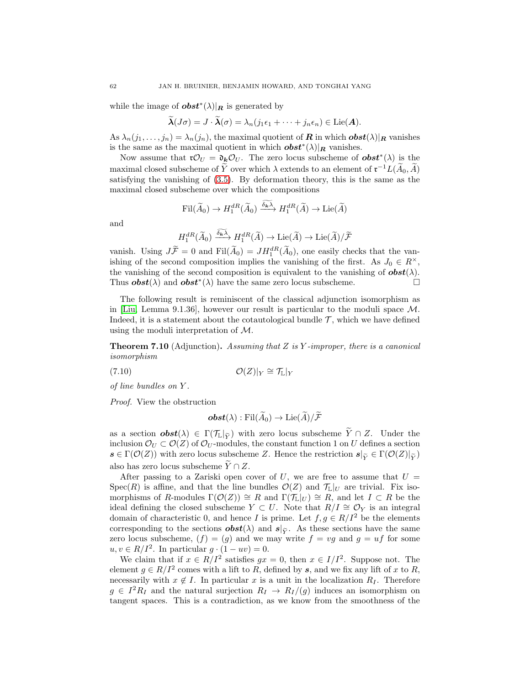while the image of  $\boldsymbol{obst}^*(\lambda)|_{\boldsymbol{R}}$  is generated by

$$
\widetilde{\boldsymbol{\lambda}}(J\sigma) = J \cdot \widetilde{\boldsymbol{\lambda}}(\sigma) = \lambda_n (j_1 \epsilon_1 + \cdots + j_n \epsilon_n) \in \mathrm{Lie}(\boldsymbol{A}).
$$

As  $\lambda_n(j_1,\ldots,j_n) = \lambda_n(j_n)$ , the maximal quotient of **R** in which  $\boldsymbol{obst}(\lambda)|_{\boldsymbol{R}}$  vanishes is the same as the maximal quotient in which  $\boldsymbol{obst}^*(\lambda)\vert_{\boldsymbol{R}}$  vanishes.

Now assume that  $\mathfrak{r} \mathcal{O}_U = \mathfrak{d}_k \mathcal{O}_U$ . The zero locus subscheme of  $\boldsymbol{\theta} \boldsymbol{\delta} \boldsymbol{\epsilon}^*(\lambda)$  is the maximal closed subscheme of Y over which  $\lambda$  extends to an element of  $\mathfrak{r}^{-1}L(A_0, A)$ satisfying the vanishing of [\(3.5\)](#page-12-1). By deformation theory, this is the same as the maximal closed subscheme over which the compositions

$$
\textup{Fil}(\widetilde{A}_0)\rightarrow H_1^{dR}(\widetilde{A}_0)\xrightarrow{\widetilde{\delta_{\mathbf{k}}\lambda}}H_1^{dR}(\widetilde{A})\rightarrow \textup{Lie}(\widetilde{A})
$$

and

$$
H_1^{dR}(\widetilde{A}_0) \xrightarrow{\widetilde{\delta_{k}\lambda}} H_1^{dR}(\widetilde{A}) \to \mathrm{Lie}(\widetilde{A}) \to \mathrm{Lie}(\widetilde{A})/\widetilde{\mathcal{F}}
$$

vanish. Using  $J\ddot{F} = 0$  and  $\text{Fil}(\ddot{A}_0) = JH_1^{dR}(\dot{A}_0)$ , one easily checks that the vanishing of the second composition implies the vanishing of the first. As  $J_0 \in R^{\times}$ , the vanishing of the second composition is equivalent to the vanishing of  $\boldsymbol{obst}(\lambda)$ . Thus  $\boldsymbol{obst}(\lambda)$  and  $\boldsymbol{obst}^*(\lambda)$  have the same zero locus subscheme.

The following result is reminiscent of the classical adjunction isomorphism as in [\[Liu,](#page-68-26) Lemma 9.1.36], however our result is particular to the moduli space  $\mathcal{M}$ . Indeed, it is a statement about the cotautological bundle  $\mathcal T$ , which we have defined using the moduli interpretation of M.

<span id="page-61-1"></span>**Theorem 7.10** (Adjunction). Assuming that Z is Y-improper, there is a canonical isomorphism

$$
\mathcal{O}(Z)|_Y \cong \mathcal{T}_{\mathbb{L}}|_Y
$$

of line bundles on Y .

Proof. View the obstruction

<span id="page-61-0"></span>
$$
\boldsymbol{obst}(\lambda) : \mathrm{Fil}(\widetilde{A}_0) \to \mathrm{Lie}(\widetilde{A})/\widetilde{\mathcal{F}}
$$

as a section  $\boldsymbol{obst}(\lambda) \in \Gamma(\mathcal{T}_{\mathbb{L}}|\tilde{\gamma})$  with zero locus subscheme  $\tilde{Y} \cap Z$ . Under the inclusion  $\mathcal{O}_U \subset \mathcal{O}(Z)$  of  $\mathcal{O}_U$ -modules, the constant function 1 on U defines a section  $s \in \Gamma(\mathcal{O}(Z))$  with zero locus subscheme Z. Hence the restriction  $s|_{\widetilde{Y}} \in \Gamma(\mathcal{O}(Z)|_{\widetilde{Y}})$ also has zero locus subscheme  $\widetilde{Y} \cap Z$ .

After passing to a Zariski open cover of U, we are free to assume that  $U =$  $Spec(R)$  is affine, and that the line bundles  $\mathcal{O}(Z)$  and  $\mathcal{T}_{L}|_{U}$  are trivial. Fix isomorphisms of R-modules  $\Gamma(\mathcal{O}(Z)) \cong R$  and  $\Gamma(\mathcal{T}_L|_U) \cong R$ , and let  $I \subset R$  be the ideal defining the closed subscheme  $Y \subset U$ . Note that  $R/I \cong \mathcal{O}_Y$  is an integral domain of characteristic 0, and hence I is prime. Let  $f, g \in R/I^2$  be the elements corresponding to the sections  $\boldsymbol{obst}(\lambda)$  and  $\boldsymbol{s}|_{\tilde{\mathbf{v}}}.$  As these sections have the same zero locus subscheme,  $(f) = (g)$  and we may write  $f = v g$  and  $g = uf$  for some  $u, v \in R/I^2$ . In particular  $g \cdot (1 - uv) = 0$ .

We claim that if  $x \in R/I^2$  satisfies  $gx = 0$ , then  $x \in I/I^2$ . Suppose not. The element  $g \in R/I^2$  comes with a lift to R, defined by s, and we fix any lift of x to R, necessarily with  $x \notin I$ . In particular x is a unit in the localization  $R_I$ . Therefore  $g \in I^2R_I$  and the natural surjection  $R_I \to R_I/(g)$  induces an isomorphism on tangent spaces. This is a contradiction, as we know from the smoothness of the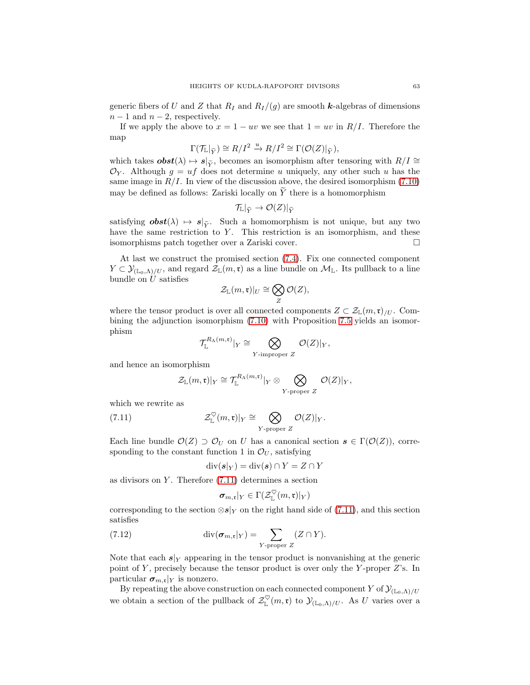generic fibers of U and Z that  $R_I$  and  $R_I/(g)$  are smooth k-algebras of dimensions  $n-1$  and  $n-2$ , respectively.

If we apply the above to  $x = 1 - uv$  we see that  $1 = uv$  in  $R/I$ . Therefore the map

$$
\Gamma(\mathcal{T}_{\mathbb{L}}|_{\widetilde{Y}}) \cong R/I^2 \xrightarrow{u} R/I^2 \cong \Gamma(\mathcal{O}(Z)|_{\widetilde{Y}}),
$$

which takes  $\boldsymbol{obst}(\lambda) \mapsto s|_{\widetilde{Y}}$ , becomes an isomorphism after tensoring with  $R/I \cong$  $\mathcal{O}_Y$ . Although  $g = uf$  does not determine u uniquely, any other such u has the same image in  $R/I$ . In view of the discussion above, the desired isomorphism [\(7.10\)](#page-61-0) may be defined as follows: Zariski locally on  $\widetilde{Y}$  there is a homomorphism

$$
\mathcal{T}_{\mathbb{L}}|_{\widetilde{Y}} \to \mathcal{O}(Z)|_{\widetilde{Y}}
$$

satisfying  $\boldsymbol{obst}(\lambda) \mapsto \boldsymbol{s}|_{\tilde{\gamma}}$ . Such a homomorphism is not unique, but any two have the same restriction to Y. This restriction is an isomorphism, and these isomorphisms patch together over a Zariski cover.

At last we construct the promised section [\(7.4\)](#page-56-0). Fix one connected component  $Y \subset \mathcal{Y}_{(\mathbb{L}_0,\Lambda)/U}$ , and regard  $\mathcal{Z}_{\mathbb{L}}(m,\mathfrak{r})$  as a line bundle on  $\mathcal{M}_{\mathbb{L}}$ . Its pullback to a line bundle on  $U$  satisfies

$$
\mathcal{Z}_{\mathbb{L}}(m,\mathfrak{r})|_U \cong \bigotimes_Z \mathcal{O}(Z),
$$

where the tensor product is over all connected components  $Z \subset \mathcal{Z}_{\mathbb{L}}(m,\mathfrak{r})_{/U}$ . Combining the adjunction isomorphism [\(7.10\)](#page-61-0) with Proposition [7.5](#page-57-2) yields an isomorphism

$$
\mathcal{T}_{\mathbb{L}}^{R_{\Lambda}(m,\mathfrak{r})}|_{Y} \cong \bigotimes_{Y \text{-improper } Z} \mathcal{O}(Z)|_{Y},
$$

and hence an isomorphism

<span id="page-62-0"></span>
$$
\mathcal{Z}_{\mathbb{L}}(m,\mathfrak{r})|_{Y}\cong \mathcal{T}_{\mathbb{L}}^{R_{\Lambda}(m,\mathfrak{r})}|_{Y}\otimes \bigotimes_{Y\text{-proper }Z}\mathcal{O}(Z)|_{Y},
$$

which we rewrite as

(7.11) 
$$
\mathcal{Z}_{\mathbb{L}}^{\heartsuit}(m,\mathfrak{r})|_{Y} \cong \bigotimes_{Y\text{-proper }Z} \mathcal{O}(Z)|_{Y}.
$$

Each line bundle  $\mathcal{O}(Z) \supset \mathcal{O}_U$  on U has a canonical section  $s \in \Gamma(\mathcal{O}(Z))$ , corresponding to the constant function 1 in  $\mathcal{O}_U$ , satisfying

$$
\operatorname{div}(\boldsymbol{s}|_Y) = \operatorname{div}(\boldsymbol{s}) \cap Y = Z \cap Y
$$

as divisors on  $Y$ . Therefore  $(7.11)$  determines a section

<span id="page-62-1"></span>
$$
\pmb\sigma_{m,\mathfrak r}|_Y\in\Gamma(\mathcal Z_{\mathbb L}^\heartsuit(m,\mathfrak r)|_Y)
$$

corresponding to the section ⊗s|<sub>Y</sub> on the right hand side of [\(7.11\)](#page-62-0), and this section satisfies

(7.12) 
$$
\operatorname{div}(\boldsymbol{\sigma}_{m,\mathfrak{r}}|_{Y}) = \sum_{Y \text{-proper } Z} (Z \cap Y).
$$

Note that each  $s|_Y$  appearing in the tensor product is nonvanishing at the generic point of Y, precisely because the tensor product is over only the Y-proper  $Z$ 's. In particular  $\sigma_{m,\mathfrak{r}}|_Y$  is nonzero.

By repeating the above construction on each connected component Y of  $\mathcal{Y}_{(\mathbb{L}_0,\Lambda)/U}$ we obtain a section of the pullback of  $\mathcal{Z}_{\mathbb{L}}^{\vee}(m,\mathfrak{r})$  to  $\mathcal{Y}_{(\mathbb{L}_0,\Lambda)/U}$ . As U varies over a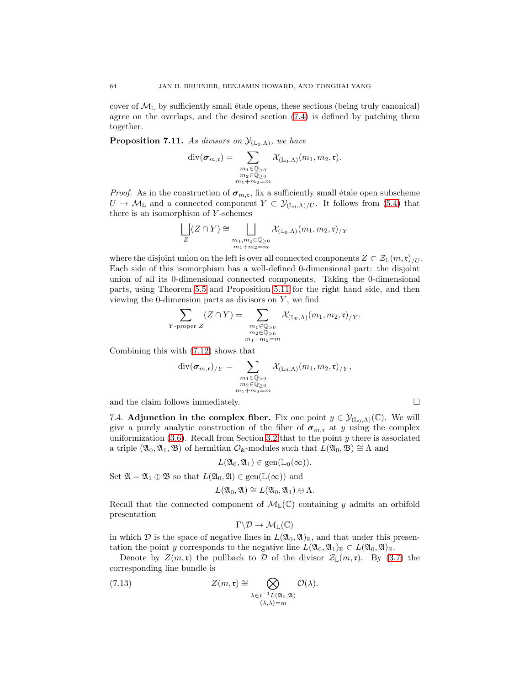cover of  $\mathcal{M}_{\mathbb{L}}$  by sufficiently small étale opens, these sections (being truly canonical) agree on the overlaps, and the desired section [\(7.4\)](#page-56-0) is defined by patching them together.

<span id="page-63-1"></span>**Proposition 7.11.** As divisors on  $\mathcal{Y}_{(\mathbb{L}_0,\Lambda)}$ , we have

$$
\mathrm{div}(\boldsymbol{\sigma}_{m,\mathfrak{r}})=\sum_{\substack{m_1\in\mathbb{Q}_{>0}\\m_2\in\mathbb{Q}_{\geq 0}\\m_1+m_2=m}}\mathcal{X}_{(\mathbb{L}_0,\Lambda)}(m_1,m_2,\mathfrak{r}).
$$

*Proof.* As in the construction of  $\sigma_{m,r}$ , fix a sufficiently small étale open subscheme  $U \to \mathcal{M}_{\mathbb{L}}$  and a connected component  $Y \subset \mathcal{Y}_{(\mathbb{L}_0,\Lambda)/U}$ . It follows from [\(5.4\)](#page-35-2) that there is an isomorphism of  $Y$ -schemes

$$
\bigsqcup_{Z} (Z \cap Y) \cong \bigsqcup_{\substack{m_1, m_2 \in \mathbb{Q}_{\geq 0} \\ m_1 + m_2 = m}} \mathcal{X}_{(\mathbb{L}_0, \Lambda)}(m_1, m_2, \mathfrak{r})_{/Y}
$$

where the disjoint union on the left is over all connected components  $Z \subset \mathcal{Z}_{\mathbb{L}}(m,\mathfrak{r})_{U}$ . Each side of this isomorphism has a well-defined 0-dimensional part: the disjoint union of all its 0-dimensional connected components. Taking the 0-dimensional parts, using Theorem [5.5](#page-36-0) and Proposition [5.11](#page-42-3) for the right hand side, and then viewing the 0-dimension parts as divisors on  $Y$ , we find

$$
\sum_{Y\text{-proper }Z}(Z\cap Y) = \sum_{\substack{m_1\in\mathbb{Q}_{>0}\\m_2\in\mathbb{Q}_{\geq 0}\\m_1+m_2=m}}\mathcal{X}_{(\mathbb{L}_0,\Lambda)}(m_1,m_2,\mathfrak{r})_{/Y}.
$$

Combining this with [\(7.12\)](#page-62-1) shows that

$$
\mathrm{div}(\pmb{\sigma}_{m,\mathfrak{r}})_{/Y} = \sum_{\substack{m_1 \in \mathbb{Q}_{>0} \\ m_2 \in \mathbb{Q}_{\geq 0} \\ m_1 + m_2 = m}} \mathcal{X}_{(\mathbb{L}_0,\Lambda)}(m_1, m_2, \mathfrak{r})_{/Y},
$$

<span id="page-63-0"></span>and the claim follows immediately.  $\Box$ 

7.4. Adjunction in the complex fiber. Fix one point  $y \in \mathcal{Y}_{(\mathbb{L}_0,\Lambda)}(\mathbb{C})$ . We will give a purely analytic construction of the fiber of  $\sigma_{m,\mathfrak{r}}$  at y using the complex uniformization  $(3.6)$ . Recall from Section [3.2](#page-13-0) that to the point y there is associated a triple  $(\mathfrak{A}_0, \mathfrak{A}_1, \mathfrak{B})$  of hermitian  $\mathcal{O}_k$ -modules such that  $L(\mathfrak{A}_0, \mathfrak{B}) \cong \Lambda$  and

$$
L(\mathfrak{A}_0,\mathfrak{A}_1)\in \text{gen}(\mathbb{L}_0(\infty)).
$$

Set  $\mathfrak{A} = \mathfrak{A}_1 \oplus \mathfrak{B}$  so that  $L(\mathfrak{A}_0, \mathfrak{A}) \in \text{gen}(\mathbb{L}(\infty))$  and

$$
L(\mathfrak{A}_0,\mathfrak{A})\cong L(\mathfrak{A}_0,\mathfrak{A}_1)\oplus\Lambda.
$$

Recall that the connected component of  $\mathcal{M}_{\mathbb{L}}(\mathbb{C})$  containing y admits an orbifold presentation

<span id="page-63-2"></span>
$$
\Gamma\backslash\mathcal{D}\to\mathcal{M}_{\mathbb{L}}(\mathbb{C})
$$

in which  $\mathcal D$  is the space of negative lines in  $L(\mathfrak{A}_0, \mathfrak{A})_{\mathbb R}$ , and that under this presentation the point y corresponds to the negative line  $L(\mathfrak{A}_0, \mathfrak{A}_1)_{\mathbb{R}} \subset L(\mathfrak{A}_0, \mathfrak{A})_{\mathbb{R}}$ .

Denote by  $Z(m,\mathfrak{r})$  the pullback to  $D$  of the divisor  $\mathcal{Z}_{\mathbb{L}}(m,\mathfrak{r})$ . By [\(3.7\)](#page-14-3) the corresponding line bundle is

(7.13) 
$$
Z(m, \mathfrak{r}) \cong \bigotimes_{\substack{\lambda \in \mathfrak{r}^{-1}L(\mathfrak{A}_0, \mathfrak{A}) \\ \langle \lambda, \lambda \rangle = m}} \mathcal{O}(\lambda).
$$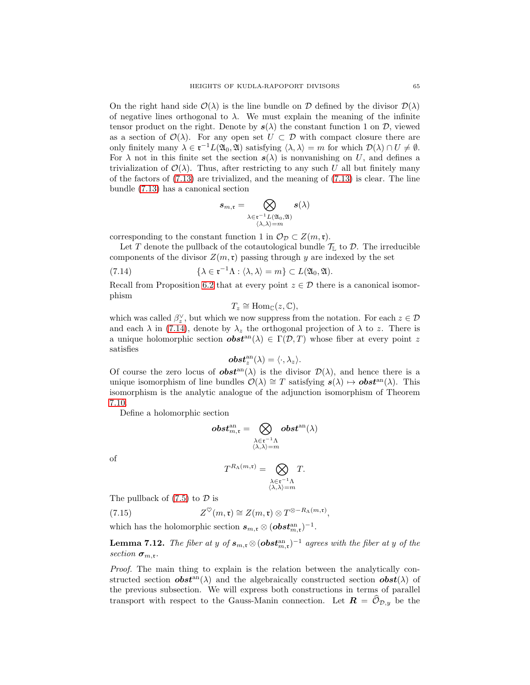On the right hand side  $\mathcal{O}(\lambda)$  is the line bundle on D defined by the divisor  $\mathcal{D}(\lambda)$ of negative lines orthogonal to  $\lambda$ . We must explain the meaning of the infinite tensor product on the right. Denote by  $s(\lambda)$  the constant function 1 on D, viewed as a section of  $\mathcal{O}(\lambda)$ . For any open set  $U \subset \mathcal{D}$  with compact closure there are only finitely many  $\lambda \in \mathfrak{r}^{-1}L(\mathfrak{A}_0, \mathfrak{A})$  satisfying  $\langle \lambda, \lambda \rangle = m$  for which  $\mathcal{D}(\lambda) \cap U \neq \emptyset$ . For  $\lambda$  not in this finite set the section  $s(\lambda)$  is nonvanishing on U, and defines a trivialization of  $\mathcal{O}(\lambda)$ . Thus, after restricting to any such U all but finitely many of the factors of  $(7.13)$  are trivialized, and the meaning of  $(7.13)$  is clear. The line bundle [\(7.13\)](#page-63-2) has a canonical section

$$
s_{m,\mathfrak{r}}=\bigotimes_{\substack{\lambda\in\mathfrak{r}^{-1}L(\mathfrak{A}_0,\mathfrak{A})\\ \langle\lambda,\lambda\rangle=m}}s(\lambda)
$$

corresponding to the constant function 1 in  $\mathcal{O}_{\mathcal{D}} \subset Z(m,\mathfrak{r}).$ 

Let T denote the pullback of the cotautological bundle  $\mathcal{T}_{L}$  to  $\mathcal{D}$ . The irreducible components of the divisor  $Z(m, \mathfrak{r})$  passing through y are indexed by the set

(7.14) 
$$
\{\lambda \in \mathfrak{r}^{-1}\Lambda : \langle \lambda, \lambda \rangle = m\} \subset L(\mathfrak{A}_0, \mathfrak{A}).
$$

Recall from Proposition [6.2](#page-49-1) that at every point  $z \in \mathcal{D}$  there is a canonical isomorphism

<span id="page-64-0"></span>
$$
T_z \cong \mathrm{Hom}_{\mathbb{C}}(z,\mathbb{C}),
$$

which was called  $\beta_z^{\vee}$ , but which we now suppress from the notation. For each  $z \in \mathcal{D}$ and each  $\lambda$  in [\(7.14\)](#page-64-0), denote by  $\lambda_z$  the orthogonal projection of  $\lambda$  to z. There is a unique holomorphic section  $\boldsymbol{obs}t^{\text{an}}(\lambda) \in \Gamma(\mathcal{D}, T)$  whose fiber at every point z satisfies

$$
\boldsymbol{obst}^{\operatorname{an}}_z(\lambda)=\langle \cdot, \lambda_z \rangle.
$$

Of course the zero locus of  $obst^{an}(\lambda)$  is the divisor  $\mathcal{D}(\lambda)$ , and hence there is a unique isomorphism of line bundles  $\mathcal{O}(\lambda) \cong T$  satisfying  $s(\lambda) \mapsto \mathbf{obst}^{\text{an}}(\lambda)$ . This isomorphism is the analytic analogue of the adjunction isomorphism of Theorem [7.10.](#page-61-1)

Define a holomorphic section

$$
\boldsymbol{obst}^{\rm an}_{m,\mathfrak{r}} = \bigotimes_{\substack{\lambda \in \mathfrak{r}^{-1}\Lambda \\ \langle \lambda, \lambda \rangle = m}} \boldsymbol{obst}^{\rm an}(\lambda)
$$

of

<span id="page-64-1"></span>
$$
T^{R_{\Lambda}(m,\mathfrak{r})} = \bigotimes_{\substack{\lambda \in \mathfrak{r}^{-1}\Lambda \\ \langle \lambda, \lambda \rangle = m}} T.
$$

The pullback of  $(7.5)$  to  $\mathcal D$  is

(7.15) 
$$
Z^{\heartsuit}(m,\mathfrak{r}) \cong Z(m,\mathfrak{r}) \otimes T^{\otimes -R_{\Lambda}(m,\mathfrak{r})},
$$

which has the holomorphic section  $s_{m,\mathfrak{r}} \otimes (\boldsymbol{obs} t_{m,\mathfrak{r}}^{\rm an})^{-1}$ .

**Lemma 7.12.** The fiber at y of  $s_{m,\mathfrak{r}} \otimes (\boldsymbol{obst}_{m,\mathfrak{r}}^{\text{an}})^{-1}$  agrees with the fiber at y of the section  $\sigma_{m,r}$ .

Proof. The main thing to explain is the relation between the analytically constructed section  $\boldsymbol{obs} t^{an}(\lambda)$  and the algebraically constructed section  $\boldsymbol{obs} t(\lambda)$  of the previous subsection. We will express both constructions in terms of parallel transport with respect to the Gauss-Manin connection. Let  $\mathbf{R} = \mathcal{O}_{\mathcal{D},y}$  be the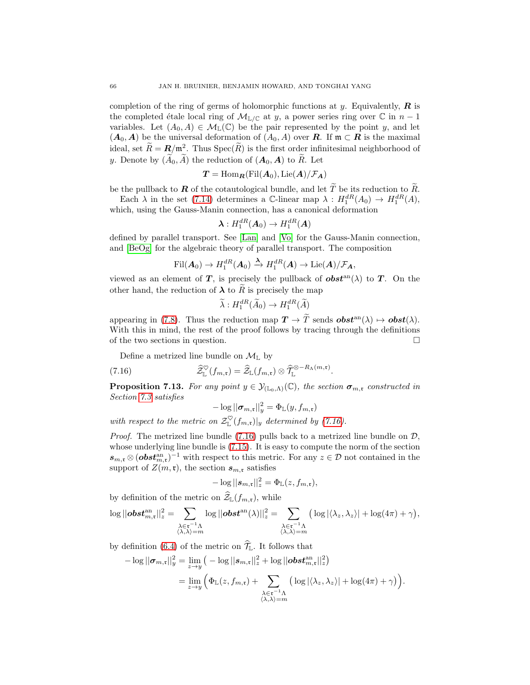completion of the ring of germs of holomorphic functions at y. Equivalently,  $\boldsymbol{R}$  is the completed étale local ring of  $\mathcal{M}_{\mathbb{L}/\mathbb{C}}$  at y, a power series ring over  $\mathbb{C}$  in  $n-1$ variables. Let  $(A_0, A) \in \mathcal{M}_{\mathbb{L}}(\mathbb{C})$  be the pair represented by the point y, and let  $(A_0, A)$  be the universal deformation of  $(A_0, A)$  over **R**. If  $\mathfrak{m} \subset \mathbb{R}$  is the maximal ideal, set  $\widetilde{R} = \mathbf{R}/\mathfrak{m}^2$ . Thus  $\mathrm{Spec}(\widetilde{R})$  is the first order infinitesimal neighborhood of y. Denote by  $(\widetilde{A}_0, \widetilde{A})$  the reduction of  $(A_0, A)$  to  $\widetilde{R}$ . Let

$$
T = \mathrm{Hom}_{\boldsymbol{R}}(\mathrm{Fil}({\boldsymbol{A}}_0), \mathrm{Lie}({\boldsymbol{A}})/\mathcal{F}_{\boldsymbol{A}})
$$

be the pullback to **R** of the cotautological bundle, and let  $\widetilde{T}$  be its reduction to  $\widetilde{R}$ .

Each  $\lambda$  in the set [\(7.14\)](#page-64-0) determines a C-linear map  $\lambda : H_1^{dR}(A_0) \to H_1^{dR}(A)$ , which, using the Gauss-Manin connection, has a canonical deformation

$$
\boldsymbol{\lambda}:H_1^{dR}(\boldsymbol{A}_0)\to H_1^{dR}(\boldsymbol{A})
$$

defined by parallel transport. See [\[Lan\]](#page-68-18) and [\[Vo\]](#page-68-27) for the Gauss-Manin connection, and [\[BeOg\]](#page-67-9) for the algebraic theory of parallel transport. The composition

$$
\mathrm{Fil}({\boldsymbol{A}}_0)\to H_1^{dR}({\boldsymbol{A}}_0)\xrightarrow{\boldsymbol{\lambda}}H_1^{dR}({\boldsymbol{A}})\to\mathrm{Lie}({\boldsymbol{A}})/\mathcal{F}_{\boldsymbol{A}},
$$

viewed as an element of T, is precisely the pullback of  $\boldsymbol{\delta} \boldsymbol{\delta} \boldsymbol{\delta}$  to T. On the other hand, the reduction of  $\lambda$  to  $\tilde{R}$  is precisely the map

$$
\widetilde{\lambda}: H_1^{dR}(\widetilde{A}_0) \to H_1^{dR}(\widetilde{A})
$$

appearing in [\(7.8\)](#page-59-1). Thus the reduction map  $\mathbf{T} \to \widetilde{T}$  sends  $\boldsymbol{\theta} \boldsymbol{\delta} \boldsymbol{\epsilon}^{\text{an}}(\lambda) \mapsto \boldsymbol{\theta} \boldsymbol{\delta} \boldsymbol{\epsilon}^{\text{an}}(\lambda)$ . With this in mind, the rest of the proof follows by tracing through the definitions of the two sections in question.

Define a metrized line bundle on  $\mathcal{M}_{\mathbb{L}}$  by

(7.16) 
$$
\widehat{Z}_{\mathbb{L}}^{\heartsuit}(f_{m,\mathfrak{r}})=\widehat{Z}_{\mathbb{L}}(f_{m,\mathfrak{r}})\otimes \widehat{\mathcal{T}}_{\mathbb{L}}^{\otimes -R_{\Lambda}(m,\mathfrak{r})}.
$$

<span id="page-65-1"></span>**Proposition 7.13.** For any point  $y \in \mathcal{Y}_{(\mathbb{L}_0,\Lambda)}(\mathbb{C})$ , the section  $\sigma_{m,\mathfrak{r}}$  constructed in Section [7.3](#page-56-2) satisfies

<span id="page-65-0"></span>
$$
-\log ||\boldsymbol{\sigma}_{m,\mathfrak{r}}||_y^2 = \Phi_{\mathbb{L}}(y, f_{m,\mathfrak{r}})
$$

with respect to the metric on  $\mathcal{Z}_{\mathbb{L}}^{\vee}(f_{m,\mathfrak{r}})|_{y}$  determined by [\(7.16\)](#page-65-0).

*Proof.* The metrized line bundle  $(7.16)$  pulls back to a metrized line bundle on  $\mathcal{D}$ , whose underlying line bundle is [\(7.15\)](#page-64-1). It is easy to compute the norm of the section  $s_{m,\mathfrak{r}} \otimes (obs t_{m,\mathfrak{r}}^{\text{an}})^{-1}$  with respect to this metric. For any  $z \in \mathcal{D}$  not contained in the support of  $Z(m, \mathfrak{r})$ , the section  $s_{m,\mathfrak{r}}$  satisfies

$$
-\log||s_{m,\mathfrak{r}}||_z^2 = \Phi_{\mathbb{L}}(z, f_{m,\mathfrak{r}}),
$$

by definition of the metric on  $\widehat{Z}_{\mathbb{L}}(f_{m,\mathfrak{r}})$ , while

$$
\log ||\boldsymbol{obst}_{m,\mathfrak{r}}^{an}||_{z}^{2} = \sum_{\substack{\lambda \in \mathfrak{r}^{-1}\Lambda \\ \langle \lambda, \lambda \rangle = m}} \log ||\boldsymbol{obst}^{an}(\lambda)||_{z}^{2} = \sum_{\substack{\lambda \in \mathfrak{r}^{-1}\Lambda \\ \langle \lambda, \lambda \rangle = m}} \big(\log |\langle \lambda_{z}, \lambda_{z} \rangle| + \log(4\pi) + \gamma \big),
$$

by definition [\(6.4\)](#page-50-2) of the metric on  $\hat{\mathcal{T}}_{\mathbb{L}}$ . It follows that

$$
-\log ||\boldsymbol{\sigma}_{m,\mathfrak{r}}||_y^2 = \lim_{z \to y} \big(-\log ||\boldsymbol{s}_{m,\mathfrak{r}}||_z^2 + \log ||\boldsymbol{\omega} \boldsymbol{s} \boldsymbol{t}_{m,\mathfrak{r}}^{\mathrm{an}}||_z^2\big)
$$
  
= 
$$
\lim_{z \to y} \Big(\Phi_{\mathbb{L}}(z, f_{m,\mathfrak{r}}) + \sum_{\substack{\lambda \in \mathfrak{r}^{-1}\Lambda \\ \langle \lambda, \lambda \rangle = m}} \big(\log |\langle \lambda_z, \lambda_z \rangle| + \log(4\pi) + \gamma\big)\Big).
$$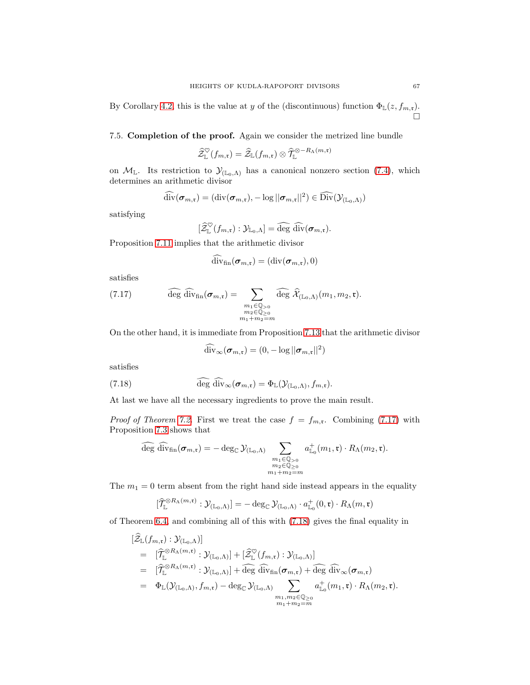By Corollary [4.2,](#page-20-0) this is the value at y of the (discontinuous) function  $\Phi_{\mathbb{L}}(z, f_{m,\mathfrak{r}})$ . Ò

# 7.5. Completion of the proof. Again we consider the metrized line bundle

$$
\widehat{\mathcal{Z}}^{\heartsuit}_{\mathbb{L}}(f_{m,\mathfrak{r}})=\widehat{\mathcal{Z}}_{\mathbb{L}}(f_{m,\mathfrak{r}})\otimes\widehat{\mathcal{T}}^{\otimes-R_\Lambda(m,\mathfrak{r})}_{\mathbb{L}}
$$

on  $\mathcal{M}_L$ . Its restriction to  $\mathcal{Y}_{(L_0,\Lambda)}$  has a canonical nonzero section [\(7.4\)](#page-56-0), which determines an arithmetic divisor

$$
\widehat{\operatorname{div}}(\boldsymbol{\sigma}_{m,\mathfrak{r}})=(\operatorname{div}(\boldsymbol{\sigma}_{m,\mathfrak{r}}),-\log||\boldsymbol{\sigma}_{m,\mathfrak{r}}||^2)\in\widehat{\operatorname{Div}}({\cal Y}_{({\mathbb L}_0,\Lambda)})
$$

satisfying

$$
[\widehat{\mathcal{Z}}^{\heartsuit}_{\mathbb{L}}(f_{m,\mathfrak{r}}):\mathcal{Y}_{\mathbb{L}_0,\Lambda}]=\widehat{\operatorname{deg}}\ \widehat{\operatorname{div}}(\boldsymbol{\sigma}_{m,\mathfrak{r}}).
$$

Proposition [7.11](#page-63-1) implies that the arithmetic divisor

<span id="page-66-0"></span>
$$
\widehat{\mathrm{div}}_{\mathrm{fin}}(\boldsymbol{\sigma}_{m,\mathfrak{r}})=(\mathrm{div}(\boldsymbol{\sigma}_{m,\mathfrak{r}}),0)
$$

satisfies

(7.17) 
$$
\widehat{\deg} \widehat{\operatorname{div}}_{\operatorname{fin}}(\sigma_{m,\mathfrak{r}}) = \sum_{\substack{m_1 \in \mathbb{Q}_{>0} \\ m_2 \in \mathbb{Q}_{\geq 0} \\ m_1 + m_2 = m}} \widehat{\deg} \widehat{\mathcal{X}}_{(\mathbb{L}_0,\Lambda)}(m_1, m_2, \mathfrak{r}).
$$

On the other hand, it is immediate from Proposition [7.13](#page-65-1) that the arithmetic divisor

<span id="page-66-1"></span>
$$
\widehat{\mathrm{div}}_{\infty}(\boldsymbol{\sigma}_{m,\mathfrak{r}}) = (0, -\log ||\boldsymbol{\sigma}_{m,\mathfrak{r}}||^2)
$$

satisfies

(7.18) 
$$
\widehat{\deg} \widehat{\mathrm{div}}_{\infty}(\sigma_{m,\mathfrak{r}}) = \Phi_{\mathbb{L}}(\mathcal{Y}_{(\mathbb{L}_0,\Lambda)},f_{m,\mathfrak{r}}).
$$

At last we have all the necessary ingredients to prove the main result.

*Proof of Theorem [7.2.](#page-54-0)* First we treat the case  $f = f_{m,r}$ . Combining [\(7.17\)](#page-66-0) with Proposition [7.3](#page-54-3) shows that

$$
\widehat{\deg} \ \widehat{\operatorname{div}}_{\operatorname{fin}}(\boldsymbol{\sigma}_{m,\mathfrak{r}}) = -\deg_{\mathbb{C}} \mathcal{Y}_{(\mathbb{L}_0,\Lambda)} \sum_{\substack{m_1 \in \mathbb{Q}_{>0} \\ m_2 \in \mathbb{Q}_{\geq 0} \\ m_1 + m_2 = m}} a^+_{\mathbb{L}_0}(m_1,\mathfrak{r}) \cdot R_{\Lambda}(m_2,\mathfrak{r}).
$$

The  $m_1 = 0$  term absent from the right hand side instead appears in the equality

$$
[\widehat{\mathcal{T}}^{\otimes R_{\Lambda}(m,\mathfrak{r})}_{\mathbb{L}}:\mathcal{Y}_{(\mathbb{L}_0,\Lambda)}] = -\deg_{\mathbb{C}}\mathcal{Y}_{(\mathbb{L}_0,\Lambda)}\cdot a^+_{\mathbb{L}_0}(0,\mathfrak{r})\cdot R_{\Lambda}(m,\mathfrak{r})
$$

of Theorem [6.4,](#page-51-4) and combining all of this with [\(7.18\)](#page-66-1) gives the final equality in

$$
\begin{split}\n&[\widehat{\mathcal{Z}}_{\mathbb{L}}(f_{m,\mathfrak{r}}):\mathcal{Y}_{(\mathbb{L}_{0},\Lambda)}] \\
&= [\widehat{\mathcal{T}}_{\mathbb{L}}^{\otimes R_{\Lambda}(m,\mathfrak{r})}:\mathcal{Y}_{(\mathbb{L}_{0},\Lambda)}] + [\widehat{\mathcal{Z}}_{\mathbb{L}}^{\heartsuit}(f_{m,\mathfrak{r}}):\mathcal{Y}_{(\mathbb{L}_{0},\Lambda)}] \\
&= [\widehat{\mathcal{T}}_{\mathbb{L}}^{\otimes R_{\Lambda}(m,\mathfrak{r})}:\mathcal{Y}_{(\mathbb{L}_{0},\Lambda)}] + \widehat{\deg} \widehat{\mathrm{div}}_{\mathrm{fin}}(\sigma_{m,\mathfrak{r}}) + \widehat{\deg} \widehat{\mathrm{div}}_{\infty}(\sigma_{m,\mathfrak{r}}) \\
&= \Phi_{\mathbb{L}}(\mathcal{Y}_{(\mathbb{L}_{0},\Lambda)},f_{m,\mathfrak{r}}) - \deg_{\mathbb{C}} \mathcal{Y}_{(\mathbb{L}_{0},\Lambda)} \sum_{\substack{m_{1},m_{2} \in \mathbb{Q}_{\geq 0} \\ m_{1}+m_{2}=m}} a^+_{\mathbb{L}_{0}}(m_{1},\mathfrak{r}) \cdot R_{\Lambda}(m_{2},\mathfrak{r}).\n\end{split}
$$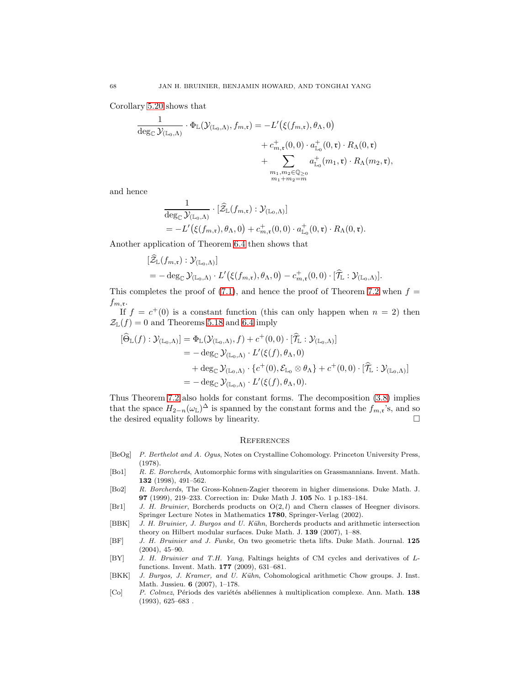Corollary [5.20](#page-47-2) shows that

$$
\frac{1}{\deg_{\mathbb{C}}\mathcal{Y}_{(\mathbb{L}_0,\Lambda)}}\cdot\Phi_{\mathbb{L}}(\mathcal{Y}_{(\mathbb{L}_0,\Lambda)},f_{m,\mathfrak{r}})=-L'\big(\xi(f_{m,\mathfrak{r}}),\theta_\Lambda,0\big)\\
+\,c^+_{m,\mathfrak{r}}(0,0)\cdot a^+_{\mathbb{L}_0}(0,\mathfrak{r})\cdot R_\Lambda(0,\mathfrak{r})\\
+\sum_{\substack{m_1,m_2\in\mathbb{Q}_{\geq 0}\\m_1+m_2=m}}a^+_{\mathbb{L}_0}(m_1,\mathfrak{r})\cdot R_\Lambda(m_2,\mathfrak{r}),
$$

and hence

$$
\frac{1}{\deg_{\mathbb{C}} \mathcal{Y}_{(\mathbb{L}_0,\Lambda)}} \cdot [\widehat{\mathcal{Z}}_{\mathbb{L}}(f_{m,\mathfrak{r}}) : \mathcal{Y}_{(\mathbb{L}_0,\Lambda)}]
$$
\n
$$
= -L'(\xi(f_{m,\mathfrak{r}}), \theta_\Lambda, 0) + c_{m,\mathfrak{r}}^+(0,0) \cdot a_{\mathbb{L}_0}^+(0,\mathfrak{r}) \cdot R_\Lambda(0,\mathfrak{r}).
$$

Another application of Theorem [6.4](#page-51-4) then shows that

$$
\begin{aligned} [\tilde{Z}_{\mathbb{L}}(f_{m,\mathfrak{r}}): \mathcal{Y}_{(\mathbb{L}_0,\Lambda)}] \\ &= -\deg_{\mathbb{C}} \mathcal{Y}_{(\mathbb{L}_0,\Lambda)} \cdot L'(\xi(f_{m,\mathfrak{r}}), \theta_\Lambda, 0) - c_{m,\mathfrak{r}}^+(0,0) \cdot [\widehat{\mathcal{T}}_{\mathbb{L}}: \mathcal{Y}_{(\mathbb{L}_0,\Lambda)}]. \end{aligned}
$$

This completes the proof of [\(7.1\)](#page-54-2), and hence the proof of Theorem [7.2](#page-54-0) when  $f =$  $f_{m,\mathfrak{r}}$ .

If  $f = c^{+}(0)$  is a constant function (this can only happen when  $n = 2$ ) then  $\mathcal{Z}_{\mathbb{L}}(f) = 0$  and Theorems [5.18](#page-46-0) and [6.4](#page-51-4) imply

$$
\begin{aligned} [\widehat{\Theta}_{\mathbb{L}}(f) : \mathcal{Y}_{(\mathbb{L}_0,\Lambda)}] &= \Phi_{\mathbb{L}}(\mathcal{Y}_{(\mathbb{L}_0,\Lambda)},f) + c^+(0,0) \cdot [\widehat{\mathcal{T}}_{\mathbb{L}} : \mathcal{Y}_{(\mathbb{L}_0,\Lambda)}] \\ &= -\deg_{\mathbb{C}} \mathcal{Y}_{(\mathbb{L}_0,\Lambda)} \cdot L'(\xi(f), \theta_\Lambda, 0) \\ &\quad + \deg_{\mathbb{C}} \mathcal{Y}_{(\mathbb{L}_0,\Lambda)} \cdot \{c^+(0), \mathcal{E}_{\mathbb{L}_0} \otimes \theta_\Lambda\} + c^+(0,0) \cdot [\widehat{\mathcal{T}}_{\mathbb{L}} : \mathcal{Y}_{(\mathbb{L}_0,\Lambda)}] \\ &= -\deg_{\mathbb{C}} \mathcal{Y}_{(\mathbb{L}_0,\Lambda)} \cdot L'(\xi(f), \theta_\Lambda, 0). \end{aligned}
$$

Thus Theorem [7.2](#page-54-0) also holds for constant forms. The decomposition [\(3.8\)](#page-15-1) implies that the space  $H_{2-n}(\omega_{\mathbb{L}})^{\Delta}$  is spanned by the constant forms and the  $f_{m,\mathfrak{r}}$ 's, and so the desired equality follows by linearity.  $\Box$ 

#### <span id="page-67-0"></span>**REFERENCES**

- <span id="page-67-9"></span>[BeOg] P. Berthelot and A. Ogus, Notes on Crystalline Cohomology. Princeton University Press, (1978).
- <span id="page-67-2"></span>[Bo1] R. E. Borcherds, Automorphic forms with singularities on Grassmannians. Invent. Math. 132 (1998), 491–562.
- <span id="page-67-6"></span>[Bo2] R. Borcherds, The Gross-Kohnen-Zagier theorem in higher dimensions. Duke Math. J. 97 (1999), 219–233. Correction in: Duke Math J. 105 No. 1 p.183–184.
- <span id="page-67-4"></span>[Br1] J. H. Bruinier, Borcherds products on  $O(2, l)$  and Chern classes of Heegner divisors. Springer Lecture Notes in Mathematics 1780, Springer-Verlag (2002).
- <span id="page-67-8"></span>[BBK] J. H. Bruinier, J. Burgos and U. Kühn, Borcherds products and arithmetic intersection theory on Hilbert modular surfaces. Duke Math. J. 139 (2007), 1–88.
- <span id="page-67-3"></span>[BF] J. H. Bruinier and J. Funke, On two geometric theta lifts. Duke Math. Journal. 125 (2004), 45–90.
- <span id="page-67-5"></span>[BY] J. H. Bruinier and T.H. Yang, Faltings heights of CM cycles and derivatives of Lfunctions. Invent. Math. 177 (2009), 631–681.
- <span id="page-67-1"></span>[BKK] J. Burgos, J. Kramer, and U. Kühn, Cohomological arithmetic Chow groups. J. Inst. Math. Jussieu. 6 (2007), 1–178.
- <span id="page-67-7"></span>[Co] P. Colmez, Périods des variétés abéliennes à multiplication complexe. Ann. Math. 138  $(1993), 625-683$ .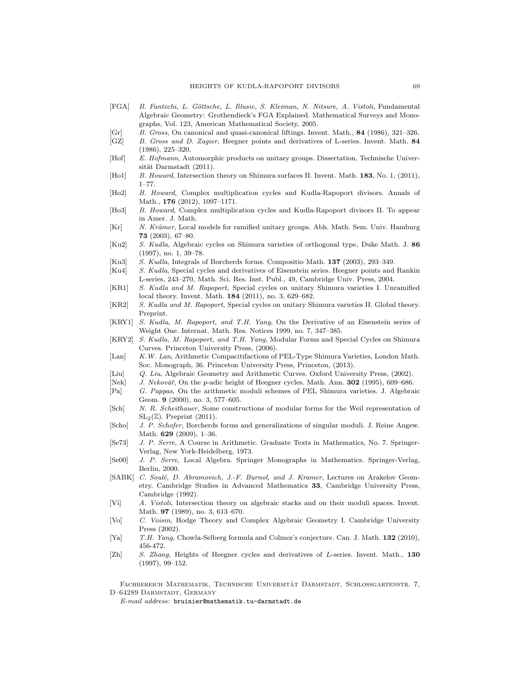- <span id="page-68-23"></span>[FGA] B. Fantechi, L. Göttsche, L. Illusie, S. Kleiman, N. Nitsure, A. Vistoli, Fundamental Algebraic Geometry: Grothendieck's FGA Explained. Mathematical Surveys and Monographs, Vol. 123, American Mathematical Society, 2005.
- <span id="page-68-21"></span>[Gr] B. Gross, On canonical and quasi-canonical liftings. Invent. Math., 84 (1986), 321–326.
- <span id="page-68-0"></span>[GZ] B. Gross and D. Zagier, Heegner points and derivatives of L-series. Invent. Math. 84 (1986), 225–320.
- <span id="page-68-20"></span>[Hof] E. Hofmann, Automorphic products on unitary groups. Dissertation, Technische Universität Darmstadt (2011).
- <span id="page-68-9"></span>[Ho1] B. Howard, Intersection theory on Shimura surfaces II. Invent. Math. 183, No. 1, (2011), 1–77.
- <span id="page-68-6"></span>[Ho2] B. Howard, Complex multiplication cycles and Kudla-Rapoport divisors. Annals of Math., 176 (2012), 1097–1171.
- <span id="page-68-7"></span>[Ho3] B. Howard, Complex multiplication cycles and Kudla-Rapoport divisors II. To appear in Amer. J. Math.
- <span id="page-68-14"></span>[Kr] N. Krämer, Local models for ramified unitary groups. Abh. Math. Sem. Univ. Hamburg 73 (2003), 67–80.
- <span id="page-68-19"></span>[Ku2] S. Kudla, Algebraic cycles on Shimura varieties of orthogonal type, Duke Math. J. 86 (1997), no. 1, 39–78.
- <span id="page-68-12"></span>[Ku3] S. Kudla, Integrals of Borcherds forms. Compositio Math. 137 (2003), 293–349.
- <span id="page-68-10"></span>[Ku4] S. Kudla, Special cycles and derivatives of Eisenstein series. Heegner points and Rankin L-series, 243–270, Math. Sci. Res. Inst. Publ., 49, Cambridge Univ. Press, 2004.
- <span id="page-68-4"></span>[KR1] S. Kudla and M. Rapoport, Special cycles on unitary Shimura varieties I. Unramified local theory. Invent. Math. 184 (2011), no. 3, 629–682.
- <span id="page-68-5"></span>[KR2] S. Kudla and M. Rapoport, Special cycles on unitary Shimura varieties II. Global theory. Preprint.
- <span id="page-68-22"></span>[KRY1] S. Kudla, M. Rapoport, and T.H. Yang, On the Derivative of an Eisenstein series of Weight One. Internat. Math. Res. Notices 1999, no. 7, 347–385.
- <span id="page-68-8"></span>[KRY2] S. Kudla, M. Rapoport, and T.H. Yang, Modular Forms and Special Cycles on Shimura Curves. Princeton University Press, (2006).
- <span id="page-68-18"></span>[Lan] K.W. Lan, Arithmetic Compacitifactions of PEL-Type Shimura Varieties, London Math. Soc. Monograph, 36. Princeton University Press, Princeton, (2013).
- <span id="page-68-26"></span>[Liu] Q. Liu, Algebraic Geometry and Arithmetic Curves. Oxford University Press, (2002).
- <span id="page-68-2"></span>[Nek] J. Nekovář, On the p-adic height of Heegner cycles. Math. Ann. **302** (1995), 609–686.<br>[Pa] G. Pappas, On the arithmetic moduli schemes of PEL Shimura varieties. J. Algebra
- <span id="page-68-13"></span>G. Pappas, On the arithmetic moduli schemes of PEL Shimura varieties. J. Algebraic Geom. 9 (2000), no. 3, 577–605.
- <span id="page-68-17"></span>[Sch] N. R. Scheithauer, Some constructions of modular forms for the Weil representation of  $SL_2(\mathbb{Z})$ . Preprint (2011).
- <span id="page-68-24"></span>[Scho] J. P. Schofer, Borcherds forms and generalizations of singular moduli. J. Reine Angew. Math. 629 (2009), 1–36.
- <span id="page-68-16"></span>[Se73] J. P. Serre, A Course in Arithmetic. Graduate Texts in Mathematics, No. 7. Springer-Verlag, New York-Heidelberg, 1973.
- <span id="page-68-25"></span>[Se00] J. P. Serre, Local Algebra. Springer Monographs in Mathematics. Springer-Verlag, Berlin, 2000.
- <span id="page-68-3"></span>[SABK] C. Soulé, D. Abramovich, J.-F. Burnol, and J. Kramer, Lectures on Arakelov Geometry. Cambridge Studies in Advanced Mathematics 33, Cambridge University Press, Cambridge (1992).
- <span id="page-68-15"></span>[Vi] A. Vistoli, Intersection theory on algebraic stacks and on their moduli spaces. Invent. Math. 97 (1989), no. 3, 613–670.
- <span id="page-68-27"></span>[Vo] C. Voisin, Hodge Theory and Complex Algebraic Geometry I. Cambridge University Press (2002).
- <span id="page-68-11"></span>[Ya] T.H. Yang, Chowla-Selberg formula and Colmez's conjecture. Can. J. Math. 132 (2010), 456-472.
- <span id="page-68-1"></span>[Zh] S. Zhang, Heights of Heegner cycles and derivatives of L-series. Invent. Math., 130 (1997), 99–152.

FACHBEREICH MATHEMATIK, TECHNISCHE UNIVERSITÄT DARMSTADT, SCHLOSSGARTENSTR. 7, D–64289 DARMSTADT, GERMANY

 $E-mail$   $address:$  bruinier@mathematik.tu-darmstadt.de